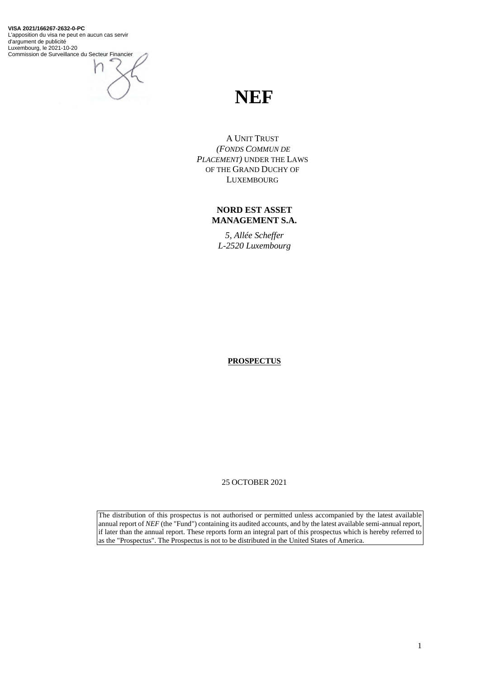**VISA 2021/166267-2632-0-PC** L'apposition du visa ne peut en aucun cas servir d'argument de publicité Luxembourg, le 2021-10-20 Commission de Surveillance du Secteur Financier

# **NEF**

A UNIT TRUST *(FONDS COMMUN DE PLACEMENT)* UNDER THE LAWS OF THE GRAND DUCHY OF LUXEMBOURG

# **NORD EST ASSET MANAGEMENT S.A.**

*5, Allée Scheffer L-2520 Luxembourg*

**PROSPECTUS**

25 OCTOBER 2021

The distribution of this prospectus is not authorised or permitted unless accompanied by the latest available annual report of *NEF* (the "Fund") containing its audited accounts, and by the latest available semi-annual report, if later than the annual report. These reports form an integral part of this prospectus which is hereby referred to as the "Prospectus". The Prospectus is not to be distributed in the United States of America.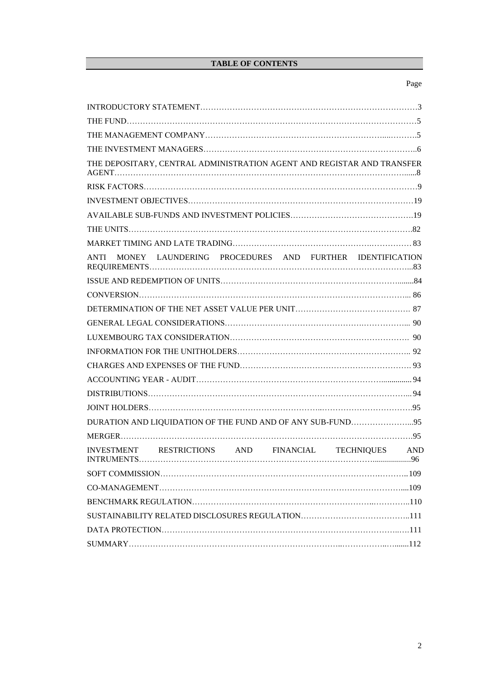# **TABLE OF CONTENTS**

# Page

| THE DEPOSITARY, CENTRAL ADMINISTRATION AGENT AND REGISTAR AND TRANSFER                                   |  |
|----------------------------------------------------------------------------------------------------------|--|
|                                                                                                          |  |
|                                                                                                          |  |
|                                                                                                          |  |
|                                                                                                          |  |
|                                                                                                          |  |
| ANTI MONEY LAUNDERING PROCEDURES AND FURTHER IDENTIFICATION                                              |  |
|                                                                                                          |  |
|                                                                                                          |  |
|                                                                                                          |  |
|                                                                                                          |  |
|                                                                                                          |  |
|                                                                                                          |  |
|                                                                                                          |  |
|                                                                                                          |  |
|                                                                                                          |  |
|                                                                                                          |  |
| DURATION AND LIQUIDATION OF THE FUND AND OF ANY SUB-FUND95                                               |  |
|                                                                                                          |  |
| RESTRICTIONS AND<br>FINANCIAL TECHNIQUES<br><b>AND</b><br><b>INVESTMENT</b><br><b>INTRUMENTS</b><br>. 96 |  |
|                                                                                                          |  |
|                                                                                                          |  |
|                                                                                                          |  |
|                                                                                                          |  |
|                                                                                                          |  |
|                                                                                                          |  |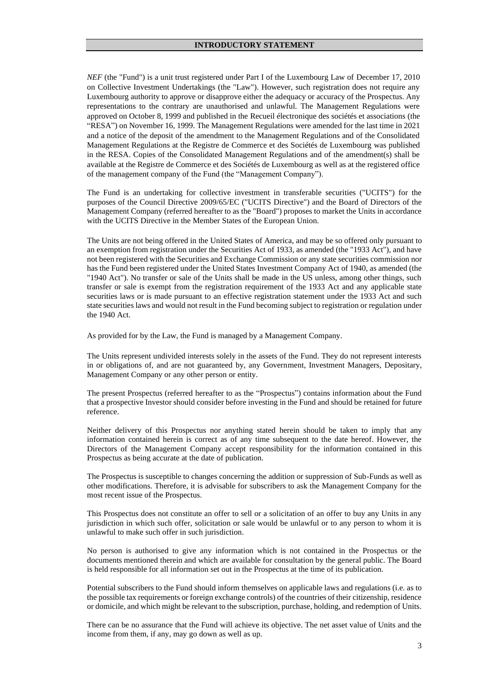*NEF* (the "Fund") is a unit trust registered under Part I of the Luxembourg Law of December 17, 2010 on Collective Investment Undertakings (the "Law"). However, such registration does not require any Luxembourg authority to approve or disapprove either the adequacy or accuracy of the Prospectus. Any representations to the contrary are unauthorised and unlawful. The Management Regulations were approved on October 8, 1999 and published in the Recueil électronique des sociétés et associations (the "RESA") on November 16, 1999. The Management Regulations were amended for the last time in 2021 and a notice of the deposit of the amendment to the Management Regulations and of the Consolidated Management Regulations at the Registre de Commerce et des Sociétés de Luxembourg was published in the RESA. Copies of the Consolidated Management Regulations and of the amendment(s) shall be available at the Registre de Commerce et des Sociétés de Luxembourg as well as at the registered office of the management company of the Fund (the "Management Company").

The Fund is an undertaking for collective investment in transferable securities ("UCITS") for the purposes of the Council Directive 2009/65/EC ("UCITS Directive") and the Board of Directors of the Management Company (referred hereafter to as the "Board") proposes to market the Units in accordance with the UCITS Directive in the Member States of the European Union.

The Units are not being offered in the United States of America, and may be so offered only pursuant to an exemption from registration under the Securities Act of 1933, as amended (the "1933 Act"), and have not been registered with the Securities and Exchange Commission or any state securities commission nor has the Fund been registered under the United States Investment Company Act of 1940, as amended (the "1940 Act"). No transfer or sale of the Units shall be made in the US unless, among other things, such transfer or sale is exempt from the registration requirement of the 1933 Act and any applicable state securities laws or is made pursuant to an effective registration statement under the 1933 Act and such state securities laws and would not result in the Fund becoming subject to registration or regulation under the 1940 Act.

As provided for by the Law, the Fund is managed by a Management Company.

The Units represent undivided interests solely in the assets of the Fund. They do not represent interests in or obligations of, and are not guaranteed by, any Government, Investment Managers, Depositary, Management Company or any other person or entity.

The present Prospectus (referred hereafter to as the "Prospectus") contains information about the Fund that a prospective Investor should consider before investing in the Fund and should be retained for future reference.

Neither delivery of this Prospectus nor anything stated herein should be taken to imply that any information contained herein is correct as of any time subsequent to the date hereof. However, the Directors of the Management Company accept responsibility for the information contained in this Prospectus as being accurate at the date of publication.

The Prospectus is susceptible to changes concerning the addition or suppression of Sub-Funds as well as other modifications. Therefore, it is advisable for subscribers to ask the Management Company for the most recent issue of the Prospectus.

This Prospectus does not constitute an offer to sell or a solicitation of an offer to buy any Units in any jurisdiction in which such offer, solicitation or sale would be unlawful or to any person to whom it is unlawful to make such offer in such jurisdiction.

No person is authorised to give any information which is not contained in the Prospectus or the documents mentioned therein and which are available for consultation by the general public. The Board is held responsible for all information set out in the Prospectus at the time of its publication.

Potential subscribers to the Fund should inform themselves on applicable laws and regulations (i.e. as to the possible tax requirements or foreign exchange controls) of the countries of their citizenship, residence or domicile, and which might be relevant to the subscription, purchase, holding, and redemption of Units.

There can be no assurance that the Fund will achieve its objective. The net asset value of Units and the income from them, if any, may go down as well as up.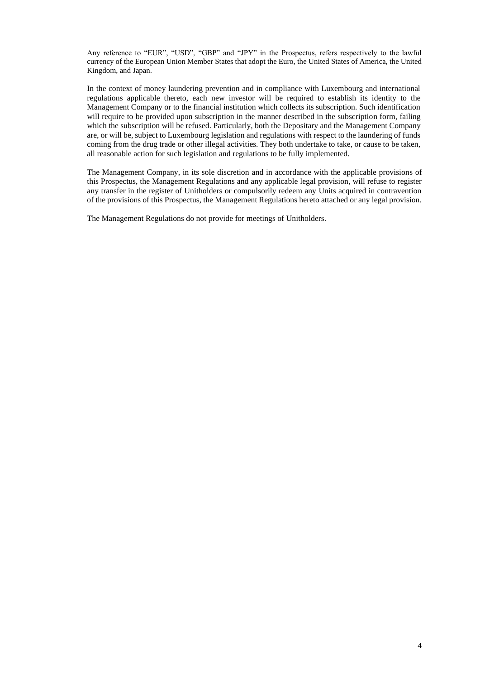Any reference to "EUR", "USD", "GBP" and "JPY" in the Prospectus, refers respectively to the lawful currency of the European Union Member States that adopt the Euro, the United States of America, the United Kingdom, and Japan.

In the context of money laundering prevention and in compliance with Luxembourg and international regulations applicable thereto, each new investor will be required to establish its identity to the Management Company or to the financial institution which collects its subscription. Such identification will require to be provided upon subscription in the manner described in the subscription form, failing which the subscription will be refused. Particularly, both the Depositary and the Management Company are, or will be, subject to Luxembourg legislation and regulations with respect to the laundering of funds coming from the drug trade or other illegal activities. They both undertake to take, or cause to be taken, all reasonable action for such legislation and regulations to be fully implemented.

The Management Company, in its sole discretion and in accordance with the applicable provisions of this Prospectus, the Management Regulations and any applicable legal provision, will refuse to register any transfer in the register of Unitholders or compulsorily redeem any Units acquired in contravention of the provisions of this Prospectus, the Management Regulations hereto attached or any legal provision.

The Management Regulations do not provide for meetings of Unitholders.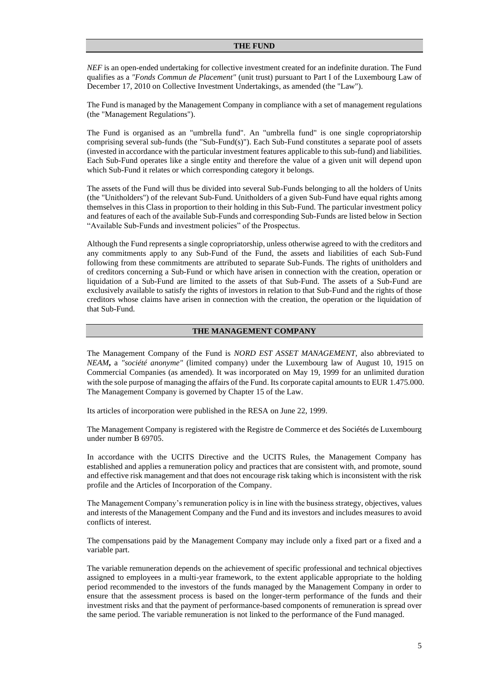#### **THE FUND**

*NEF* is an open-ended undertaking for collective investment created for an indefinite duration. The Fund qualifies as a *"Fonds Commun de Placement"* (unit trust) pursuant to Part I of the Luxembourg Law of December 17, 2010 on Collective Investment Undertakings, as amended (the "Law").

The Fund is managed by the Management Company in compliance with a set of management regulations (the "Management Regulations").

The Fund is organised as an "umbrella fund". An "umbrella fund" is one single copropriatorship comprising several sub-funds (the "Sub-Fund(s)"). Each Sub-Fund constitutes a separate pool of assets (invested in accordance with the particular investment features applicable to this sub-fund) and liabilities. Each Sub-Fund operates like a single entity and therefore the value of a given unit will depend upon which Sub-Fund it relates or which corresponding category it belongs.

The assets of the Fund will thus be divided into several Sub-Funds belonging to all the holders of Units (the "Unitholders") of the relevant Sub-Fund. Unitholders of a given Sub-Fund have equal rights among themselves in this Class in proportion to their holding in this Sub-Fund. The particular investment policy and features of each of the available Sub-Funds and corresponding Sub-Funds are listed below in Section "Available Sub-Funds and investment policies" of the Prospectus.

Although the Fund represents a single copropriatorship, unless otherwise agreed to with the creditors and any commitments apply to any Sub-Fund of the Fund, the assets and liabilities of each Sub-Fund following from these commitments are attributed to separate Sub-Funds. The rights of unitholders and of creditors concerning a Sub-Fund or which have arisen in connection with the creation, operation or liquidation of a Sub-Fund are limited to the assets of that Sub-Fund. The assets of a Sub-Fund are exclusively available to satisfy the rights of investors in relation to that Sub-Fund and the rights of those creditors whose claims have arisen in connection with the creation, the operation or the liquidation of that Sub-Fund.

# **THE MANAGEMENT COMPANY**

The Management Company of the Fund is *NORD EST ASSET MANAGEMENT*, also abbreviated to *NEAM***,** a *"société anonyme"* (limited company) under the Luxembourg law of August 10, 1915 on Commercial Companies (as amended). It was incorporated on May 19, 1999 for an unlimited duration with the sole purpose of managing the affairs of the Fund. Its corporate capital amounts to EUR 1.475.000. The Management Company is governed by Chapter 15 of the Law.

Its articles of incorporation were published in the RESA on June 22, 1999.

The Management Company is registered with the Registre de Commerce et des Sociétés de Luxembourg under number B 69705.

In accordance with the UCITS Directive and the UCITS Rules, the Management Company has established and applies a remuneration policy and practices that are consistent with, and promote, sound and effective risk management and that does not encourage risk taking which is inconsistent with the risk profile and the Articles of Incorporation of the Company.

The Management Company's remuneration policy is in line with the business strategy, objectives, values and interests of the Management Company and the Fund and its investors and includes measures to avoid conflicts of interest.

The compensations paid by the Management Company may include only a fixed part or a fixed and a variable part.

The variable remuneration depends on the achievement of specific professional and technical objectives assigned to employees in a multi-year framework, to the extent applicable appropriate to the holding period recommended to the investors of the funds managed by the Management Company in order to ensure that the assessment process is based on the longer-term performance of the funds and their investment risks and that the payment of performance-based components of remuneration is spread over the same period. The variable remuneration is not linked to the performance of the Fund managed.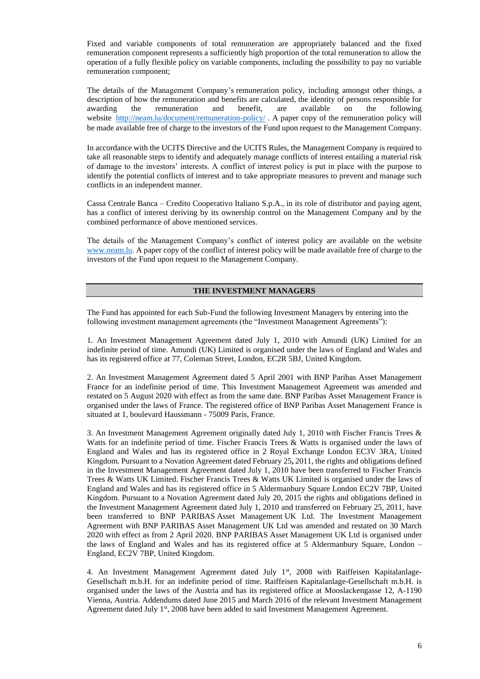Fixed and variable components of total remuneration are appropriately balanced and the fixed remuneration component represents a sufficiently high proportion of the total remuneration to allow the operation of a fully flexible policy on variable components, including the possibility to pay no variable remuneration component;

The details of the Management Company's remuneration policy, including amongst other things, a description of how the remuneration and benefits are calculated, the identity of persons responsible for awarding the remuneration and benefit, are available on the following website <http://neam.lu/document/remuneration-policy/>. A paper copy of the remuneration policy will be made available free of charge to the investors of the Fund upon request to the Management Company.

In accordance with the UCITS Directive and the UCITS Rules, the Management Company is required to take all reasonable steps to identify and adequately manage conflicts of interest entailing a material risk of damage to the investors' interests. A conflict of interest policy is put in place with the purpose to identify the potential conflicts of interest and to take appropriate measures to prevent and manage such conflicts in an independent manner.

Cassa Centrale Banca – Credito Cooperativo Italiano S.p.A., in its role of distributor and paying agent, has a conflict of interest deriving by its ownership control on the Management Company and by the combined performance of above mentioned services.

The details of the Management Company's conflict of interest policy are available on the website [www.neam.lu.](http://www.neam.lu/) A paper copy of the conflict of interest policy will be made available free of charge to the investors of the Fund upon request to the Management Company.

# **THE INVESTMENT MANAGERS**

The Fund has appointed for each Sub-Fund the following Investment Managers by entering into the following investment management agreements (the "Investment Management Agreements"):

1. An Investment Management Agreement dated July 1, 2010 with Amundi (UK) Limited for an indefinite period of time. Amundi (UK) Limited is organised under the laws of England and Wales and has its registered office at 77, Coleman Street, London, EC2R 5BJ, United Kingdom.

2. An Investment Management Agreement dated 5 April 2001 with BNP Paribas Asset Management France for an indefinite period of time. This Investment Management Agreement was amended and restated on 5 August 2020 with effect as from the same date. BNP Paribas Asset Management France is organised under the laws of France. The registered office of BNP Paribas Asset Management France is situated at 1, boulevard Haussmann - 75009 Paris, France.

3. An Investment Management Agreement originally dated July 1, 2010 with Fischer Francis Trees & Watts for an indefinite period of time. Fischer Francis Trees & Watts is organised under the laws of England and Wales and has its registered office in 2 Royal Exchange London EC3V 3RA, United Kingdom. Pursuant to a Novation Agreement dated February 25**,** 2011, the rights and obligations defined in the Investment Management Agreement dated July 1, 2010 have been transferred to Fischer Francis Trees & Watts UK Limited. Fischer Francis Trees & Watts UK Limited is organised under the laws of England and Wales and has its registered office in 5 Aldermanbury Square London EC2V 7BP, United Kingdom. Pursuant to a Novation Agreement dated July 20, 2015 the rights and obligations defined in the Investment Management Agreement dated July 1, 2010 and transferred on February 25, 2011, have been transferred to BNP PARIBAS Asset Management UK Ltd. The Investment Management Agreement with BNP PARIBAS Asset Management UK Ltd was amended and restated on 30 March 2020 with effect as from 2 April 2020. BNP PARIBAS Asset Management UK Ltd is organised under the laws of England and Wales and has its registered office at 5 Aldermanbury Square, London – England, EC2V 7BP, United Kingdom.

4. An Investment Management Agreement dated July  $1<sup>st</sup>$ , 2008 with Raiffeisen Kapitalanlage-Gesellschaft m.b.H. for an indefinite period of time. Raiffeisen Kapitalanlage-Gesellschaft m.b.H. is organised under the laws of the Austria and has its registered office at Mooslackengasse 12, A-1190 Vienna, Austria. Addendums dated June 2015 and March 2016 of the relevant Investment Management Agreement dated July 1<sup>st</sup>, 2008 have been added to said Investment Management Agreement.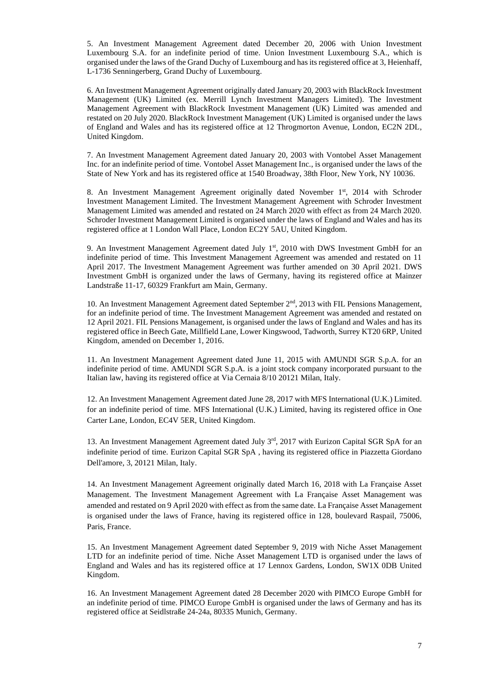5. An Investment Management Agreement dated December 20, 2006 with Union Investment Luxembourg S.A. for an indefinite period of time. Union Investment Luxembourg S.A., which is organised under the laws of the Grand Duchy of Luxembourg and has its registered office at 3, Heienhaff, L-1736 Senningerberg, Grand Duchy of Luxembourg.

6. An Investment Management Agreement originally dated January 20, 2003 with BlackRock Investment Management (UK) Limited (ex. Merrill Lynch Investment Managers Limited). The Investment Management Agreement with BlackRock Investment Management (UK) Limited was amended and restated on 20 July 2020. BlackRock Investment Management (UK) Limited is organised under the laws of England and Wales and has its registered office at 12 Throgmorton Avenue, London, EC2N 2DL, United Kingdom.

7. An Investment Management Agreement dated January 20, 2003 with Vontobel Asset Management Inc. for an indefinite period of time. Vontobel Asset Management Inc., is organised under the laws of the State of New York and has its registered office at 1540 Broadway, 38th Floor, New York, NY 10036.

8. An Investment Management Agreement originally dated November 1<sup>st</sup>, 2014 with Schroder Investment Management Limited. The Investment Management Agreement with Schroder Investment Management Limited was amended and restated on 24 March 2020 with effect as from 24 March 2020. Schroder Investment Management Limited is organised under the laws of England and Wales and has its registered office at 1 London Wall Place, London EC2Y 5AU, United Kingdom.

9. An Investment Management Agreement dated July  $1<sup>st</sup>$ , 2010 with DWS Investment GmbH for an indefinite period of time. This Investment Management Agreement was amended and restated on 11 April 2017. The Investment Management Agreement was further amended on 30 April 2021. DWS Investment GmbH is organized under the laws of Germany, having its registered office at Mainzer Landstraße 11-17, 60329 Frankfurt am Main, Germany.

10. An Investment Management Agreement dated September 2nd , 2013 with FIL Pensions Management, for an indefinite period of time. The Investment Management Agreement was amended and restated on 12 April 2021. FIL Pensions Management, is organised under the laws of England and Wales and has its registered office in Beech Gate, Millfield Lane, Lower Kingswood, Tadworth, Surrey KT20 6RP, United Kingdom, amended on December 1, 2016.

11. An Investment Management Agreement dated June 11, 2015 with AMUNDI SGR S.p.A. for an indefinite period of time. AMUNDI SGR S.p.A. is a joint stock company incorporated pursuant to the Italian law, having its registered office at Via Cernaia 8/10 20121 Milan, Italy.

12. An Investment Management Agreement dated June 28, 2017 with MFS International (U.K.) Limited. for an indefinite period of time. MFS International (U.K.) Limited, having its registered office in One Carter Lane, London, EC4V 5ER, United Kingdom.

13. An Investment Management Agreement dated July 3rd, 2017 with Eurizon Capital SGR SpA for an indefinite period of time. Eurizon Capital SGR SpA , having its registered office in Piazzetta Giordano Dell'amore, 3, 20121 Milan, Italy.

14. An Investment Management Agreement originally dated March 16, 2018 with La Française Asset Management. The Investment Management Agreement with La Française Asset Management was amended and restated on 9 April 2020 with effect as from the same date. La Française Asset Management is organised under the laws of France, having its registered office in 128, boulevard Raspail, 75006, Paris, France.

15. An Investment Management Agreement dated September 9, 2019 with Niche Asset Management LTD for an indefinite period of time. Niche Asset Management LTD is organised under the laws of England and Wales and has its registered office at 17 Lennox Gardens, London, SW1X 0DB United Kingdom.

16. An Investment Management Agreement dated 28 December 2020 with PIMCO Europe GmbH for an indefinite period of time. PIMCO Europe GmbH is organised under the laws of Germany and has its registered office at Seidlstraße 24-24a, 80335 Munich, Germany.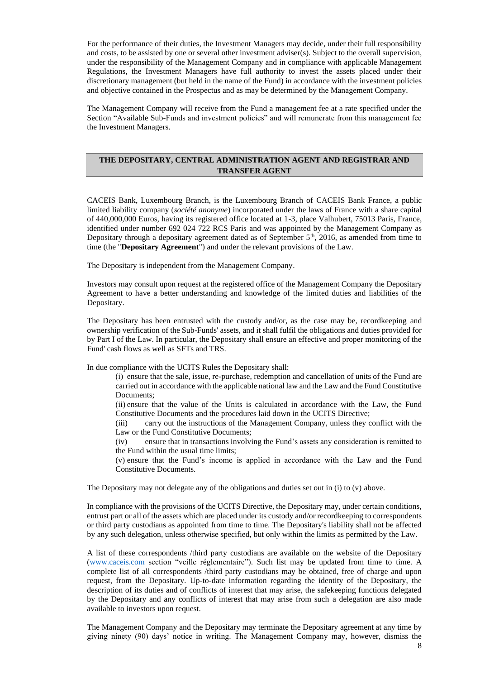For the performance of their duties, the Investment Managers may decide, under their full responsibility and costs, to be assisted by one or several other investment adviser(s). Subject to the overall supervision, under the responsibility of the Management Company and in compliance with applicable Management Regulations, the Investment Managers have full authority to invest the assets placed under their discretionary management (but held in the name of the Fund) in accordance with the investment policies and objective contained in the Prospectus and as may be determined by the Management Company.

The Management Company will receive from the Fund a management fee at a rate specified under the Section "Available Sub-Funds and investment policies" and will remunerate from this management fee the Investment Managers.

# **THE DEPOSITARY, CENTRAL ADMINISTRATION AGENT AND REGISTRAR AND TRANSFER AGENT**

CACEIS Bank, Luxembourg Branch, is the Luxembourg Branch of CACEIS Bank France, a public limited liability company (*société anonyme*) incorporated under the laws of France with a share capital of 440,000,000 Euros, having its registered office located at 1-3, place Valhubert, 75013 Paris, France, identified under number 692 024 722 RCS Paris and was appointed by the Management Company as Depositary through a depositary agreement dated as of September  $5<sup>th</sup>$ , 2016, as amended from time to time (the "**Depositary Agreement**") and under the relevant provisions of the Law.

The Depositary is independent from the Management Company.

Investors may consult upon request at the registered office of the Management Company the Depositary Agreement to have a better understanding and knowledge of the limited duties and liabilities of the Depositary.

The Depositary has been entrusted with the custody and/or, as the case may be, recordkeeping and ownership verification of the Sub-Funds' assets, and it shall fulfil the obligations and duties provided for by Part I of the Law. In particular, the Depositary shall ensure an effective and proper monitoring of the Fund' cash flows as well as SFTs and TRS.

In due compliance with the UCITS Rules the Depositary shall:

- (i) ensure that the sale, issue, re-purchase, redemption and cancellation of units of the Fund are carried out in accordance with the applicable national law and the Law and the Fund Constitutive Documents;
- (ii) ensure that the value of the Units is calculated in accordance with the Law, the Fund Constitutive Documents and the procedures laid down in the UCITS Directive;
- (iii) carry out the instructions of the Management Company, unless they conflict with the Law or the Fund Constitutive Documents;
- (iv) ensure that in transactions involving the Fund's assets any consideration is remitted to the Fund within the usual time limits;
- (v) ensure that the Fund's income is applied in accordance with the Law and the Fund Constitutive Documents.

The Depositary may not delegate any of the obligations and duties set out in (i) to (v) above.

In compliance with the provisions of the UCITS Directive, the Depositary may, under certain conditions, entrust part or all of the assets which are placed under its custody and/or recordkeeping to correspondents or third party custodians as appointed from time to time. The Depositary's liability shall not be affected by any such delegation, unless otherwise specified, but only within the limits as permitted by the Law.

A list of these correspondents /third party custodians are available on the website of the Depositary [\(www.caceis.com](http://www.caceis.com/) section "veille réglementaire"). Such list may be updated from time to time. A complete list of all correspondents /third party custodians may be obtained, free of charge and upon request, from the Depositary. Up-to-date information regarding the identity of the Depositary, the description of its duties and of conflicts of interest that may arise, the safekeeping functions delegated by the Depositary and any conflicts of interest that may arise from such a delegation are also made available to investors upon request.

The Management Company and the Depositary may terminate the Depositary agreement at any time by giving ninety (90) days' notice in writing. The Management Company may, however, dismiss the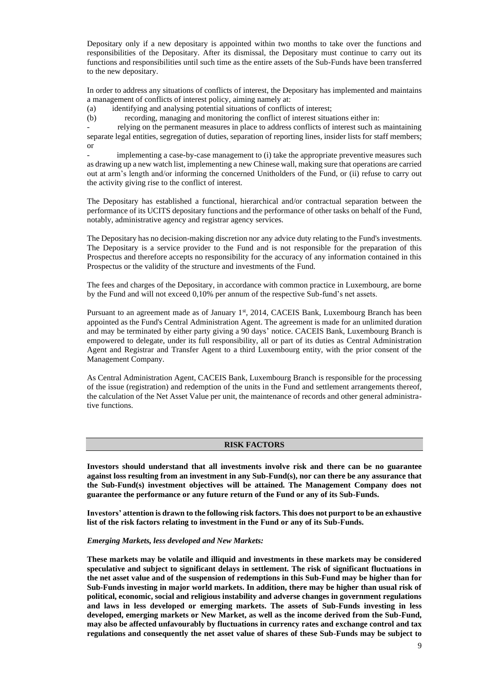Depositary only if a new depositary is appointed within two months to take over the functions and responsibilities of the Depositary. After its dismissal, the Depositary must continue to carry out its functions and responsibilities until such time as the entire assets of the Sub-Funds have been transferred to the new depositary.

In order to address any situations of conflicts of interest, the Depositary has implemented and maintains a management of conflicts of interest policy, aiming namely at:

(a) identifying and analysing potential situations of conflicts of interest;

(b) recording, managing and monitoring the conflict of interest situations either in:

- relying on the permanent measures in place to address conflicts of interest such as maintaining separate legal entities, segregation of duties, separation of reporting lines, insider lists for staff members; or

implementing a case-by-case management to (i) take the appropriate preventive measures such as drawing up a new watch list, implementing a new Chinese wall, making sure that operations are carried out at arm's length and/or informing the concerned Unitholders of the Fund, or (ii) refuse to carry out the activity giving rise to the conflict of interest.

The Depositary has established a functional, hierarchical and/or contractual separation between the performance of its UCITS depositary functions and the performance of other tasks on behalf of the Fund, notably, administrative agency and registrar agency services.

The Depositary has no decision-making discretion nor any advice duty relating to the Fund's investments. The Depositary is a service provider to the Fund and is not responsible for the preparation of this Prospectus and therefore accepts no responsibility for the accuracy of any information contained in this Prospectus or the validity of the structure and investments of the Fund.

The fees and charges of the Depositary, in accordance with common practice in Luxembourg, are borne by the Fund and will not exceed 0,10% per annum of the respective Sub-fund's net assets.

Pursuant to an agreement made as of January 1<sup>st</sup>, 2014, CACEIS Bank, Luxembourg Branch has been appointed as the Fund's Central Administration Agent. The agreement is made for an unlimited duration and may be terminated by either party giving a 90 days' notice. CACEIS Bank, Luxembourg Branch is empowered to delegate, under its full responsibility, all or part of its duties as Central Administration Agent and Registrar and Transfer Agent to a third Luxembourg entity, with the prior consent of the Management Company.

As Central Administration Agent, CACEIS Bank, Luxembourg Branch is responsible for the processing of the issue (registration) and redemption of the units in the Fund and settlement arrangements thereof, the calculation of the Net Asset Value per unit, the maintenance of records and other general administrative functions.

# **RISK FACTORS**

**Investors should understand that all investments involve risk and there can be no guarantee against loss resulting from an investment in any Sub-Fund(s), nor can there be any assurance that the Sub-Fund(s) investment objectives will be attained. The Management Company does not guarantee the performance or any future return of the Fund or any of its Sub-Funds.**

**Investors' attention is drawn to the following risk factors. This does not purport to be an exhaustive list of the risk factors relating to investment in the Fund or any of its Sub-Funds.**

#### *Emerging Markets, less developed and New Markets:*

**These markets may be volatile and illiquid and investments in these markets may be considered speculative and subject to significant delays in settlement. The risk of significant fluctuations in the net asset value and of the suspension of redemptions in this Sub-Fund may be higher than for Sub-Funds investing in major world markets. In addition, there may be higher than usual risk of political, economic, social and religious instability and adverse changes in government regulations and laws in less developed or emerging markets. The assets of Sub-Funds investing in less developed, emerging markets or New Market, as well as the income derived from the Sub-Fund, may also be affected unfavourably by fluctuations in currency rates and exchange control and tax regulations and consequently the net asset value of shares of these Sub-Funds may be subject to**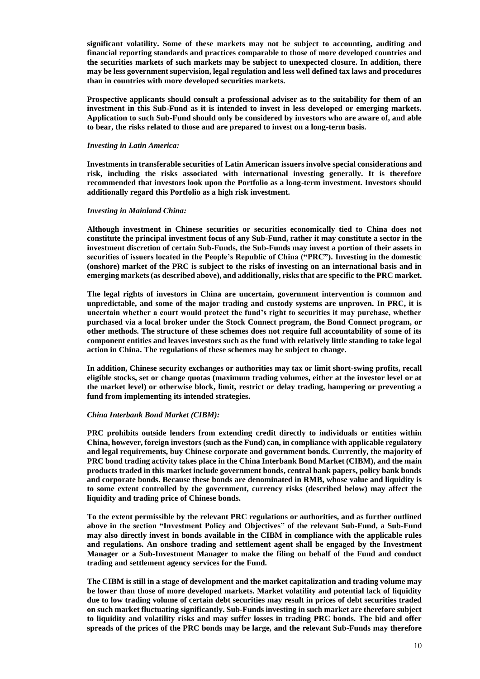**significant volatility. Some of these markets may not be subject to accounting, auditing and financial reporting standards and practices comparable to those of more developed countries and the securities markets of such markets may be subject to unexpected closure. In addition, there may be less government supervision, legal regulation and less well defined tax laws and procedures than in countries with more developed securities markets.**

**Prospective applicants should consult a professional adviser as to the suitability for them of an investment in this Sub-Fund as it is intended to invest in less developed or emerging markets. Application to such Sub-Fund should only be considered by investors who are aware of, and able to bear, the risks related to those and are prepared to invest on a long-term basis.**

# *Investing in Latin America:*

**Investments in transferable securities of Latin American issuers involve special considerations and risk, including the risks associated with international investing generally. It is therefore recommended that investors look upon the Portfolio as a long-term investment. Investors should additionally regard this Portfolio as a high risk investment.**

# *Investing in Mainland China:*

**Although investment in Chinese securities or securities economically tied to China does not constitute the principal investment focus of any Sub-Fund, rather it may constitute a sector in the investment discretion of certain Sub-Funds, the Sub-Funds may invest a portion of their assets in securities of issuers located in the People's Republic of China ("PRC"). Investing in the domestic (onshore) market of the PRC is subject to the risks of investing on an international basis and in emerging markets (as described above), and additionally, risks that are specific to the PRC market.**

**The legal rights of investors in China are uncertain, government intervention is common and unpredictable, and some of the major trading and custody systems are unproven. In PRC, it is uncertain whether a court would protect the fund's right to securities it may purchase, whether purchased via a local broker under the Stock Connect program, the Bond Connect program, or other methods. The structure of these schemes does not require full accountability of some of its component entities and leaves investors such as the fund with relatively little standing to take legal action in China. The regulations of these schemes may be subject to change.**

**In addition, Chinese security exchanges or authorities may tax or limit short-swing profits, recall eligible stocks, set or change quotas (maximum trading volumes, either at the investor level or at the market level) or otherwise block, limit, restrict or delay trading, hampering or preventing a fund from implementing its intended strategies.**

# *China Interbank Bond Market (CIBM):*

**PRC prohibits outside lenders from extending credit directly to individuals or entities within China, however, foreign investors (such as the Fund) can, in compliance with applicable regulatory and legal requirements, buy Chinese corporate and government bonds. Currently, the majority of PRC bond trading activity takes place in the China Interbank Bond Market (CIBM), and the main products traded in this market include government bonds, central bank papers, policy bank bonds and corporate bonds. Because these bonds are denominated in RMB, whose value and liquidity is to some extent controlled by the government, currency risks (described below) may affect the liquidity and trading price of Chinese bonds.**

**To the extent permissible by the relevant PRC regulations or authorities, and as further outlined above in the section "Investment Policy and Objectives" of the relevant Sub-Fund, a Sub-Fund may also directly invest in bonds available in the CIBM in compliance with the applicable rules and regulations. An onshore trading and settlement agent shall be engaged by the Investment Manager or a Sub-Investment Manager to make the filing on behalf of the Fund and conduct trading and settlement agency services for the Fund.**

**The CIBM is still in a stage of development and the market capitalization and trading volume may be lower than those of more developed markets. Market volatility and potential lack of liquidity due to low trading volume of certain debt securities may result in prices of debt securities traded on such market fluctuating significantly. Sub-Funds investing in such market are therefore subject to liquidity and volatility risks and may suffer losses in trading PRC bonds. The bid and offer spreads of the prices of the PRC bonds may be large, and the relevant Sub-Funds may therefore**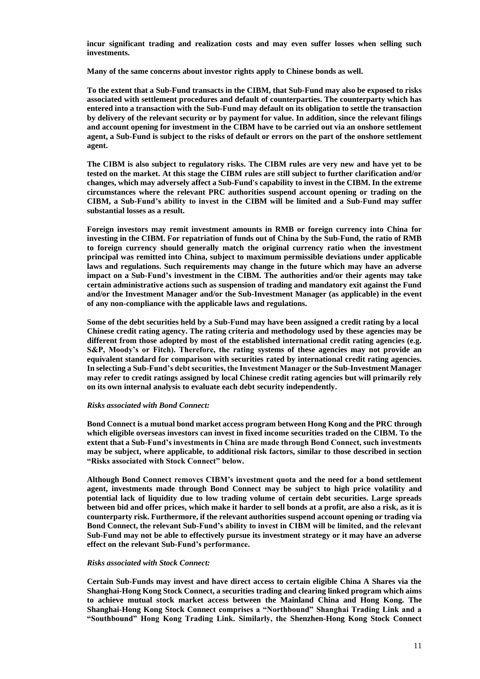**incur significant trading and realization costs and may even suffer losses when selling such investments.**

**Many of the same concerns about investor rights apply to Chinese bonds as well.**

**To the extent that a Sub-Fund transacts in the CIBM, that Sub-Fund may also be exposed to risks associated with settlement procedures and default of counterparties. The counterparty which has entered into a transaction with the Sub-Fund may default on its obligation to settle the transaction by delivery of the relevant security or by payment for value. In addition, since the relevant filings and account opening for investment in the CIBM have to be carried out via an onshore settlement agent, a Sub-Fund is subject to the risks of default or errors on the part of the onshore settlement agent.**

**The CIBM is also subject to regulatory risks. The CIBM rules are very new and have yet to be tested on the market. At this stage the CIBM rules are still subject to further clarification and/or changes, which may adversely affect a Sub-Fund's capability to invest in the CIBM. In the extreme circumstances where the relevant PRC authorities suspend account opening or trading on the CIBM, a Sub-Fund's ability to invest in the CIBM will be limited and a Sub-Fund may suffer substantial losses as a result.**

**Foreign investors may remit investment amounts in RMB or foreign currency into China for investing in the CIBM. For repatriation of funds out of China by the Sub-Fund, the ratio of RMB to foreign currency should generally match the original currency ratio when the investment principal was remitted into China, subject to maximum permissible deviations under applicable laws and regulations. Such requirements may change in the future which may have an adverse impact on a Sub-Fund's investment in the CIBM. The authorities and/or their agents may take certain administrative actions such as suspension of trading and mandatory exit against the Fund and/or the Investment Manager and/or the Sub-Investment Manager (as applicable) in the event of any non-compliance with the applicable laws and regulations.**

**Some of the debt securities held by a Sub-Fund may have been assigned a credit rating by a local Chinese credit rating agency. The rating criteria and methodology used by these agencies may be different from those adopted by most of the established international credit rating agencies (e.g. S&P, Moody's or Fitch). Therefore, the rating systems of these agencies may not provide an equivalent standard for comparison with securities rated by international credit rating agencies. In selecting a Sub-Fund's debt securities, the Investment Manager or the Sub-Investment Manager may refer to credit ratings assigned by local Chinese credit rating agencies but will primarily rely on its own internal analysis to evaluate each debt security independently.**

#### *Risks associated with Bond Connect:*

**Bond Connect is a mutual bond market access program between Hong Kong and the PRC through which eligible overseas investors can invest in fixed income securities traded on the CIBM. To the extent that a Sub-Fund's investments in China are made through Bond Connect, such investments may be subject, where applicable, to additional risk factors, similar to those described in section "Risks associated with Stock Connect" below.**

**Although Bond Connect removes CIBM's investment quota and the need for a bond settlement agent, investments made through Bond Connect may be subject to high price volatility and potential lack of liquidity due to low trading volume of certain debt securities. Large spreads between bid and offer prices, which make it harder to sell bonds at a profit, are also a risk, as it is counterparty risk. Furthermore, if the relevant authorities suspend account opening or trading via Bond Connect, the relevant Sub-Fund's ability to invest in CIBM will be limited, and the relevant Sub-Fund may not be able to effectively pursue its investment strategy or it may have an adverse effect on the relevant Sub-Fund's performance.**

# *Risks associated with Stock Connect:*

**Certain Sub-Funds may invest and have direct access to certain eligible China A Shares via the Shanghai-Hong Kong Stock Connect, a securities trading and clearing linked program which aims to achieve mutual stock market access between the Mainland China and Hong Kong. The Shanghai-Hong Kong Stock Connect comprises a "Northbound" Shanghai Trading Link and a "Southbound" Hong Kong Trading Link. Similarly, the Shenzhen-Hong Kong Stock Connect**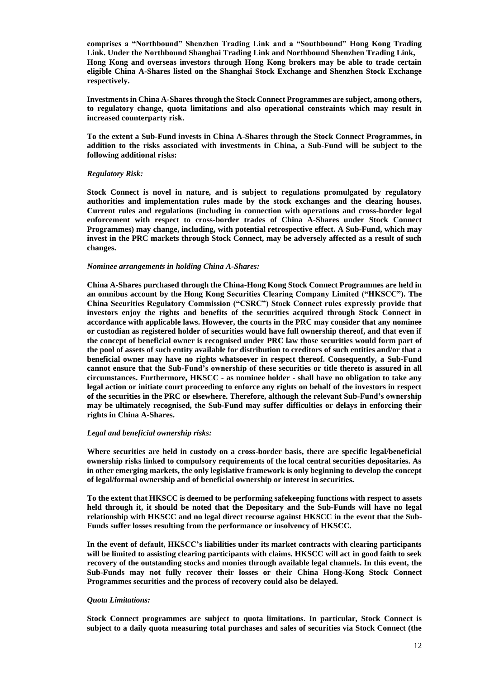**comprises a "Northbound" Shenzhen Trading Link and a "Southbound" Hong Kong Trading Link. Under the Northbound Shanghai Trading Link and Northbound Shenzhen Trading Link, Hong Kong and overseas investors through Hong Kong brokers may be able to trade certain eligible China A-Shares listed on the Shanghai Stock Exchange and Shenzhen Stock Exchange respectively.**

**Investments in China A-Shares through the Stock Connect Programmes are subject, among others, to regulatory change, quota limitations and also operational constraints which may result in increased counterparty risk.**

**To the extent a Sub-Fund invests in China A-Shares through the Stock Connect Programmes, in addition to the risks associated with investments in China, a Sub-Fund will be subject to the following additional risks:**

# *Regulatory Risk:*

**Stock Connect is novel in nature, and is subject to regulations promulgated by regulatory authorities and implementation rules made by the stock exchanges and the clearing houses. Current rules and regulations (including in connection with operations and cross-border legal enforcement with respect to cross-border trades of China A-Shares under Stock Connect Programmes) may change, including, with potential retrospective effect. A Sub-Fund, which may invest in the PRC markets through Stock Connect, may be adversely affected as a result of such changes.**

# *Nominee arrangements in holding China A-Shares:*

**China A-Shares purchased through the China-Hong Kong Stock Connect Programmes are held in an omnibus account by the Hong Kong Securities Clearing Company Limited ("HKSCC"). The China Securities Regulatory Commission ("CSRC") Stock Connect rules expressly provide that investors enjoy the rights and benefits of the securities acquired through Stock Connect in accordance with applicable laws. However, the courts in the PRC may consider that any nominee or custodian as registered holder of securities would have full ownership thereof, and that even if the concept of beneficial owner is recognised under PRC law those securities would form part of the pool of assets of such entity available for distribution to creditors of such entities and/or that a beneficial owner may have no rights whatsoever in respect thereof. Consequently, a Sub-Fund cannot ensure that the Sub-Fund's ownership of these securities or title thereto is assured in all circumstances. Furthermore, HKSCC - as nominee holder - shall have no obligation to take any legal action or initiate court proceeding to enforce any rights on behalf of the investors in respect of the securities in the PRC or elsewhere. Therefore, although the relevant Sub-Fund's ownership may be ultimately recognised, the Sub-Fund may suffer difficulties or delays in enforcing their rights in China A-Shares.**

# *Legal and beneficial ownership risks:*

**Where securities are held in custody on a cross-border basis, there are specific legal/beneficial ownership risks linked to compulsory requirements of the local central securities depositaries. As in other emerging markets, the only legislative framework is only beginning to develop the concept of legal/formal ownership and of beneficial ownership or interest in securities.**

**To the extent that HKSCC is deemed to be performing safekeeping functions with respect to assets held through it, it should be noted that the Depositary and the Sub-Funds will have no legal relationship with HKSCC and no legal direct recourse against HKSCC in the event that the Sub-Funds suffer losses resulting from the performance or insolvency of HKSCC.**

**In the event of default, HKSCC's liabilities under its market contracts with clearing participants will be limited to assisting clearing participants with claims. HKSCC will act in good faith to seek recovery of the outstanding stocks and monies through available legal channels. In this event, the Sub-Funds may not fully recover their losses or their China Hong-Kong Stock Connect Programmes securities and the process of recovery could also be delayed.**

# *Quota Limitations:*

**Stock Connect programmes are subject to quota limitations. In particular, Stock Connect is subject to a daily quota measuring total purchases and sales of securities via Stock Connect (the**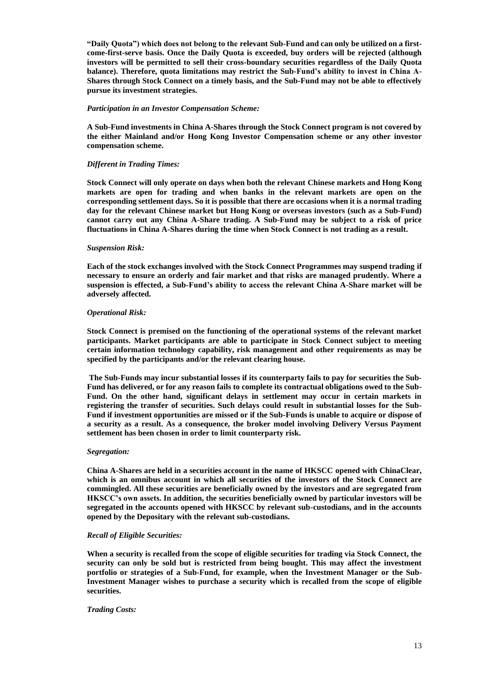**"Daily Quota") which does not belong to the relevant Sub-Fund and can only be utilized on a firstcome-first-serve basis. Once the Daily Quota is exceeded, buy orders will be rejected (although investors will be permitted to sell their cross-boundary securities regardless of the Daily Quota balance). Therefore, quota limitations may restrict the Sub-Fund's ability to invest in China A-Shares through Stock Connect on a timely basis, and the Sub-Fund may not be able to effectively pursue its investment strategies.**

# *Participation in an Investor Compensation Scheme:*

**A Sub-Fund investments in China A-Shares through the Stock Connect program is not covered by the either Mainland and/or Hong Kong Investor Compensation scheme or any other investor compensation scheme.** 

# *Different in Trading Times:*

**Stock Connect will only operate on days when both the relevant Chinese markets and Hong Kong markets are open for trading and when banks in the relevant markets are open on the corresponding settlement days. So it is possible that there are occasions when it is a normal trading day for the relevant Chinese market but Hong Kong or overseas investors (such as a Sub-Fund) cannot carry out any China A-Share trading. A Sub-Fund may be subject to a risk of price fluctuations in China A-Shares during the time when Stock Connect is not trading as a result.**

# *Suspension Risk:*

**Each of the stock exchanges involved with the Stock Connect Programmes may suspend trading if necessary to ensure an orderly and fair market and that risks are managed prudently. Where a suspension is effected, a Sub-Fund's ability to access the relevant China A-Share market will be adversely affected.**

# *Operational Risk:*

**Stock Connect is premised on the functioning of the operational systems of the relevant market participants. Market participants are able to participate in Stock Connect subject to meeting certain information technology capability, risk management and other requirements as may be specified by the participants and/or the relevant clearing house.**

**The Sub-Funds may incur substantial losses if its counterparty fails to pay for securities the Sub-Fund has delivered, or for any reason fails to complete its contractual obligations owed to the Sub-Fund. On the other hand, significant delays in settlement may occur in certain markets in registering the transfer of securities. Such delays could result in substantial losses for the Sub-Fund if investment opportunities are missed or if the Sub-Funds is unable to acquire or dispose of a security as a result. As a consequence, the broker model involving Delivery Versus Payment settlement has been chosen in order to limit counterparty risk.**

# *Segregation:*

**China A-Shares are held in a securities account in the name of HKSCC opened with ChinaClear, which is an omnibus account in which all securities of the investors of the Stock Connect are commingled. All these securities are beneficially owned by the investors and are segregated from HKSCC's own assets. In addition, the securities beneficially owned by particular investors will be segregated in the accounts opened with HKSCC by relevant sub-custodians, and in the accounts opened by the Depositary with the relevant sub-custodians.**

# *Recall of Eligible Securities:*

**When a security is recalled from the scope of eligible securities for trading via Stock Connect, the security can only be sold but is restricted from being bought. This may affect the investment portfolio or strategies of a Sub-Fund, for example, when the Investment Manager or the Sub-Investment Manager wishes to purchase a security which is recalled from the scope of eligible securities.**

# *Trading Costs:*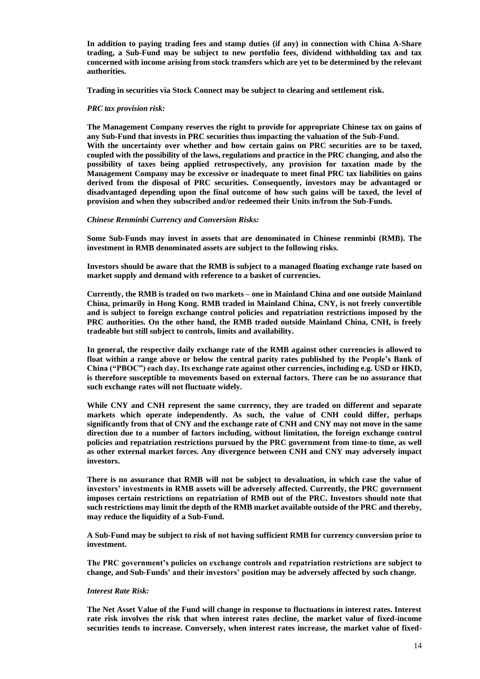**In addition to paying trading fees and stamp duties (if any) in connection with China A-Share trading, a Sub-Fund may be subject to new portfolio fees, dividend withholding tax and tax concerned with income arising from stock transfers which are yet to be determined by the relevant authorities.**

**Trading in securities via Stock Connect may be subject to clearing and settlement risk.**

# *PRC tax provision risk:*

**The Management Company reserves the right to provide for appropriate Chinese tax on gains of any Sub-Fund that invests in PRC securities thus impacting the valuation of the Sub-Fund.** With the uncertainty over whether and how certain gains on PRC securities are to be taxed, **coupled with the possibility of the laws, regulations and practice in the PRC changing, and also the possibility of taxes being applied retrospectively, any provision for taxation made by the Management Company may be excessive or inadequate to meet final PRC tax liabilities on gains derived from the disposal of PRC securities. Consequently, investors may be advantaged or disadvantaged depending upon the final outcome of how such gains will be taxed, the level of provision and when they subscribed and/or redeemed their Units in/from the Sub-Funds.**

#### *Chinese Renminbi Currency and Conversion Risks:*

**Some Sub-Funds may invest in assets that are denominated in Chinese renminbi (RMB). The investment in RMB denominated assets are subject to the following risks.**

**Investors should be aware that the RMB is subject to a managed floating exchange rate based on market supply and demand with reference to a basket of currencies.**

**Currently, the RMB is traded on two markets – one in Mainland China and one outside Mainland China, primarily in Hong Kong. RMB traded in Mainland China, CNY, is not freely convertible and is subject to foreign exchange control policies and repatriation restrictions imposed by the PRC authorities. On the other hand, the RMB traded outside Mainland China, CNH, is freely tradeable but still subject to controls, limits and availability.** 

**In general, the respective daily exchange rate of the RMB against other currencies is allowed to float within a range above or below the central parity rates published by the People's Bank of China ("PBOC") each day. Its exchange rate against other currencies, including e.g. USD or HKD, is therefore susceptible to movements based on external factors. There can be no assurance that such exchange rates will not fluctuate widely.**

**While CNY and CNH represent the same currency, they are traded on different and separate markets which operate independently. As such, the value of CNH could differ, perhaps significantly from that of CNY and the exchange rate of CNH and CNY may not move in the same direction due to a number of factors including, without limitation, the foreign exchange control policies and repatriation restrictions pursued by the PRC government from time-to time, as well as other external market forces. Any divergence between CNH and CNY may adversely impact investors.**

**There is no assurance that RMB will not be subject to devaluation, in which case the value of investors' investments in RMB assets will be adversely affected. Currently, the PRC government imposes certain restrictions on repatriation of RMB out of the PRC. Investors should note that such restrictions may limit the depth of the RMB market available outside of the PRC and thereby, may reduce the liquidity of a Sub-Fund.** 

**A Sub-Fund may be subject to risk of not having sufficient RMB for currency conversion prior to investment.**

**The PRC government's policies on exchange controls and repatriation restrictions are subject to change, and Sub-Funds' and their investors' position may be adversely affected by such change.**

#### *Interest Rate Risk:*

**The Net Asset Value of the Fund will change in response to fluctuations in interest rates. Interest rate risk involves the risk that when interest rates decline, the market value of fixed-income securities tends to increase. Conversely, when interest rates increase, the market value of fixed-**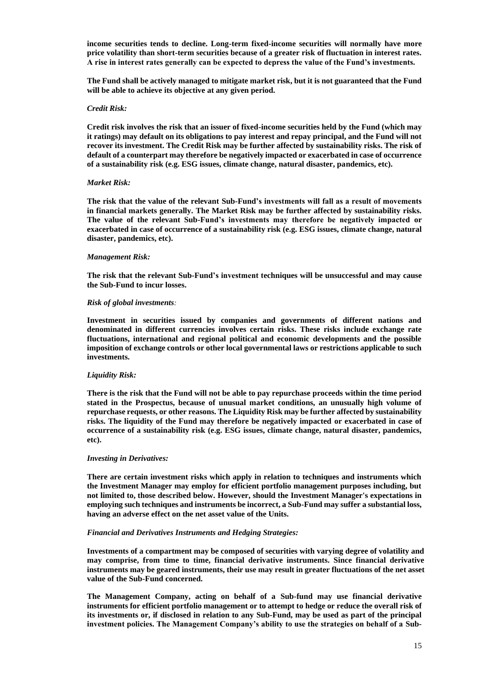**income securities tends to decline. Long-term fixed-income securities will normally have more price volatility than short-term securities because of a greater risk of fluctuation in interest rates. A rise in interest rates generally can be expected to depress the value of the Fund's investments.** 

**The Fund shall be actively managed to mitigate market risk, but it is not guaranteed that the Fund will be able to achieve its objective at any given period.**

# *Credit Risk:*

**Credit risk involves the risk that an issuer of fixed-income securities held by the Fund (which may it ratings) may default on its obligations to pay interest and repay principal, and the Fund will not recover its investment. The Credit Risk may be further affected by sustainability risks. The risk of default of a counterpart may therefore be negatively impacted or exacerbated in case of occurrence of a sustainability risk (e.g. ESG issues, climate change, natural disaster, pandemics, etc).**

#### *Market Risk:*

**The risk that the value of the relevant Sub-Fund's investments will fall as a result of movements in financial markets generally. The Market Risk may be further affected by sustainability risks. The value of the relevant Sub-Fund's investments may therefore be negatively impacted or exacerbated in case of occurrence of a sustainability risk (e.g. ESG issues, climate change, natural disaster, pandemics, etc).** 

#### *Management Risk:*

**The risk that the relevant Sub-Fund's investment techniques will be unsuccessful and may cause the Sub-Fund to incur losses.** 

#### *Risk of global investments:*

**Investment in securities issued by companies and governments of different nations and denominated in different currencies involves certain risks. These risks include exchange rate fluctuations, international and regional political and economic developments and the possible imposition of exchange controls or other local governmental laws or restrictions applicable to such investments.**

# *Liquidity Risk:*

**There is the risk that the Fund will not be able to pay repurchase proceeds within the time period stated in the Prospectus, because of unusual market conditions, an unusually high volume of repurchase requests, or other reasons. The Liquidity Risk may be further affected by sustainability risks. The liquidity of the Fund may therefore be negatively impacted or exacerbated in case of occurrence of a sustainability risk (e.g. ESG issues, climate change, natural disaster, pandemics, etc).**

#### *Investing in Derivatives:*

**There are certain investment risks which apply in relation to techniques and instruments which the Investment Manager may employ for efficient portfolio management purposes including, but not limited to, those described below. However, should the Investment Manager's expectations in employing such techniques and instruments be incorrect, a Sub-Fund may suffer a substantial loss, having an adverse effect on the net asset value of the Units.**

# *Financial and Derivatives Instruments and Hedging Strategies:*

**Investments of a compartment may be composed of securities with varying degree of volatility and may comprise, from time to time, financial derivative instruments. Since financial derivative instruments may be geared instruments, their use may result in greater fluctuations of the net asset value of the Sub-Fund concerned.**

**The Management Company, acting on behalf of a Sub-fund may use financial derivative instruments for efficient portfolio management or to attempt to hedge or reduce the overall risk of its investments or, if disclosed in relation to any Sub-Fund, may be used as part of the principal investment policies. The Management Company's ability to use the strategies on behalf of a Sub-**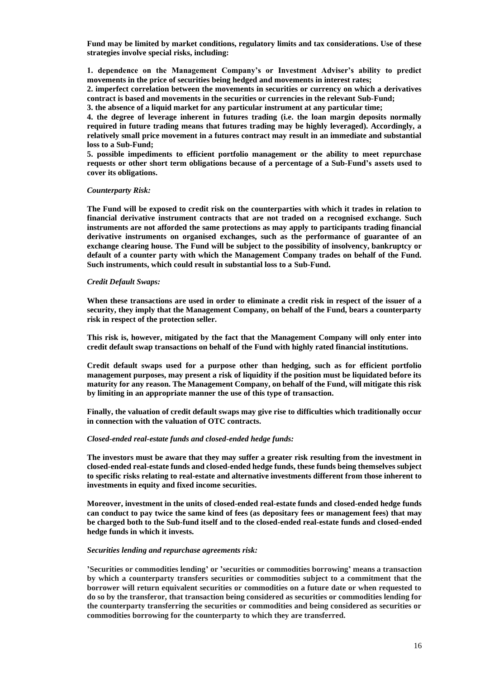**Fund may be limited by market conditions, regulatory limits and tax considerations. Use of these strategies involve special risks, including:**

**1. dependence on the Management Company's or Investment Adviser's ability to predict movements in the price of securities being hedged and movements in interest rates;** 

**2. imperfect correlation between the movements in securities or currency on which a derivatives contract is based and movements in the securities or currencies in the relevant Sub-Fund;** 

**3. the absence of a liquid market for any particular instrument at any particular time;**

**4. the degree of leverage inherent in futures trading (i.e. the loan margin deposits normally required in future trading means that futures trading may be highly leveraged). Accordingly, a relatively small price movement in a futures contract may result in an immediate and substantial loss to a Sub-Fund;** 

**5. possible impediments to efficient portfolio management or the ability to meet repurchase requests or other short term obligations because of a percentage of a Sub-Fund's assets used to cover its obligations.**

#### *Counterparty Risk:*

**The Fund will be exposed to credit risk on the counterparties with which it trades in relation to financial derivative instrument contracts that are not traded on a recognised exchange. Such instruments are not afforded the same protections as may apply to participants trading financial derivative instruments on organised exchanges, such as the performance of guarantee of an exchange clearing house. The Fund will be subject to the possibility of insolvency, bankruptcy or default of a counter party with which the Management Company trades on behalf of the Fund. Such instruments, which could result in substantial loss to a Sub-Fund.**

#### *Credit Default Swaps:*

**When these transactions are used in order to eliminate a credit risk in respect of the issuer of a security, they imply that the Management Company, on behalf of the Fund, bears a counterparty risk in respect of the protection seller.**

**This risk is, however, mitigated by the fact that the Management Company will only enter into credit default swap transactions on behalf of the Fund with highly rated financial institutions.**

**Credit default swaps used for a purpose other than hedging, such as for efficient portfolio management purposes, may present a risk of liquidity if the position must be liquidated before its maturity for any reason. The Management Company, on behalf of the Fund, will mitigate this risk by limiting in an appropriate manner the use of this type of transaction.**

**Finally, the valuation of credit default swaps may give rise to difficulties which traditionally occur in connection with the valuation of OTC contracts.**

#### *Closed-ended real-estate funds and closed-ended hedge funds:*

**The investors must be aware that they may suffer a greater risk resulting from the investment in closed-ended real-estate funds and closed-ended hedge funds, these funds being themselves subject to specific risks relating to real-estate and alternative investments different from those inherent to investments in equity and fixed income securities.**

**Moreover, investment in the units of closed-ended real-estate funds and closed-ended hedge funds can conduct to pay twice the same kind of fees (as depositary fees or management fees) that may be charged both to the Sub-fund itself and to the closed-ended real-estate funds and closed-ended hedge funds in which it invests.**

#### *Securities lending and repurchase agreements risk:*

**'Securities or commodities lending' or 'securities or commodities borrowing' means a transaction by which a counterparty transfers securities or commodities subject to a commitment that the borrower will return equivalent securities or commodities on a future date or when requested to do so by the transferor, that transaction being considered as securities or commodities lending for the counterparty transferring the securities or commodities and being considered as securities or commodities borrowing for the counterparty to which they are transferred.**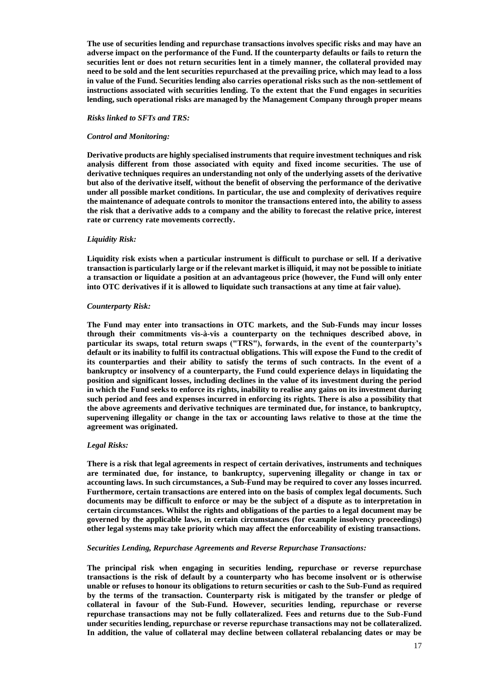**The use of securities lending and repurchase transactions involves specific risks and may have an adverse impact on the performance of the Fund. If the counterparty defaults or fails to return the securities lent or does not return securities lent in a timely manner, the collateral provided may need to be sold and the lent securities repurchased at the prevailing price, which may lead to a loss in value of the Fund. Securities lending also carries operational risks such as the non-settlement of instructions associated with securities lending. To the extent that the Fund engages in securities lending, such operational risks are managed by the Management Company through proper means**

# *Risks linked to SFTs and TRS:*

# *Control and Monitoring:*

**Derivative products are highly specialised instruments that require investment techniques and risk analysis different from those associated with equity and fixed income securities. The use of derivative techniques requires an understanding not only of the underlying assets of the derivative but also of the derivative itself, without the benefit of observing the performance of the derivative under all possible market conditions. In particular, the use and complexity of derivatives require the maintenance of adequate controls to monitor the transactions entered into, the ability to assess the risk that a derivative adds to a company and the ability to forecast the relative price, interest rate or currency rate movements correctly.**

# *Liquidity Risk:*

**Liquidity risk exists when a particular instrument is difficult to purchase or sell. If a derivative transaction is particularly large or if the relevant market is illiquid, it may not be possible to initiate a transaction or liquidate a position at an advantageous price (however, the Fund will only enter into OTC derivatives if it is allowed to liquidate such transactions at any time at fair value).**

#### *Counterparty Risk:*

**The Fund may enter into transactions in OTC markets, and the Sub-Funds may incur losses through their commitments vis-à-vis a counterparty on the techniques described above, in particular its swaps, total return swaps ("TRS"), forwards, in the event of the counterparty's default or its inability to fulfil its contractual obligations. This will expose the Fund to the credit of its counterparties and their ability to satisfy the terms of such contracts. In the event of a bankruptcy or insolvency of a counterparty, the Fund could experience delays in liquidating the position and significant losses, including declines in the value of its investment during the period in which the Fund seeks to enforce its rights, inability to realise any gains on its investment during such period and fees and expenses incurred in enforcing its rights. There is also a possibility that the above agreements and derivative techniques are terminated due, for instance, to bankruptcy, supervening illegality or change in the tax or accounting laws relative to those at the time the agreement was originated.**

#### *Legal Risks:*

**There is a risk that legal agreements in respect of certain derivatives, instruments and techniques are terminated due, for instance, to bankruptcy, supervening illegality or change in tax or accounting laws. In such circumstances, a Sub-Fund may be required to cover any losses incurred. Furthermore, certain transactions are entered into on the basis of complex legal documents. Such documents may be difficult to enforce or may be the subject of a dispute as to interpretation in certain circumstances. Whilst the rights and obligations of the parties to a legal document may be governed by the applicable laws, in certain circumstances (for example insolvency proceedings) other legal systems may take priority which may affect the enforceability of existing transactions.**

#### *Securities Lending, Repurchase Agreements and Reverse Repurchase Transactions:*

**The principal risk when engaging in securities lending, repurchase or reverse repurchase transactions is the risk of default by a counterparty who has become insolvent or is otherwise unable or refuses to honour its obligations to return securities or cash to the Sub-Fund as required by the terms of the transaction. Counterparty risk is mitigated by the transfer or pledge of collateral in favour of the Sub-Fund. However, securities lending, repurchase or reverse repurchase transactions may not be fully collateralized. Fees and returns due to the Sub-Fund under securities lending, repurchase or reverse repurchase transactions may not be collateralized. In addition, the value of collateral may decline between collateral rebalancing dates or may be**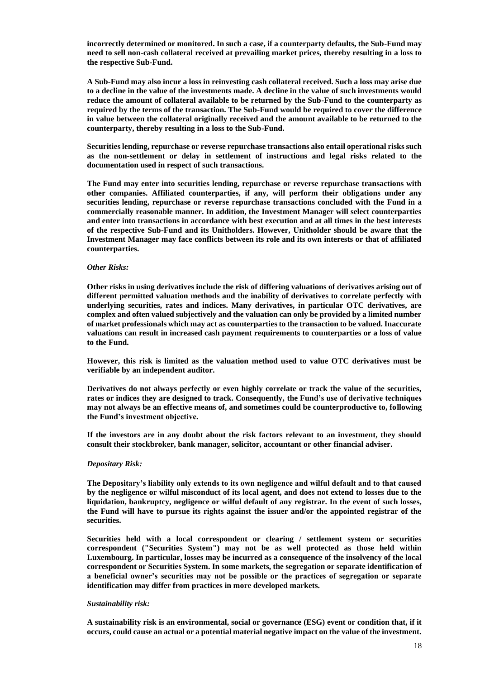**incorrectly determined or monitored. In such a case, if a counterparty defaults, the Sub-Fund may need to sell non-cash collateral received at prevailing market prices, thereby resulting in a loss to the respective Sub-Fund.**

**A Sub-Fund may also incur a loss in reinvesting cash collateral received. Such a loss may arise due to a decline in the value of the investments made. A decline in the value of such investments would reduce the amount of collateral available to be returned by the Sub-Fund to the counterparty as required by the terms of the transaction. The Sub-Fund would be required to cover the difference in value between the collateral originally received and the amount available to be returned to the counterparty, thereby resulting in a loss to the Sub-Fund.**

**Securities lending, repurchase or reverse repurchase transactions also entail operational risks such as the non-settlement or delay in settlement of instructions and legal risks related to the documentation used in respect of such transactions.**

**The Fund may enter into securities lending, repurchase or reverse repurchase transactions with other companies. Affiliated counterparties, if any, will perform their obligations under any securities lending, repurchase or reverse repurchase transactions concluded with the Fund in a commercially reasonable manner. In addition, the Investment Manager will select counterparties and enter into transactions in accordance with best execution and at all times in the best interests of the respective Sub-Fund and its Unitholders. However, Unitholder should be aware that the Investment Manager may face conflicts between its role and its own interests or that of affiliated counterparties.**

# *Other Risks:*

**Other risks in using derivatives include the risk of differing valuations of derivatives arising out of different permitted valuation methods and the inability of derivatives to correlate perfectly with underlying securities, rates and indices. Many derivatives, in particular OTC derivatives, are complex and often valued subjectively and the valuation can only be provided by a limited number of market professionals which may act as counterparties to the transaction to be valued. Inaccurate valuations can result in increased cash payment requirements to counterparties or a loss of value to the Fund.**

**However, this risk is limited as the valuation method used to value OTC derivatives must be verifiable by an independent auditor.**

**Derivatives do not always perfectly or even highly correlate or track the value of the securities, rates or indices they are designed to track. Consequently, the Fund's use of derivative techniques may not always be an effective means of, and sometimes could be counterproductive to, following the Fund's investment objective.**

**If the investors are in any doubt about the risk factors relevant to an investment, they should consult their stockbroker, bank manager, solicitor, accountant or other financial adviser.**

#### *Depositary Risk:*

**The Depositary's liability only extends to its own negligence and wilful default and to that caused by the negligence or wilful misconduct of its local agent, and does not extend to losses due to the liquidation, bankruptcy, negligence or wilful default of any registrar. In the event of such losses, the Fund will have to pursue its rights against the issuer and/or the appointed registrar of the securities.**

**Securities held with a local correspondent or clearing / settlement system or securities correspondent ("Securities System") may not be as well protected as those held within Luxembourg. In particular, losses may be incurred as a consequence of the insolvency of the local correspondent or Securities System. In some markets, the segregation or separate identification of a beneficial owner's securities may not be possible or the practices of segregation or separate identification may differ from practices in more developed markets.**

#### *Sustainability risk:*

**A sustainability risk is an environmental, social or governance (ESG) event or condition that, if it occurs, could cause an actual or a potential material negative impact on the value of the investment.**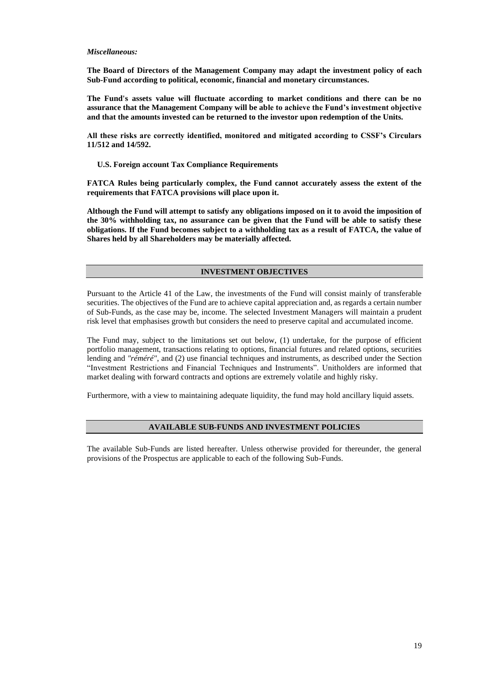# *Miscellaneous:*

**The Board of Directors of the Management Company may adapt the investment policy of each Sub-Fund according to political, economic, financial and monetary circumstances.**

**The Fund's assets value will fluctuate according to market conditions and there can be no assurance that the Management Company will be able to achieve the Fund's investment objective and that the amounts invested can be returned to the investor upon redemption of the Units.**

**All these risks are correctly identified, monitored and mitigated according to CSSF's Circulars 11/512 and 14/592.**

 **U.S. Foreign account Tax Compliance Requirements**

**FATCA Rules being particularly complex, the Fund cannot accurately assess the extent of the requirements that FATCA provisions will place upon it.**

**Although the Fund will attempt to satisfy any obligations imposed on it to avoid the imposition of the 30% withholding tax, no assurance can be given that the Fund will be able to satisfy these obligations. If the Fund becomes subject to a withholding tax as a result of FATCA, the value of Shares held by all Shareholders may be materially affected.**

# **INVESTMENT OBJECTIVES**

Pursuant to the Article 41 of the Law, the investments of the Fund will consist mainly of transferable securities. The objectives of the Fund are to achieve capital appreciation and, as regards a certain number of Sub-Funds, as the case may be, income. The selected Investment Managers will maintain a prudent risk level that emphasises growth but considers the need to preserve capital and accumulated income.

The Fund may, subject to the limitations set out below, (1) undertake, for the purpose of efficient portfolio management, transactions relating to options, financial futures and related options, securities lending and *"réméré"*, and (2) use financial techniques and instruments, as described under the Section "Investment Restrictions and Financial Techniques and Instruments". Unitholders are informed that market dealing with forward contracts and options are extremely volatile and highly risky.

Furthermore, with a view to maintaining adequate liquidity, the fund may hold ancillary liquid assets.

#### **AVAILABLE SUB-FUNDS AND INVESTMENT POLICIES**

The available Sub-Funds are listed hereafter. Unless otherwise provided for thereunder, the general provisions of the Prospectus are applicable to each of the following Sub-Funds.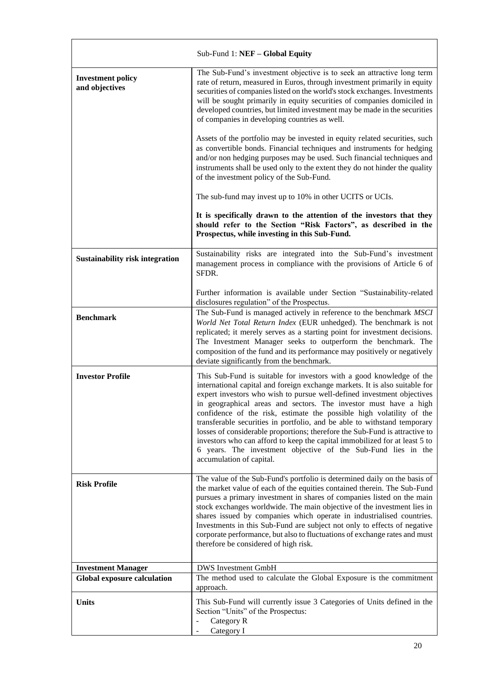|                                            | Sub-Fund 1: NEF - Global Equity                                                                                                                                                                                                                                                                                                                                                                                                                                                                                                                                                                                                                                                                                 |
|--------------------------------------------|-----------------------------------------------------------------------------------------------------------------------------------------------------------------------------------------------------------------------------------------------------------------------------------------------------------------------------------------------------------------------------------------------------------------------------------------------------------------------------------------------------------------------------------------------------------------------------------------------------------------------------------------------------------------------------------------------------------------|
| <b>Investment policy</b><br>and objectives | The Sub-Fund's investment objective is to seek an attractive long term<br>rate of return, measured in Euros, through investment primarily in equity<br>securities of companies listed on the world's stock exchanges. Investments<br>will be sought primarily in equity securities of companies domiciled in<br>developed countries, but limited investment may be made in the securities<br>of companies in developing countries as well.                                                                                                                                                                                                                                                                      |
|                                            | Assets of the portfolio may be invested in equity related securities, such<br>as convertible bonds. Financial techniques and instruments for hedging<br>and/or non hedging purposes may be used. Such financial techniques and<br>instruments shall be used only to the extent they do not hinder the quality<br>of the investment policy of the Sub-Fund.                                                                                                                                                                                                                                                                                                                                                      |
|                                            | The sub-fund may invest up to 10% in other UCITS or UCIs.                                                                                                                                                                                                                                                                                                                                                                                                                                                                                                                                                                                                                                                       |
|                                            | It is specifically drawn to the attention of the investors that they<br>should refer to the Section "Risk Factors", as described in the<br>Prospectus, while investing in this Sub-Fund.                                                                                                                                                                                                                                                                                                                                                                                                                                                                                                                        |
| <b>Sustainability risk integration</b>     | Sustainability risks are integrated into the Sub-Fund's investment<br>management process in compliance with the provisions of Article 6 of<br>SFDR.                                                                                                                                                                                                                                                                                                                                                                                                                                                                                                                                                             |
|                                            | Further information is available under Section "Sustainability-related<br>disclosures regulation" of the Prospectus.                                                                                                                                                                                                                                                                                                                                                                                                                                                                                                                                                                                            |
| <b>Benchmark</b>                           | The Sub-Fund is managed actively in reference to the benchmark MSCI<br>World Net Total Return Index (EUR unhedged). The benchmark is not<br>replicated; it merely serves as a starting point for investment decisions.<br>The Investment Manager seeks to outperform the benchmark. The<br>composition of the fund and its performance may positively or negatively<br>deviate significantly from the benchmark.                                                                                                                                                                                                                                                                                                |
| <b>Investor Profile</b>                    | This Sub-Fund is suitable for investors with a good knowledge of the<br>international capital and foreign exchange markets. It is also suitable for<br>expert investors who wish to pursue well-defined investment objectives<br>in geographical areas and sectors. The investor must have a high<br>confidence of the risk, estimate the possible high volatility of the<br>transferable securities in portfolio, and be able to withstand temporary<br>losses of considerable proportions; therefore the Sub-Fund is attractive to<br>investors who can afford to keep the capital immobilized for at least 5 to<br>6 years. The investment objective of the Sub-Fund lies in the<br>accumulation of capital. |
| <b>Risk Profile</b>                        | The value of the Sub-Fund's portfolio is determined daily on the basis of<br>the market value of each of the equities contained therein. The Sub-Fund<br>pursues a primary investment in shares of companies listed on the main<br>stock exchanges worldwide. The main objective of the investment lies in<br>shares issued by companies which operate in industrialised countries.<br>Investments in this Sub-Fund are subject not only to effects of negative<br>corporate performance, but also to fluctuations of exchange rates and must<br>therefore be considered of high risk.                                                                                                                          |
| <b>Investment Manager</b>                  | <b>DWS</b> Investment GmbH                                                                                                                                                                                                                                                                                                                                                                                                                                                                                                                                                                                                                                                                                      |
| <b>Global exposure calculation</b>         | The method used to calculate the Global Exposure is the commitment<br>approach.                                                                                                                                                                                                                                                                                                                                                                                                                                                                                                                                                                                                                                 |
| <b>Units</b>                               | This Sub-Fund will currently issue 3 Categories of Units defined in the<br>Section "Units" of the Prospectus:<br>Category R                                                                                                                                                                                                                                                                                                                                                                                                                                                                                                                                                                                     |
|                                            | Category I                                                                                                                                                                                                                                                                                                                                                                                                                                                                                                                                                                                                                                                                                                      |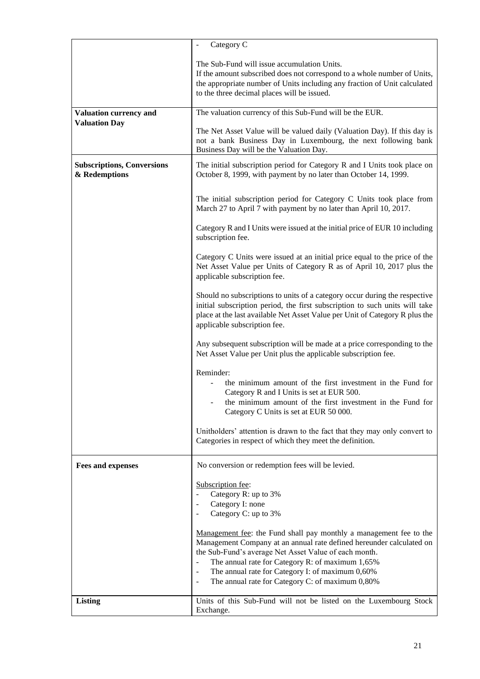|                                                    | Category C                                                                                                                                                                                                                                                                                                                                                                        |
|----------------------------------------------------|-----------------------------------------------------------------------------------------------------------------------------------------------------------------------------------------------------------------------------------------------------------------------------------------------------------------------------------------------------------------------------------|
|                                                    | The Sub-Fund will issue accumulation Units.<br>If the amount subscribed does not correspond to a whole number of Units,<br>the appropriate number of Units including any fraction of Unit calculated<br>to the three decimal places will be issued.                                                                                                                               |
| Valuation currency and                             | The valuation currency of this Sub-Fund will be the EUR.                                                                                                                                                                                                                                                                                                                          |
| <b>Valuation Day</b>                               | The Net Asset Value will be valued daily (Valuation Day). If this day is<br>not a bank Business Day in Luxembourg, the next following bank<br>Business Day will be the Valuation Day.                                                                                                                                                                                             |
| <b>Subscriptions, Conversions</b><br>& Redemptions | The initial subscription period for Category R and I Units took place on<br>October 8, 1999, with payment by no later than October 14, 1999.                                                                                                                                                                                                                                      |
|                                                    | The initial subscription period for Category C Units took place from<br>March 27 to April 7 with payment by no later than April 10, 2017.                                                                                                                                                                                                                                         |
|                                                    | Category R and I Units were issued at the initial price of EUR 10 including<br>subscription fee.                                                                                                                                                                                                                                                                                  |
|                                                    | Category C Units were issued at an initial price equal to the price of the<br>Net Asset Value per Units of Category R as of April 10, 2017 plus the<br>applicable subscription fee.                                                                                                                                                                                               |
|                                                    | Should no subscriptions to units of a category occur during the respective<br>initial subscription period, the first subscription to such units will take<br>place at the last available Net Asset Value per Unit of Category R plus the<br>applicable subscription fee.                                                                                                          |
|                                                    | Any subsequent subscription will be made at a price corresponding to the<br>Net Asset Value per Unit plus the applicable subscription fee.                                                                                                                                                                                                                                        |
|                                                    | Reminder:<br>the minimum amount of the first investment in the Fund for<br>Category R and I Units is set at EUR 500.<br>the minimum amount of the first investment in the Fund for<br>Category C Units is set at EUR 50 000.                                                                                                                                                      |
|                                                    | Unitholders' attention is drawn to the fact that they may only convert to<br>Categories in respect of which they meet the definition.                                                                                                                                                                                                                                             |
| <b>Fees and expenses</b>                           | No conversion or redemption fees will be levied.                                                                                                                                                                                                                                                                                                                                  |
|                                                    | Subscription fee:<br>Category R: up to 3%<br>Category I: none<br>Category C: up to 3%                                                                                                                                                                                                                                                                                             |
|                                                    | Management fee: the Fund shall pay monthly a management fee to the<br>Management Company at an annual rate defined hereunder calculated on<br>the Sub-Fund's average Net Asset Value of each month.<br>The annual rate for Category R: of maximum 1,65%<br>The annual rate for Category I: of maximum 0,60%<br>The annual rate for Category C: of maximum 0,80%<br>$\blacksquare$ |
| <b>Listing</b>                                     | Units of this Sub-Fund will not be listed on the Luxembourg Stock<br>Exchange.                                                                                                                                                                                                                                                                                                    |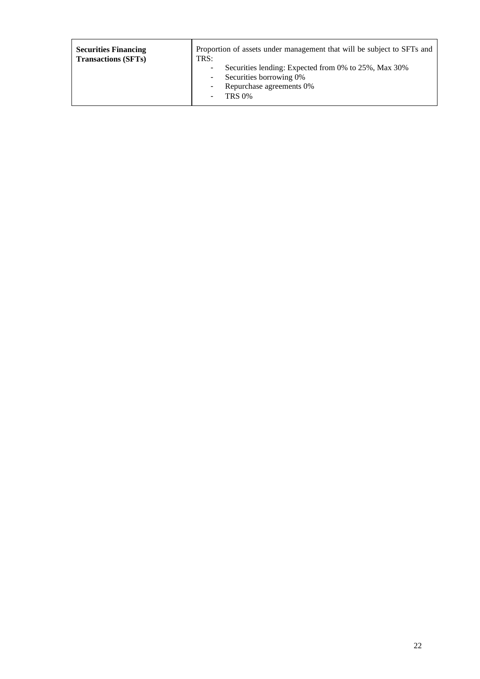| <b>Securities Financing</b> | Proportion of assets under management that will be subject to SFTs and                                                                           |
|-----------------------------|--------------------------------------------------------------------------------------------------------------------------------------------------|
| <b>Transactions (SFTs)</b>  | TRS:                                                                                                                                             |
|                             | Securities lending: Expected from 0% to 25%, Max 30%<br>۰<br>Securities borrowing 0%<br>٠<br>Repurchase agreements 0%<br>۰<br><b>TRS 0%</b><br>٠ |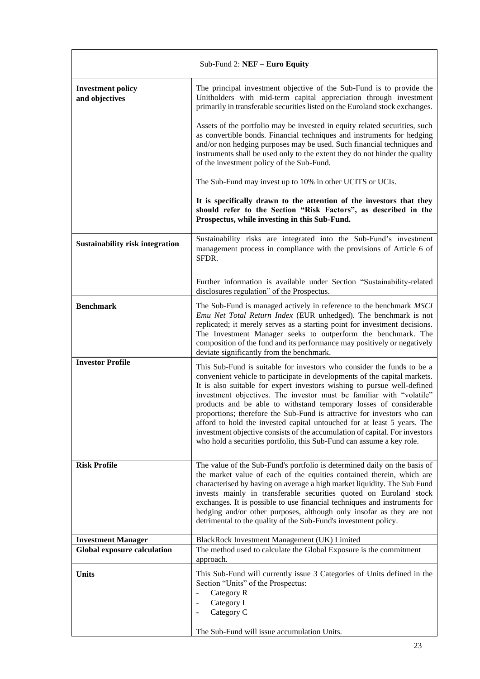| Sub-Fund 2: NEF - Euro Equity              |                                                                                                                                                                                                                                                                                                                                                                                                                                                                                                                                                                                                                                                                                            |
|--------------------------------------------|--------------------------------------------------------------------------------------------------------------------------------------------------------------------------------------------------------------------------------------------------------------------------------------------------------------------------------------------------------------------------------------------------------------------------------------------------------------------------------------------------------------------------------------------------------------------------------------------------------------------------------------------------------------------------------------------|
| <b>Investment policy</b><br>and objectives | The principal investment objective of the Sub-Fund is to provide the<br>Unitholders with mid-term capital appreciation through investment<br>primarily in transferable securities listed on the Euroland stock exchanges.                                                                                                                                                                                                                                                                                                                                                                                                                                                                  |
|                                            | Assets of the portfolio may be invested in equity related securities, such<br>as convertible bonds. Financial techniques and instruments for hedging<br>and/or non hedging purposes may be used. Such financial techniques and<br>instruments shall be used only to the extent they do not hinder the quality<br>of the investment policy of the Sub-Fund.                                                                                                                                                                                                                                                                                                                                 |
|                                            | The Sub-Fund may invest up to 10% in other UCITS or UCIs.                                                                                                                                                                                                                                                                                                                                                                                                                                                                                                                                                                                                                                  |
|                                            | It is specifically drawn to the attention of the investors that they<br>should refer to the Section "Risk Factors", as described in the<br>Prospectus, while investing in this Sub-Fund.                                                                                                                                                                                                                                                                                                                                                                                                                                                                                                   |
| <b>Sustainability risk integration</b>     | Sustainability risks are integrated into the Sub-Fund's investment<br>management process in compliance with the provisions of Article 6 of<br>SFDR.                                                                                                                                                                                                                                                                                                                                                                                                                                                                                                                                        |
|                                            | Further information is available under Section "Sustainability-related<br>disclosures regulation" of the Prospectus.                                                                                                                                                                                                                                                                                                                                                                                                                                                                                                                                                                       |
| <b>Benchmark</b>                           | The Sub-Fund is managed actively in reference to the benchmark MSCI<br>Emu Net Total Return Index (EUR unhedged). The benchmark is not<br>replicated; it merely serves as a starting point for investment decisions.<br>The Investment Manager seeks to outperform the benchmark. The<br>composition of the fund and its performance may positively or negatively<br>deviate significantly from the benchmark.                                                                                                                                                                                                                                                                             |
| <b>Investor Profile</b>                    | This Sub-Fund is suitable for investors who consider the funds to be a<br>convenient vehicle to participate in developments of the capital markets.<br>It is also suitable for expert investors wishing to pursue well-defined<br>investment objectives. The investor must be familiar with "volatile"<br>products and be able to withstand temporary losses of considerable<br>proportions; therefore the Sub-Fund is attractive for investors who can<br>afford to hold the invested capital untouched for at least 5 years. The<br>investment objective consists of the accumulation of capital. For investors<br>who hold a securities portfolio, this Sub-Fund can assume a key role. |
| <b>Risk Profile</b>                        | The value of the Sub-Fund's portfolio is determined daily on the basis of<br>the market value of each of the equities contained therein, which are<br>characterised by having on average a high market liquidity. The Sub Fund<br>invests mainly in transferable securities quoted on Euroland stock<br>exchanges. It is possible to use financial techniques and instruments for<br>hedging and/or other purposes, although only insofar as they are not<br>detrimental to the quality of the Sub-Fund's investment policy.                                                                                                                                                               |
| <b>Investment Manager</b>                  | BlackRock Investment Management (UK) Limited                                                                                                                                                                                                                                                                                                                                                                                                                                                                                                                                                                                                                                               |
| <b>Global exposure calculation</b>         | The method used to calculate the Global Exposure is the commitment<br>approach.                                                                                                                                                                                                                                                                                                                                                                                                                                                                                                                                                                                                            |
| <b>Units</b>                               | This Sub-Fund will currently issue 3 Categories of Units defined in the<br>Section "Units" of the Prospectus:<br>Category R<br>$\overline{\phantom{0}}$<br>Category I<br>$\overline{a}$<br>Category C<br>$\overline{a}$                                                                                                                                                                                                                                                                                                                                                                                                                                                                    |
|                                            | The Sub-Fund will issue accumulation Units.                                                                                                                                                                                                                                                                                                                                                                                                                                                                                                                                                                                                                                                |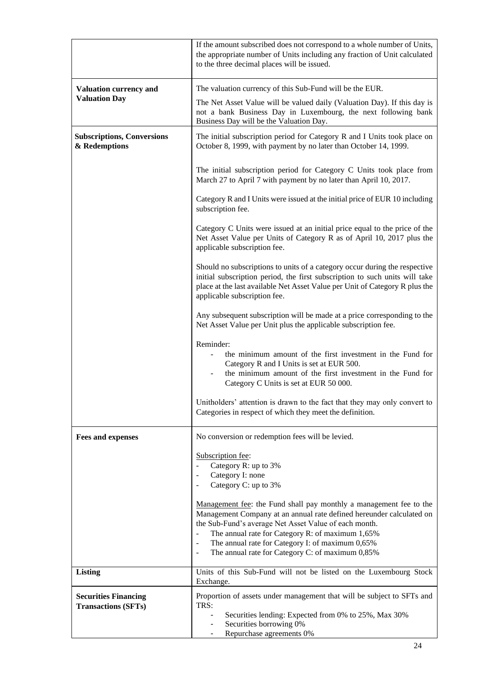|                                                           | If the amount subscribed does not correspond to a whole number of Units,<br>the appropriate number of Units including any fraction of Unit calculated<br>to the three decimal places will be issued.                                                                                                                                                                                                          |
|-----------------------------------------------------------|---------------------------------------------------------------------------------------------------------------------------------------------------------------------------------------------------------------------------------------------------------------------------------------------------------------------------------------------------------------------------------------------------------------|
| <b>Valuation currency and</b>                             | The valuation currency of this Sub-Fund will be the EUR.                                                                                                                                                                                                                                                                                                                                                      |
| <b>Valuation Day</b>                                      | The Net Asset Value will be valued daily (Valuation Day). If this day is<br>not a bank Business Day in Luxembourg, the next following bank<br>Business Day will be the Valuation Day.                                                                                                                                                                                                                         |
| <b>Subscriptions, Conversions</b><br>& Redemptions        | The initial subscription period for Category R and I Units took place on<br>October 8, 1999, with payment by no later than October 14, 1999.                                                                                                                                                                                                                                                                  |
|                                                           | The initial subscription period for Category C Units took place from<br>March 27 to April 7 with payment by no later than April 10, 2017.                                                                                                                                                                                                                                                                     |
|                                                           | Category R and I Units were issued at the initial price of EUR 10 including<br>subscription fee.                                                                                                                                                                                                                                                                                                              |
|                                                           | Category C Units were issued at an initial price equal to the price of the<br>Net Asset Value per Units of Category R as of April 10, 2017 plus the<br>applicable subscription fee.                                                                                                                                                                                                                           |
|                                                           | Should no subscriptions to units of a category occur during the respective<br>initial subscription period, the first subscription to such units will take<br>place at the last available Net Asset Value per Unit of Category R plus the<br>applicable subscription fee.                                                                                                                                      |
|                                                           | Any subsequent subscription will be made at a price corresponding to the<br>Net Asset Value per Unit plus the applicable subscription fee.                                                                                                                                                                                                                                                                    |
|                                                           | Reminder:<br>the minimum amount of the first investment in the Fund for<br>Category R and I Units is set at EUR 500.<br>the minimum amount of the first investment in the Fund for<br>Category C Units is set at EUR 50 000.                                                                                                                                                                                  |
|                                                           | Unitholders' attention is drawn to the fact that they may only convert to<br>Categories in respect of which they meet the definition.                                                                                                                                                                                                                                                                         |
| <b>Fees and expenses</b>                                  | No conversion or redemption fees will be levied.                                                                                                                                                                                                                                                                                                                                                              |
|                                                           | Subscription fee:<br>Category R: up to 3%<br>Category I: none<br>Category C: up to 3%<br>$\overline{\phantom{a}}$                                                                                                                                                                                                                                                                                             |
|                                                           | Management fee: the Fund shall pay monthly a management fee to the<br>Management Company at an annual rate defined hereunder calculated on<br>the Sub-Fund's average Net Asset Value of each month.<br>The annual rate for Category R: of maximum 1,65%<br>The annual rate for Category I: of maximum 0,65%<br>$\overline{\phantom{a}}$<br>The annual rate for Category C: of maximum 0,85%<br>$\blacksquare$ |
| <b>Listing</b>                                            | Units of this Sub-Fund will not be listed on the Luxembourg Stock<br>Exchange.                                                                                                                                                                                                                                                                                                                                |
| <b>Securities Financing</b><br><b>Transactions (SFTs)</b> | Proportion of assets under management that will be subject to SFTs and<br>TRS:<br>Securities lending: Expected from 0% to 25%, Max 30%<br>Securities borrowing 0%<br>Repurchase agreements 0%<br>۰                                                                                                                                                                                                            |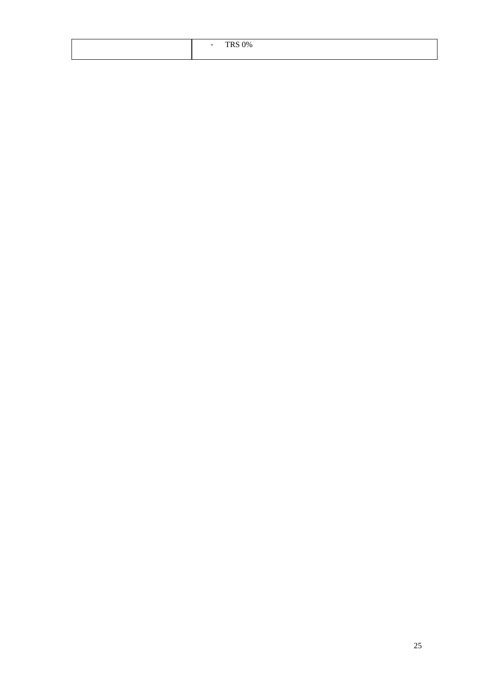| $C$ $\Omega$<br>$\overline{\phantom{0}}$<br>70 |
|------------------------------------------------|
|                                                |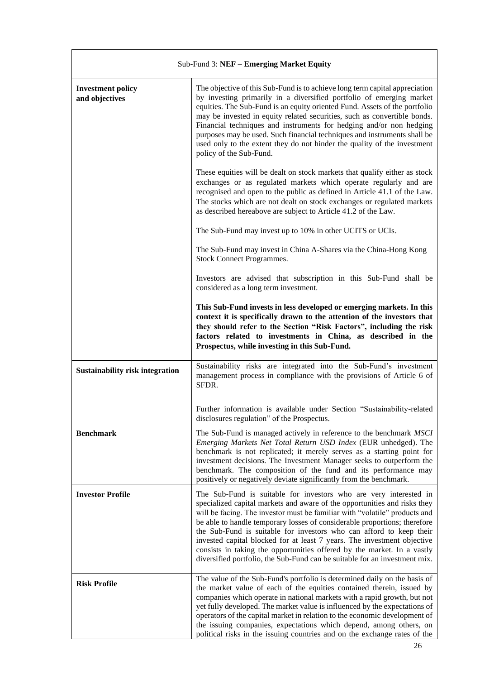| Sub-Fund 3: NEF - Emerging Market Equity   |                                                                                                                                                                                                                                                                                                                                                                                                                                                                                                                                                                                                                      |
|--------------------------------------------|----------------------------------------------------------------------------------------------------------------------------------------------------------------------------------------------------------------------------------------------------------------------------------------------------------------------------------------------------------------------------------------------------------------------------------------------------------------------------------------------------------------------------------------------------------------------------------------------------------------------|
| <b>Investment policy</b><br>and objectives | The objective of this Sub-Fund is to achieve long term capital appreciation<br>by investing primarily in a diversified portfolio of emerging market<br>equities. The Sub-Fund is an equity oriented Fund. Assets of the portfolio<br>may be invested in equity related securities, such as convertible bonds.<br>Financial techniques and instruments for hedging and/or non hedging<br>purposes may be used. Such financial techniques and instruments shall be<br>used only to the extent they do not hinder the quality of the investment<br>policy of the Sub-Fund.                                              |
|                                            | These equities will be dealt on stock markets that qualify either as stock<br>exchanges or as regulated markets which operate regularly and are<br>recognised and open to the public as defined in Article 41.1 of the Law.<br>The stocks which are not dealt on stock exchanges or regulated markets<br>as described hereabove are subject to Article 41.2 of the Law.                                                                                                                                                                                                                                              |
|                                            | The Sub-Fund may invest up to 10% in other UCITS or UCIs.                                                                                                                                                                                                                                                                                                                                                                                                                                                                                                                                                            |
|                                            | The Sub-Fund may invest in China A-Shares via the China-Hong Kong<br><b>Stock Connect Programmes.</b>                                                                                                                                                                                                                                                                                                                                                                                                                                                                                                                |
|                                            | Investors are advised that subscription in this Sub-Fund shall be<br>considered as a long term investment.                                                                                                                                                                                                                                                                                                                                                                                                                                                                                                           |
|                                            | This Sub-Fund invests in less developed or emerging markets. In this<br>context it is specifically drawn to the attention of the investors that<br>they should refer to the Section "Risk Factors", including the risk<br>factors related to investments in China, as described in the<br>Prospectus, while investing in this Sub-Fund.                                                                                                                                                                                                                                                                              |
| <b>Sustainability risk integration</b>     | Sustainability risks are integrated into the Sub-Fund's investment<br>management process in compliance with the provisions of Article 6 of<br>SFDR.                                                                                                                                                                                                                                                                                                                                                                                                                                                                  |
|                                            | Further information is available under Section "Sustainability-related<br>disclosures regulation" of the Prospectus.                                                                                                                                                                                                                                                                                                                                                                                                                                                                                                 |
| <b>Benchmark</b>                           | The Sub-Fund is managed actively in reference to the benchmark MSCI<br>Emerging Markets Net Total Return USD Index (EUR unhedged). The<br>benchmark is not replicated; it merely serves as a starting point for<br>investment decisions. The Investment Manager seeks to outperform the<br>benchmark. The composition of the fund and its performance may<br>positively or negatively deviate significantly from the benchmark.                                                                                                                                                                                      |
| <b>Investor Profile</b>                    | The Sub-Fund is suitable for investors who are very interested in<br>specialized capital markets and aware of the opportunities and risks they<br>will be facing. The investor must be familiar with "volatile" products and<br>be able to handle temporary losses of considerable proportions; therefore<br>the Sub-Fund is suitable for investors who can afford to keep their<br>invested capital blocked for at least 7 years. The investment objective<br>consists in taking the opportunities offered by the market. In a vastly<br>diversified portfolio, the Sub-Fund can be suitable for an investment mix. |
| <b>Risk Profile</b>                        | The value of the Sub-Fund's portfolio is determined daily on the basis of<br>the market value of each of the equities contained therein, issued by<br>companies which operate in national markets with a rapid growth, but not<br>yet fully developed. The market value is influenced by the expectations of<br>operators of the capital market in relation to the economic development of<br>the issuing companies, expectations which depend, among others, on<br>political risks in the issuing countries and on the exchange rates of the                                                                        |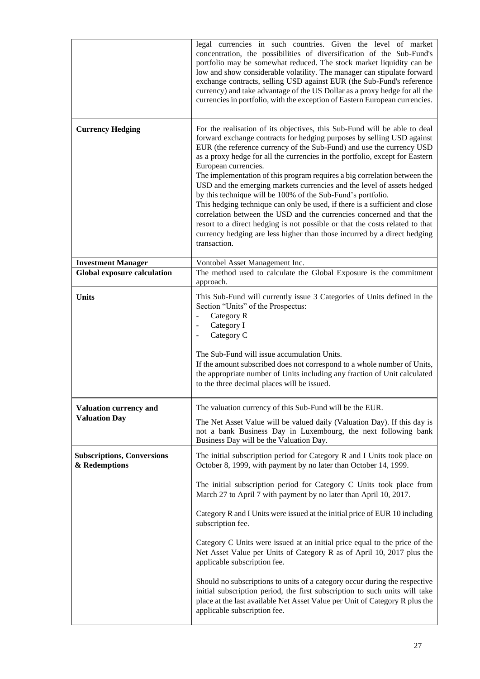|                                                    | legal currencies in such countries. Given the level of market<br>concentration, the possibilities of diversification of the Sub-Fund's<br>portfolio may be somewhat reduced. The stock market liquidity can be<br>low and show considerable volatility. The manager can stipulate forward<br>exchange contracts, selling USD against EUR (the Sub-Fund's reference<br>currency) and take advantage of the US Dollar as a proxy hedge for all the<br>currencies in portfolio, with the exception of Eastern European currencies.                                                                                                                                                                                                                                                                                                                                                                |
|----------------------------------------------------|------------------------------------------------------------------------------------------------------------------------------------------------------------------------------------------------------------------------------------------------------------------------------------------------------------------------------------------------------------------------------------------------------------------------------------------------------------------------------------------------------------------------------------------------------------------------------------------------------------------------------------------------------------------------------------------------------------------------------------------------------------------------------------------------------------------------------------------------------------------------------------------------|
| <b>Currency Hedging</b>                            | For the realisation of its objectives, this Sub-Fund will be able to deal<br>forward exchange contracts for hedging purposes by selling USD against<br>EUR (the reference currency of the Sub-Fund) and use the currency USD<br>as a proxy hedge for all the currencies in the portfolio, except for Eastern<br>European currencies.<br>The implementation of this program requires a big correlation between the<br>USD and the emerging markets currencies and the level of assets hedged<br>by this technique will be 100% of the Sub-Fund's portfolio.<br>This hedging technique can only be used, if there is a sufficient and close<br>correlation between the USD and the currencies concerned and that the<br>resort to a direct hedging is not possible or that the costs related to that<br>currency hedging are less higher than those incurred by a direct hedging<br>transaction. |
| <b>Investment Manager</b>                          | Vontobel Asset Management Inc.                                                                                                                                                                                                                                                                                                                                                                                                                                                                                                                                                                                                                                                                                                                                                                                                                                                                 |
| <b>Global exposure calculation</b>                 | The method used to calculate the Global Exposure is the commitment<br>approach.                                                                                                                                                                                                                                                                                                                                                                                                                                                                                                                                                                                                                                                                                                                                                                                                                |
| <b>Units</b>                                       | This Sub-Fund will currently issue 3 Categories of Units defined in the<br>Section "Units" of the Prospectus:<br>Category R<br>$\overline{\phantom{a}}$<br>Category I<br>$\overline{\phantom{a}}$<br>Category C<br>$\blacksquare$<br>The Sub-Fund will issue accumulation Units.<br>If the amount subscribed does not correspond to a whole number of Units,<br>the appropriate number of Units including any fraction of Unit calculated<br>to the three decimal places will be issued.                                                                                                                                                                                                                                                                                                                                                                                                       |
| <b>Valuation currency and</b>                      | The valuation currency of this Sub-Fund will be the EUR.                                                                                                                                                                                                                                                                                                                                                                                                                                                                                                                                                                                                                                                                                                                                                                                                                                       |
| <b>Valuation Day</b>                               | The Net Asset Value will be valued daily (Valuation Day). If this day is<br>not a bank Business Day in Luxembourg, the next following bank<br>Business Day will be the Valuation Day.                                                                                                                                                                                                                                                                                                                                                                                                                                                                                                                                                                                                                                                                                                          |
| <b>Subscriptions, Conversions</b><br>& Redemptions | The initial subscription period for Category R and I Units took place on<br>October 8, 1999, with payment by no later than October 14, 1999.                                                                                                                                                                                                                                                                                                                                                                                                                                                                                                                                                                                                                                                                                                                                                   |
|                                                    | The initial subscription period for Category C Units took place from<br>March 27 to April 7 with payment by no later than April 10, 2017.                                                                                                                                                                                                                                                                                                                                                                                                                                                                                                                                                                                                                                                                                                                                                      |
|                                                    | Category R and I Units were issued at the initial price of EUR 10 including<br>subscription fee.                                                                                                                                                                                                                                                                                                                                                                                                                                                                                                                                                                                                                                                                                                                                                                                               |
|                                                    | Category C Units were issued at an initial price equal to the price of the<br>Net Asset Value per Units of Category R as of April 10, 2017 plus the<br>applicable subscription fee.                                                                                                                                                                                                                                                                                                                                                                                                                                                                                                                                                                                                                                                                                                            |
|                                                    | Should no subscriptions to units of a category occur during the respective<br>initial subscription period, the first subscription to such units will take<br>place at the last available Net Asset Value per Unit of Category R plus the<br>applicable subscription fee.                                                                                                                                                                                                                                                                                                                                                                                                                                                                                                                                                                                                                       |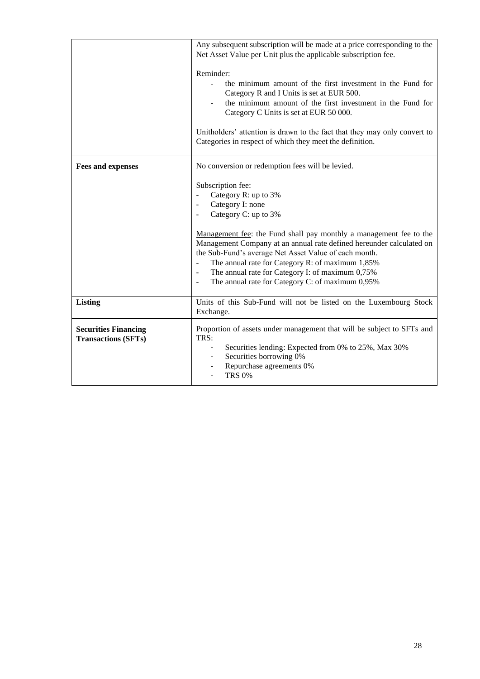|                                                           | Any subsequent subscription will be made at a price corresponding to the<br>Net Asset Value per Unit plus the applicable subscription fee.<br>Reminder:<br>the minimum amount of the first investment in the Fund for<br>Category R and I Units is set at EUR 500.<br>the minimum amount of the first investment in the Fund for<br>Category C Units is set at EUR 50 000.<br>Unitholders' attention is drawn to the fact that they may only convert to<br>Categories in respect of which they meet the definition.                                                                                     |
|-----------------------------------------------------------|---------------------------------------------------------------------------------------------------------------------------------------------------------------------------------------------------------------------------------------------------------------------------------------------------------------------------------------------------------------------------------------------------------------------------------------------------------------------------------------------------------------------------------------------------------------------------------------------------------|
| <b>Fees and expenses</b>                                  | No conversion or redemption fees will be levied.<br>Subscription fee:<br>Category R: up to 3%<br>Category I: none<br>$\overline{\phantom{a}}$<br>Category C: up to 3%<br>Management fee: the Fund shall pay monthly a management fee to the<br>Management Company at an annual rate defined hereunder calculated on<br>the Sub-Fund's average Net Asset Value of each month.<br>The annual rate for Category R: of maximum 1,85%<br>$\frac{1}{2}$<br>The annual rate for Category I: of maximum 0,75%<br>$\blacksquare$<br>The annual rate for Category C: of maximum 0,95%<br>$\overline{\phantom{a}}$ |
| <b>Listing</b>                                            | Units of this Sub-Fund will not be listed on the Luxembourg Stock<br>Exchange.                                                                                                                                                                                                                                                                                                                                                                                                                                                                                                                          |
| <b>Securities Financing</b><br><b>Transactions (SFTs)</b> | Proportion of assets under management that will be subject to SFTs and<br>TRS:<br>Securities lending: Expected from 0% to 25%, Max 30%<br>Securities borrowing 0%<br>Repurchase agreements 0%<br><b>TRS 0%</b>                                                                                                                                                                                                                                                                                                                                                                                          |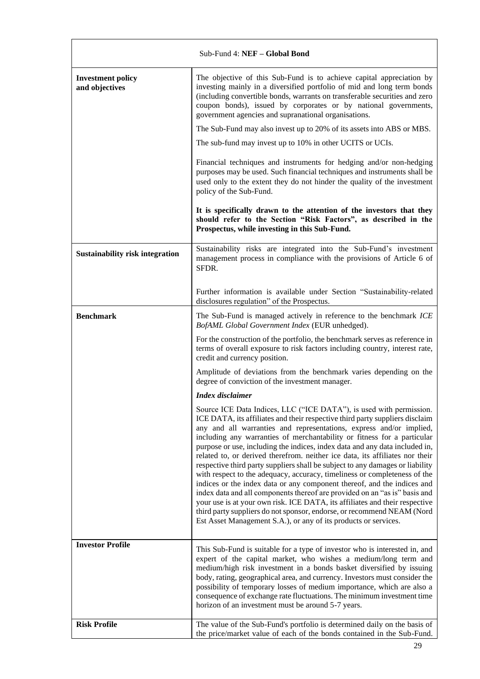| Sub-Fund 4: NEF - Global Bond              |                                                                                                                                                                                                                                                                                                                                                                                                                                                                                                                                                                                                                                                                                                                                                                                                                                                                                                                                                                                                                         |
|--------------------------------------------|-------------------------------------------------------------------------------------------------------------------------------------------------------------------------------------------------------------------------------------------------------------------------------------------------------------------------------------------------------------------------------------------------------------------------------------------------------------------------------------------------------------------------------------------------------------------------------------------------------------------------------------------------------------------------------------------------------------------------------------------------------------------------------------------------------------------------------------------------------------------------------------------------------------------------------------------------------------------------------------------------------------------------|
| <b>Investment policy</b><br>and objectives | The objective of this Sub-Fund is to achieve capital appreciation by<br>investing mainly in a diversified portfolio of mid and long term bonds<br>(including convertible bonds, warrants on transferable securities and zero<br>coupon bonds), issued by corporates or by national governments,<br>government agencies and supranational organisations.                                                                                                                                                                                                                                                                                                                                                                                                                                                                                                                                                                                                                                                                 |
|                                            | The Sub-Fund may also invest up to 20% of its assets into ABS or MBS.                                                                                                                                                                                                                                                                                                                                                                                                                                                                                                                                                                                                                                                                                                                                                                                                                                                                                                                                                   |
|                                            | The sub-fund may invest up to 10% in other UCITS or UCIs.                                                                                                                                                                                                                                                                                                                                                                                                                                                                                                                                                                                                                                                                                                                                                                                                                                                                                                                                                               |
|                                            | Financial techniques and instruments for hedging and/or non-hedging<br>purposes may be used. Such financial techniques and instruments shall be<br>used only to the extent they do not hinder the quality of the investment<br>policy of the Sub-Fund.                                                                                                                                                                                                                                                                                                                                                                                                                                                                                                                                                                                                                                                                                                                                                                  |
|                                            | It is specifically drawn to the attention of the investors that they<br>should refer to the Section "Risk Factors", as described in the<br>Prospectus, while investing in this Sub-Fund.                                                                                                                                                                                                                                                                                                                                                                                                                                                                                                                                                                                                                                                                                                                                                                                                                                |
| <b>Sustainability risk integration</b>     | Sustainability risks are integrated into the Sub-Fund's investment<br>management process in compliance with the provisions of Article 6 of<br>SFDR.                                                                                                                                                                                                                                                                                                                                                                                                                                                                                                                                                                                                                                                                                                                                                                                                                                                                     |
|                                            | Further information is available under Section "Sustainability-related<br>disclosures regulation" of the Prospectus.                                                                                                                                                                                                                                                                                                                                                                                                                                                                                                                                                                                                                                                                                                                                                                                                                                                                                                    |
| <b>Benchmark</b>                           | The Sub-Fund is managed actively in reference to the benchmark ICE<br>BofAML Global Government Index (EUR unhedged).                                                                                                                                                                                                                                                                                                                                                                                                                                                                                                                                                                                                                                                                                                                                                                                                                                                                                                    |
|                                            | For the construction of the portfolio, the benchmark serves as reference in<br>terms of overall exposure to risk factors including country, interest rate,<br>credit and currency position.                                                                                                                                                                                                                                                                                                                                                                                                                                                                                                                                                                                                                                                                                                                                                                                                                             |
|                                            | Amplitude of deviations from the benchmark varies depending on the<br>degree of conviction of the investment manager.                                                                                                                                                                                                                                                                                                                                                                                                                                                                                                                                                                                                                                                                                                                                                                                                                                                                                                   |
|                                            | Index disclaimer                                                                                                                                                                                                                                                                                                                                                                                                                                                                                                                                                                                                                                                                                                                                                                                                                                                                                                                                                                                                        |
|                                            | Source ICE Data Indices, LLC ("ICE DATA"), is used with permission.<br>ICE DATA, its affiliates and their respective third party suppliers disclaim<br>any and all warranties and representations, express and/or implied,<br>including any warranties of merchantability or fitness for a particular<br>purpose or use, including the indices, index data and any data included in,<br>related to, or derived therefrom. neither ice data, its affiliates nor their<br>respective third party suppliers shall be subject to any damages or liability<br>with respect to the adequacy, accuracy, timeliness or completeness of the<br>indices or the index data or any component thereof, and the indices and<br>index data and all components thereof are provided on an "as is" basis and<br>your use is at your own risk. ICE DATA, its affiliates and their respective<br>third party suppliers do not sponsor, endorse, or recommend NEAM (Nord<br>Est Asset Management S.A.), or any of its products or services. |
| <b>Investor Profile</b>                    | This Sub-Fund is suitable for a type of investor who is interested in, and<br>expert of the capital market, who wishes a medium/long term and<br>medium/high risk investment in a bonds basket diversified by issuing<br>body, rating, geographical area, and currency. Investors must consider the<br>possibility of temporary losses of medium importance, which are also a<br>consequence of exchange rate fluctuations. The minimum investment time<br>horizon of an investment must be around 5-7 years.                                                                                                                                                                                                                                                                                                                                                                                                                                                                                                           |
| <b>Risk Profile</b>                        | The value of the Sub-Fund's portfolio is determined daily on the basis of<br>the price/market value of each of the bonds contained in the Sub-Fund.                                                                                                                                                                                                                                                                                                                                                                                                                                                                                                                                                                                                                                                                                                                                                                                                                                                                     |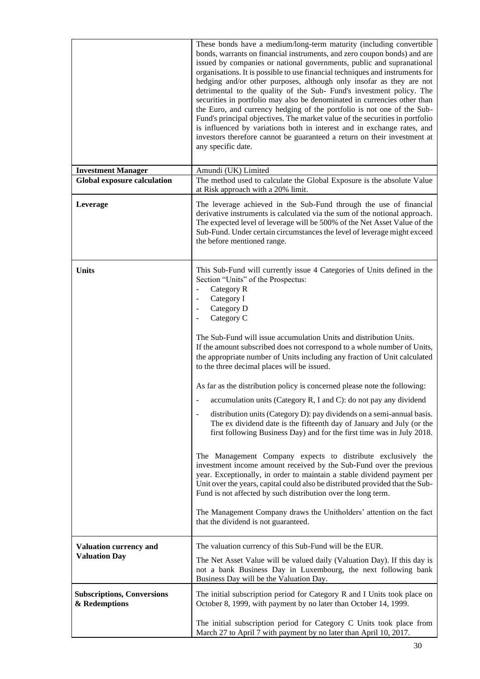|                                                       | These bonds have a medium/long-term maturity (including convertible<br>bonds, warrants on financial instruments, and zero coupon bonds) and are<br>issued by companies or national governments, public and supranational<br>organisations. It is possible to use financial techniques and instruments for<br>hedging and/or other purposes, although only insofar as they are not<br>detrimental to the quality of the Sub- Fund's investment policy. The<br>securities in portfolio may also be denominated in currencies other than<br>the Euro, and currency hedging of the portfolio is not one of the Sub-<br>Fund's principal objectives. The market value of the securities in portfolio<br>is influenced by variations both in interest and in exchange rates, and<br>investors therefore cannot be guaranteed a return on their investment at<br>any specific date.                                                                                                                                                                                                                                                                                                                                                                                                                                                                                                                                                          |
|-------------------------------------------------------|---------------------------------------------------------------------------------------------------------------------------------------------------------------------------------------------------------------------------------------------------------------------------------------------------------------------------------------------------------------------------------------------------------------------------------------------------------------------------------------------------------------------------------------------------------------------------------------------------------------------------------------------------------------------------------------------------------------------------------------------------------------------------------------------------------------------------------------------------------------------------------------------------------------------------------------------------------------------------------------------------------------------------------------------------------------------------------------------------------------------------------------------------------------------------------------------------------------------------------------------------------------------------------------------------------------------------------------------------------------------------------------------------------------------------------------|
| <b>Investment Manager</b>                             | Amundi (UK) Limited                                                                                                                                                                                                                                                                                                                                                                                                                                                                                                                                                                                                                                                                                                                                                                                                                                                                                                                                                                                                                                                                                                                                                                                                                                                                                                                                                                                                                   |
| <b>Global exposure calculation</b>                    | The method used to calculate the Global Exposure is the absolute Value<br>at Risk approach with a 20% limit.                                                                                                                                                                                                                                                                                                                                                                                                                                                                                                                                                                                                                                                                                                                                                                                                                                                                                                                                                                                                                                                                                                                                                                                                                                                                                                                          |
| Leverage                                              | The leverage achieved in the Sub-Fund through the use of financial<br>derivative instruments is calculated via the sum of the notional approach.<br>The expected level of leverage will be 500% of the Net Asset Value of the<br>Sub-Fund. Under certain circumstances the level of leverage might exceed<br>the before mentioned range.                                                                                                                                                                                                                                                                                                                                                                                                                                                                                                                                                                                                                                                                                                                                                                                                                                                                                                                                                                                                                                                                                              |
| <b>Units</b>                                          | This Sub-Fund will currently issue 4 Categories of Units defined in the<br>Section "Units" of the Prospectus:<br>Category R<br>$\overline{\phantom{a}}$<br>Category I<br>$\overline{\phantom{a}}$<br>Category D<br>$\overline{\phantom{a}}$<br>Category C<br>$\overline{\phantom{a}}$<br>The Sub-Fund will issue accumulation Units and distribution Units.<br>If the amount subscribed does not correspond to a whole number of Units,<br>the appropriate number of Units including any fraction of Unit calculated<br>to the three decimal places will be issued.<br>As far as the distribution policy is concerned please note the following:<br>accumulation units (Category R, I and C): do not pay any dividend<br>distribution units (Category D): pay dividends on a semi-annual basis.<br>The ex dividend date is the fifteenth day of January and July (or the<br>first following Business Day) and for the first time was in July 2018.<br>The Management Company expects to distribute exclusively the<br>investment income amount received by the Sub-Fund over the previous<br>year. Exceptionally, in order to maintain a stable dividend payment per<br>Unit over the years, capital could also be distributed provided that the Sub-<br>Fund is not affected by such distribution over the long term.<br>The Management Company draws the Unitholders' attention on the fact<br>that the dividend is not guaranteed. |
| <b>Valuation currency and</b><br><b>Valuation Day</b> | The valuation currency of this Sub-Fund will be the EUR.<br>The Net Asset Value will be valued daily (Valuation Day). If this day is<br>not a bank Business Day in Luxembourg, the next following bank                                                                                                                                                                                                                                                                                                                                                                                                                                                                                                                                                                                                                                                                                                                                                                                                                                                                                                                                                                                                                                                                                                                                                                                                                                |
|                                                       | Business Day will be the Valuation Day.                                                                                                                                                                                                                                                                                                                                                                                                                                                                                                                                                                                                                                                                                                                                                                                                                                                                                                                                                                                                                                                                                                                                                                                                                                                                                                                                                                                               |
| <b>Subscriptions, Conversions</b><br>& Redemptions    | The initial subscription period for Category R and I Units took place on<br>October 8, 1999, with payment by no later than October 14, 1999.                                                                                                                                                                                                                                                                                                                                                                                                                                                                                                                                                                                                                                                                                                                                                                                                                                                                                                                                                                                                                                                                                                                                                                                                                                                                                          |
|                                                       | The initial subscription period for Category C Units took place from<br>March 27 to April 7 with payment by no later than April 10, 2017.                                                                                                                                                                                                                                                                                                                                                                                                                                                                                                                                                                                                                                                                                                                                                                                                                                                                                                                                                                                                                                                                                                                                                                                                                                                                                             |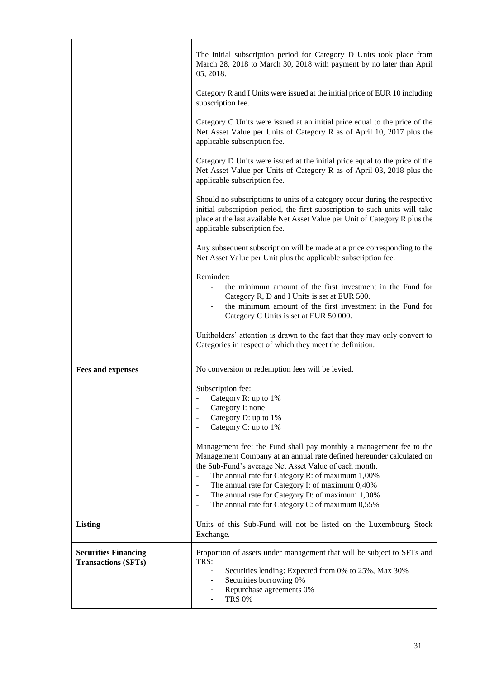|                                                           | The initial subscription period for Category D Units took place from<br>March 28, 2018 to March 30, 2018 with payment by no later than April<br>05, 2018.                                                                                                                                                                                                                                                                                                                                               |
|-----------------------------------------------------------|---------------------------------------------------------------------------------------------------------------------------------------------------------------------------------------------------------------------------------------------------------------------------------------------------------------------------------------------------------------------------------------------------------------------------------------------------------------------------------------------------------|
|                                                           | Category R and I Units were issued at the initial price of EUR 10 including<br>subscription fee.                                                                                                                                                                                                                                                                                                                                                                                                        |
|                                                           | Category C Units were issued at an initial price equal to the price of the<br>Net Asset Value per Units of Category R as of April 10, 2017 plus the<br>applicable subscription fee.                                                                                                                                                                                                                                                                                                                     |
|                                                           | Category D Units were issued at the initial price equal to the price of the<br>Net Asset Value per Units of Category R as of April 03, 2018 plus the<br>applicable subscription fee.                                                                                                                                                                                                                                                                                                                    |
|                                                           | Should no subscriptions to units of a category occur during the respective<br>initial subscription period, the first subscription to such units will take<br>place at the last available Net Asset Value per Unit of Category R plus the<br>applicable subscription fee.                                                                                                                                                                                                                                |
|                                                           | Any subsequent subscription will be made at a price corresponding to the<br>Net Asset Value per Unit plus the applicable subscription fee.                                                                                                                                                                                                                                                                                                                                                              |
|                                                           | Reminder:<br>the minimum amount of the first investment in the Fund for<br>Category R, D and I Units is set at EUR 500.<br>the minimum amount of the first investment in the Fund for<br>Category C Units is set at EUR 50 000.                                                                                                                                                                                                                                                                         |
|                                                           | Unitholders' attention is drawn to the fact that they may only convert to<br>Categories in respect of which they meet the definition.                                                                                                                                                                                                                                                                                                                                                                   |
| <b>Fees and expenses</b>                                  | No conversion or redemption fees will be levied.                                                                                                                                                                                                                                                                                                                                                                                                                                                        |
|                                                           | Subscription fee:<br>Category R: up to $1\%$<br>Category I: none<br>Category D: up to 1%<br>Category C: up to 1%                                                                                                                                                                                                                                                                                                                                                                                        |
|                                                           | Management fee: the Fund shall pay monthly a management fee to the<br>Management Company at an annual rate defined hereunder calculated on<br>the Sub-Fund's average Net Asset Value of each month.<br>The annual rate for Category R: of maximum 1,00%<br>The annual rate for Category I: of maximum 0,40%<br>$\overline{\phantom{a}}$<br>The annual rate for Category D: of maximum 1,00%<br>$\overline{\phantom{a}}$<br>The annual rate for Category C: of maximum 0,55%<br>$\overline{\phantom{a}}$ |
| <b>Listing</b>                                            | Units of this Sub-Fund will not be listed on the Luxembourg Stock<br>Exchange.                                                                                                                                                                                                                                                                                                                                                                                                                          |
| <b>Securities Financing</b><br><b>Transactions (SFTs)</b> | Proportion of assets under management that will be subject to SFTs and<br>TRS:<br>Securities lending: Expected from 0% to 25%, Max 30%<br>Securities borrowing 0%<br>Repurchase agreements 0%<br><b>TRS 0%</b>                                                                                                                                                                                                                                                                                          |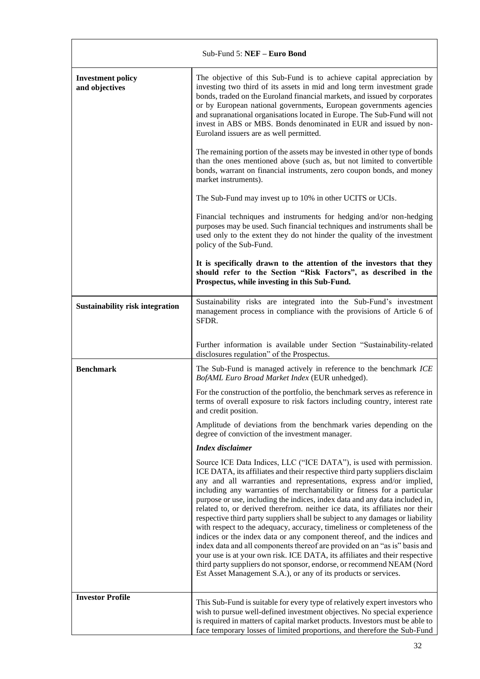| Sub-Fund 5: NEF - Euro Bond                |                                                                                                                                                                                                                                                                                                                                                                                                                                                                                                                                                                                                                                                                                                               |  |
|--------------------------------------------|---------------------------------------------------------------------------------------------------------------------------------------------------------------------------------------------------------------------------------------------------------------------------------------------------------------------------------------------------------------------------------------------------------------------------------------------------------------------------------------------------------------------------------------------------------------------------------------------------------------------------------------------------------------------------------------------------------------|--|
| <b>Investment policy</b><br>and objectives | The objective of this Sub-Fund is to achieve capital appreciation by<br>investing two third of its assets in mid and long term investment grade<br>bonds, traded on the Euroland financial markets, and issued by corporates<br>or by European national governments, European governments agencies<br>and supranational organisations located in Europe. The Sub-Fund will not<br>invest in ABS or MBS. Bonds denominated in EUR and issued by non-<br>Euroland issuers are as well permitted.                                                                                                                                                                                                                |  |
|                                            | The remaining portion of the assets may be invested in other type of bonds<br>than the ones mentioned above (such as, but not limited to convertible<br>bonds, warrant on financial instruments, zero coupon bonds, and money<br>market instruments).                                                                                                                                                                                                                                                                                                                                                                                                                                                         |  |
|                                            | The Sub-Fund may invest up to 10% in other UCITS or UCIs.                                                                                                                                                                                                                                                                                                                                                                                                                                                                                                                                                                                                                                                     |  |
|                                            | Financial techniques and instruments for hedging and/or non-hedging<br>purposes may be used. Such financial techniques and instruments shall be<br>used only to the extent they do not hinder the quality of the investment<br>policy of the Sub-Fund.                                                                                                                                                                                                                                                                                                                                                                                                                                                        |  |
|                                            | It is specifically drawn to the attention of the investors that they<br>should refer to the Section "Risk Factors", as described in the<br>Prospectus, while investing in this Sub-Fund.                                                                                                                                                                                                                                                                                                                                                                                                                                                                                                                      |  |
| <b>Sustainability risk integration</b>     | Sustainability risks are integrated into the Sub-Fund's investment<br>management process in compliance with the provisions of Article 6 of<br>SFDR.                                                                                                                                                                                                                                                                                                                                                                                                                                                                                                                                                           |  |
|                                            | Further information is available under Section "Sustainability-related<br>disclosures regulation" of the Prospectus.                                                                                                                                                                                                                                                                                                                                                                                                                                                                                                                                                                                          |  |
| <b>Benchmark</b>                           | The Sub-Fund is managed actively in reference to the benchmark ICE<br>BofAML Euro Broad Market Index (EUR unhedged).                                                                                                                                                                                                                                                                                                                                                                                                                                                                                                                                                                                          |  |
|                                            | For the construction of the portfolio, the benchmark serves as reference in<br>terms of overall exposure to risk factors including country, interest rate<br>and credit position.                                                                                                                                                                                                                                                                                                                                                                                                                                                                                                                             |  |
|                                            | Amplitude of deviations from the benchmark varies depending on the<br>degree of conviction of the investment manager.                                                                                                                                                                                                                                                                                                                                                                                                                                                                                                                                                                                         |  |
|                                            | <b>Index disclaimer</b>                                                                                                                                                                                                                                                                                                                                                                                                                                                                                                                                                                                                                                                                                       |  |
|                                            | Source ICE Data Indices, LLC ("ICE DATA"), is used with permission.<br>ICE DATA, its affiliates and their respective third party suppliers disclaim<br>any and all warranties and representations, express and/or implied,<br>including any warranties of merchantability or fitness for a particular<br>purpose or use, including the indices, index data and any data included in,<br>related to, or derived therefrom. neither ice data, its affiliates nor their<br>respective third party suppliers shall be subject to any damages or liability<br>with respect to the adequacy, accuracy, timeliness or completeness of the<br>indices or the index data or any component thereof, and the indices and |  |
|                                            | index data and all components thereof are provided on an "as is" basis and<br>your use is at your own risk. ICE DATA, its affiliates and their respective<br>third party suppliers do not sponsor, endorse, or recommend NEAM (Nord<br>Est Asset Management S.A.), or any of its products or services.                                                                                                                                                                                                                                                                                                                                                                                                        |  |
| <b>Investor Profile</b>                    | This Sub-Fund is suitable for every type of relatively expert investors who                                                                                                                                                                                                                                                                                                                                                                                                                                                                                                                                                                                                                                   |  |
|                                            | wish to pursue well-defined investment objectives. No special experience                                                                                                                                                                                                                                                                                                                                                                                                                                                                                                                                                                                                                                      |  |
|                                            | is required in matters of capital market products. Investors must be able to<br>face temporary losses of limited proportions, and therefore the Sub-Fund                                                                                                                                                                                                                                                                                                                                                                                                                                                                                                                                                      |  |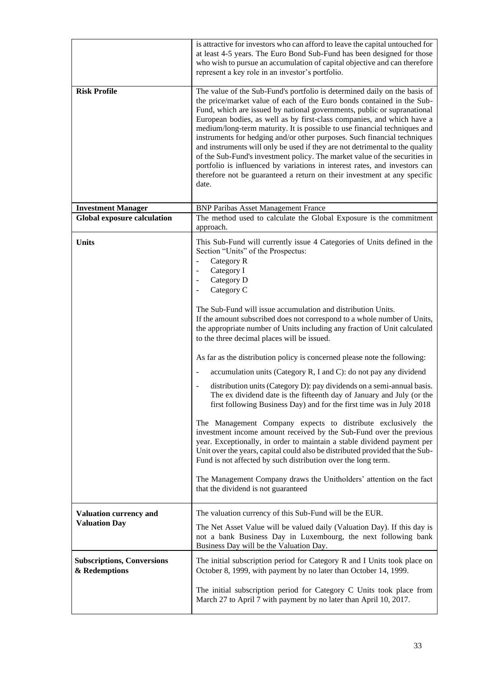|                                                       | is attractive for investors who can afford to leave the capital untouched for<br>at least 4-5 years. The Euro Bond Sub-Fund has been designed for those<br>who wish to pursue an accumulation of capital objective and can therefore<br>represent a key role in an investor's portfolio.                                                                                                                                                                                                                                                                                                                                                                                                                                                                                                           |
|-------------------------------------------------------|----------------------------------------------------------------------------------------------------------------------------------------------------------------------------------------------------------------------------------------------------------------------------------------------------------------------------------------------------------------------------------------------------------------------------------------------------------------------------------------------------------------------------------------------------------------------------------------------------------------------------------------------------------------------------------------------------------------------------------------------------------------------------------------------------|
| <b>Risk Profile</b>                                   | The value of the Sub-Fund's portfolio is determined daily on the basis of<br>the price/market value of each of the Euro bonds contained in the Sub-<br>Fund, which are issued by national governments, public or supranational<br>European bodies, as well as by first-class companies, and which have a<br>medium/long-term maturity. It is possible to use financial techniques and<br>instruments for hedging and/or other purposes. Such financial techniques<br>and instruments will only be used if they are not detrimental to the quality<br>of the Sub-Fund's investment policy. The market value of the securities in<br>portfolio is influenced by variations in interest rates, and investors can<br>therefore not be guaranteed a return on their investment at any specific<br>date. |
| <b>Investment Manager</b>                             | <b>BNP Paribas Asset Management France</b>                                                                                                                                                                                                                                                                                                                                                                                                                                                                                                                                                                                                                                                                                                                                                         |
| <b>Global exposure calculation</b>                    | The method used to calculate the Global Exposure is the commitment<br>approach.                                                                                                                                                                                                                                                                                                                                                                                                                                                                                                                                                                                                                                                                                                                    |
| <b>Units</b>                                          | This Sub-Fund will currently issue 4 Categories of Units defined in the<br>Section "Units" of the Prospectus:<br>Category R<br>$\overline{\phantom{m}}$<br>Category I<br>$\overline{\phantom{a}}$<br>Category D<br>$\overline{\phantom{a}}$<br>Category C<br>$\overline{\phantom{a}}$<br>The Sub-Fund will issue accumulation and distribution Units.<br>If the amount subscribed does not correspond to a whole number of Units,<br>the appropriate number of Units including any fraction of Unit calculated<br>to the three decimal places will be issued.<br>As far as the distribution policy is concerned please note the following:<br>accumulation units (Category R, I and C): do not pay any dividend                                                                                    |
|                                                       | distribution units (Category D): pay dividends on a semi-annual basis.<br>The ex dividend date is the fifteenth day of January and July (or the<br>first following Business Day) and for the first time was in July 2018                                                                                                                                                                                                                                                                                                                                                                                                                                                                                                                                                                           |
|                                                       | The Management Company expects to distribute exclusively the<br>investment income amount received by the Sub-Fund over the previous<br>year. Exceptionally, in order to maintain a stable dividend payment per<br>Unit over the years, capital could also be distributed provided that the Sub-<br>Fund is not affected by such distribution over the long term.<br>The Management Company draws the Unitholders' attention on the fact<br>that the dividend is not guaranteed                                                                                                                                                                                                                                                                                                                     |
|                                                       |                                                                                                                                                                                                                                                                                                                                                                                                                                                                                                                                                                                                                                                                                                                                                                                                    |
| <b>Valuation currency and</b><br><b>Valuation Day</b> | The valuation currency of this Sub-Fund will be the EUR.                                                                                                                                                                                                                                                                                                                                                                                                                                                                                                                                                                                                                                                                                                                                           |
|                                                       | The Net Asset Value will be valued daily (Valuation Day). If this day is<br>not a bank Business Day in Luxembourg, the next following bank<br>Business Day will be the Valuation Day.                                                                                                                                                                                                                                                                                                                                                                                                                                                                                                                                                                                                              |
| <b>Subscriptions, Conversions</b><br>& Redemptions    | The initial subscription period for Category R and I Units took place on<br>October 8, 1999, with payment by no later than October 14, 1999.                                                                                                                                                                                                                                                                                                                                                                                                                                                                                                                                                                                                                                                       |
|                                                       | The initial subscription period for Category C Units took place from<br>March 27 to April 7 with payment by no later than April 10, 2017.                                                                                                                                                                                                                                                                                                                                                                                                                                                                                                                                                                                                                                                          |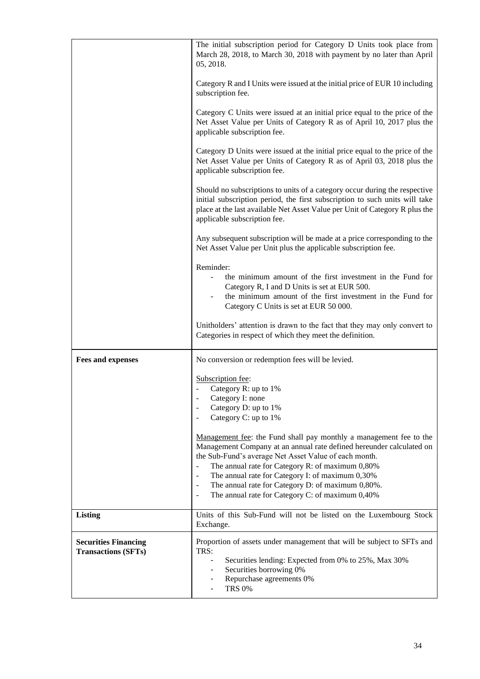|                                                           | The initial subscription period for Category D Units took place from<br>March 28, 2018, to March 30, 2018 with payment by no later than April<br>05, 2018.                                                                                                                                                                                                                                                                                                                           |
|-----------------------------------------------------------|--------------------------------------------------------------------------------------------------------------------------------------------------------------------------------------------------------------------------------------------------------------------------------------------------------------------------------------------------------------------------------------------------------------------------------------------------------------------------------------|
|                                                           | Category R and I Units were issued at the initial price of EUR 10 including<br>subscription fee.                                                                                                                                                                                                                                                                                                                                                                                     |
|                                                           | Category C Units were issued at an initial price equal to the price of the<br>Net Asset Value per Units of Category R as of April 10, 2017 plus the<br>applicable subscription fee.                                                                                                                                                                                                                                                                                                  |
|                                                           | Category D Units were issued at the initial price equal to the price of the<br>Net Asset Value per Units of Category R as of April 03, 2018 plus the<br>applicable subscription fee.                                                                                                                                                                                                                                                                                                 |
|                                                           | Should no subscriptions to units of a category occur during the respective<br>initial subscription period, the first subscription to such units will take<br>place at the last available Net Asset Value per Unit of Category R plus the<br>applicable subscription fee.                                                                                                                                                                                                             |
|                                                           | Any subsequent subscription will be made at a price corresponding to the<br>Net Asset Value per Unit plus the applicable subscription fee.                                                                                                                                                                                                                                                                                                                                           |
|                                                           | Reminder:<br>the minimum amount of the first investment in the Fund for<br>Category R, I and D Units is set at EUR 500.<br>the minimum amount of the first investment in the Fund for<br>Category C Units is set at EUR 50 000.                                                                                                                                                                                                                                                      |
|                                                           | Unitholders' attention is drawn to the fact that they may only convert to<br>Categories in respect of which they meet the definition.                                                                                                                                                                                                                                                                                                                                                |
| <b>Fees and expenses</b>                                  | No conversion or redemption fees will be levied.                                                                                                                                                                                                                                                                                                                                                                                                                                     |
|                                                           | Subscription fee:<br>Category R: up to 1%                                                                                                                                                                                                                                                                                                                                                                                                                                            |
|                                                           | Category I: none<br>Category D: up to 1%<br>$\overline{\phantom{m}}$                                                                                                                                                                                                                                                                                                                                                                                                                 |
|                                                           | Category C: up to 1%                                                                                                                                                                                                                                                                                                                                                                                                                                                                 |
|                                                           | Management fee: the Fund shall pay monthly a management fee to the<br>Management Company at an annual rate defined hereunder calculated on<br>the Sub-Fund's average Net Asset Value of each month.<br>The annual rate for Category R: of maximum 0,80%<br>The annual rate for Category I: of maximum 0,30%<br>$\blacksquare$<br>The annual rate for Category D: of maximum 0,80%.<br>$\blacksquare$<br>The annual rate for Category C: of maximum 0,40%<br>$\overline{\phantom{a}}$ |
| <b>Listing</b>                                            | Units of this Sub-Fund will not be listed on the Luxembourg Stock<br>Exchange.                                                                                                                                                                                                                                                                                                                                                                                                       |
| <b>Securities Financing</b><br><b>Transactions (SFTs)</b> | Proportion of assets under management that will be subject to SFTs and<br>TRS:<br>Securities lending: Expected from 0% to 25%, Max 30%<br>Securities borrowing 0%<br>Repurchase agreements 0%<br><b>TRS 0%</b>                                                                                                                                                                                                                                                                       |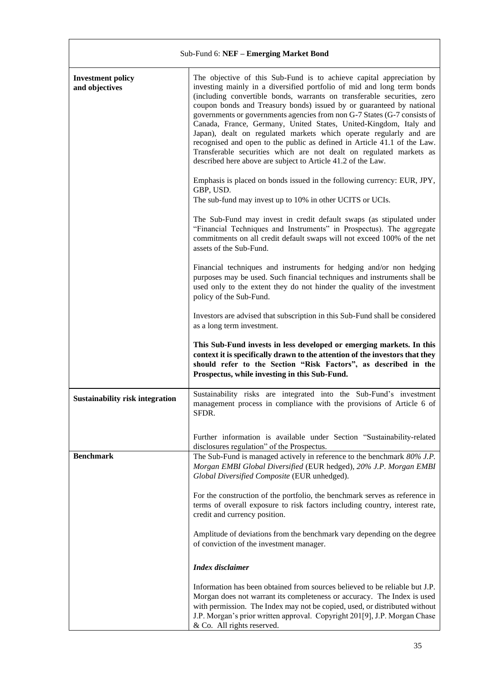| Sub-Fund 6: NEF - Emerging Market Bond     |                                                                                                                                                                                                                                                                                                                                                                                                                                                                                                                                                                                                                                                                                                                                                                                                                                                                                                                                                                                                                                                                                                                                                        |
|--------------------------------------------|--------------------------------------------------------------------------------------------------------------------------------------------------------------------------------------------------------------------------------------------------------------------------------------------------------------------------------------------------------------------------------------------------------------------------------------------------------------------------------------------------------------------------------------------------------------------------------------------------------------------------------------------------------------------------------------------------------------------------------------------------------------------------------------------------------------------------------------------------------------------------------------------------------------------------------------------------------------------------------------------------------------------------------------------------------------------------------------------------------------------------------------------------------|
| <b>Investment policy</b><br>and objectives | The objective of this Sub-Fund is to achieve capital appreciation by<br>investing mainly in a diversified portfolio of mid and long term bonds<br>(including convertible bonds, warrants on transferable securities, zero<br>coupon bonds and Treasury bonds) issued by or guaranteed by national<br>governments or governments agencies from non G-7 States (G-7 consists of<br>Canada, France, Germany, United States, United-Kingdom, Italy and<br>Japan), dealt on regulated markets which operate regularly and are<br>recognised and open to the public as defined in Article 41.1 of the Law.<br>Transferable securities which are not dealt on regulated markets as<br>described here above are subject to Article 41.2 of the Law.<br>Emphasis is placed on bonds issued in the following currency: EUR, JPY,<br>GBP, USD.<br>The sub-fund may invest up to 10% in other UCITS or UCIs.<br>The Sub-Fund may invest in credit default swaps (as stipulated under<br>"Financial Techniques and Instruments" in Prospectus). The aggregate<br>commitments on all credit default swaps will not exceed 100% of the net<br>assets of the Sub-Fund. |
|                                            | Financial techniques and instruments for hedging and/or non hedging<br>purposes may be used. Such financial techniques and instruments shall be<br>used only to the extent they do not hinder the quality of the investment<br>policy of the Sub-Fund.                                                                                                                                                                                                                                                                                                                                                                                                                                                                                                                                                                                                                                                                                                                                                                                                                                                                                                 |
|                                            | Investors are advised that subscription in this Sub-Fund shall be considered<br>as a long term investment.                                                                                                                                                                                                                                                                                                                                                                                                                                                                                                                                                                                                                                                                                                                                                                                                                                                                                                                                                                                                                                             |
|                                            | This Sub-Fund invests in less developed or emerging markets. In this<br>context it is specifically drawn to the attention of the investors that they<br>should refer to the Section "Risk Factors", as described in the<br>Prospectus, while investing in this Sub-Fund.                                                                                                                                                                                                                                                                                                                                                                                                                                                                                                                                                                                                                                                                                                                                                                                                                                                                               |
| <b>Sustainability risk integration</b>     | Sustainability risks are integrated into the Sub-Fund's investment<br>management process in compliance with the provisions of Article 6 of<br>SFDR.                                                                                                                                                                                                                                                                                                                                                                                                                                                                                                                                                                                                                                                                                                                                                                                                                                                                                                                                                                                                    |
|                                            | Further information is available under Section "Sustainability-related<br>disclosures regulation" of the Prospectus.                                                                                                                                                                                                                                                                                                                                                                                                                                                                                                                                                                                                                                                                                                                                                                                                                                                                                                                                                                                                                                   |
| <b>Benchmark</b>                           | The Sub-Fund is managed actively in reference to the benchmark 80% J.P.<br>Morgan EMBI Global Diversified (EUR hedged), 20% J.P. Morgan EMBI<br>Global Diversified Composite (EUR unhedged).                                                                                                                                                                                                                                                                                                                                                                                                                                                                                                                                                                                                                                                                                                                                                                                                                                                                                                                                                           |
|                                            | For the construction of the portfolio, the benchmark serves as reference in<br>terms of overall exposure to risk factors including country, interest rate,<br>credit and currency position.                                                                                                                                                                                                                                                                                                                                                                                                                                                                                                                                                                                                                                                                                                                                                                                                                                                                                                                                                            |
|                                            | Amplitude of deviations from the benchmark vary depending on the degree<br>of conviction of the investment manager.                                                                                                                                                                                                                                                                                                                                                                                                                                                                                                                                                                                                                                                                                                                                                                                                                                                                                                                                                                                                                                    |
|                                            | <b>Index</b> disclaimer                                                                                                                                                                                                                                                                                                                                                                                                                                                                                                                                                                                                                                                                                                                                                                                                                                                                                                                                                                                                                                                                                                                                |
|                                            | Information has been obtained from sources believed to be reliable but J.P.<br>Morgan does not warrant its completeness or accuracy. The Index is used<br>with permission. The Index may not be copied, used, or distributed without<br>J.P. Morgan's prior written approval. Copyright 201[9], J.P. Morgan Chase<br>& Co. All rights reserved.                                                                                                                                                                                                                                                                                                                                                                                                                                                                                                                                                                                                                                                                                                                                                                                                        |

 $\mathsf{r}$ 

 $\overline{\mathbf{1}}$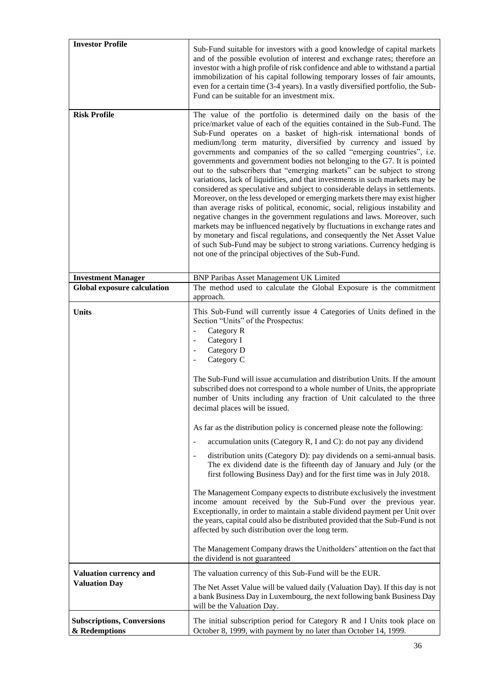| <b>Investor Profile</b>                               | Sub-Fund suitable for investors with a good knowledge of capital markets<br>and of the possible evolution of interest and exchange rates; therefore an<br>investor with a high profile of risk confidence and able to withstand a partial<br>immobilization of his capital following temporary losses of fair amounts,<br>even for a certain time (3-4 years). In a vastly diversified portfolio, the Sub-<br>Fund can be suitable for an investment mix.                                                                                                                                                                                                                                                                                                                                                                                                                                                                                                                                                                                                                                                                                                                                                                                                                                                                                                                                                                     |
|-------------------------------------------------------|-------------------------------------------------------------------------------------------------------------------------------------------------------------------------------------------------------------------------------------------------------------------------------------------------------------------------------------------------------------------------------------------------------------------------------------------------------------------------------------------------------------------------------------------------------------------------------------------------------------------------------------------------------------------------------------------------------------------------------------------------------------------------------------------------------------------------------------------------------------------------------------------------------------------------------------------------------------------------------------------------------------------------------------------------------------------------------------------------------------------------------------------------------------------------------------------------------------------------------------------------------------------------------------------------------------------------------------------------------------------------------------------------------------------------------|
| <b>Risk Profile</b>                                   | The value of the portfolio is determined daily on the basis of the<br>price/market value of each of the equities contained in the Sub-Fund. The<br>Sub-Fund operates on a basket of high-risk international bonds of<br>medium/long term maturity, diversified by currency and issued by<br>governments and companies of the so called "emerging countries", i.e.<br>governments and government bodies not belonging to the G7. It is pointed<br>out to the subscribers that "emerging markets" can be subject to strong<br>variations, lack of liquidities, and that investments in such markets may be<br>considered as speculative and subject to considerable delays in settlements.<br>Moreover, on the less developed or emerging markets there may exist higher<br>than average risks of political, economic, social, religious instability and<br>negative changes in the government regulations and laws. Moreover, such<br>markets may be influenced negatively by fluctuations in exchange rates and<br>by monetary and fiscal regulations, and consequently the Net Asset Value<br>of such Sub-Fund may be subject to strong variations. Currency hedging is<br>not one of the principal objectives of the Sub-Fund.                                                                                                                                                                                              |
| <b>Investment Manager</b>                             | <b>BNP Paribas Asset Management UK Limited</b>                                                                                                                                                                                                                                                                                                                                                                                                                                                                                                                                                                                                                                                                                                                                                                                                                                                                                                                                                                                                                                                                                                                                                                                                                                                                                                                                                                                |
| <b>Global exposure calculation</b>                    | The method used to calculate the Global Exposure is the commitment<br>approach.                                                                                                                                                                                                                                                                                                                                                                                                                                                                                                                                                                                                                                                                                                                                                                                                                                                                                                                                                                                                                                                                                                                                                                                                                                                                                                                                               |
| <b>Units</b>                                          | This Sub-Fund will currently issue 4 Categories of Units defined in the<br>Section "Units" of the Prospectus:<br>Category R<br>$\overline{\phantom{a}}$<br>Category I<br>Category D<br>$\overline{\phantom{a}}$<br>Category C<br>The Sub-Fund will issue accumulation and distribution Units. If the amount<br>subscribed does not correspond to a whole number of Units, the appropriate<br>number of Units including any fraction of Unit calculated to the three<br>decimal places will be issued.<br>As far as the distribution policy is concerned please note the following:<br>accumulation units (Category R, I and C): do not pay any dividend<br>$\overline{\phantom{a}}$<br>distribution units (Category D): pay dividends on a semi-annual basis.<br>$\overline{\phantom{a}}$<br>The ex dividend date is the fifteenth day of January and July (or the<br>first following Business Day) and for the first time was in July 2018.<br>The Management Company expects to distribute exclusively the investment<br>income amount received by the Sub-Fund over the previous year.<br>Exceptionally, in order to maintain a stable dividend payment per Unit over<br>the years, capital could also be distributed provided that the Sub-Fund is not<br>affected by such distribution over the long term.<br>The Management Company draws the Unitholders' attention on the fact that<br>the dividend is not guaranteed |
| <b>Valuation currency and</b><br><b>Valuation Day</b> | The valuation currency of this Sub-Fund will be the EUR.<br>The Net Asset Value will be valued daily (Valuation Day). If this day is not<br>a bank Business Day in Luxembourg, the next following bank Business Day<br>will be the Valuation Day.                                                                                                                                                                                                                                                                                                                                                                                                                                                                                                                                                                                                                                                                                                                                                                                                                                                                                                                                                                                                                                                                                                                                                                             |
|                                                       |                                                                                                                                                                                                                                                                                                                                                                                                                                                                                                                                                                                                                                                                                                                                                                                                                                                                                                                                                                                                                                                                                                                                                                                                                                                                                                                                                                                                                               |
| <b>Subscriptions, Conversions</b><br>& Redemptions    | The initial subscription period for Category R and I Units took place on<br>October 8, 1999, with payment by no later than October 14, 1999.                                                                                                                                                                                                                                                                                                                                                                                                                                                                                                                                                                                                                                                                                                                                                                                                                                                                                                                                                                                                                                                                                                                                                                                                                                                                                  |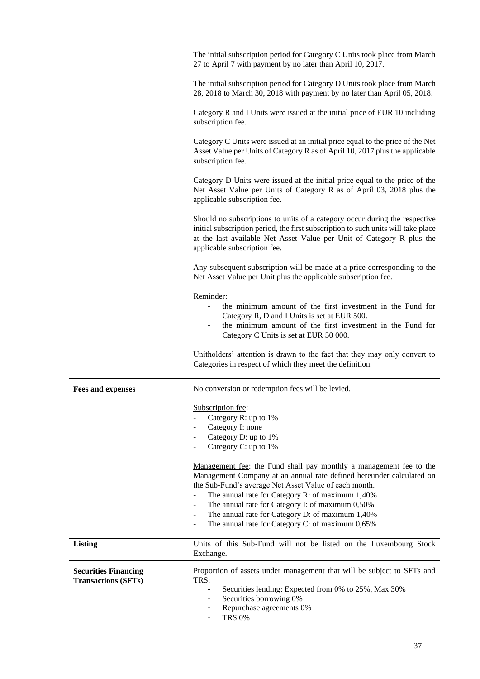|                                                           | The initial subscription period for Category C Units took place from March<br>27 to April 7 with payment by no later than April 10, 2017.                                                                                                                                                                                                                                                                                                                                        |
|-----------------------------------------------------------|----------------------------------------------------------------------------------------------------------------------------------------------------------------------------------------------------------------------------------------------------------------------------------------------------------------------------------------------------------------------------------------------------------------------------------------------------------------------------------|
|                                                           | The initial subscription period for Category D Units took place from March<br>28, 2018 to March 30, 2018 with payment by no later than April 05, 2018.                                                                                                                                                                                                                                                                                                                           |
|                                                           | Category R and I Units were issued at the initial price of EUR 10 including<br>subscription fee.                                                                                                                                                                                                                                                                                                                                                                                 |
|                                                           | Category C Units were issued at an initial price equal to the price of the Net<br>Asset Value per Units of Category R as of April 10, 2017 plus the applicable<br>subscription fee.                                                                                                                                                                                                                                                                                              |
|                                                           | Category D Units were issued at the initial price equal to the price of the<br>Net Asset Value per Units of Category R as of April 03, 2018 plus the<br>applicable subscription fee.                                                                                                                                                                                                                                                                                             |
|                                                           | Should no subscriptions to units of a category occur during the respective<br>initial subscription period, the first subscription to such units will take place<br>at the last available Net Asset Value per Unit of Category R plus the<br>applicable subscription fee.                                                                                                                                                                                                         |
|                                                           | Any subsequent subscription will be made at a price corresponding to the<br>Net Asset Value per Unit plus the applicable subscription fee.                                                                                                                                                                                                                                                                                                                                       |
|                                                           | Reminder:<br>the minimum amount of the first investment in the Fund for<br>Category R, D and I Units is set at EUR 500.<br>the minimum amount of the first investment in the Fund for<br>Category C Units is set at EUR 50 000.                                                                                                                                                                                                                                                  |
|                                                           | Unitholders' attention is drawn to the fact that they may only convert to<br>Categories in respect of which they meet the definition.                                                                                                                                                                                                                                                                                                                                            |
| <b>Fees and expenses</b>                                  | No conversion or redemption fees will be levied.                                                                                                                                                                                                                                                                                                                                                                                                                                 |
|                                                           | Subscription fee:<br>Category R: up to 1%<br>Category I: none<br>Ξ<br>Category D: up to 1%<br>Category C: up to 1%                                                                                                                                                                                                                                                                                                                                                               |
|                                                           | Management fee: the Fund shall pay monthly a management fee to the<br>Management Company at an annual rate defined hereunder calculated on<br>the Sub-Fund's average Net Asset Value of each month.<br>The annual rate for Category R: of maximum 1,40%<br>The annual rate for Category I: of maximum 0,50%<br>$\overline{\phantom{0}}$<br>The annual rate for Category D: of maximum 1,40%<br>$\overline{\phantom{0}}$<br>The annual rate for Category C: of maximum 0,65%<br>Ξ |
| <b>Listing</b>                                            | Units of this Sub-Fund will not be listed on the Luxembourg Stock<br>Exchange.                                                                                                                                                                                                                                                                                                                                                                                                   |
| <b>Securities Financing</b><br><b>Transactions (SFTs)</b> | Proportion of assets under management that will be subject to SFTs and<br>TRS:<br>Securities lending: Expected from 0% to 25%, Max 30%<br>Securities borrowing 0%<br>Repurchase agreements 0%<br><b>TRS 0%</b>                                                                                                                                                                                                                                                                   |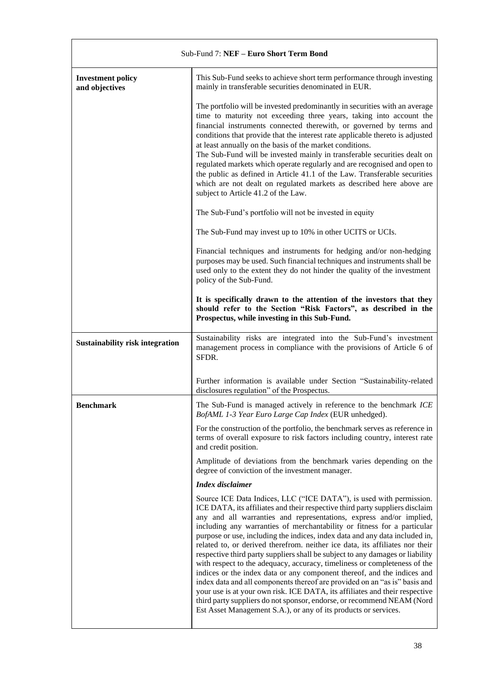| Sub-Fund 7: NEF - Euro Short Term Bond     |                                                                                                                                                                                                                                                                                                                                                                                                                                                                                                                                                                                                                                                                                                                                                                                                                                                                                                                                                                                                                         |
|--------------------------------------------|-------------------------------------------------------------------------------------------------------------------------------------------------------------------------------------------------------------------------------------------------------------------------------------------------------------------------------------------------------------------------------------------------------------------------------------------------------------------------------------------------------------------------------------------------------------------------------------------------------------------------------------------------------------------------------------------------------------------------------------------------------------------------------------------------------------------------------------------------------------------------------------------------------------------------------------------------------------------------------------------------------------------------|
| <b>Investment policy</b><br>and objectives | This Sub-Fund seeks to achieve short term performance through investing<br>mainly in transferable securities denominated in EUR.                                                                                                                                                                                                                                                                                                                                                                                                                                                                                                                                                                                                                                                                                                                                                                                                                                                                                        |
|                                            | The portfolio will be invested predominantly in securities with an average<br>time to maturity not exceeding three years, taking into account the<br>financial instruments connected therewith, or governed by terms and<br>conditions that provide that the interest rate applicable thereto is adjusted<br>at least annually on the basis of the market conditions.<br>The Sub-Fund will be invested mainly in transferable securities dealt on<br>regulated markets which operate regularly and are recognised and open to<br>the public as defined in Article 41.1 of the Law. Transferable securities<br>which are not dealt on regulated markets as described here above are<br>subject to Article 41.2 of the Law.                                                                                                                                                                                                                                                                                               |
|                                            | The Sub-Fund's portfolio will not be invested in equity                                                                                                                                                                                                                                                                                                                                                                                                                                                                                                                                                                                                                                                                                                                                                                                                                                                                                                                                                                 |
|                                            | The Sub-Fund may invest up to 10% in other UCITS or UCIs.                                                                                                                                                                                                                                                                                                                                                                                                                                                                                                                                                                                                                                                                                                                                                                                                                                                                                                                                                               |
|                                            | Financial techniques and instruments for hedging and/or non-hedging<br>purposes may be used. Such financial techniques and instruments shall be<br>used only to the extent they do not hinder the quality of the investment<br>policy of the Sub-Fund.                                                                                                                                                                                                                                                                                                                                                                                                                                                                                                                                                                                                                                                                                                                                                                  |
|                                            | It is specifically drawn to the attention of the investors that they<br>should refer to the Section "Risk Factors", as described in the<br>Prospectus, while investing in this Sub-Fund.                                                                                                                                                                                                                                                                                                                                                                                                                                                                                                                                                                                                                                                                                                                                                                                                                                |
| <b>Sustainability risk integration</b>     | Sustainability risks are integrated into the Sub-Fund's investment<br>management process in compliance with the provisions of Article 6 of<br>SFDR.                                                                                                                                                                                                                                                                                                                                                                                                                                                                                                                                                                                                                                                                                                                                                                                                                                                                     |
|                                            | Further information is available under Section "Sustainability-related<br>disclosures regulation" of the Prospectus.                                                                                                                                                                                                                                                                                                                                                                                                                                                                                                                                                                                                                                                                                                                                                                                                                                                                                                    |
| <b>Benchmark</b>                           | The Sub-Fund is managed actively in reference to the benchmark ICE<br>BofAML 1-3 Year Euro Large Cap Index (EUR unhedged).                                                                                                                                                                                                                                                                                                                                                                                                                                                                                                                                                                                                                                                                                                                                                                                                                                                                                              |
|                                            | For the construction of the portfolio, the benchmark serves as reference in<br>terms of overall exposure to risk factors including country, interest rate<br>and credit position.                                                                                                                                                                                                                                                                                                                                                                                                                                                                                                                                                                                                                                                                                                                                                                                                                                       |
|                                            | Amplitude of deviations from the benchmark varies depending on the<br>degree of conviction of the investment manager.                                                                                                                                                                                                                                                                                                                                                                                                                                                                                                                                                                                                                                                                                                                                                                                                                                                                                                   |
|                                            | <b>Index</b> disclaimer                                                                                                                                                                                                                                                                                                                                                                                                                                                                                                                                                                                                                                                                                                                                                                                                                                                                                                                                                                                                 |
|                                            | Source ICE Data Indices, LLC ("ICE DATA"), is used with permission.<br>ICE DATA, its affiliates and their respective third party suppliers disclaim<br>any and all warranties and representations, express and/or implied,<br>including any warranties of merchantability or fitness for a particular<br>purpose or use, including the indices, index data and any data included in,<br>related to, or derived therefrom. neither ice data, its affiliates nor their<br>respective third party suppliers shall be subject to any damages or liability<br>with respect to the adequacy, accuracy, timeliness or completeness of the<br>indices or the index data or any component thereof, and the indices and<br>index data and all components thereof are provided on an "as is" basis and<br>your use is at your own risk. ICE DATA, its affiliates and their respective<br>third party suppliers do not sponsor, endorse, or recommend NEAM (Nord<br>Est Asset Management S.A.), or any of its products or services. |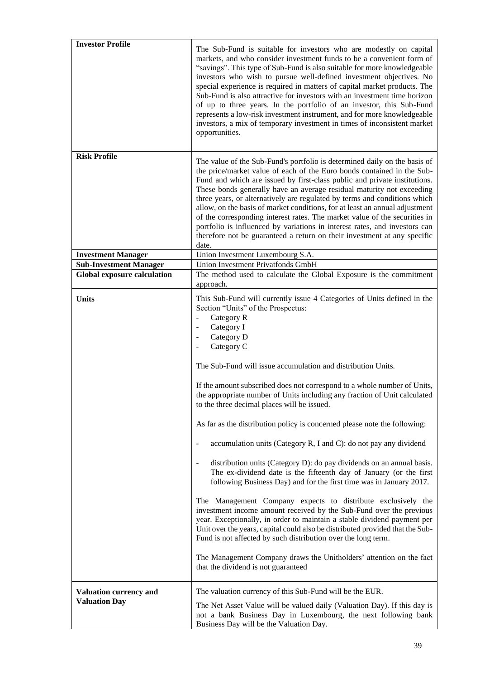| <b>Investor Profile</b>                        | The Sub-Fund is suitable for investors who are modestly on capital<br>markets, and who consider investment funds to be a convenient form of<br>"savings". This type of Sub-Fund is also suitable for more knowledgeable<br>investors who wish to pursue well-defined investment objectives. No<br>special experience is required in matters of capital market products. The<br>Sub-Fund is also attractive for investors with an investment time horizon<br>of up to three years. In the portfolio of an investor, this Sub-Fund<br>represents a low-risk investment instrument, and for more knowledgeable<br>investors, a mix of temporary investment in times of inconsistent market<br>opportunities.                                                                                                                                                                                                                                                                                                                                                                                                                                                                                                                                                                                                                                                                                                                                                   |
|------------------------------------------------|-------------------------------------------------------------------------------------------------------------------------------------------------------------------------------------------------------------------------------------------------------------------------------------------------------------------------------------------------------------------------------------------------------------------------------------------------------------------------------------------------------------------------------------------------------------------------------------------------------------------------------------------------------------------------------------------------------------------------------------------------------------------------------------------------------------------------------------------------------------------------------------------------------------------------------------------------------------------------------------------------------------------------------------------------------------------------------------------------------------------------------------------------------------------------------------------------------------------------------------------------------------------------------------------------------------------------------------------------------------------------------------------------------------------------------------------------------------|
| <b>Risk Profile</b>                            | The value of the Sub-Fund's portfolio is determined daily on the basis of<br>the price/market value of each of the Euro bonds contained in the Sub-<br>Fund and which are issued by first-class public and private institutions.<br>These bonds generally have an average residual maturity not exceeding<br>three years, or alternatively are regulated by terms and conditions which<br>allow, on the basis of market conditions, for at least an annual adjustment<br>of the corresponding interest rates. The market value of the securities in<br>portfolio is influenced by variations in interest rates, and investors can<br>therefore not be guaranteed a return on their investment at any specific<br>date.                                                                                                                                                                                                                                                                                                                                                                                                                                                                                                                                                                                                                                                                                                                                      |
| <b>Investment Manager</b>                      | Union Investment Luxembourg S.A.                                                                                                                                                                                                                                                                                                                                                                                                                                                                                                                                                                                                                                                                                                                                                                                                                                                                                                                                                                                                                                                                                                                                                                                                                                                                                                                                                                                                                            |
| <b>Sub-Investment Manager</b>                  | Union Investment Privatfonds GmbH                                                                                                                                                                                                                                                                                                                                                                                                                                                                                                                                                                                                                                                                                                                                                                                                                                                                                                                                                                                                                                                                                                                                                                                                                                                                                                                                                                                                                           |
| <b>Global exposure calculation</b>             | The method used to calculate the Global Exposure is the commitment<br>approach.                                                                                                                                                                                                                                                                                                                                                                                                                                                                                                                                                                                                                                                                                                                                                                                                                                                                                                                                                                                                                                                                                                                                                                                                                                                                                                                                                                             |
| <b>Units</b>                                   | This Sub-Fund will currently issue 4 Categories of Units defined in the<br>Section "Units" of the Prospectus:<br>Category R<br>$\blacksquare$<br>Category I<br>$\overline{\phantom{a}}$<br>Category D<br>$\overline{\phantom{a}}$<br>Category C<br>$\overline{\phantom{a}}$<br>The Sub-Fund will issue accumulation and distribution Units.<br>If the amount subscribed does not correspond to a whole number of Units,<br>the appropriate number of Units including any fraction of Unit calculated<br>to the three decimal places will be issued.<br>As far as the distribution policy is concerned please note the following:<br>accumulation units (Category R, I and C): do not pay any dividend<br>$\overline{\phantom{a}}$<br>distribution units (Category D): do pay dividends on an annual basis.<br>$\blacksquare$<br>The ex-dividend date is the fifteenth day of January (or the first<br>following Business Day) and for the first time was in January 2017.<br>The Management Company expects to distribute exclusively the<br>investment income amount received by the Sub-Fund over the previous<br>year. Exceptionally, in order to maintain a stable dividend payment per<br>Unit over the years, capital could also be distributed provided that the Sub-<br>Fund is not affected by such distribution over the long term.<br>The Management Company draws the Unitholders' attention on the fact<br>that the dividend is not guaranteed |
| Valuation currency and<br><b>Valuation Day</b> | The valuation currency of this Sub-Fund will be the EUR.<br>The Net Asset Value will be valued daily (Valuation Day). If this day is<br>not a bank Business Day in Luxembourg, the next following bank<br>Business Day will be the Valuation Day.                                                                                                                                                                                                                                                                                                                                                                                                                                                                                                                                                                                                                                                                                                                                                                                                                                                                                                                                                                                                                                                                                                                                                                                                           |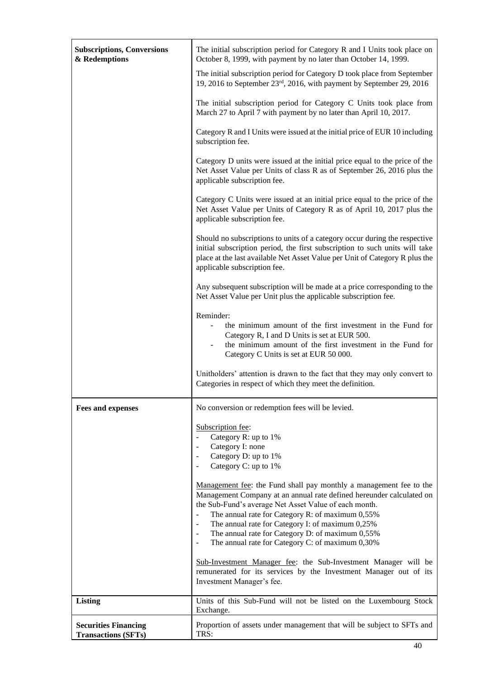| <b>Subscriptions, Conversions</b><br>& Redemptions        | The initial subscription period for Category R and I Units took place on<br>October 8, 1999, with payment by no later than October 14, 1999.                                                                                                                                                                                                                                                                                                                                                                                        |
|-----------------------------------------------------------|-------------------------------------------------------------------------------------------------------------------------------------------------------------------------------------------------------------------------------------------------------------------------------------------------------------------------------------------------------------------------------------------------------------------------------------------------------------------------------------------------------------------------------------|
|                                                           | The initial subscription period for Category D took place from September<br>19, 2016 to September 23rd, 2016, with payment by September 29, 2016                                                                                                                                                                                                                                                                                                                                                                                    |
|                                                           | The initial subscription period for Category C Units took place from<br>March 27 to April 7 with payment by no later than April 10, 2017.                                                                                                                                                                                                                                                                                                                                                                                           |
|                                                           | Category R and I Units were issued at the initial price of EUR 10 including<br>subscription fee.                                                                                                                                                                                                                                                                                                                                                                                                                                    |
|                                                           | Category D units were issued at the initial price equal to the price of the<br>Net Asset Value per Units of class R as of September 26, 2016 plus the<br>applicable subscription fee.                                                                                                                                                                                                                                                                                                                                               |
|                                                           | Category C Units were issued at an initial price equal to the price of the<br>Net Asset Value per Units of Category R as of April 10, 2017 plus the<br>applicable subscription fee.                                                                                                                                                                                                                                                                                                                                                 |
|                                                           | Should no subscriptions to units of a category occur during the respective<br>initial subscription period, the first subscription to such units will take<br>place at the last available Net Asset Value per Unit of Category R plus the<br>applicable subscription fee.                                                                                                                                                                                                                                                            |
|                                                           | Any subsequent subscription will be made at a price corresponding to the<br>Net Asset Value per Unit plus the applicable subscription fee.                                                                                                                                                                                                                                                                                                                                                                                          |
|                                                           | Reminder:<br>the minimum amount of the first investment in the Fund for<br>Category R, I and D Units is set at EUR 500.<br>the minimum amount of the first investment in the Fund for<br>Category C Units is set at EUR 50 000.                                                                                                                                                                                                                                                                                                     |
|                                                           | Unitholders' attention is drawn to the fact that they may only convert to<br>Categories in respect of which they meet the definition.                                                                                                                                                                                                                                                                                                                                                                                               |
| <b>Fees and expenses</b>                                  | No conversion or redemption fees will be levied.                                                                                                                                                                                                                                                                                                                                                                                                                                                                                    |
|                                                           | Subscription fee:<br>Category R: up to 1%<br>$\blacksquare$<br>Category I: none<br>$\overline{\phantom{a}}$<br>Category D: up to 1%<br>$\overline{\phantom{a}}$<br>Category C: up to 1%<br>$\overline{\phantom{a}}$                                                                                                                                                                                                                                                                                                                 |
|                                                           | Management fee: the Fund shall pay monthly a management fee to the<br>Management Company at an annual rate defined hereunder calculated on<br>the Sub-Fund's average Net Asset Value of each month.<br>The annual rate for Category R: of maximum 0,55%<br>$\overline{\phantom{a}}$<br>The annual rate for Category I: of maximum 0,25%<br>$\overline{\phantom{a}}$<br>The annual rate for Category D: of maximum 0,55%<br>$\overline{\phantom{a}}$<br>The annual rate for Category C: of maximum 0,30%<br>$\overline{\phantom{a}}$ |
|                                                           | Sub-Investment Manager fee: the Sub-Investment Manager will be<br>remunerated for its services by the Investment Manager out of its<br>Investment Manager's fee.                                                                                                                                                                                                                                                                                                                                                                    |
| <b>Listing</b>                                            | Units of this Sub-Fund will not be listed on the Luxembourg Stock<br>Exchange.                                                                                                                                                                                                                                                                                                                                                                                                                                                      |
| <b>Securities Financing</b><br><b>Transactions (SFTs)</b> | Proportion of assets under management that will be subject to SFTs and<br>TRS:                                                                                                                                                                                                                                                                                                                                                                                                                                                      |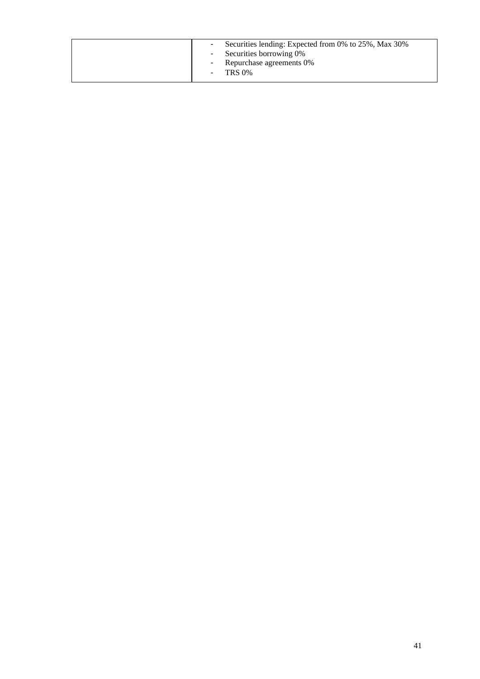| - Securities lending: Expected from 0% to 25%, Max 30%<br>- Securities borrowing 0%<br>- Repurchase agreements 0%<br>$-$ TRS $0\%$ |  |
|------------------------------------------------------------------------------------------------------------------------------------|--|
|------------------------------------------------------------------------------------------------------------------------------------|--|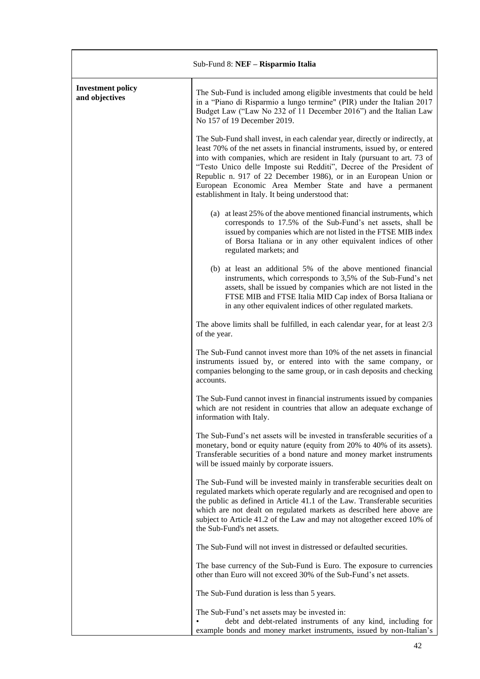| Sub-Fund 8: NEF - Risparmio Italia         |                                                                                                                                                                                                                                                                                                                                                                                                                                                                                                     |
|--------------------------------------------|-----------------------------------------------------------------------------------------------------------------------------------------------------------------------------------------------------------------------------------------------------------------------------------------------------------------------------------------------------------------------------------------------------------------------------------------------------------------------------------------------------|
| <b>Investment policy</b><br>and objectives | The Sub-Fund is included among eligible investments that could be held<br>in a "Piano di Risparmio a lungo termine" (PIR) under the Italian 2017<br>Budget Law ("Law No 232 of 11 December 2016") and the Italian Law<br>No 157 of 19 December 2019.                                                                                                                                                                                                                                                |
|                                            | The Sub-Fund shall invest, in each calendar year, directly or indirectly, at<br>least 70% of the net assets in financial instruments, issued by, or entered<br>into with companies, which are resident in Italy (pursuant to art. 73 of<br>"Testo Unico delle Imposte sui Redditi", Decree of the President of<br>Republic n. 917 of 22 December 1986), or in an European Union or<br>European Economic Area Member State and have a permanent<br>establishment in Italy. It being understood that: |
|                                            | (a) at least 25% of the above mentioned financial instruments, which<br>corresponds to 17.5% of the Sub-Fund's net assets, shall be<br>issued by companies which are not listed in the FTSE MIB index<br>of Borsa Italiana or in any other equivalent indices of other<br>regulated markets; and                                                                                                                                                                                                    |
|                                            | (b) at least an additional 5% of the above mentioned financial<br>instruments, which corresponds to 3,5% of the Sub-Fund's net<br>assets, shall be issued by companies which are not listed in the<br>FTSE MIB and FTSE Italia MID Cap index of Borsa Italiana or<br>in any other equivalent indices of other regulated markets.                                                                                                                                                                    |
|                                            | The above limits shall be fulfilled, in each calendar year, for at least 2/3<br>of the year.                                                                                                                                                                                                                                                                                                                                                                                                        |
|                                            | The Sub-Fund cannot invest more than 10% of the net assets in financial<br>instruments issued by, or entered into with the same company, or<br>companies belonging to the same group, or in cash deposits and checking<br>accounts.                                                                                                                                                                                                                                                                 |
|                                            | The Sub-Fund cannot invest in financial instruments issued by companies<br>which are not resident in countries that allow an adequate exchange of<br>information with Italy.                                                                                                                                                                                                                                                                                                                        |
|                                            | The Sub-Fund's net assets will be invested in transferable securities of a<br>monetary, bond or equity nature (equity from 20% to 40% of its assets).<br>Transferable securities of a bond nature and money market instruments<br>will be issued mainly by corporate issuers.                                                                                                                                                                                                                       |
|                                            | The Sub-Fund will be invested mainly in transferable securities dealt on<br>regulated markets which operate regularly and are recognised and open to<br>the public as defined in Article 41.1 of the Law. Transferable securities<br>which are not dealt on regulated markets as described here above are<br>subject to Article 41.2 of the Law and may not altogether exceed 10% of<br>the Sub-Fund's net assets.                                                                                  |
|                                            | The Sub-Fund will not invest in distressed or defaulted securities.                                                                                                                                                                                                                                                                                                                                                                                                                                 |
|                                            | The base currency of the Sub-Fund is Euro. The exposure to currencies<br>other than Euro will not exceed 30% of the Sub-Fund's net assets.                                                                                                                                                                                                                                                                                                                                                          |
|                                            | The Sub-Fund duration is less than 5 years.                                                                                                                                                                                                                                                                                                                                                                                                                                                         |
|                                            | The Sub-Fund's net assets may be invested in:<br>debt and debt-related instruments of any kind, including for<br>example bonds and money market instruments, issued by non-Italian's                                                                                                                                                                                                                                                                                                                |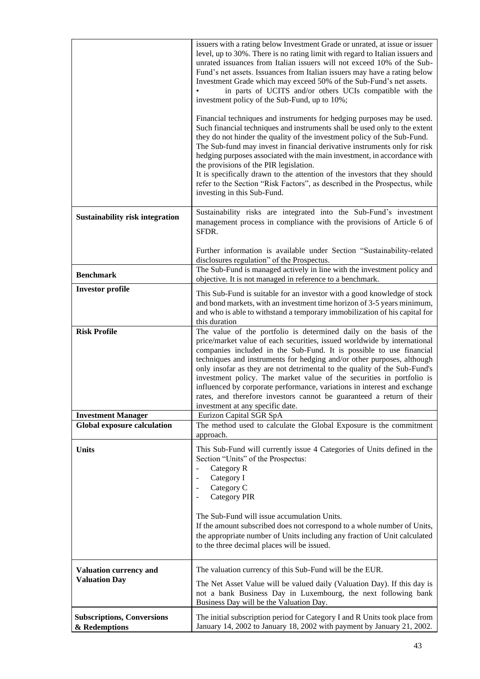|                                                                 | issuers with a rating below Investment Grade or unrated, at issue or issuer<br>level, up to 30%. There is no rating limit with regard to Italian issuers and<br>unrated issuances from Italian issuers will not exceed 10% of the Sub-<br>Fund's net assets. Issuances from Italian issuers may have a rating below<br>Investment Grade which may exceed 50% of the Sub-Fund's net assets.<br>in parts of UCITS and/or others UCIs compatible with the<br>investment policy of the Sub-Fund, up to 10%;<br>Financial techniques and instruments for hedging purposes may be used.<br>Such financial techniques and instruments shall be used only to the extent<br>they do not hinder the quality of the investment policy of the Sub-Fund.<br>The Sub-fund may invest in financial derivative instruments only for risk<br>hedging purposes associated with the main investment, in accordance with<br>the provisions of the PIR legislation.<br>It is specifically drawn to the attention of the investors that they should<br>refer to the Section "Risk Factors", as described in the Prospectus, while<br>investing in this Sub-Fund. |
|-----------------------------------------------------------------|--------------------------------------------------------------------------------------------------------------------------------------------------------------------------------------------------------------------------------------------------------------------------------------------------------------------------------------------------------------------------------------------------------------------------------------------------------------------------------------------------------------------------------------------------------------------------------------------------------------------------------------------------------------------------------------------------------------------------------------------------------------------------------------------------------------------------------------------------------------------------------------------------------------------------------------------------------------------------------------------------------------------------------------------------------------------------------------------------------------------------------------------|
| <b>Sustainability risk integration</b>                          | Sustainability risks are integrated into the Sub-Fund's investment<br>management process in compliance with the provisions of Article 6 of<br>SFDR.                                                                                                                                                                                                                                                                                                                                                                                                                                                                                                                                                                                                                                                                                                                                                                                                                                                                                                                                                                                        |
|                                                                 | Further information is available under Section "Sustainability-related<br>disclosures regulation" of the Prospectus.                                                                                                                                                                                                                                                                                                                                                                                                                                                                                                                                                                                                                                                                                                                                                                                                                                                                                                                                                                                                                       |
| <b>Benchmark</b>                                                | The Sub-Fund is managed actively in line with the investment policy and<br>objective. It is not managed in reference to a benchmark.                                                                                                                                                                                                                                                                                                                                                                                                                                                                                                                                                                                                                                                                                                                                                                                                                                                                                                                                                                                                       |
| <b>Investor profile</b>                                         | This Sub-Fund is suitable for an investor with a good knowledge of stock<br>and bond markets, with an investment time horizon of 3-5 years minimum,<br>and who is able to withstand a temporary immobilization of his capital for<br>this duration                                                                                                                                                                                                                                                                                                                                                                                                                                                                                                                                                                                                                                                                                                                                                                                                                                                                                         |
| <b>Risk Profile</b>                                             | The value of the portfolio is determined daily on the basis of the<br>price/market value of each securities, issued worldwide by international<br>companies included in the Sub-Fund. It is possible to use financial<br>techniques and instruments for hedging and/or other purposes, although<br>only insofar as they are not detrimental to the quality of the Sub-Fund's<br>investment policy. The market value of the securities in portfolio is<br>influenced by corporate performance, variations in interest and exchange<br>rates, and therefore investors cannot be guaranteed a return of their<br>investment at any specific date.                                                                                                                                                                                                                                                                                                                                                                                                                                                                                             |
| <b>Investment Manager</b><br><b>Global exposure calculation</b> | Eurizon Capital SGR SpA<br>The method used to calculate the Global Exposure is the commitment                                                                                                                                                                                                                                                                                                                                                                                                                                                                                                                                                                                                                                                                                                                                                                                                                                                                                                                                                                                                                                              |
|                                                                 | approach.                                                                                                                                                                                                                                                                                                                                                                                                                                                                                                                                                                                                                                                                                                                                                                                                                                                                                                                                                                                                                                                                                                                                  |
| <b>Units</b>                                                    | This Sub-Fund will currently issue 4 Categories of Units defined in the<br>Section "Units" of the Prospectus:<br>Category R<br>$\blacksquare$<br>Category I<br>$\overline{\phantom{a}}$<br>Category C<br>$\overline{\phantom{a}}$<br><b>Category PIR</b>                                                                                                                                                                                                                                                                                                                                                                                                                                                                                                                                                                                                                                                                                                                                                                                                                                                                                   |
|                                                                 | The Sub-Fund will issue accumulation Units.<br>If the amount subscribed does not correspond to a whole number of Units,<br>the appropriate number of Units including any fraction of Unit calculated<br>to the three decimal places will be issued.                                                                                                                                                                                                                                                                                                                                                                                                                                                                                                                                                                                                                                                                                                                                                                                                                                                                                        |
| <b>Valuation currency and</b>                                   | The valuation currency of this Sub-Fund will be the EUR.                                                                                                                                                                                                                                                                                                                                                                                                                                                                                                                                                                                                                                                                                                                                                                                                                                                                                                                                                                                                                                                                                   |
| <b>Valuation Day</b>                                            | The Net Asset Value will be valued daily (Valuation Day). If this day is<br>not a bank Business Day in Luxembourg, the next following bank<br>Business Day will be the Valuation Day.                                                                                                                                                                                                                                                                                                                                                                                                                                                                                                                                                                                                                                                                                                                                                                                                                                                                                                                                                      |
| <b>Subscriptions, Conversions</b><br>& Redemptions              | The initial subscription period for Category I and R Units took place from<br>January 14, 2002 to January 18, 2002 with payment by January 21, 2002.                                                                                                                                                                                                                                                                                                                                                                                                                                                                                                                                                                                                                                                                                                                                                                                                                                                                                                                                                                                       |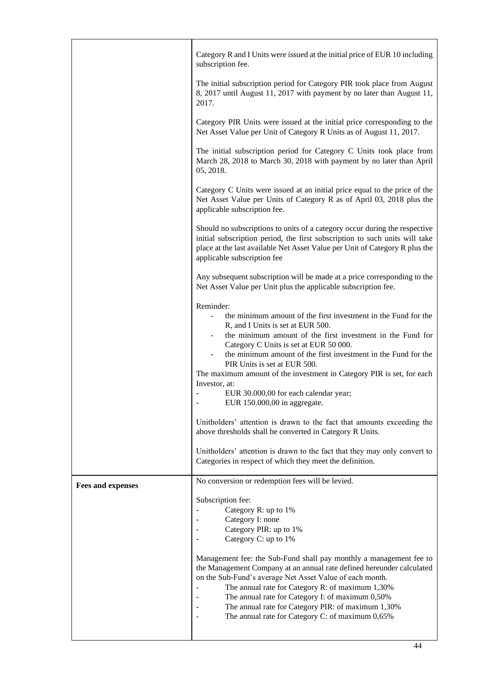| The initial subscription period for Category PIR took place from August<br>8, 2017 until August 11, 2017 with payment by no later than August 11,<br>2017.<br>Category PIR Units were issued at the initial price corresponding to the                                                                                                                                                                                    |  |
|---------------------------------------------------------------------------------------------------------------------------------------------------------------------------------------------------------------------------------------------------------------------------------------------------------------------------------------------------------------------------------------------------------------------------|--|
|                                                                                                                                                                                                                                                                                                                                                                                                                           |  |
| Net Asset Value per Unit of Category R Units as of August 11, 2017.                                                                                                                                                                                                                                                                                                                                                       |  |
| The initial subscription period for Category C Units took place from<br>March 28, 2018 to March 30, 2018 with payment by no later than April<br>05, 2018.                                                                                                                                                                                                                                                                 |  |
| Category C Units were issued at an initial price equal to the price of the<br>Net Asset Value per Units of Category R as of April 03, 2018 plus the<br>applicable subscription fee.                                                                                                                                                                                                                                       |  |
| Should no subscriptions to units of a category occur during the respective<br>initial subscription period, the first subscription to such units will take<br>place at the last available Net Asset Value per Unit of Category R plus the<br>applicable subscription fee                                                                                                                                                   |  |
| Any subsequent subscription will be made at a price corresponding to the<br>Net Asset Value per Unit plus the applicable subscription fee.                                                                                                                                                                                                                                                                                |  |
| Reminder:<br>the minimum amount of the first investment in the Fund for the<br>R, and I Units is set at EUR 500.<br>the minimum amount of the first investment in the Fund for                                                                                                                                                                                                                                            |  |
| Category C Units is set at EUR 50 000.<br>the minimum amount of the first investment in the Fund for the<br>PIR Units is set at EUR 500.                                                                                                                                                                                                                                                                                  |  |
| The maximum amount of the investment in Category PIR is set, for each<br>Investor, at:                                                                                                                                                                                                                                                                                                                                    |  |
| EUR 30.000,00 for each calendar year;<br>EUR 150.000,00 in aggregate.                                                                                                                                                                                                                                                                                                                                                     |  |
| Unitholders' attention is drawn to the fact that amounts exceeding the<br>above thresholds shall be converted in Category R Units.                                                                                                                                                                                                                                                                                        |  |
| Unitholders' attention is drawn to the fact that they may only convert to<br>Categories in respect of which they meet the definition.                                                                                                                                                                                                                                                                                     |  |
| No conversion or redemption fees will be levied.<br><b>Fees and expenses</b>                                                                                                                                                                                                                                                                                                                                              |  |
| Subscription fee:<br>Category R: up to 1%                                                                                                                                                                                                                                                                                                                                                                                 |  |
| Category I: none                                                                                                                                                                                                                                                                                                                                                                                                          |  |
| Category PIR: up to 1%<br>Category C: up to 1%                                                                                                                                                                                                                                                                                                                                                                            |  |
| Management fee: the Sub-Fund shall pay monthly a management fee to<br>the Management Company at an annual rate defined hereunder calculated<br>on the Sub-Fund's average Net Asset Value of each month.<br>The annual rate for Category R: of maximum 1,30%<br>The annual rate for Category I: of maximum 0,50%<br>The annual rate for Category PIR: of maximum 1,30%<br>The annual rate for Category C: of maximum 0,65% |  |

 $\mathbf{l}$ 

 $\overline{\phantom{0}}$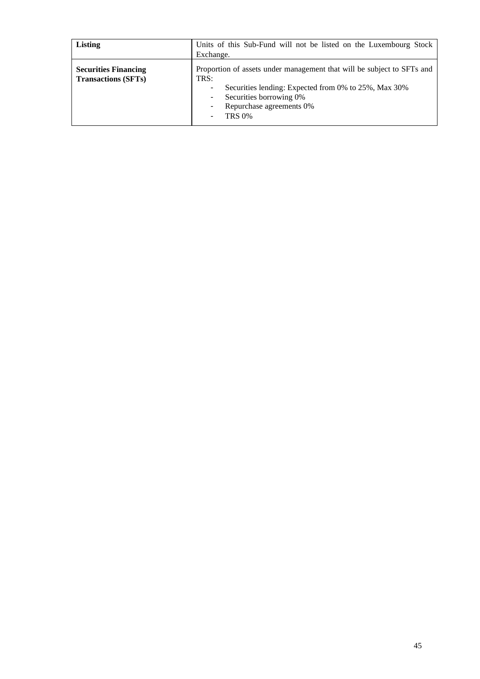| Listing                                                   | Units of this Sub-Fund will not be listed on the Luxembourg Stock<br>Exchange.                                                                                                                                                     |
|-----------------------------------------------------------|------------------------------------------------------------------------------------------------------------------------------------------------------------------------------------------------------------------------------------|
| <b>Securities Financing</b><br><b>Transactions (SFTs)</b> | Proportion of assets under management that will be subject to SFTs and<br>TRS:<br>Securities lending: Expected from 0% to 25%, Max 30%<br>٠<br>Securities borrowing 0%<br>٠<br>Repurchase agreements 0%<br>٠<br><b>TRS 0%</b><br>۰ |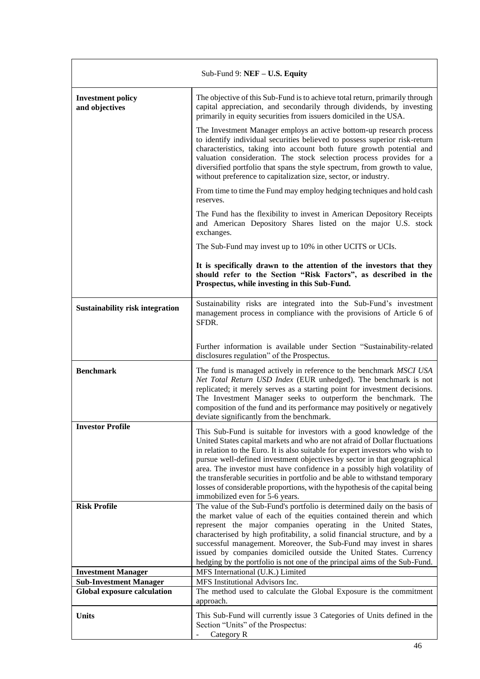| Sub-Fund 9: NEF - U.S. Equity                                       |                                                                                                                                                                                                                                                                                                                                                                                                                                                                                                                                                                                                |
|---------------------------------------------------------------------|------------------------------------------------------------------------------------------------------------------------------------------------------------------------------------------------------------------------------------------------------------------------------------------------------------------------------------------------------------------------------------------------------------------------------------------------------------------------------------------------------------------------------------------------------------------------------------------------|
| <b>Investment policy</b><br>and objectives                          | The objective of this Sub-Fund is to achieve total return, primarily through<br>capital appreciation, and secondarily through dividends, by investing<br>primarily in equity securities from issuers domiciled in the USA.                                                                                                                                                                                                                                                                                                                                                                     |
|                                                                     | The Investment Manager employs an active bottom-up research process<br>to identify individual securities believed to possess superior risk-return<br>characteristics, taking into account both future growth potential and<br>valuation consideration. The stock selection process provides for a<br>diversified portfolio that spans the style spectrum, from growth to value,<br>without preference to capitalization size, sector, or industry.                                                                                                                                             |
|                                                                     | From time to time the Fund may employ hedging techniques and hold cash<br>reserves.                                                                                                                                                                                                                                                                                                                                                                                                                                                                                                            |
|                                                                     | The Fund has the flexibility to invest in American Depository Receipts<br>and American Depository Shares listed on the major U.S. stock<br>exchanges.                                                                                                                                                                                                                                                                                                                                                                                                                                          |
|                                                                     | The Sub-Fund may invest up to 10% in other UCITS or UCIs.                                                                                                                                                                                                                                                                                                                                                                                                                                                                                                                                      |
|                                                                     | It is specifically drawn to the attention of the investors that they<br>should refer to the Section "Risk Factors", as described in the<br>Prospectus, while investing in this Sub-Fund.                                                                                                                                                                                                                                                                                                                                                                                                       |
| <b>Sustainability risk integration</b>                              | Sustainability risks are integrated into the Sub-Fund's investment<br>management process in compliance with the provisions of Article 6 of<br>SFDR.                                                                                                                                                                                                                                                                                                                                                                                                                                            |
|                                                                     | Further information is available under Section "Sustainability-related<br>disclosures regulation" of the Prospectus.                                                                                                                                                                                                                                                                                                                                                                                                                                                                           |
| <b>Benchmark</b>                                                    | The fund is managed actively in reference to the benchmark MSCI USA<br>Net Total Return USD Index (EUR unhedged). The benchmark is not<br>replicated; it merely serves as a starting point for investment decisions.<br>The Investment Manager seeks to outperform the benchmark. The<br>composition of the fund and its performance may positively or negatively<br>deviate significantly from the benchmark.                                                                                                                                                                                 |
| <b>Investor Profile</b>                                             | This Sub-Fund is suitable for investors with a good knowledge of the<br>United States capital markets and who are not afraid of Dollar fluctuations<br>in relation to the Euro. It is also suitable for expert investors who wish to<br>pursue well-defined investment objectives by sector in that geographical<br>area. The investor must have confidence in a possibly high volatility of<br>the transferable securities in portfolio and be able to withstand temporary<br>losses of considerable proportions, with the hypothesis of the capital being<br>immobilized even for 5-6 years. |
| <b>Risk Profile</b>                                                 | The value of the Sub-Fund's portfolio is determined daily on the basis of                                                                                                                                                                                                                                                                                                                                                                                                                                                                                                                      |
|                                                                     | the market value of each of the equities contained therein and which<br>represent the major companies operating in the United States,<br>characterised by high profitability, a solid financial structure, and by a<br>successful management. Moreover, the Sub-Fund may invest in shares<br>issued by companies domiciled outside the United States. Currency<br>hedging by the portfolio is not one of the principal aims of the Sub-Fund.                                                                                                                                                   |
| <b>Investment Manager</b>                                           | MFS International (U.K.) Limited<br>MFS Institutional Advisors Inc.                                                                                                                                                                                                                                                                                                                                                                                                                                                                                                                            |
| <b>Sub-Investment Manager</b><br><b>Global exposure calculation</b> | The method used to calculate the Global Exposure is the commitment<br>approach.                                                                                                                                                                                                                                                                                                                                                                                                                                                                                                                |
| <b>Units</b>                                                        | This Sub-Fund will currently issue 3 Categories of Units defined in the<br>Section "Units" of the Prospectus:<br>Category R                                                                                                                                                                                                                                                                                                                                                                                                                                                                    |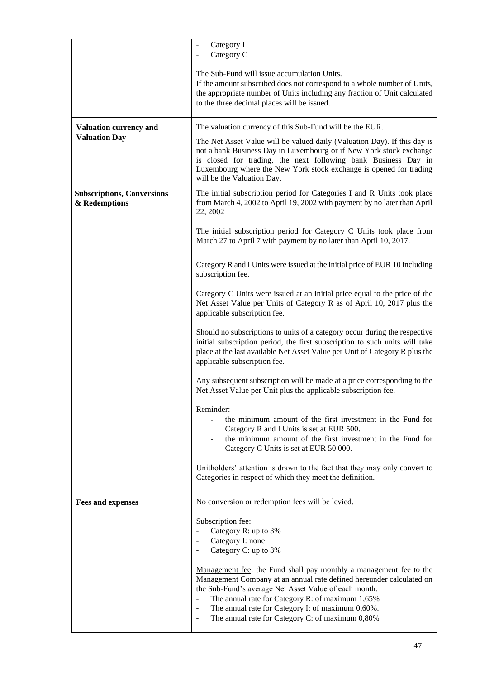|                                                    | Category I<br>Category C<br>$\overline{\phantom{a}}$                                                                                                                                                                                                                                                                                                                                                                                       |
|----------------------------------------------------|--------------------------------------------------------------------------------------------------------------------------------------------------------------------------------------------------------------------------------------------------------------------------------------------------------------------------------------------------------------------------------------------------------------------------------------------|
|                                                    | The Sub-Fund will issue accumulation Units.<br>If the amount subscribed does not correspond to a whole number of Units,<br>the appropriate number of Units including any fraction of Unit calculated<br>to the three decimal places will be issued.                                                                                                                                                                                        |
| <b>Valuation currency and</b>                      | The valuation currency of this Sub-Fund will be the EUR.                                                                                                                                                                                                                                                                                                                                                                                   |
| <b>Valuation Day</b>                               | The Net Asset Value will be valued daily (Valuation Day). If this day is<br>not a bank Business Day in Luxembourg or if New York stock exchange<br>is closed for trading, the next following bank Business Day in<br>Luxembourg where the New York stock exchange is opened for trading<br>will be the Valuation Day.                                                                                                                      |
| <b>Subscriptions, Conversions</b><br>& Redemptions | The initial subscription period for Categories I and R Units took place<br>from March 4, 2002 to April 19, 2002 with payment by no later than April<br>22, 2002                                                                                                                                                                                                                                                                            |
|                                                    | The initial subscription period for Category C Units took place from<br>March 27 to April 7 with payment by no later than April 10, 2017.                                                                                                                                                                                                                                                                                                  |
|                                                    | Category R and I Units were issued at the initial price of EUR 10 including<br>subscription fee.                                                                                                                                                                                                                                                                                                                                           |
|                                                    | Category C Units were issued at an initial price equal to the price of the<br>Net Asset Value per Units of Category R as of April 10, 2017 plus the<br>applicable subscription fee.                                                                                                                                                                                                                                                        |
|                                                    | Should no subscriptions to units of a category occur during the respective<br>initial subscription period, the first subscription to such units will take<br>place at the last available Net Asset Value per Unit of Category R plus the<br>applicable subscription fee.                                                                                                                                                                   |
|                                                    | Any subsequent subscription will be made at a price corresponding to the<br>Net Asset Value per Unit plus the applicable subscription fee.                                                                                                                                                                                                                                                                                                 |
|                                                    | Reminder:<br>the minimum amount of the first investment in the Fund for<br>Category R and I Units is set at EUR 500.<br>the minimum amount of the first investment in the Fund for<br>Category C Units is set at EUR 50 000.                                                                                                                                                                                                               |
|                                                    | Unitholders' attention is drawn to the fact that they may only convert to<br>Categories in respect of which they meet the definition.                                                                                                                                                                                                                                                                                                      |
| <b>Fees and expenses</b>                           | No conversion or redemption fees will be levied.                                                                                                                                                                                                                                                                                                                                                                                           |
|                                                    | Subscription fee:<br>Category R: up to 3%<br>Category I: none<br>$\sim$<br>Category C: up to 3%                                                                                                                                                                                                                                                                                                                                            |
|                                                    | Management fee: the Fund shall pay monthly a management fee to the<br>Management Company at an annual rate defined hereunder calculated on<br>the Sub-Fund's average Net Asset Value of each month.<br>The annual rate for Category R: of maximum 1,65%<br>$\blacksquare$<br>The annual rate for Category I: of maximum 0,60%.<br>$\overline{\phantom{a}}$<br>The annual rate for Category C: of maximum 0,80%<br>$\overline{\phantom{a}}$ |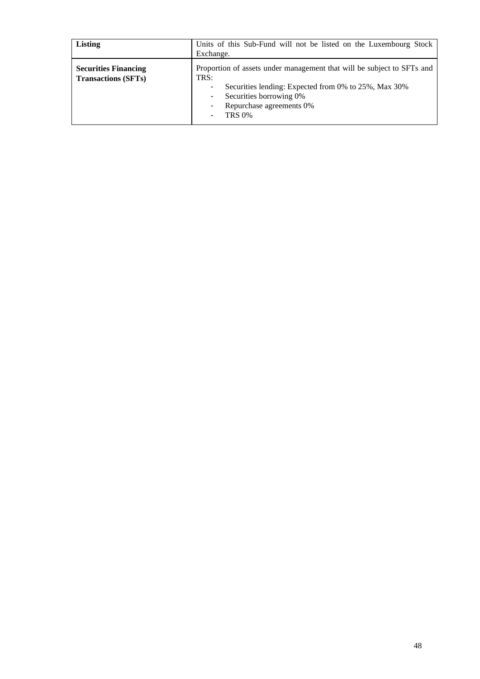| Listing                                                   | Units of this Sub-Fund will not be listed on the Luxembourg Stock<br>Exchange.                                                                                                                                                |
|-----------------------------------------------------------|-------------------------------------------------------------------------------------------------------------------------------------------------------------------------------------------------------------------------------|
| <b>Securities Financing</b><br><b>Transactions (SFTs)</b> | Proportion of assets under management that will be subject to SFTs and<br>TRS:<br>Securities lending: Expected from 0% to 25%, Max 30%<br>٠<br>Securities borrowing 0%<br>٠<br>Repurchase agreements 0%<br>٠<br><b>TRS 0%</b> |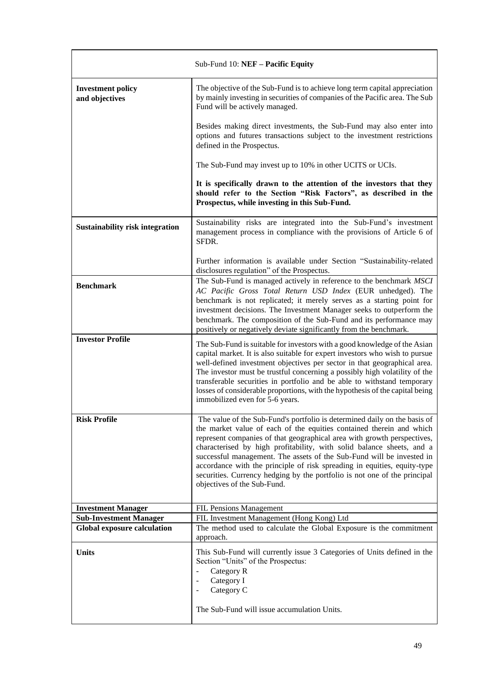|                                                                     | Sub-Fund 10: NEF - Pacific Equity                                                                                                                                                                                                                                                                                                                                                                                                                                                                                                                                      |
|---------------------------------------------------------------------|------------------------------------------------------------------------------------------------------------------------------------------------------------------------------------------------------------------------------------------------------------------------------------------------------------------------------------------------------------------------------------------------------------------------------------------------------------------------------------------------------------------------------------------------------------------------|
| <b>Investment policy</b><br>and objectives                          | The objective of the Sub-Fund is to achieve long term capital appreciation<br>by mainly investing in securities of companies of the Pacific area. The Sub<br>Fund will be actively managed.                                                                                                                                                                                                                                                                                                                                                                            |
|                                                                     | Besides making direct investments, the Sub-Fund may also enter into<br>options and futures transactions subject to the investment restrictions<br>defined in the Prospectus.                                                                                                                                                                                                                                                                                                                                                                                           |
|                                                                     | The Sub-Fund may invest up to 10% in other UCITS or UCIs.                                                                                                                                                                                                                                                                                                                                                                                                                                                                                                              |
|                                                                     | It is specifically drawn to the attention of the investors that they<br>should refer to the Section "Risk Factors", as described in the<br>Prospectus, while investing in this Sub-Fund.                                                                                                                                                                                                                                                                                                                                                                               |
| <b>Sustainability risk integration</b>                              | Sustainability risks are integrated into the Sub-Fund's investment<br>management process in compliance with the provisions of Article 6 of<br>SFDR.                                                                                                                                                                                                                                                                                                                                                                                                                    |
|                                                                     | Further information is available under Section "Sustainability-related<br>disclosures regulation" of the Prospectus.                                                                                                                                                                                                                                                                                                                                                                                                                                                   |
| <b>Benchmark</b>                                                    | The Sub-Fund is managed actively in reference to the benchmark MSCI<br>AC Pacific Gross Total Return USD Index (EUR unhedged). The<br>benchmark is not replicated; it merely serves as a starting point for<br>investment decisions. The Investment Manager seeks to outperform the<br>benchmark. The composition of the Sub-Fund and its performance may<br>positively or negatively deviate significantly from the benchmark.                                                                                                                                        |
| <b>Investor Profile</b>                                             | The Sub-Fund is suitable for investors with a good knowledge of the Asian<br>capital market. It is also suitable for expert investors who wish to pursue<br>well-defined investment objectives per sector in that geographical area.<br>The investor must be trustful concerning a possibly high volatility of the<br>transferable securities in portfolio and be able to withstand temporary<br>losses of considerable proportions, with the hypothesis of the capital being<br>immobilized even for 5-6 years.                                                       |
| <b>Risk Profile</b>                                                 | The value of the Sub-Fund's portfolio is determined daily on the basis of<br>the market value of each of the equities contained therein and which<br>represent companies of that geographical area with growth perspectives,<br>characterised by high profitability, with solid balance sheets, and a<br>successful management. The assets of the Sub-Fund will be invested in<br>accordance with the principle of risk spreading in equities, equity-type<br>securities. Currency hedging by the portfolio is not one of the principal<br>objectives of the Sub-Fund. |
| <b>Investment Manager</b>                                           | FIL Pensions Management                                                                                                                                                                                                                                                                                                                                                                                                                                                                                                                                                |
| <b>Sub-Investment Manager</b><br><b>Global exposure calculation</b> | FIL Investment Management (Hong Kong) Ltd<br>The method used to calculate the Global Exposure is the commitment<br>approach.                                                                                                                                                                                                                                                                                                                                                                                                                                           |
| <b>Units</b>                                                        | This Sub-Fund will currently issue 3 Categories of Units defined in the<br>Section "Units" of the Prospectus:<br>Category R<br>Category I<br>$\overline{a}$<br>Category C<br>The Sub-Fund will issue accumulation Units.                                                                                                                                                                                                                                                                                                                                               |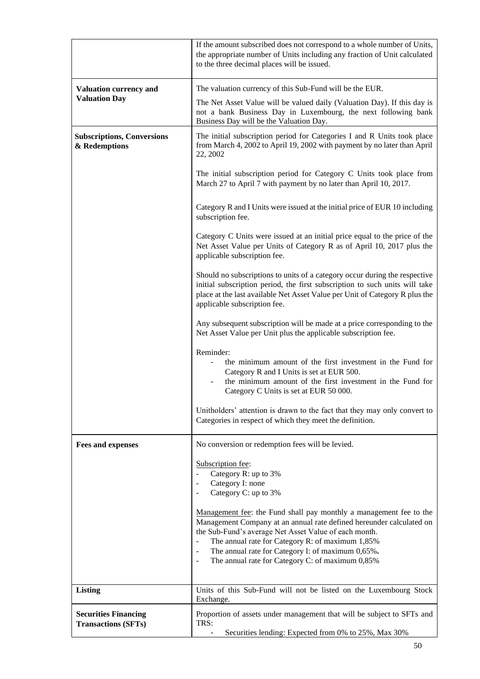|                                                           | If the amount subscribed does not correspond to a whole number of Units,<br>the appropriate number of Units including any fraction of Unit calculated<br>to the three decimal places will be issued.                                                                                                                                                                                                                                       |
|-----------------------------------------------------------|--------------------------------------------------------------------------------------------------------------------------------------------------------------------------------------------------------------------------------------------------------------------------------------------------------------------------------------------------------------------------------------------------------------------------------------------|
| <b>Valuation currency and</b>                             | The valuation currency of this Sub-Fund will be the EUR.                                                                                                                                                                                                                                                                                                                                                                                   |
| <b>Valuation Day</b>                                      | The Net Asset Value will be valued daily (Valuation Day). If this day is<br>not a bank Business Day in Luxembourg, the next following bank<br>Business Day will be the Valuation Day.                                                                                                                                                                                                                                                      |
| <b>Subscriptions, Conversions</b><br>& Redemptions        | The initial subscription period for Categories I and R Units took place<br>from March 4, 2002 to April 19, 2002 with payment by no later than April<br>22, 2002                                                                                                                                                                                                                                                                            |
|                                                           | The initial subscription period for Category C Units took place from<br>March 27 to April 7 with payment by no later than April 10, 2017.                                                                                                                                                                                                                                                                                                  |
|                                                           | Category R and I Units were issued at the initial price of EUR 10 including<br>subscription fee.                                                                                                                                                                                                                                                                                                                                           |
|                                                           | Category C Units were issued at an initial price equal to the price of the<br>Net Asset Value per Units of Category R as of April 10, 2017 plus the<br>applicable subscription fee.                                                                                                                                                                                                                                                        |
|                                                           | Should no subscriptions to units of a category occur during the respective<br>initial subscription period, the first subscription to such units will take<br>place at the last available Net Asset Value per Unit of Category R plus the<br>applicable subscription fee.                                                                                                                                                                   |
|                                                           | Any subsequent subscription will be made at a price corresponding to the<br>Net Asset Value per Unit plus the applicable subscription fee.                                                                                                                                                                                                                                                                                                 |
|                                                           | Reminder:<br>the minimum amount of the first investment in the Fund for<br>Category R and I Units is set at EUR 500.<br>the minimum amount of the first investment in the Fund for<br>Category C Units is set at EUR 50 000.                                                                                                                                                                                                               |
|                                                           | Unitholders' attention is drawn to the fact that they may only convert to<br>Categories in respect of which they meet the definition.                                                                                                                                                                                                                                                                                                      |
| <b>Fees and expenses</b>                                  | No conversion or redemption fees will be levied.                                                                                                                                                                                                                                                                                                                                                                                           |
|                                                           | Subscription fee:<br>Category R: up to 3%<br>$\blacksquare$<br>Category I: none<br>$\overline{\phantom{a}}$<br>Category C: up to 3%<br>$\overline{\phantom{a}}$                                                                                                                                                                                                                                                                            |
|                                                           | Management fee: the Fund shall pay monthly a management fee to the<br>Management Company at an annual rate defined hereunder calculated on<br>the Sub-Fund's average Net Asset Value of each month.<br>The annual rate for Category R: of maximum 1,85%<br>$\blacksquare$<br>The annual rate for Category I: of maximum 0,65%.<br>$\overline{\phantom{a}}$<br>The annual rate for Category C: of maximum 0,85%<br>$\overline{\phantom{a}}$ |
| Listing                                                   | Units of this Sub-Fund will not be listed on the Luxembourg Stock<br>Exchange.                                                                                                                                                                                                                                                                                                                                                             |
| <b>Securities Financing</b><br><b>Transactions (SFTs)</b> | Proportion of assets under management that will be subject to SFTs and<br>TRS:<br>Securities lending: Expected from 0% to 25%, Max 30%                                                                                                                                                                                                                                                                                                     |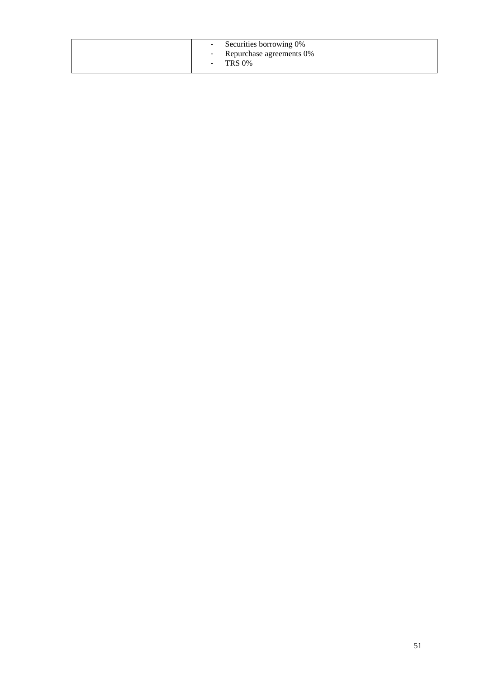| - Securities borrowing 0%<br>Repurchase agreements 0%<br><b>Contract Contract</b><br>$-$ TRS 0% |
|-------------------------------------------------------------------------------------------------|
|-------------------------------------------------------------------------------------------------|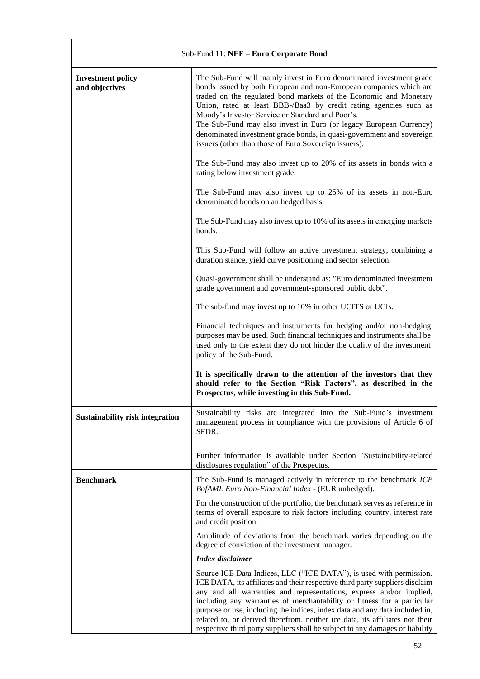| Sub-Fund 11: NEF - Euro Corporate Bond     |                                                                                                                                                                                                                                                                                                                                                                                                                                                                                                                                                       |
|--------------------------------------------|-------------------------------------------------------------------------------------------------------------------------------------------------------------------------------------------------------------------------------------------------------------------------------------------------------------------------------------------------------------------------------------------------------------------------------------------------------------------------------------------------------------------------------------------------------|
| <b>Investment policy</b><br>and objectives | The Sub-Fund will mainly invest in Euro denominated investment grade<br>bonds issued by both European and non-European companies which are<br>traded on the regulated bond markets of the Economic and Monetary<br>Union, rated at least BBB-/Baa3 by credit rating agencies such as<br>Moody's Investor Service or Standard and Poor's.<br>The Sub-Fund may also invest in Euro (or legacy European Currency)<br>denominated investment grade bonds, in quasi-government and sovereign<br>issuers (other than those of Euro Sovereign issuers).      |
|                                            | The Sub-Fund may also invest up to 20% of its assets in bonds with a<br>rating below investment grade.                                                                                                                                                                                                                                                                                                                                                                                                                                                |
|                                            | The Sub-Fund may also invest up to 25% of its assets in non-Euro<br>denominated bonds on an hedged basis.                                                                                                                                                                                                                                                                                                                                                                                                                                             |
|                                            | The Sub-Fund may also invest up to 10% of its assets in emerging markets<br>bonds.                                                                                                                                                                                                                                                                                                                                                                                                                                                                    |
|                                            | This Sub-Fund will follow an active investment strategy, combining a<br>duration stance, yield curve positioning and sector selection.                                                                                                                                                                                                                                                                                                                                                                                                                |
|                                            | Quasi-government shall be understand as: "Euro denominated investment<br>grade government and government-sponsored public debt".                                                                                                                                                                                                                                                                                                                                                                                                                      |
|                                            | The sub-fund may invest up to 10% in other UCITS or UCIs.                                                                                                                                                                                                                                                                                                                                                                                                                                                                                             |
|                                            | Financial techniques and instruments for hedging and/or non-hedging<br>purposes may be used. Such financial techniques and instruments shall be<br>used only to the extent they do not hinder the quality of the investment<br>policy of the Sub-Fund.                                                                                                                                                                                                                                                                                                |
|                                            | It is specifically drawn to the attention of the investors that they<br>should refer to the Section "Risk Factors", as described in the<br>Prospectus, while investing in this Sub-Fund.                                                                                                                                                                                                                                                                                                                                                              |
| <b>Sustainability risk integration</b>     | Sustainability risks are integrated into the Sub-Fund's investment<br>management process in compliance with the provisions of Article 6 of<br>SFDR.                                                                                                                                                                                                                                                                                                                                                                                                   |
|                                            | Further information is available under Section "Sustainability-related<br>disclosures regulation" of the Prospectus.                                                                                                                                                                                                                                                                                                                                                                                                                                  |
| <b>Benchmark</b>                           | The Sub-Fund is managed actively in reference to the benchmark ICE<br>BofAML Euro Non-Financial Index - (EUR unhedged).                                                                                                                                                                                                                                                                                                                                                                                                                               |
|                                            | For the construction of the portfolio, the benchmark serves as reference in<br>terms of overall exposure to risk factors including country, interest rate<br>and credit position.                                                                                                                                                                                                                                                                                                                                                                     |
|                                            | Amplitude of deviations from the benchmark varies depending on the<br>degree of conviction of the investment manager.                                                                                                                                                                                                                                                                                                                                                                                                                                 |
|                                            | Index disclaimer                                                                                                                                                                                                                                                                                                                                                                                                                                                                                                                                      |
|                                            | Source ICE Data Indices, LLC ("ICE DATA"), is used with permission.<br>ICE DATA, its affiliates and their respective third party suppliers disclaim<br>any and all warranties and representations, express and/or implied,<br>including any warranties of merchantability or fitness for a particular<br>purpose or use, including the indices, index data and any data included in,<br>related to, or derived therefrom. neither ice data, its affiliates nor their<br>respective third party suppliers shall be subject to any damages or liability |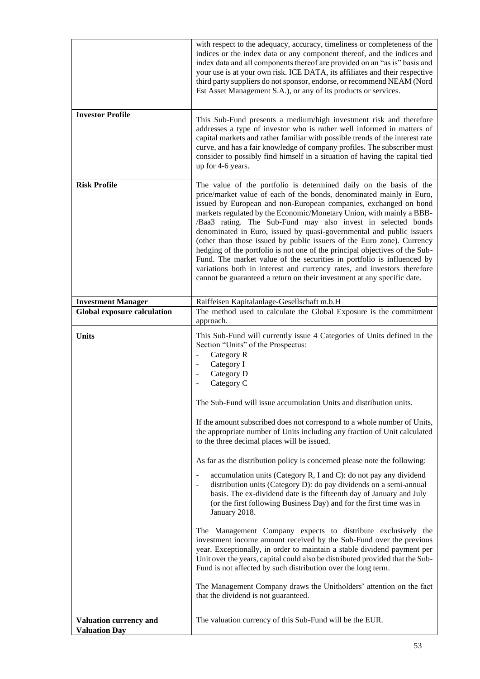|                                                | with respect to the adequacy, accuracy, timeliness or completeness of the<br>indices or the index data or any component thereof, and the indices and<br>index data and all components thereof are provided on an "as is" basis and<br>your use is at your own risk. ICE DATA, its affiliates and their respective<br>third party suppliers do not sponsor, endorse, or recommend NEAM (Nord<br>Est Asset Management S.A.), or any of its products or services.                                                                                                                                                                                                                                                                                                                                                          |
|------------------------------------------------|-------------------------------------------------------------------------------------------------------------------------------------------------------------------------------------------------------------------------------------------------------------------------------------------------------------------------------------------------------------------------------------------------------------------------------------------------------------------------------------------------------------------------------------------------------------------------------------------------------------------------------------------------------------------------------------------------------------------------------------------------------------------------------------------------------------------------|
| <b>Investor Profile</b>                        | This Sub-Fund presents a medium/high investment risk and therefore<br>addresses a type of investor who is rather well informed in matters of<br>capital markets and rather familiar with possible trends of the interest rate<br>curve, and has a fair knowledge of company profiles. The subscriber must<br>consider to possibly find himself in a situation of having the capital tied<br>up for 4-6 years.                                                                                                                                                                                                                                                                                                                                                                                                           |
| <b>Risk Profile</b>                            | The value of the portfolio is determined daily on the basis of the<br>price/market value of each of the bonds, denominated mainly in Euro,<br>issued by European and non-European companies, exchanged on bond<br>markets regulated by the Economic/Monetary Union, with mainly a BBB-<br>/Baa3 rating. The Sub-Fund may also invest in selected bonds<br>denominated in Euro, issued by quasi-governmental and public issuers<br>(other than those issued by public issuers of the Euro zone). Currency<br>hedging of the portfolio is not one of the principal objectives of the Sub-<br>Fund. The market value of the securities in portfolio is influenced by<br>variations both in interest and currency rates, and investors therefore<br>cannot be guaranteed a return on their investment at any specific date. |
| <b>Investment Manager</b>                      | Raiffeisen Kapitalanlage-Gesellschaft m.b.H                                                                                                                                                                                                                                                                                                                                                                                                                                                                                                                                                                                                                                                                                                                                                                             |
| <b>Global exposure calculation</b>             | The method used to calculate the Global Exposure is the commitment<br>approach.                                                                                                                                                                                                                                                                                                                                                                                                                                                                                                                                                                                                                                                                                                                                         |
| <b>Units</b>                                   | This Sub-Fund will currently issue 4 Categories of Units defined in the<br>Section "Units" of the Prospectus:<br>Category R<br>$\Box$<br>Category I<br>$\overline{\phantom{a}}$<br>Category D<br>$\blacksquare$<br>Category C<br>$\overline{\phantom{a}}$                                                                                                                                                                                                                                                                                                                                                                                                                                                                                                                                                               |
|                                                | The Sub-Fund will issue accumulation Units and distribution units.                                                                                                                                                                                                                                                                                                                                                                                                                                                                                                                                                                                                                                                                                                                                                      |
|                                                | If the amount subscribed does not correspond to a whole number of Units,<br>the appropriate number of Units including any fraction of Unit calculated<br>to the three decimal places will be issued.                                                                                                                                                                                                                                                                                                                                                                                                                                                                                                                                                                                                                    |
|                                                | As far as the distribution policy is concerned please note the following:                                                                                                                                                                                                                                                                                                                                                                                                                                                                                                                                                                                                                                                                                                                                               |
|                                                | accumulation units (Category R, I and C): do not pay any dividend<br>$\qquad \qquad \blacksquare$<br>distribution units (Category D): do pay dividends on a semi-annual<br>basis. The ex-dividend date is the fifteenth day of January and July<br>(or the first following Business Day) and for the first time was in<br>January 2018.                                                                                                                                                                                                                                                                                                                                                                                                                                                                                 |
|                                                | The Management Company expects to distribute exclusively the<br>investment income amount received by the Sub-Fund over the previous<br>year. Exceptionally, in order to maintain a stable dividend payment per<br>Unit over the years, capital could also be distributed provided that the Sub-<br>Fund is not affected by such distribution over the long term.                                                                                                                                                                                                                                                                                                                                                                                                                                                        |
|                                                | The Management Company draws the Unitholders' attention on the fact<br>that the dividend is not guaranteed.                                                                                                                                                                                                                                                                                                                                                                                                                                                                                                                                                                                                                                                                                                             |
| Valuation currency and<br><b>Valuation Day</b> | The valuation currency of this Sub-Fund will be the EUR.                                                                                                                                                                                                                                                                                                                                                                                                                                                                                                                                                                                                                                                                                                                                                                |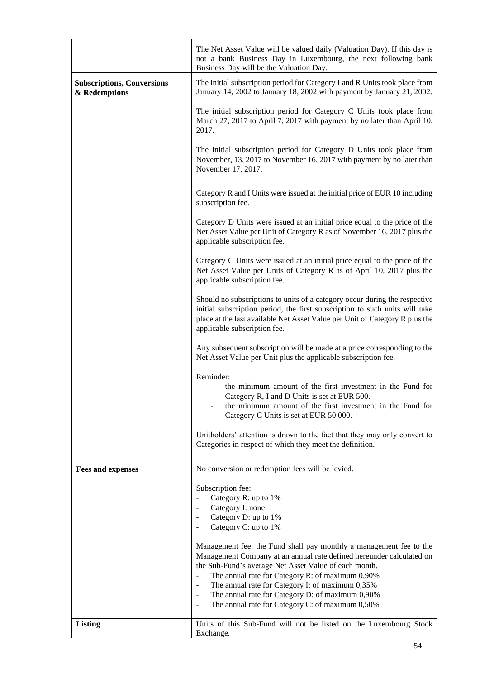|                                                    | The Net Asset Value will be valued daily (Valuation Day). If this day is<br>not a bank Business Day in Luxembourg, the next following bank<br>Business Day will be the Valuation Day.                                                                                                                                                                                                                                                                                                                   |
|----------------------------------------------------|---------------------------------------------------------------------------------------------------------------------------------------------------------------------------------------------------------------------------------------------------------------------------------------------------------------------------------------------------------------------------------------------------------------------------------------------------------------------------------------------------------|
| <b>Subscriptions, Conversions</b><br>& Redemptions | The initial subscription period for Category I and R Units took place from<br>January 14, 2002 to January 18, 2002 with payment by January 21, 2002.                                                                                                                                                                                                                                                                                                                                                    |
|                                                    | The initial subscription period for Category C Units took place from<br>March 27, 2017 to April 7, 2017 with payment by no later than April 10,<br>2017.                                                                                                                                                                                                                                                                                                                                                |
|                                                    | The initial subscription period for Category D Units took place from<br>November, 13, 2017 to November 16, 2017 with payment by no later than<br>November 17, 2017.                                                                                                                                                                                                                                                                                                                                     |
|                                                    | Category R and I Units were issued at the initial price of EUR 10 including<br>subscription fee.                                                                                                                                                                                                                                                                                                                                                                                                        |
|                                                    | Category D Units were issued at an initial price equal to the price of the<br>Net Asset Value per Unit of Category R as of November 16, 2017 plus the<br>applicable subscription fee.                                                                                                                                                                                                                                                                                                                   |
|                                                    | Category C Units were issued at an initial price equal to the price of the<br>Net Asset Value per Units of Category R as of April 10, 2017 plus the<br>applicable subscription fee.                                                                                                                                                                                                                                                                                                                     |
|                                                    | Should no subscriptions to units of a category occur during the respective<br>initial subscription period, the first subscription to such units will take<br>place at the last available Net Asset Value per Unit of Category R plus the<br>applicable subscription fee.                                                                                                                                                                                                                                |
|                                                    | Any subsequent subscription will be made at a price corresponding to the<br>Net Asset Value per Unit plus the applicable subscription fee.                                                                                                                                                                                                                                                                                                                                                              |
|                                                    | Reminder:<br>the minimum amount of the first investment in the Fund for<br>Category R, I and D Units is set at EUR 500.<br>the minimum amount of the first investment in the Fund for<br>Category C Units is set at EUR 50 000.                                                                                                                                                                                                                                                                         |
|                                                    | Unitholders' attention is drawn to the fact that they may only convert to<br>Categories in respect of which they meet the definition.                                                                                                                                                                                                                                                                                                                                                                   |
| <b>Fees and expenses</b>                           | No conversion or redemption fees will be levied.                                                                                                                                                                                                                                                                                                                                                                                                                                                        |
|                                                    | Subscription fee:<br>Category R: up to 1%<br>$\blacksquare$<br>Category I: none<br>$\overline{\phantom{a}}$<br>Category D: up to 1%<br>$\blacksquare$<br>Category C: up to 1%<br>$\overline{\phantom{a}}$                                                                                                                                                                                                                                                                                               |
|                                                    | Management fee: the Fund shall pay monthly a management fee to the<br>Management Company at an annual rate defined hereunder calculated on<br>the Sub-Fund's average Net Asset Value of each month.<br>The annual rate for Category R: of maximum 0,90%<br>$\Box$<br>The annual rate for Category I: of maximum 0,35%<br>$\overline{\phantom{a}}$<br>The annual rate for Category D: of maximum 0,90%<br>$\overline{\phantom{a}}$<br>The annual rate for Category C: of maximum 0,50%<br>$\blacksquare$ |
| <b>Listing</b>                                     | Units of this Sub-Fund will not be listed on the Luxembourg Stock                                                                                                                                                                                                                                                                                                                                                                                                                                       |
|                                                    | Exchange.                                                                                                                                                                                                                                                                                                                                                                                                                                                                                               |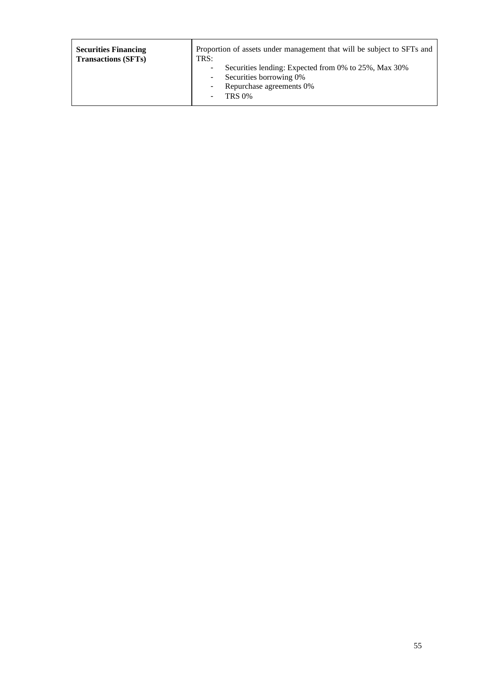| <b>Securities Financing</b> | Proportion of assets under management that will be subject to SFTs and                                                                           |
|-----------------------------|--------------------------------------------------------------------------------------------------------------------------------------------------|
| <b>Transactions (SFTs)</b>  | TRS:                                                                                                                                             |
|                             | Securities lending: Expected from 0% to 25%, Max 30%<br>٠<br>Securities borrowing 0%<br>٠<br>Repurchase agreements 0%<br>۰<br><b>TRS 0%</b><br>٠ |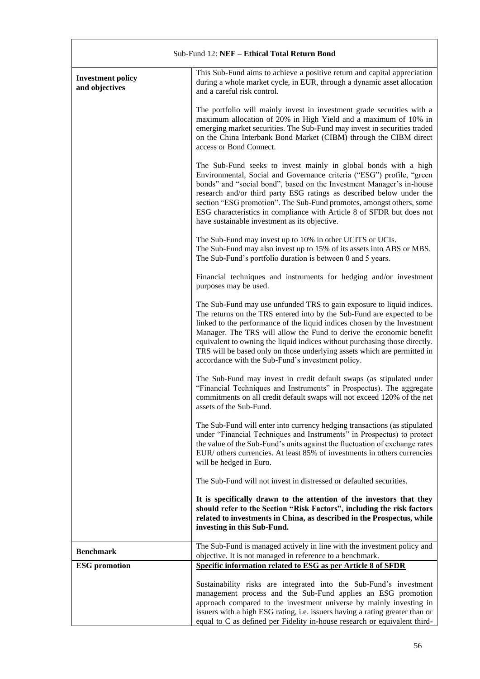| Sub-Fund 12: NEF - Ethical Total Return Bond |                                                                                                                                                                                                                                                                                                                                                                                                                                                                                                                   |
|----------------------------------------------|-------------------------------------------------------------------------------------------------------------------------------------------------------------------------------------------------------------------------------------------------------------------------------------------------------------------------------------------------------------------------------------------------------------------------------------------------------------------------------------------------------------------|
| <b>Investment policy</b><br>and objectives   | This Sub-Fund aims to achieve a positive return and capital appreciation<br>during a whole market cycle, in EUR, through a dynamic asset allocation<br>and a careful risk control.                                                                                                                                                                                                                                                                                                                                |
|                                              | The portfolio will mainly invest in investment grade securities with a<br>maximum allocation of 20% in High Yield and a maximum of 10% in<br>emerging market securities. The Sub-Fund may invest in securities traded<br>on the China Interbank Bond Market (CIBM) through the CIBM direct<br>access or Bond Connect.                                                                                                                                                                                             |
|                                              | The Sub-Fund seeks to invest mainly in global bonds with a high<br>Environmental, Social and Governance criteria ("ESG") profile, "green<br>bonds" and "social bond", based on the Investment Manager's in-house<br>research and/or third party ESG ratings as described below under the<br>section "ESG promotion". The Sub-Fund promotes, amongst others, some<br>ESG characteristics in compliance with Article 8 of SFDR but does not<br>have sustainable investment as its objective.                        |
|                                              | The Sub-Fund may invest up to 10% in other UCITS or UCIs.<br>The Sub-Fund may also invest up to 15% of its assets into ABS or MBS.<br>The Sub-Fund's portfolio duration is between 0 and 5 years.                                                                                                                                                                                                                                                                                                                 |
|                                              | Financial techniques and instruments for hedging and/or investment<br>purposes may be used.                                                                                                                                                                                                                                                                                                                                                                                                                       |
|                                              | The Sub-Fund may use unfunded TRS to gain exposure to liquid indices.<br>The returns on the TRS entered into by the Sub-Fund are expected to be<br>linked to the performance of the liquid indices chosen by the Investment<br>Manager. The TRS will allow the Fund to derive the economic benefit<br>equivalent to owning the liquid indices without purchasing those directly.<br>TRS will be based only on those underlying assets which are permitted in<br>accordance with the Sub-Fund's investment policy. |
|                                              | The Sub-Fund may invest in credit default swaps (as stipulated under<br>"Financial Techniques and Instruments" in Prospectus). The aggregate<br>commitments on all credit default swaps will not exceed 120% of the net<br>assets of the Sub-Fund.                                                                                                                                                                                                                                                                |
|                                              | The Sub-Fund will enter into currency hedging transactions (as stipulated<br>under "Financial Techniques and Instruments" in Prospectus) to protect<br>the value of the Sub-Fund's units against the fluctuation of exchange rates<br>EUR/ others currencies. At least 85% of investments in others currencies<br>will be hedged in Euro.                                                                                                                                                                         |
|                                              | The Sub-Fund will not invest in distressed or defaulted securities.                                                                                                                                                                                                                                                                                                                                                                                                                                               |
|                                              | It is specifically drawn to the attention of the investors that they<br>should refer to the Section "Risk Factors", including the risk factors<br>related to investments in China, as described in the Prospectus, while<br>investing in this Sub-Fund.                                                                                                                                                                                                                                                           |
| <b>Benchmark</b>                             | The Sub-Fund is managed actively in line with the investment policy and<br>objective. It is not managed in reference to a benchmark.                                                                                                                                                                                                                                                                                                                                                                              |
| <b>ESG</b> promotion                         | Specific information related to ESG as per Article 8 of SFDR                                                                                                                                                                                                                                                                                                                                                                                                                                                      |
|                                              | Sustainability risks are integrated into the Sub-Fund's investment<br>management process and the Sub-Fund applies an ESG promotion<br>approach compared to the investment universe by mainly investing in<br>issuers with a high ESG rating, i.e. issuers having a rating greater than or<br>equal to C as defined per Fidelity in-house research or equivalent third-                                                                                                                                            |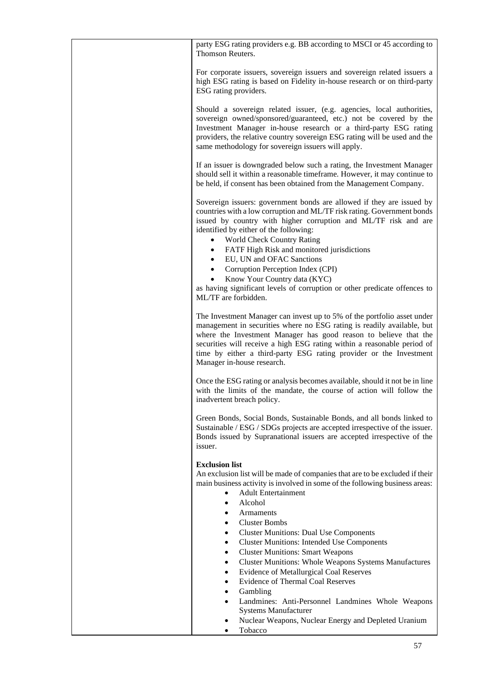| party ESG rating providers e.g. BB according to MSCI or 45 according to<br>Thomson Reuters.                                                                                                                                                                                                                                                                                                                   |
|---------------------------------------------------------------------------------------------------------------------------------------------------------------------------------------------------------------------------------------------------------------------------------------------------------------------------------------------------------------------------------------------------------------|
| For corporate issuers, sovereign issuers and sovereign related issuers a<br>high ESG rating is based on Fidelity in-house research or on third-party<br>ESG rating providers.                                                                                                                                                                                                                                 |
| Should a sovereign related issuer, (e.g. agencies, local authorities,<br>sovereign owned/sponsored/guaranteed, etc.) not be covered by the<br>Investment Manager in-house research or a third-party ESG rating<br>providers, the relative country sovereign ESG rating will be used and the<br>same methodology for sovereign issuers will apply.                                                             |
| If an issuer is downgraded below such a rating, the Investment Manager<br>should sell it within a reasonable timeframe. However, it may continue to<br>be held, if consent has been obtained from the Management Company.                                                                                                                                                                                     |
| Sovereign issuers: government bonds are allowed if they are issued by<br>countries with a low corruption and ML/TF risk rating. Government bonds<br>issued by country with higher corruption and ML/TF risk and are<br>identified by either of the following:<br>World Check Country Rating<br>$\bullet$<br>FATF High Risk and monitored jurisdictions<br>$\bullet$<br>EU, UN and OFAC Sanctions<br>$\bullet$ |
| Corruption Perception Index (CPI)<br>$\bullet$<br>Know Your Country data (KYC)<br>$\bullet$<br>as having significant levels of corruption or other predicate offences to<br>ML/TF are forbidden.                                                                                                                                                                                                              |
| The Investment Manager can invest up to 5% of the portfolio asset under<br>management in securities where no ESG rating is readily available, but<br>where the Investment Manager has good reason to believe that the<br>securities will receive a high ESG rating within a reasonable period of<br>time by either a third-party ESG rating provider or the Investment<br>Manager in-house research.          |
| Once the ESG rating or analysis becomes available, should it not be in line<br>with the limits of the mandate, the course of action will follow the<br>inadvertent breach policy.                                                                                                                                                                                                                             |
| Green Bonds, Social Bonds, Sustainable Bonds, and all bonds linked to<br>Sustainable / ESG / SDGs projects are accepted irrespective of the issuer.<br>Bonds issued by Supranational issuers are accepted irrespective of the<br>issuer.                                                                                                                                                                      |
| <b>Exclusion list</b><br>An exclusion list will be made of companies that are to be excluded if their<br>main business activity is involved in some of the following business areas:<br><b>Adult Entertainment</b><br>$\bullet$<br>Alcohol<br>$\bullet$<br>Armaments<br>$\bullet$<br><b>Cluster Bombs</b><br>$\bullet$                                                                                        |
| <b>Cluster Munitions: Dual Use Components</b><br>$\bullet$<br><b>Cluster Munitions: Intended Use Components</b><br>$\bullet$<br><b>Cluster Munitions: Smart Weapons</b><br>$\bullet$<br><b>Cluster Munitions: Whole Weapons Systems Manufactures</b><br>$\bullet$                                                                                                                                             |
| Evidence of Metallurgical Coal Reserves<br>$\bullet$<br><b>Evidence of Thermal Coal Reserves</b><br>$\bullet$<br>Gambling<br>٠<br>Landmines: Anti-Personnel Landmines Whole Weapons<br>$\bullet$                                                                                                                                                                                                              |
| <b>Systems Manufacturer</b><br>Nuclear Weapons, Nuclear Energy and Depleted Uranium<br>٠<br>Tobacco<br>٠                                                                                                                                                                                                                                                                                                      |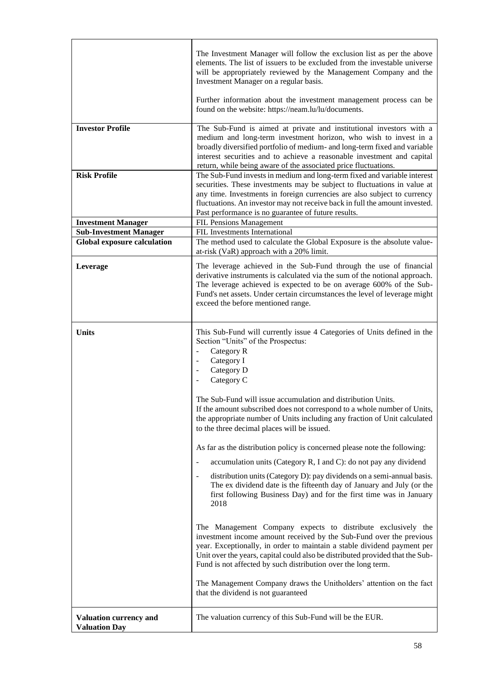|                                                | The Investment Manager will follow the exclusion list as per the above<br>elements. The list of issuers to be excluded from the investable universe<br>will be appropriately reviewed by the Management Company and the<br>Investment Manager on a regular basis.                                                                                                                                                                                                                                                                                                                                                                                                                                                                                                                                                                                                                                                                                                                                                                                                                                                                                                                                                                                                                        |
|------------------------------------------------|------------------------------------------------------------------------------------------------------------------------------------------------------------------------------------------------------------------------------------------------------------------------------------------------------------------------------------------------------------------------------------------------------------------------------------------------------------------------------------------------------------------------------------------------------------------------------------------------------------------------------------------------------------------------------------------------------------------------------------------------------------------------------------------------------------------------------------------------------------------------------------------------------------------------------------------------------------------------------------------------------------------------------------------------------------------------------------------------------------------------------------------------------------------------------------------------------------------------------------------------------------------------------------------|
|                                                | Further information about the investment management process can be<br>found on the website: https://neam.lu/lu/documents.                                                                                                                                                                                                                                                                                                                                                                                                                                                                                                                                                                                                                                                                                                                                                                                                                                                                                                                                                                                                                                                                                                                                                                |
| <b>Investor Profile</b>                        | The Sub-Fund is aimed at private and institutional investors with a<br>medium and long-term investment horizon, who wish to invest in a<br>broadly diversified portfolio of medium- and long-term fixed and variable<br>interest securities and to achieve a reasonable investment and capital<br>return, while being aware of the associated price fluctuations.                                                                                                                                                                                                                                                                                                                                                                                                                                                                                                                                                                                                                                                                                                                                                                                                                                                                                                                        |
| <b>Risk Profile</b>                            | The Sub-Fund invests in medium and long-term fixed and variable interest<br>securities. These investments may be subject to fluctuations in value at<br>any time. Investments in foreign currencies are also subject to currency<br>fluctuations. An investor may not receive back in full the amount invested.<br>Past performance is no guarantee of future results.                                                                                                                                                                                                                                                                                                                                                                                                                                                                                                                                                                                                                                                                                                                                                                                                                                                                                                                   |
| <b>Investment Manager</b>                      | FIL Pensions Management                                                                                                                                                                                                                                                                                                                                                                                                                                                                                                                                                                                                                                                                                                                                                                                                                                                                                                                                                                                                                                                                                                                                                                                                                                                                  |
| <b>Sub-Investment Manager</b>                  | FIL Investments International                                                                                                                                                                                                                                                                                                                                                                                                                                                                                                                                                                                                                                                                                                                                                                                                                                                                                                                                                                                                                                                                                                                                                                                                                                                            |
| <b>Global exposure calculation</b>             | The method used to calculate the Global Exposure is the absolute value-<br>at-risk (VaR) approach with a 20% limit.                                                                                                                                                                                                                                                                                                                                                                                                                                                                                                                                                                                                                                                                                                                                                                                                                                                                                                                                                                                                                                                                                                                                                                      |
| Leverage                                       | The leverage achieved in the Sub-Fund through the use of financial<br>derivative instruments is calculated via the sum of the notional approach.<br>The leverage achieved is expected to be on average 600% of the Sub-<br>Fund's net assets. Under certain circumstances the level of leverage might<br>exceed the before mentioned range.                                                                                                                                                                                                                                                                                                                                                                                                                                                                                                                                                                                                                                                                                                                                                                                                                                                                                                                                              |
| <b>Units</b>                                   | This Sub-Fund will currently issue 4 Categories of Units defined in the<br>Section "Units" of the Prospectus:<br>Category R<br>$\blacksquare$<br>Category I<br>$\overline{\phantom{a}}$<br>Category D<br>$\blacksquare$<br>Category C<br>$\overline{\phantom{a}}$<br>The Sub-Fund will issue accumulation and distribution Units.<br>If the amount subscribed does not correspond to a whole number of Units,<br>the appropriate number of Units including any fraction of Unit calculated<br>to the three decimal places will be issued.<br>As far as the distribution policy is concerned please note the following:<br>accumulation units (Category R, I and C): do not pay any dividend<br>$\overline{\phantom{a}}$<br>distribution units (Category D): pay dividends on a semi-annual basis.<br>$\overline{\phantom{a}}$<br>The ex dividend date is the fifteenth day of January and July (or the<br>first following Business Day) and for the first time was in January<br>2018<br>The Management Company expects to distribute exclusively the<br>investment income amount received by the Sub-Fund over the previous<br>year. Exceptionally, in order to maintain a stable dividend payment per<br>Unit over the years, capital could also be distributed provided that the Sub- |
|                                                | Fund is not affected by such distribution over the long term.<br>The Management Company draws the Unitholders' attention on the fact<br>that the dividend is not guaranteed                                                                                                                                                                                                                                                                                                                                                                                                                                                                                                                                                                                                                                                                                                                                                                                                                                                                                                                                                                                                                                                                                                              |
| Valuation currency and<br><b>Valuation Day</b> | The valuation currency of this Sub-Fund will be the EUR.                                                                                                                                                                                                                                                                                                                                                                                                                                                                                                                                                                                                                                                                                                                                                                                                                                                                                                                                                                                                                                                                                                                                                                                                                                 |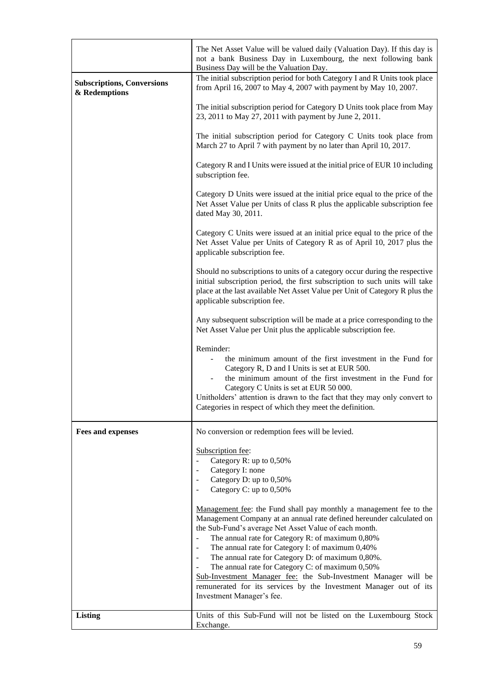|                                                    | The Net Asset Value will be valued daily (Valuation Day). If this day is<br>not a bank Business Day in Luxembourg, the next following bank<br>Business Day will be the Valuation Day.                                                                                                                                                                                                                                                                                                                                                                                                                                                                                                                                                                  |
|----------------------------------------------------|--------------------------------------------------------------------------------------------------------------------------------------------------------------------------------------------------------------------------------------------------------------------------------------------------------------------------------------------------------------------------------------------------------------------------------------------------------------------------------------------------------------------------------------------------------------------------------------------------------------------------------------------------------------------------------------------------------------------------------------------------------|
| <b>Subscriptions, Conversions</b><br>& Redemptions | The initial subscription period for both Category I and R Units took place<br>from April 16, 2007 to May 4, 2007 with payment by May 10, 2007.                                                                                                                                                                                                                                                                                                                                                                                                                                                                                                                                                                                                         |
|                                                    | The initial subscription period for Category D Units took place from May<br>23, 2011 to May 27, 2011 with payment by June 2, 2011.                                                                                                                                                                                                                                                                                                                                                                                                                                                                                                                                                                                                                     |
|                                                    | The initial subscription period for Category C Units took place from<br>March 27 to April 7 with payment by no later than April 10, 2017.                                                                                                                                                                                                                                                                                                                                                                                                                                                                                                                                                                                                              |
|                                                    | Category R and I Units were issued at the initial price of EUR 10 including<br>subscription fee.                                                                                                                                                                                                                                                                                                                                                                                                                                                                                                                                                                                                                                                       |
|                                                    | Category D Units were issued at the initial price equal to the price of the<br>Net Asset Value per Units of class R plus the applicable subscription fee<br>dated May 30, 2011.                                                                                                                                                                                                                                                                                                                                                                                                                                                                                                                                                                        |
|                                                    | Category C Units were issued at an initial price equal to the price of the<br>Net Asset Value per Units of Category R as of April 10, 2017 plus the<br>applicable subscription fee.                                                                                                                                                                                                                                                                                                                                                                                                                                                                                                                                                                    |
|                                                    | Should no subscriptions to units of a category occur during the respective<br>initial subscription period, the first subscription to such units will take<br>place at the last available Net Asset Value per Unit of Category R plus the<br>applicable subscription fee.                                                                                                                                                                                                                                                                                                                                                                                                                                                                               |
|                                                    | Any subsequent subscription will be made at a price corresponding to the<br>Net Asset Value per Unit plus the applicable subscription fee.                                                                                                                                                                                                                                                                                                                                                                                                                                                                                                                                                                                                             |
|                                                    | Reminder:<br>the minimum amount of the first investment in the Fund for<br>Category R, D and I Units is set at EUR 500.<br>the minimum amount of the first investment in the Fund for<br>Category C Units is set at EUR 50 000.<br>Unitholders' attention is drawn to the fact that they may only convert to<br>Categories in respect of which they meet the definition.                                                                                                                                                                                                                                                                                                                                                                               |
| <b>Fees and expenses</b>                           | No conversion or redemption fees will be levied.                                                                                                                                                                                                                                                                                                                                                                                                                                                                                                                                                                                                                                                                                                       |
|                                                    | Subscription fee:<br>Category R: up to 0,50%<br>Category I: none<br>$\overline{\phantom{a}}$<br>Category D: up to 0,50%<br>$\overline{\phantom{a}}$<br>Category C: up to 0,50%<br>$\overline{\phantom{a}}$<br>Management fee: the Fund shall pay monthly a management fee to the<br>Management Company at an annual rate defined hereunder calculated on<br>the Sub-Fund's average Net Asset Value of each month.<br>The annual rate for Category R: of maximum 0,80%<br>$\qquad \qquad \blacksquare$<br>The annual rate for Category I: of maximum 0,40%<br>$\overline{\phantom{m}}$<br>The annual rate for Category D: of maximum 0,80%.<br>$\overline{\phantom{a}}$<br>The annual rate for Category C: of maximum 0,50%<br>$\overline{\phantom{m}}$ |
|                                                    | Sub-Investment Manager fee: the Sub-Investment Manager will be<br>remunerated for its services by the Investment Manager out of its<br>Investment Manager's fee.                                                                                                                                                                                                                                                                                                                                                                                                                                                                                                                                                                                       |
| <b>Listing</b>                                     | Units of this Sub-Fund will not be listed on the Luxembourg Stock<br>Exchange.                                                                                                                                                                                                                                                                                                                                                                                                                                                                                                                                                                                                                                                                         |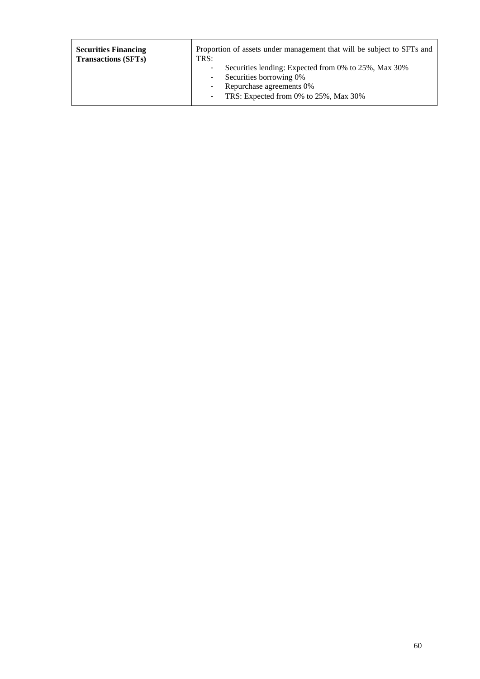| <b>Securities Financing</b> | Proportion of assets under management that will be subject to SFTs and                                                                                                        |
|-----------------------------|-------------------------------------------------------------------------------------------------------------------------------------------------------------------------------|
| <b>Transactions (SFTs)</b>  | TRS:                                                                                                                                                                          |
|                             | Securities lending: Expected from 0% to 25%, Max 30%<br>٠<br>Securities borrowing 0%<br>٠<br>Repurchase agreements 0%<br>٠<br>TRS: Expected from 0% to 25%, Max 30%<br>$\sim$ |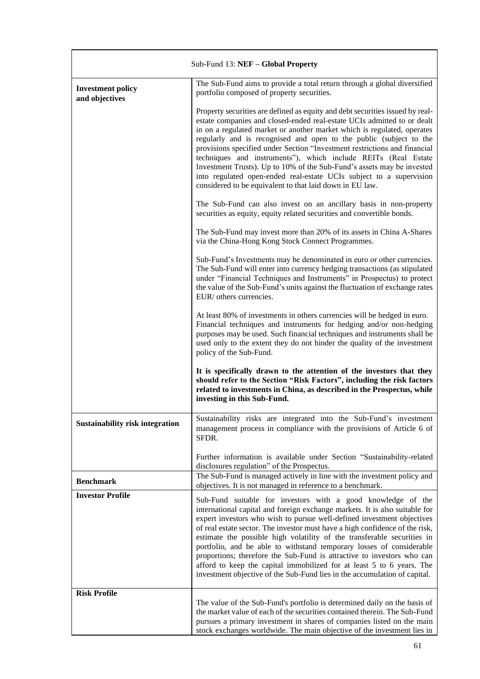| Sub-Fund 13: NEF - Global Property         |                                                                                                                                                                                                                                                                                                                                                                                                                                                                                                                                                                                                                                                                                          |
|--------------------------------------------|------------------------------------------------------------------------------------------------------------------------------------------------------------------------------------------------------------------------------------------------------------------------------------------------------------------------------------------------------------------------------------------------------------------------------------------------------------------------------------------------------------------------------------------------------------------------------------------------------------------------------------------------------------------------------------------|
| <b>Investment policy</b><br>and objectives | The Sub-Fund aims to provide a total return through a global diversified<br>portfolio composed of property securities.                                                                                                                                                                                                                                                                                                                                                                                                                                                                                                                                                                   |
|                                            | Property securities are defined as equity and debt securities issued by real-<br>estate companies and closed-ended real-estate UCIs admitted to or dealt<br>in on a regulated market or another market which is regulated, operates<br>regularly and is recognised and open to the public (subject to the<br>provisions specified under Section "Investment restrictions and financial<br>techniques and instruments"), which include REITs (Real Estate<br>Investment Trusts). Up to 10% of the Sub-Fund's assets may be invested<br>into regulated open-ended real-estate UCIs subject to a supervision<br>considered to be equivalent to that laid down in EU law.                    |
|                                            | The Sub-Fund can also invest on an ancillary basis in non-property<br>securities as equity, equity related securities and convertible bonds.                                                                                                                                                                                                                                                                                                                                                                                                                                                                                                                                             |
|                                            | The Sub-Fund may invest more than 20% of its assets in China A-Shares<br>via the China-Hong Kong Stock Connect Programmes.                                                                                                                                                                                                                                                                                                                                                                                                                                                                                                                                                               |
|                                            | Sub-Fund's Investments may be denominated in euro or other currencies.<br>The Sub-Fund will enter into currency hedging transactions (as stipulated<br>under "Financial Techniques and Instruments" in Prospectus) to protect<br>the value of the Sub-Fund's units against the fluctuation of exchange rates<br>EUR/ others currencies.                                                                                                                                                                                                                                                                                                                                                  |
|                                            | At least 80% of investments in others currencies will be hedged in euro.<br>Financial techniques and instruments for hedging and/or non-hedging<br>purposes may be used. Such financial techniques and instruments shall be<br>used only to the extent they do not hinder the quality of the investment<br>policy of the Sub-Fund.                                                                                                                                                                                                                                                                                                                                                       |
|                                            | It is specifically drawn to the attention of the investors that they<br>should refer to the Section "Risk Factors", including the risk factors<br>related to investments in China, as described in the Prospectus, while<br>investing in this Sub-Fund.                                                                                                                                                                                                                                                                                                                                                                                                                                  |
| <b>Sustainability risk integration</b>     | Sustainability risks are integrated into the Sub-Fund's investment<br>management process in compliance with the provisions of Article 6 of<br>SFDR.                                                                                                                                                                                                                                                                                                                                                                                                                                                                                                                                      |
|                                            | Further information is available under Section "Sustainability-related<br>disclosures regulation" of the Prospectus.                                                                                                                                                                                                                                                                                                                                                                                                                                                                                                                                                                     |
| <b>Benchmark</b>                           | The Sub-Fund is managed actively in line with the investment policy and<br>objectives. It is not managed in reference to a benchmark.                                                                                                                                                                                                                                                                                                                                                                                                                                                                                                                                                    |
| <b>Investor Profile</b>                    | Sub-Fund suitable for investors with a good knowledge of the<br>international capital and foreign exchange markets. It is also suitable for<br>expert investors who wish to pursue well-defined investment objectives<br>of real estate sector. The investor must have a high confidence of the risk,<br>estimate the possible high volatility of the transferable securities in<br>portfolio, and be able to withstand temporary losses of considerable<br>proportions; therefore the Sub-Fund is attractive to investors who can<br>afford to keep the capital immobilized for at least 5 to 6 years. The<br>investment objective of the Sub-Fund lies in the accumulation of capital. |
| <b>Risk Profile</b>                        | The value of the Sub-Fund's portfolio is determined daily on the basis of<br>the market value of each of the securities contained therein. The Sub-Fund<br>pursues a primary investment in shares of companies listed on the main<br>stock exchanges worldwide. The main objective of the investment lies in                                                                                                                                                                                                                                                                                                                                                                             |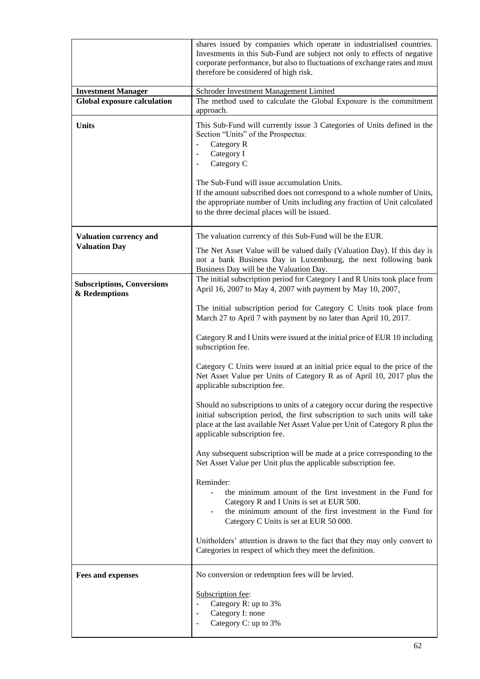|                                                    | shares issued by companies which operate in industrialised countries.<br>Investments in this Sub-Fund are subject not only to effects of negative<br>corporate performance, but also to fluctuations of exchange rates and must<br>therefore be considered of high risk.                                                                                                                                                                                                       |
|----------------------------------------------------|--------------------------------------------------------------------------------------------------------------------------------------------------------------------------------------------------------------------------------------------------------------------------------------------------------------------------------------------------------------------------------------------------------------------------------------------------------------------------------|
| <b>Investment Manager</b>                          | Schroder Investment Management Limited                                                                                                                                                                                                                                                                                                                                                                                                                                         |
| <b>Global exposure calculation</b>                 | The method used to calculate the Global Exposure is the commitment<br>approach.                                                                                                                                                                                                                                                                                                                                                                                                |
| <b>Units</b>                                       | This Sub-Fund will currently issue 3 Categories of Units defined in the<br>Section "Units" of the Prospectus:<br>Category R<br>$\blacksquare$<br>Category I<br>$\blacksquare$<br>Category C<br>$\overline{\phantom{0}}$<br>The Sub-Fund will issue accumulation Units.<br>If the amount subscribed does not correspond to a whole number of Units,<br>the appropriate number of Units including any fraction of Unit calculated<br>to the three decimal places will be issued. |
| <b>Valuation currency and</b>                      | The valuation currency of this Sub-Fund will be the EUR.                                                                                                                                                                                                                                                                                                                                                                                                                       |
| <b>Valuation Day</b>                               | The Net Asset Value will be valued daily (Valuation Day). If this day is<br>not a bank Business Day in Luxembourg, the next following bank<br>Business Day will be the Valuation Day.                                                                                                                                                                                                                                                                                          |
| <b>Subscriptions, Conversions</b><br>& Redemptions | The initial subscription period for Category I and R Units took place from<br>April 16, 2007 to May 4, 2007 with payment by May 10, 2007.                                                                                                                                                                                                                                                                                                                                      |
|                                                    | The initial subscription period for Category C Units took place from<br>March 27 to April 7 with payment by no later than April 10, 2017.                                                                                                                                                                                                                                                                                                                                      |
|                                                    | Category R and I Units were issued at the initial price of EUR 10 including<br>subscription fee.                                                                                                                                                                                                                                                                                                                                                                               |
|                                                    | Category C Units were issued at an initial price equal to the price of the<br>Net Asset Value per Units of Category R as of April 10, 2017 plus the<br>applicable subscription fee.                                                                                                                                                                                                                                                                                            |
|                                                    | Should no subscriptions to units of a category occur during the respective<br>initial subscription period, the first subscription to such units will take<br>place at the last available Net Asset Value per Unit of Category R plus the<br>applicable subscription fee.                                                                                                                                                                                                       |
|                                                    | Any subsequent subscription will be made at a price corresponding to the<br>Net Asset Value per Unit plus the applicable subscription fee.                                                                                                                                                                                                                                                                                                                                     |
|                                                    | Reminder:<br>the minimum amount of the first investment in the Fund for<br>Category R and I Units is set at EUR 500.<br>the minimum amount of the first investment in the Fund for<br>Category C Units is set at EUR 50 000.                                                                                                                                                                                                                                                   |
|                                                    | Unitholders' attention is drawn to the fact that they may only convert to<br>Categories in respect of which they meet the definition.                                                                                                                                                                                                                                                                                                                                          |
| <b>Fees and expenses</b>                           | No conversion or redemption fees will be levied.                                                                                                                                                                                                                                                                                                                                                                                                                               |
|                                                    | Subscription fee:<br>Category R: up to 3%<br>Category I: none<br>$\overline{a}$<br>Category C: up to 3%                                                                                                                                                                                                                                                                                                                                                                        |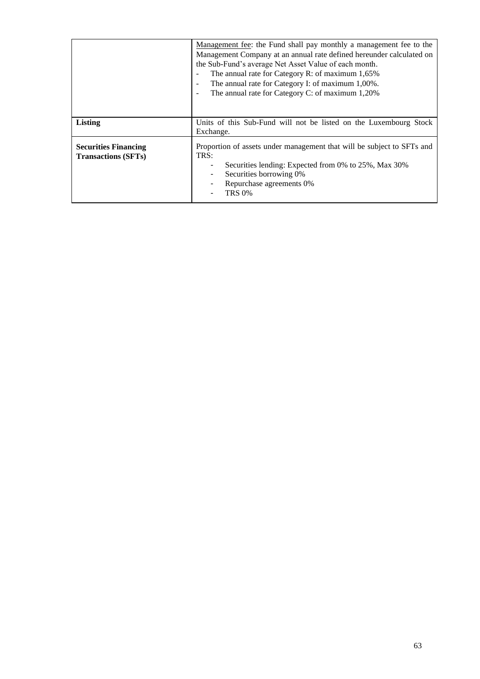|                                                           | Management fee: the Fund shall pay monthly a management fee to the<br>Management Company at an annual rate defined hereunder calculated on<br>the Sub-Fund's average Net Asset Value of each month.<br>The annual rate for Category R: of maximum 1,65%<br>The annual rate for Category I: of maximum 1,00%.<br>$\blacksquare$<br>The annual rate for Category C: of maximum 1,20% |
|-----------------------------------------------------------|------------------------------------------------------------------------------------------------------------------------------------------------------------------------------------------------------------------------------------------------------------------------------------------------------------------------------------------------------------------------------------|
| <b>Listing</b>                                            | Units of this Sub-Fund will not be listed on the Luxembourg Stock<br>Exchange.                                                                                                                                                                                                                                                                                                     |
| <b>Securities Financing</b><br><b>Transactions (SFTs)</b> | Proportion of assets under management that will be subject to SFTs and<br>TRS:<br>Securities lending: Expected from 0% to 25%, Max 30%<br>Securities borrowing 0%<br>Repurchase agreements 0%<br>TRS 0%                                                                                                                                                                            |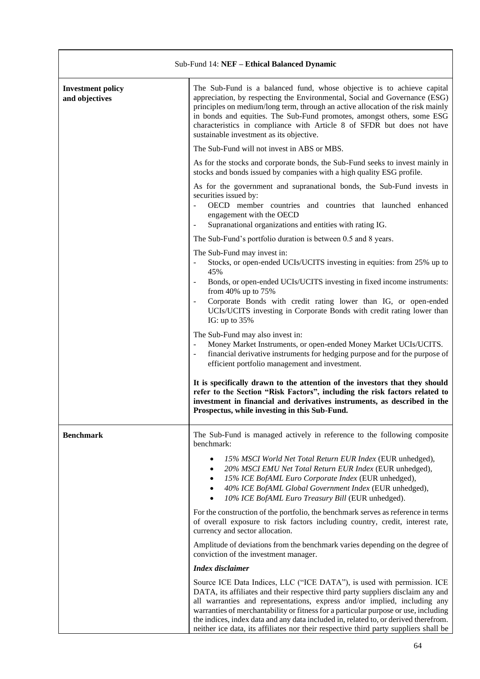| Sub-Fund 14: NEF - Ethical Balanced Dynamic |                                                                                                                                                                                                                                                                                                                                                                                                                                                                                                                |
|---------------------------------------------|----------------------------------------------------------------------------------------------------------------------------------------------------------------------------------------------------------------------------------------------------------------------------------------------------------------------------------------------------------------------------------------------------------------------------------------------------------------------------------------------------------------|
| <b>Investment policy</b><br>and objectives  | The Sub-Fund is a balanced fund, whose objective is to achieve capital<br>appreciation, by respecting the Environmental, Social and Governance (ESG)<br>principles on medium/long term, through an active allocation of the risk mainly<br>in bonds and equities. The Sub-Fund promotes, amongst others, some ESG<br>characteristics in compliance with Article 8 of SFDR but does not have<br>sustainable investment as its objective.                                                                        |
|                                             | The Sub-Fund will not invest in ABS or MBS.                                                                                                                                                                                                                                                                                                                                                                                                                                                                    |
|                                             | As for the stocks and corporate bonds, the Sub-Fund seeks to invest mainly in<br>stocks and bonds issued by companies with a high quality ESG profile.                                                                                                                                                                                                                                                                                                                                                         |
|                                             | As for the government and supranational bonds, the Sub-Fund invests in<br>securities issued by:<br>OECD member countries and countries that launched enhanced<br>engagement with the OECD<br>Supranational organizations and entities with rating IG.                                                                                                                                                                                                                                                          |
|                                             | The Sub-Fund's portfolio duration is between 0.5 and 8 years.                                                                                                                                                                                                                                                                                                                                                                                                                                                  |
|                                             | The Sub-Fund may invest in:<br>Stocks, or open-ended UCIs/UCITS investing in equities: from 25% up to<br>$\overline{\phantom{a}}$<br>45%                                                                                                                                                                                                                                                                                                                                                                       |
|                                             | Bonds, or open-ended UCIs/UCITS investing in fixed income instruments:<br>from 40% up to 75%<br>Corporate Bonds with credit rating lower than IG, or open-ended<br>UCIs/UCITS investing in Corporate Bonds with credit rating lower than<br>IG: up to $35%$                                                                                                                                                                                                                                                    |
|                                             | The Sub-Fund may also invest in:<br>Money Market Instruments, or open-ended Money Market UCIs/UCITS.<br>financial derivative instruments for hedging purpose and for the purpose of<br>efficient portfolio management and investment.                                                                                                                                                                                                                                                                          |
|                                             | It is specifically drawn to the attention of the investors that they should<br>refer to the Section "Risk Factors", including the risk factors related to<br>investment in financial and derivatives instruments, as described in the<br>Prospectus, while investing in this Sub-Fund.                                                                                                                                                                                                                         |
| <b>Benchmark</b>                            | The Sub-Fund is managed actively in reference to the following composite<br>benchmark:                                                                                                                                                                                                                                                                                                                                                                                                                         |
|                                             | 15% MSCI World Net Total Return EUR Index (EUR unhedged),<br>$\bullet$<br>20% MSCI EMU Net Total Return EUR Index (EUR unhedged),<br>$\bullet$<br>15% ICE BofAML Euro Corporate Index (EUR unhedged),<br>٠<br>40% ICE BofAML Global Government Index (EUR unhedged),<br>$\bullet$<br>10% ICE BofAML Euro Treasury Bill (EUR unhedged).                                                                                                                                                                         |
|                                             | For the construction of the portfolio, the benchmark serves as reference in terms<br>of overall exposure to risk factors including country, credit, interest rate,<br>currency and sector allocation.                                                                                                                                                                                                                                                                                                          |
|                                             | Amplitude of deviations from the benchmark varies depending on the degree of<br>conviction of the investment manager.                                                                                                                                                                                                                                                                                                                                                                                          |
|                                             | <b>Index</b> disclaimer                                                                                                                                                                                                                                                                                                                                                                                                                                                                                        |
|                                             | Source ICE Data Indices, LLC ("ICE DATA"), is used with permission. ICE<br>DATA, its affiliates and their respective third party suppliers disclaim any and<br>all warranties and representations, express and/or implied, including any<br>warranties of merchantability or fitness for a particular purpose or use, including<br>the indices, index data and any data included in, related to, or derived therefrom.<br>neither ice data, its affiliates nor their respective third party suppliers shall be |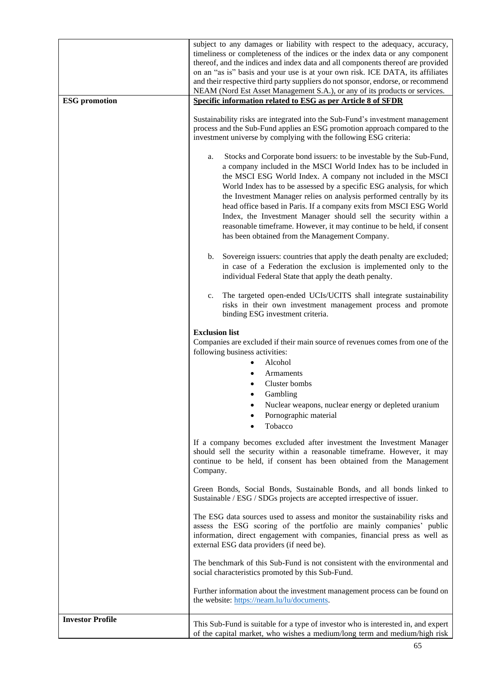|                         | subject to any damages or liability with respect to the adequacy, accuracy,<br>timeliness or completeness of the indices or the index data or any component<br>thereof, and the indices and index data and all components thereof are provided<br>on an "as is" basis and your use is at your own risk. ICE DATA, its affiliates<br>and their respective third party suppliers do not sponsor, endorse, or recommend<br>NEAM (Nord Est Asset Management S.A.), or any of its products or services.                                                                                                                                 |
|-------------------------|------------------------------------------------------------------------------------------------------------------------------------------------------------------------------------------------------------------------------------------------------------------------------------------------------------------------------------------------------------------------------------------------------------------------------------------------------------------------------------------------------------------------------------------------------------------------------------------------------------------------------------|
| <b>ESG</b> promotion    | Specific information related to ESG as per Article 8 of SFDR                                                                                                                                                                                                                                                                                                                                                                                                                                                                                                                                                                       |
|                         | Sustainability risks are integrated into the Sub-Fund's investment management<br>process and the Sub-Fund applies an ESG promotion approach compared to the<br>investment universe by complying with the following ESG criteria:                                                                                                                                                                                                                                                                                                                                                                                                   |
|                         | Stocks and Corporate bond issuers: to be investable by the Sub-Fund,<br>a.<br>a company included in the MSCI World Index has to be included in<br>the MSCI ESG World Index. A company not included in the MSCI<br>World Index has to be assessed by a specific ESG analysis, for which<br>the Investment Manager relies on analysis performed centrally by its<br>head office based in Paris. If a company exits from MSCI ESG World<br>Index, the Investment Manager should sell the security within a<br>reasonable timeframe. However, it may continue to be held, if consent<br>has been obtained from the Management Company. |
|                         | Sovereign issuers: countries that apply the death penalty are excluded;<br>b.<br>in case of a Federation the exclusion is implemented only to the<br>individual Federal State that apply the death penalty.                                                                                                                                                                                                                                                                                                                                                                                                                        |
|                         | The targeted open-ended UCIs/UCITS shall integrate sustainability<br>$c_{\cdot}$<br>risks in their own investment management process and promote<br>binding ESG investment criteria.                                                                                                                                                                                                                                                                                                                                                                                                                                               |
|                         | <b>Exclusion list</b><br>Companies are excluded if their main source of revenues comes from one of the<br>following business activities:<br>Alcohol                                                                                                                                                                                                                                                                                                                                                                                                                                                                                |
|                         | <b>Armaments</b>                                                                                                                                                                                                                                                                                                                                                                                                                                                                                                                                                                                                                   |
|                         | Cluster bombs                                                                                                                                                                                                                                                                                                                                                                                                                                                                                                                                                                                                                      |
|                         | Gambling<br>Nuclear weapons, nuclear energy or depleted uranium                                                                                                                                                                                                                                                                                                                                                                                                                                                                                                                                                                    |
|                         | Pornographic material<br>Tobacco                                                                                                                                                                                                                                                                                                                                                                                                                                                                                                                                                                                                   |
|                         | If a company becomes excluded after investment the Investment Manager<br>should sell the security within a reasonable timeframe. However, it may<br>continue to be held, if consent has been obtained from the Management<br>Company.                                                                                                                                                                                                                                                                                                                                                                                              |
|                         | Green Bonds, Social Bonds, Sustainable Bonds, and all bonds linked to<br>Sustainable / ESG / SDGs projects are accepted irrespective of issuer.                                                                                                                                                                                                                                                                                                                                                                                                                                                                                    |
|                         | The ESG data sources used to assess and monitor the sustainability risks and<br>assess the ESG scoring of the portfolio are mainly companies' public<br>information, direct engagement with companies, financial press as well as<br>external ESG data providers (if need be).                                                                                                                                                                                                                                                                                                                                                     |
|                         | The benchmark of this Sub-Fund is not consistent with the environmental and<br>social characteristics promoted by this Sub-Fund.                                                                                                                                                                                                                                                                                                                                                                                                                                                                                                   |
|                         | Further information about the investment management process can be found on<br>the website: https://neam.lu/lu/documents.                                                                                                                                                                                                                                                                                                                                                                                                                                                                                                          |
| <b>Investor Profile</b> |                                                                                                                                                                                                                                                                                                                                                                                                                                                                                                                                                                                                                                    |
|                         | This Sub-Fund is suitable for a type of investor who is interested in, and expert<br>of the capital market, who wishes a medium/long term and medium/high risk                                                                                                                                                                                                                                                                                                                                                                                                                                                                     |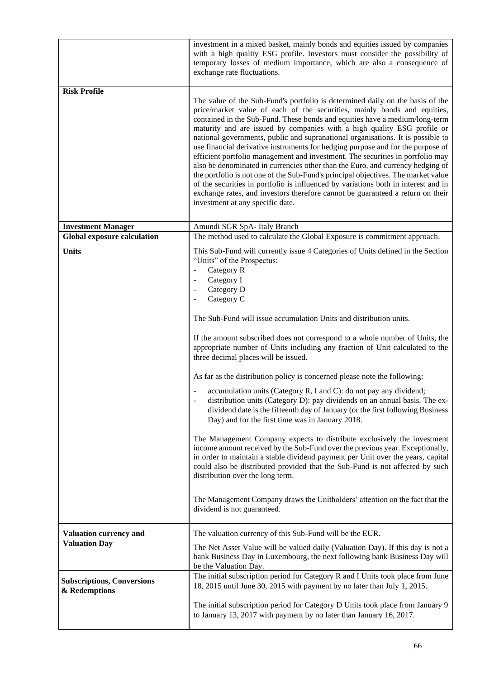|                                                    | investment in a mixed basket, mainly bonds and equities issued by companies<br>with a high quality ESG profile. Investors must consider the possibility of<br>temporary losses of medium importance, which are also a consequence of<br>exchange rate fluctuations.                                                                                                                                                                                                                                                                                                                                                                                                                                                                                                                                                                                                                                                                                                                                                                                                                                                                                                                                                                                                                                                                                                  |
|----------------------------------------------------|----------------------------------------------------------------------------------------------------------------------------------------------------------------------------------------------------------------------------------------------------------------------------------------------------------------------------------------------------------------------------------------------------------------------------------------------------------------------------------------------------------------------------------------------------------------------------------------------------------------------------------------------------------------------------------------------------------------------------------------------------------------------------------------------------------------------------------------------------------------------------------------------------------------------------------------------------------------------------------------------------------------------------------------------------------------------------------------------------------------------------------------------------------------------------------------------------------------------------------------------------------------------------------------------------------------------------------------------------------------------|
| <b>Risk Profile</b>                                | The value of the Sub-Fund's portfolio is determined daily on the basis of the<br>price/market value of each of the securities, mainly bonds and equities,<br>contained in the Sub-Fund. These bonds and equities have a medium/long-term<br>maturity and are issued by companies with a high quality ESG profile or<br>national governments, public and supranational organisations. It is possible to<br>use financial derivative instruments for hedging purpose and for the purpose of<br>efficient portfolio management and investment. The securities in portfolio may<br>also be denominated in currencies other than the Euro, and currency hedging of<br>the portfolio is not one of the Sub-Fund's principal objectives. The market value<br>of the securities in portfolio is influenced by variations both in interest and in<br>exchange rates, and investors therefore cannot be guaranteed a return on their<br>investment at any specific date.                                                                                                                                                                                                                                                                                                                                                                                                       |
| <b>Investment Manager</b>                          | Amundi SGR SpA- Italy Branch                                                                                                                                                                                                                                                                                                                                                                                                                                                                                                                                                                                                                                                                                                                                                                                                                                                                                                                                                                                                                                                                                                                                                                                                                                                                                                                                         |
| <b>Global exposure calculation</b>                 | The method used to calculate the Global Exposure is commitment approach.                                                                                                                                                                                                                                                                                                                                                                                                                                                                                                                                                                                                                                                                                                                                                                                                                                                                                                                                                                                                                                                                                                                                                                                                                                                                                             |
| <b>Units</b>                                       | This Sub-Fund will currently issue 4 Categories of Units defined in the Section<br>"Units" of the Prospectus:<br>Category R<br>$\overline{\phantom{0}}$<br>Category I<br>Category D<br>$\overline{\phantom{a}}$<br>Category C<br>The Sub-Fund will issue accumulation Units and distribution units.<br>If the amount subscribed does not correspond to a whole number of Units, the<br>appropriate number of Units including any fraction of Unit calculated to the<br>three decimal places will be issued.<br>As far as the distribution policy is concerned please note the following:<br>accumulation units (Category R, I and C): do not pay any dividend;<br>distribution units (Category D): pay dividends on an annual basis. The ex-<br>dividend date is the fifteenth day of January (or the first following Business<br>Day) and for the first time was in January 2018.<br>The Management Company expects to distribute exclusively the investment<br>income amount received by the Sub-Fund over the previous year. Exceptionally,<br>in order to maintain a stable dividend payment per Unit over the years, capital<br>could also be distributed provided that the Sub-Fund is not affected by such<br>distribution over the long term.<br>The Management Company draws the Unitholders' attention on the fact that the<br>dividend is not guaranteed. |
| Valuation currency and<br><b>Valuation Day</b>     | The valuation currency of this Sub-Fund will be the EUR.<br>The Net Asset Value will be valued daily (Valuation Day). If this day is not a                                                                                                                                                                                                                                                                                                                                                                                                                                                                                                                                                                                                                                                                                                                                                                                                                                                                                                                                                                                                                                                                                                                                                                                                                           |
|                                                    | bank Business Day in Luxembourg, the next following bank Business Day will<br>be the Valuation Day.                                                                                                                                                                                                                                                                                                                                                                                                                                                                                                                                                                                                                                                                                                                                                                                                                                                                                                                                                                                                                                                                                                                                                                                                                                                                  |
| <b>Subscriptions, Conversions</b><br>& Redemptions | The initial subscription period for Category R and I Units took place from June<br>18, 2015 until June 30, 2015 with payment by no later than July 1, 2015.                                                                                                                                                                                                                                                                                                                                                                                                                                                                                                                                                                                                                                                                                                                                                                                                                                                                                                                                                                                                                                                                                                                                                                                                          |
|                                                    | The initial subscription period for Category D Units took place from January 9<br>to January 13, 2017 with payment by no later than January 16, 2017.                                                                                                                                                                                                                                                                                                                                                                                                                                                                                                                                                                                                                                                                                                                                                                                                                                                                                                                                                                                                                                                                                                                                                                                                                |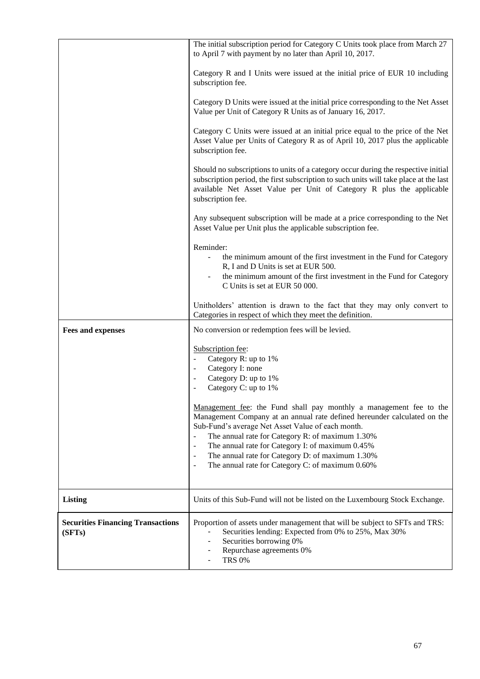|                                                    | The initial subscription period for Category C Units took place from March 27<br>to April 7 with payment by no later than April 10, 2017.                                                                                                                                                                                                                                                                                                                                                                       |
|----------------------------------------------------|-----------------------------------------------------------------------------------------------------------------------------------------------------------------------------------------------------------------------------------------------------------------------------------------------------------------------------------------------------------------------------------------------------------------------------------------------------------------------------------------------------------------|
|                                                    | Category R and I Units were issued at the initial price of EUR 10 including<br>subscription fee.                                                                                                                                                                                                                                                                                                                                                                                                                |
|                                                    | Category D Units were issued at the initial price corresponding to the Net Asset<br>Value per Unit of Category R Units as of January 16, 2017.                                                                                                                                                                                                                                                                                                                                                                  |
|                                                    | Category C Units were issued at an initial price equal to the price of the Net<br>Asset Value per Units of Category R as of April 10, 2017 plus the applicable<br>subscription fee.                                                                                                                                                                                                                                                                                                                             |
|                                                    | Should no subscriptions to units of a category occur during the respective initial<br>subscription period, the first subscription to such units will take place at the last<br>available Net Asset Value per Unit of Category R plus the applicable<br>subscription fee.                                                                                                                                                                                                                                        |
|                                                    | Any subsequent subscription will be made at a price corresponding to the Net<br>Asset Value per Unit plus the applicable subscription fee.                                                                                                                                                                                                                                                                                                                                                                      |
|                                                    | Reminder:<br>the minimum amount of the first investment in the Fund for Category<br>R, I and D Units is set at EUR 500.<br>the minimum amount of the first investment in the Fund for Category<br>C Units is set at EUR 50 000.                                                                                                                                                                                                                                                                                 |
|                                                    | Unitholders' attention is drawn to the fact that they may only convert to<br>Categories in respect of which they meet the definition.                                                                                                                                                                                                                                                                                                                                                                           |
| <b>Fees and expenses</b>                           | No conversion or redemption fees will be levied.                                                                                                                                                                                                                                                                                                                                                                                                                                                                |
|                                                    | Subscription fee:<br>Category R: up to 1%<br>$\Box$<br>Category I: none<br>$\overline{\phantom{a}}$<br>Category D: up to 1%<br>Category C: up to 1%                                                                                                                                                                                                                                                                                                                                                             |
|                                                    | Management fee: the Fund shall pay monthly a management fee to the<br>Management Company at an annual rate defined hereunder calculated on the<br>Sub-Fund's average Net Asset Value of each month.<br>The annual rate for Category R: of maximum 1.30%<br>$\blacksquare$<br>The annual rate for Category I: of maximum 0.45%<br>$\blacksquare$<br>The annual rate for Category D: of maximum 1.30%<br>$\overline{\phantom{a}}$<br>The annual rate for Category C: of maximum 0.60%<br>$\overline{\phantom{a}}$ |
| <b>Listing</b>                                     | Units of this Sub-Fund will not be listed on the Luxembourg Stock Exchange.                                                                                                                                                                                                                                                                                                                                                                                                                                     |
| <b>Securities Financing Transactions</b><br>(SFTs) | Proportion of assets under management that will be subject to SFTs and TRS:<br>Securities lending: Expected from 0% to 25%, Max 30%<br>Securities borrowing 0%<br>Repurchase agreements 0%<br><b>TRS 0%</b>                                                                                                                                                                                                                                                                                                     |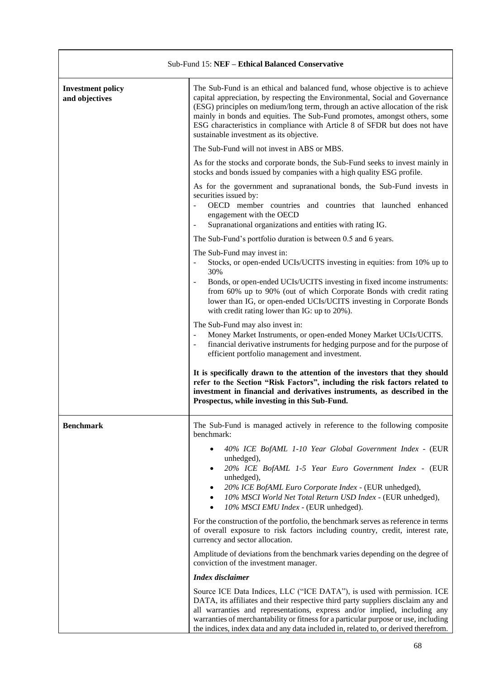| Sub-Fund 15: NEF – Ethical Balanced Conservative |                                                                                                                                                                                                                                                                                                                                                                                                                                                      |
|--------------------------------------------------|------------------------------------------------------------------------------------------------------------------------------------------------------------------------------------------------------------------------------------------------------------------------------------------------------------------------------------------------------------------------------------------------------------------------------------------------------|
| <b>Investment policy</b><br>and objectives       | The Sub-Fund is an ethical and balanced fund, whose objective is to achieve<br>capital appreciation, by respecting the Environmental, Social and Governance<br>(ESG) principles on medium/long term, through an active allocation of the risk<br>mainly in bonds and equities. The Sub-Fund promotes, amongst others, some<br>ESG characteristics in compliance with Article 8 of SFDR but does not have<br>sustainable investment as its objective. |
|                                                  | The Sub-Fund will not invest in ABS or MBS.                                                                                                                                                                                                                                                                                                                                                                                                          |
|                                                  | As for the stocks and corporate bonds, the Sub-Fund seeks to invest mainly in<br>stocks and bonds issued by companies with a high quality ESG profile.                                                                                                                                                                                                                                                                                               |
|                                                  | As for the government and supranational bonds, the Sub-Fund invests in<br>securities issued by:<br>OECD member countries and countries that launched enhanced<br>engagement with the OECD<br>Supranational organizations and entities with rating IG.                                                                                                                                                                                                |
|                                                  | The Sub-Fund's portfolio duration is between 0.5 and 6 years.                                                                                                                                                                                                                                                                                                                                                                                        |
|                                                  | The Sub-Fund may invest in:<br>Stocks, or open-ended UCIs/UCITS investing in equities: from 10% up to<br>$\overline{\phantom{a}}$<br>30%<br>Bonds, or open-ended UCIs/UCITS investing in fixed income instruments:<br>$\blacksquare$<br>from 60% up to 90% (out of which Corporate Bonds with credit rating<br>lower than IG, or open-ended UCIs/UCITS investing in Corporate Bonds<br>with credit rating lower than IG: up to 20%).                 |
|                                                  | The Sub-Fund may also invest in:<br>Money Market Instruments, or open-ended Money Market UCIs/UCITS.<br>$\blacksquare$<br>financial derivative instruments for hedging purpose and for the purpose of<br>$\blacksquare$<br>efficient portfolio management and investment.                                                                                                                                                                            |
|                                                  | It is specifically drawn to the attention of the investors that they should<br>refer to the Section "Risk Factors", including the risk factors related to<br>investment in financial and derivatives instruments, as described in the<br>Prospectus, while investing in this Sub-Fund.                                                                                                                                                               |
| <b>Benchmark</b>                                 | The Sub-Fund is managed actively in reference to the following composite<br>benchmark:                                                                                                                                                                                                                                                                                                                                                               |
|                                                  | 40% ICE BofAML 1-10 Year Global Government Index - (EUR<br>unhedged),<br>20% ICE BofAML 1-5 Year Euro Government Index - (EUR<br>unhedged),<br>20% ICE BofAML Euro Corporate Index - (EUR unhedged),<br>$\bullet$<br>10% MSCI World Net Total Return USD Index - (EUR unhedged),<br>$\bullet$<br>10% MSCI EMU Index - (EUR unhedged).<br>$\bullet$                                                                                                   |
|                                                  | For the construction of the portfolio, the benchmark serves as reference in terms<br>of overall exposure to risk factors including country, credit, interest rate,<br>currency and sector allocation.                                                                                                                                                                                                                                                |
|                                                  | Amplitude of deviations from the benchmark varies depending on the degree of<br>conviction of the investment manager.                                                                                                                                                                                                                                                                                                                                |
|                                                  | <b>Index</b> disclaimer                                                                                                                                                                                                                                                                                                                                                                                                                              |
|                                                  | Source ICE Data Indices, LLC ("ICE DATA"), is used with permission. ICE<br>DATA, its affiliates and their respective third party suppliers disclaim any and<br>all warranties and representations, express and/or implied, including any<br>warranties of merchantability or fitness for a particular purpose or use, including<br>the indices, index data and any data included in, related to, or derived therefrom.                               |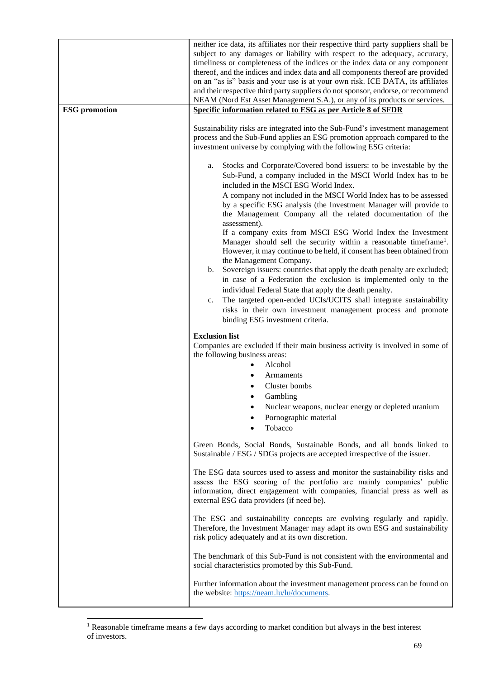| <b>ESG</b> promotion | neither ice data, its affiliates nor their respective third party suppliers shall be<br>subject to any damages or liability with respect to the adequacy, accuracy,<br>timeliness or completeness of the indices or the index data or any component<br>thereof, and the indices and index data and all components thereof are provided<br>on an "as is" basis and your use is at your own risk. ICE DATA, its affiliates<br>and their respective third party suppliers do not sponsor, endorse, or recommend<br>NEAM (Nord Est Asset Management S.A.), or any of its products or services.<br>Specific information related to ESG as per Article 8 of SFDR |
|----------------------|------------------------------------------------------------------------------------------------------------------------------------------------------------------------------------------------------------------------------------------------------------------------------------------------------------------------------------------------------------------------------------------------------------------------------------------------------------------------------------------------------------------------------------------------------------------------------------------------------------------------------------------------------------|
|                      | Sustainability risks are integrated into the Sub-Fund's investment management<br>process and the Sub-Fund applies an ESG promotion approach compared to the<br>investment universe by complying with the following ESG criteria:                                                                                                                                                                                                                                                                                                                                                                                                                           |
|                      | Stocks and Corporate/Covered bond issuers: to be investable by the<br>a.<br>Sub-Fund, a company included in the MSCI World Index has to be<br>included in the MSCI ESG World Index.<br>A company not included in the MSCI World Index has to be assessed<br>by a specific ESG analysis (the Investment Manager will provide to<br>the Management Company all the related documentation of the<br>assessment).<br>If a company exits from MSCI ESG World Index the Investment<br>Manager should sell the security within a reasonable timeframe <sup>1</sup> .                                                                                              |
|                      | However, it may continue to be held, if consent has been obtained from<br>the Management Company.<br>Sovereign issuers: countries that apply the death penalty are excluded;<br>b.<br>in case of a Federation the exclusion is implemented only to the<br>individual Federal State that apply the death penalty.<br>The targeted open-ended UCIs/UCITS shall integrate sustainability<br>c.<br>risks in their own investment management process and promote<br>binding ESG investment criteria.                                                                                                                                                            |
|                      | <b>Exclusion list</b><br>Companies are excluded if their main business activity is involved in some of<br>the following business areas:<br>Alcohol<br>Armaments<br>Cluster bombs<br>Gambling<br>Nuclear weapons, nuclear energy or depleted uranium<br>Pornographic material<br>Tobacco                                                                                                                                                                                                                                                                                                                                                                    |
|                      | Green Bonds, Social Bonds, Sustainable Bonds, and all bonds linked to<br>Sustainable / ESG / SDGs projects are accepted irrespective of the issuer.                                                                                                                                                                                                                                                                                                                                                                                                                                                                                                        |
|                      | The ESG data sources used to assess and monitor the sustainability risks and<br>assess the ESG scoring of the portfolio are mainly companies' public<br>information, direct engagement with companies, financial press as well as<br>external ESG data providers (if need be).                                                                                                                                                                                                                                                                                                                                                                             |
|                      | The ESG and sustainability concepts are evolving regularly and rapidly.<br>Therefore, the Investment Manager may adapt its own ESG and sustainability<br>risk policy adequately and at its own discretion.                                                                                                                                                                                                                                                                                                                                                                                                                                                 |
|                      | The benchmark of this Sub-Fund is not consistent with the environmental and<br>social characteristics promoted by this Sub-Fund.                                                                                                                                                                                                                                                                                                                                                                                                                                                                                                                           |
|                      | Further information about the investment management process can be found on<br>the website: https://neam.lu/lu/documents.                                                                                                                                                                                                                                                                                                                                                                                                                                                                                                                                  |

<sup>&</sup>lt;sup>1</sup> Reasonable timeframe means a few days according to market condition but always in the best interest of investors.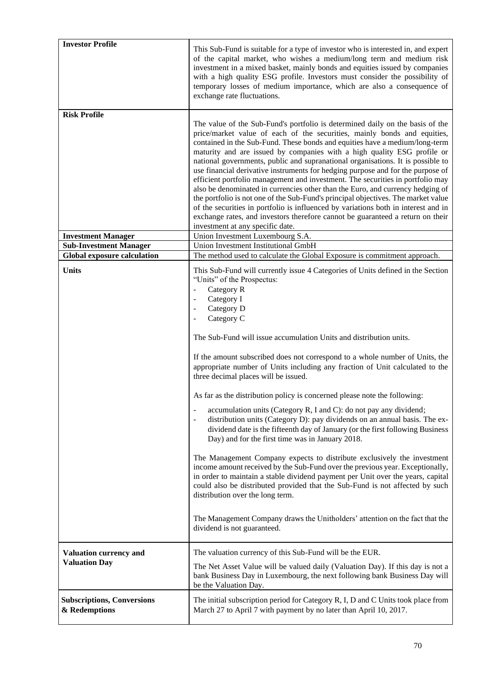| <b>Investor Profile</b>                                             | This Sub-Fund is suitable for a type of investor who is interested in, and expert<br>of the capital market, who wishes a medium/long term and medium risk<br>investment in a mixed basket, mainly bonds and equities issued by companies<br>with a high quality ESG profile. Investors must consider the possibility of<br>temporary losses of medium importance, which are also a consequence of<br>exchange rate fluctuations.                                                                                                                                                                                                                                                                                                                                                                                                                                                                                                                                                                                                                                                                                                                                                                                                                                                                                                                                                                                                     |
|---------------------------------------------------------------------|--------------------------------------------------------------------------------------------------------------------------------------------------------------------------------------------------------------------------------------------------------------------------------------------------------------------------------------------------------------------------------------------------------------------------------------------------------------------------------------------------------------------------------------------------------------------------------------------------------------------------------------------------------------------------------------------------------------------------------------------------------------------------------------------------------------------------------------------------------------------------------------------------------------------------------------------------------------------------------------------------------------------------------------------------------------------------------------------------------------------------------------------------------------------------------------------------------------------------------------------------------------------------------------------------------------------------------------------------------------------------------------------------------------------------------------|
| <b>Risk Profile</b>                                                 | The value of the Sub-Fund's portfolio is determined daily on the basis of the<br>price/market value of each of the securities, mainly bonds and equities,<br>contained in the Sub-Fund. These bonds and equities have a medium/long-term<br>maturity and are issued by companies with a high quality ESG profile or<br>national governments, public and supranational organisations. It is possible to<br>use financial derivative instruments for hedging purpose and for the purpose of<br>efficient portfolio management and investment. The securities in portfolio may<br>also be denominated in currencies other than the Euro, and currency hedging of<br>the portfolio is not one of the Sub-Fund's principal objectives. The market value<br>of the securities in portfolio is influenced by variations both in interest and in<br>exchange rates, and investors therefore cannot be guaranteed a return on their<br>investment at any specific date.                                                                                                                                                                                                                                                                                                                                                                                                                                                                       |
| <b>Investment Manager</b>                                           | Union Investment Luxembourg S.A.                                                                                                                                                                                                                                                                                                                                                                                                                                                                                                                                                                                                                                                                                                                                                                                                                                                                                                                                                                                                                                                                                                                                                                                                                                                                                                                                                                                                     |
| <b>Sub-Investment Manager</b><br><b>Global exposure calculation</b> | Union Investment Institutional GmbH<br>The method used to calculate the Global Exposure is commitment approach.                                                                                                                                                                                                                                                                                                                                                                                                                                                                                                                                                                                                                                                                                                                                                                                                                                                                                                                                                                                                                                                                                                                                                                                                                                                                                                                      |
| <b>Units</b>                                                        | This Sub-Fund will currently issue 4 Categories of Units defined in the Section<br>"Units" of the Prospectus:<br>Category R<br>$\blacksquare$<br>Category I<br>$\overline{\phantom{a}}$<br>Category D<br>$\blacksquare$<br>Category C<br>$\overline{\phantom{a}}$<br>The Sub-Fund will issue accumulation Units and distribution units.<br>If the amount subscribed does not correspond to a whole number of Units, the<br>appropriate number of Units including any fraction of Unit calculated to the<br>three decimal places will be issued.<br>As far as the distribution policy is concerned please note the following:<br>accumulation units (Category R, I and C): do not pay any dividend;<br>distribution units (Category D): pay dividends on an annual basis. The ex-<br>$\overline{\phantom{a}}$<br>dividend date is the fifteenth day of January (or the first following Business<br>Day) and for the first time was in January 2018.<br>The Management Company expects to distribute exclusively the investment<br>income amount received by the Sub-Fund over the previous year. Exceptionally,<br>in order to maintain a stable dividend payment per Unit over the years, capital<br>could also be distributed provided that the Sub-Fund is not affected by such<br>distribution over the long term.<br>The Management Company draws the Unitholders' attention on the fact that the<br>dividend is not guaranteed. |
| <b>Valuation currency and</b><br><b>Valuation Day</b>               | The valuation currency of this Sub-Fund will be the EUR.<br>The Net Asset Value will be valued daily (Valuation Day). If this day is not a<br>bank Business Day in Luxembourg, the next following bank Business Day will<br>be the Valuation Day.                                                                                                                                                                                                                                                                                                                                                                                                                                                                                                                                                                                                                                                                                                                                                                                                                                                                                                                                                                                                                                                                                                                                                                                    |
| <b>Subscriptions, Conversions</b><br>& Redemptions                  | The initial subscription period for Category R, I, D and C Units took place from<br>March 27 to April 7 with payment by no later than April 10, 2017.                                                                                                                                                                                                                                                                                                                                                                                                                                                                                                                                                                                                                                                                                                                                                                                                                                                                                                                                                                                                                                                                                                                                                                                                                                                                                |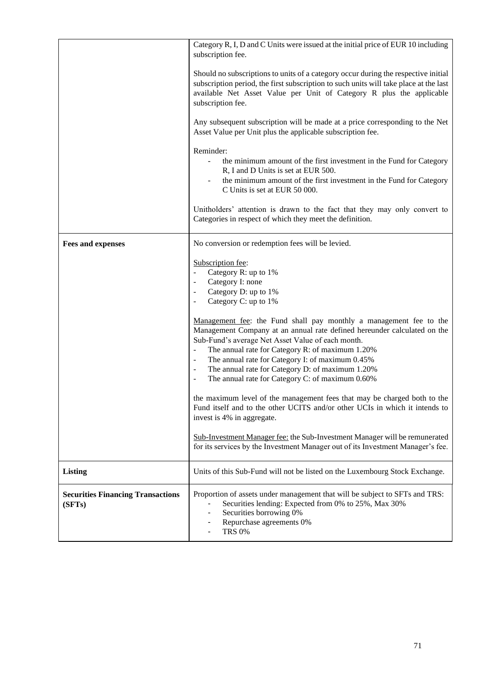|                                                    | Category R, I, D and C Units were issued at the initial price of EUR 10 including<br>subscription fee.                                                                                                                                                                                                                                                                                                                                                                                        |
|----------------------------------------------------|-----------------------------------------------------------------------------------------------------------------------------------------------------------------------------------------------------------------------------------------------------------------------------------------------------------------------------------------------------------------------------------------------------------------------------------------------------------------------------------------------|
|                                                    | Should no subscriptions to units of a category occur during the respective initial<br>subscription period, the first subscription to such units will take place at the last<br>available Net Asset Value per Unit of Category R plus the applicable<br>subscription fee.                                                                                                                                                                                                                      |
|                                                    | Any subsequent subscription will be made at a price corresponding to the Net<br>Asset Value per Unit plus the applicable subscription fee.                                                                                                                                                                                                                                                                                                                                                    |
|                                                    | Reminder:<br>the minimum amount of the first investment in the Fund for Category<br>R, I and D Units is set at EUR 500.<br>the minimum amount of the first investment in the Fund for Category<br>C Units is set at EUR 50 000.                                                                                                                                                                                                                                                               |
|                                                    | Unitholders' attention is drawn to the fact that they may only convert to<br>Categories in respect of which they meet the definition.                                                                                                                                                                                                                                                                                                                                                         |
| <b>Fees and expenses</b>                           | No conversion or redemption fees will be levied.                                                                                                                                                                                                                                                                                                                                                                                                                                              |
|                                                    | Subscription fee:<br>Category R: up to 1%<br>$\Box$<br>Category I: none<br>$\overline{\phantom{a}}$<br>Category D: up to 1%<br>$\overline{\phantom{a}}$<br>Category C: up to 1%<br>$\overline{\phantom{a}}$                                                                                                                                                                                                                                                                                   |
|                                                    | Management fee: the Fund shall pay monthly a management fee to the<br>Management Company at an annual rate defined hereunder calculated on the<br>Sub-Fund's average Net Asset Value of each month.<br>The annual rate for Category R: of maximum 1.20%<br>$\Box$<br>The annual rate for Category I: of maximum 0.45%<br>$\blacksquare$<br>The annual rate for Category D: of maximum 1.20%<br>$\blacksquare$<br>The annual rate for Category C: of maximum 0.60%<br>$\overline{\phantom{a}}$ |
|                                                    | the maximum level of the management fees that may be charged both to the<br>Fund itself and to the other UCITS and/or other UCIs in which it intends to<br>invest is 4% in aggregate.                                                                                                                                                                                                                                                                                                         |
|                                                    | Sub-Investment Manager fee: the Sub-Investment Manager will be remunerated<br>for its services by the Investment Manager out of its Investment Manager's fee.                                                                                                                                                                                                                                                                                                                                 |
| Listing                                            | Units of this Sub-Fund will not be listed on the Luxembourg Stock Exchange.                                                                                                                                                                                                                                                                                                                                                                                                                   |
| <b>Securities Financing Transactions</b><br>(SFTs) | Proportion of assets under management that will be subject to SFTs and TRS:<br>Securities lending: Expected from 0% to 25%, Max 30%<br>Securities borrowing 0%<br>Repurchase agreements 0%<br><b>TRS 0%</b>                                                                                                                                                                                                                                                                                   |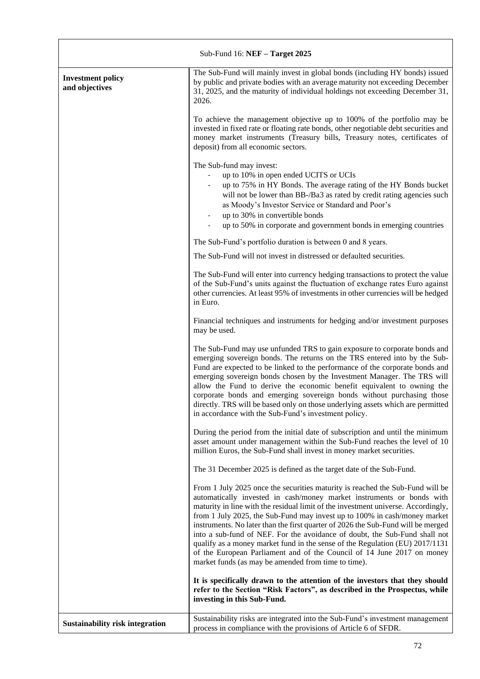| Sub-Fund 16: NEF - Target 2025             |                                                                                                                                                                                                                                                                                                                                                                                                                                                                                                                                                                                                                                                                                                             |
|--------------------------------------------|-------------------------------------------------------------------------------------------------------------------------------------------------------------------------------------------------------------------------------------------------------------------------------------------------------------------------------------------------------------------------------------------------------------------------------------------------------------------------------------------------------------------------------------------------------------------------------------------------------------------------------------------------------------------------------------------------------------|
| <b>Investment policy</b><br>and objectives | The Sub-Fund will mainly invest in global bonds (including HY bonds) issued<br>by public and private bodies with an average maturity not exceeding December<br>31, 2025, and the maturity of individual holdings not exceeding December 31,<br>2026.                                                                                                                                                                                                                                                                                                                                                                                                                                                        |
|                                            | To achieve the management objective up to 100% of the portfolio may be<br>invested in fixed rate or floating rate bonds, other negotiable debt securities and<br>money market instruments (Treasury bills, Treasury notes, certificates of<br>deposit) from all economic sectors.                                                                                                                                                                                                                                                                                                                                                                                                                           |
|                                            | The Sub-fund may invest:<br>up to 10% in open ended UCITS or UCIs<br>up to 75% in HY Bonds. The average rating of the HY Bonds bucket<br>will not be lower than BB-/Ba3 as rated by credit rating agencies such<br>as Moody's Investor Service or Standard and Poor's<br>up to 30% in convertible bonds<br>up to 50% in corporate and government bonds in emerging countries                                                                                                                                                                                                                                                                                                                                |
|                                            | The Sub-Fund's portfolio duration is between 0 and 8 years.                                                                                                                                                                                                                                                                                                                                                                                                                                                                                                                                                                                                                                                 |
|                                            | The Sub-Fund will not invest in distressed or defaulted securities.                                                                                                                                                                                                                                                                                                                                                                                                                                                                                                                                                                                                                                         |
|                                            | The Sub-Fund will enter into currency hedging transactions to protect the value<br>of the Sub-Fund's units against the fluctuation of exchange rates Euro against<br>other currencies. At least 95% of investments in other currencies will be hedged<br>in Euro.                                                                                                                                                                                                                                                                                                                                                                                                                                           |
|                                            | Financial techniques and instruments for hedging and/or investment purposes<br>may be used.                                                                                                                                                                                                                                                                                                                                                                                                                                                                                                                                                                                                                 |
|                                            | The Sub-Fund may use unfunded TRS to gain exposure to corporate bonds and<br>emerging sovereign bonds. The returns on the TRS entered into by the Sub-<br>Fund are expected to be linked to the performance of the corporate bonds and<br>emerging sovereign bonds chosen by the Investment Manager. The TRS will<br>allow the Fund to derive the economic benefit equivalent to owning the<br>corporate bonds and emerging sovereign bonds without purchasing those<br>directly. TRS will be based only on those underlying assets which are permitted<br>in accordance with the Sub-Fund's investment policy.                                                                                             |
|                                            | During the period from the initial date of subscription and until the minimum<br>asset amount under management within the Sub-Fund reaches the level of 10<br>million Euros, the Sub-Fund shall invest in money market securities.                                                                                                                                                                                                                                                                                                                                                                                                                                                                          |
|                                            | The 31 December 2025 is defined as the target date of the Sub-Fund.                                                                                                                                                                                                                                                                                                                                                                                                                                                                                                                                                                                                                                         |
|                                            | From 1 July 2025 once the securities maturity is reached the Sub-Fund will be<br>automatically invested in cash/money market instruments or bonds with<br>maturity in line with the residual limit of the investment universe. Accordingly,<br>from 1 July 2025, the Sub-Fund may invest up to 100% in cash/money market<br>instruments. No later than the first quarter of 2026 the Sub-Fund will be merged<br>into a sub-fund of NEF. For the avoidance of doubt, the Sub-Fund shall not<br>qualify as a money market fund in the sense of the Regulation (EU) 2017/1131<br>of the European Parliament and of the Council of 14 June 2017 on money<br>market funds (as may be amended from time to time). |
|                                            | It is specifically drawn to the attention of the investors that they should<br>refer to the Section "Risk Factors", as described in the Prospectus, while<br>investing in this Sub-Fund.                                                                                                                                                                                                                                                                                                                                                                                                                                                                                                                    |
| <b>Sustainability risk integration</b>     | Sustainability risks are integrated into the Sub-Fund's investment management<br>process in compliance with the provisions of Article 6 of SFDR.                                                                                                                                                                                                                                                                                                                                                                                                                                                                                                                                                            |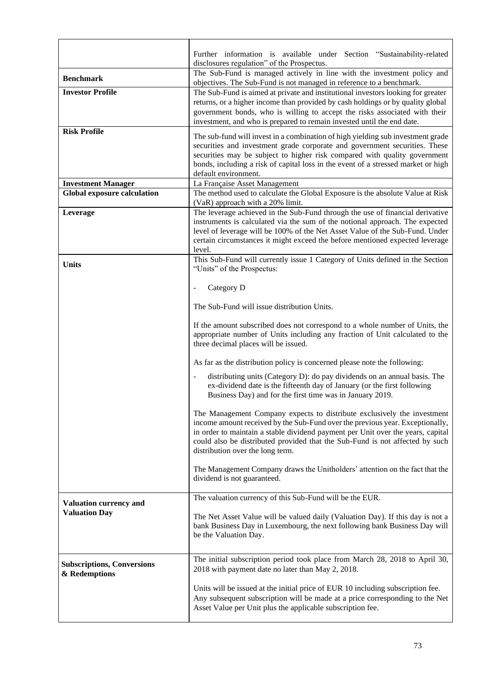|                                                    | Further information is available under Section "Sustainability-related                                                                                                                                                                                                                                                                                                                              |  |  |  |  |  |
|----------------------------------------------------|-----------------------------------------------------------------------------------------------------------------------------------------------------------------------------------------------------------------------------------------------------------------------------------------------------------------------------------------------------------------------------------------------------|--|--|--|--|--|
| <b>Benchmark</b>                                   | disclosures regulation" of the Prospectus.<br>The Sub-Fund is managed actively in line with the investment policy and                                                                                                                                                                                                                                                                               |  |  |  |  |  |
| <b>Investor Profile</b>                            | objectives. The Sub-Fund is not managed in reference to a benchmark.<br>The Sub-Fund is aimed at private and institutional investors looking for greater<br>returns, or a higher income than provided by cash holdings or by quality global<br>government bonds, who is willing to accept the risks associated with their<br>investment, and who is prepared to remain invested until the end date. |  |  |  |  |  |
| <b>Risk Profile</b>                                | The sub-fund will invest in a combination of high yielding sub investment grade<br>securities and investment grade corporate and government securities. These<br>securities may be subject to higher risk compared with quality government<br>bonds, including a risk of capital loss in the event of a stressed market or high<br>default environment.                                             |  |  |  |  |  |
| <b>Investment Manager</b>                          | La Française Asset Management                                                                                                                                                                                                                                                                                                                                                                       |  |  |  |  |  |
| <b>Global exposure calculation</b>                 | The method used to calculate the Global Exposure is the absolute Value at Risk<br>(VaR) approach with a 20% limit.                                                                                                                                                                                                                                                                                  |  |  |  |  |  |
| Leverage                                           | The leverage achieved in the Sub-Fund through the use of financial derivative<br>instruments is calculated via the sum of the notional approach. The expected<br>level of leverage will be 100% of the Net Asset Value of the Sub-Fund. Under<br>certain circumstances it might exceed the before mentioned expected leverage<br>level.                                                             |  |  |  |  |  |
| <b>Units</b>                                       | This Sub-Fund will currently issue 1 Category of Units defined in the Section<br>"Units" of the Prospectus:                                                                                                                                                                                                                                                                                         |  |  |  |  |  |
|                                                    | Category D                                                                                                                                                                                                                                                                                                                                                                                          |  |  |  |  |  |
|                                                    | The Sub-Fund will issue distribution Units.                                                                                                                                                                                                                                                                                                                                                         |  |  |  |  |  |
|                                                    | If the amount subscribed does not correspond to a whole number of Units, the<br>appropriate number of Units including any fraction of Unit calculated to the<br>three decimal places will be issued.                                                                                                                                                                                                |  |  |  |  |  |
|                                                    | As far as the distribution policy is concerned please note the following:                                                                                                                                                                                                                                                                                                                           |  |  |  |  |  |
|                                                    | distributing units (Category D): do pay dividends on an annual basis. The<br>ex-dividend date is the fifteenth day of January (or the first following<br>Business Day) and for the first time was in January 2019.                                                                                                                                                                                  |  |  |  |  |  |
|                                                    | The Management Company expects to distribute exclusively the investment<br>income amount received by the Sub-Fund over the previous year. Exceptionally,<br>in order to maintain a stable dividend payment per Unit over the years, capital<br>could also be distributed provided that the Sub-Fund is not affected by such<br>distribution over the long term.                                     |  |  |  |  |  |
|                                                    | The Management Company draws the Unitholders' attention on the fact that the<br>dividend is not guaranteed.                                                                                                                                                                                                                                                                                         |  |  |  |  |  |
| Valuation currency and                             | The valuation currency of this Sub-Fund will be the EUR.                                                                                                                                                                                                                                                                                                                                            |  |  |  |  |  |
| <b>Valuation Day</b>                               | The Net Asset Value will be valued daily (Valuation Day). If this day is not a<br>bank Business Day in Luxembourg, the next following bank Business Day will<br>be the Valuation Day.                                                                                                                                                                                                               |  |  |  |  |  |
| <b>Subscriptions, Conversions</b><br>& Redemptions | The initial subscription period took place from March 28, 2018 to April 30,<br>2018 with payment date no later than May 2, 2018.                                                                                                                                                                                                                                                                    |  |  |  |  |  |
|                                                    | Units will be issued at the initial price of EUR 10 including subscription fee.<br>Any subsequent subscription will be made at a price corresponding to the Net<br>Asset Value per Unit plus the applicable subscription fee.                                                                                                                                                                       |  |  |  |  |  |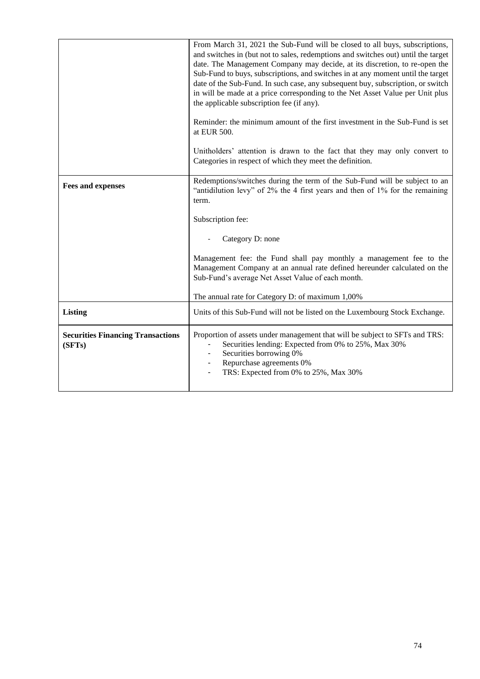|                                                    | From March 31, 2021 the Sub-Fund will be closed to all buys, subscriptions,<br>and switches in (but not to sales, redemptions and switches out) until the target<br>date. The Management Company may decide, at its discretion, to re-open the<br>Sub-Fund to buys, subscriptions, and switches in at any moment until the target<br>date of the Sub-Fund. In such case, any subsequent buy, subscription, or switch<br>in will be made at a price corresponding to the Net Asset Value per Unit plus<br>the applicable subscription fee (if any).<br>Reminder: the minimum amount of the first investment in the Sub-Fund is set<br>at EUR 500.<br>Unitholders' attention is drawn to the fact that they may only convert to<br>Categories in respect of which they meet the definition. |
|----------------------------------------------------|-------------------------------------------------------------------------------------------------------------------------------------------------------------------------------------------------------------------------------------------------------------------------------------------------------------------------------------------------------------------------------------------------------------------------------------------------------------------------------------------------------------------------------------------------------------------------------------------------------------------------------------------------------------------------------------------------------------------------------------------------------------------------------------------|
|                                                    |                                                                                                                                                                                                                                                                                                                                                                                                                                                                                                                                                                                                                                                                                                                                                                                           |
| <b>Fees and expenses</b>                           | Redemptions/switches during the term of the Sub-Fund will be subject to an<br>"antidilution levy" of 2% the 4 first years and then of 1% for the remaining<br>term.                                                                                                                                                                                                                                                                                                                                                                                                                                                                                                                                                                                                                       |
|                                                    | Subscription fee:                                                                                                                                                                                                                                                                                                                                                                                                                                                                                                                                                                                                                                                                                                                                                                         |
|                                                    | Category D: none                                                                                                                                                                                                                                                                                                                                                                                                                                                                                                                                                                                                                                                                                                                                                                          |
|                                                    | Management fee: the Fund shall pay monthly a management fee to the<br>Management Company at an annual rate defined hereunder calculated on the<br>Sub-Fund's average Net Asset Value of each month.                                                                                                                                                                                                                                                                                                                                                                                                                                                                                                                                                                                       |
|                                                    | The annual rate for Category D: of maximum 1,00%                                                                                                                                                                                                                                                                                                                                                                                                                                                                                                                                                                                                                                                                                                                                          |
| <b>Listing</b>                                     | Units of this Sub-Fund will not be listed on the Luxembourg Stock Exchange.                                                                                                                                                                                                                                                                                                                                                                                                                                                                                                                                                                                                                                                                                                               |
| <b>Securities Financing Transactions</b><br>(SFTs) | Proportion of assets under management that will be subject to SFTs and TRS:<br>Securities lending: Expected from 0% to 25%, Max 30%<br>Securities borrowing 0%<br>Repurchase agreements 0%<br>$\qquad \qquad \blacksquare$<br>TRS: Expected from 0% to 25%, Max 30%                                                                                                                                                                                                                                                                                                                                                                                                                                                                                                                       |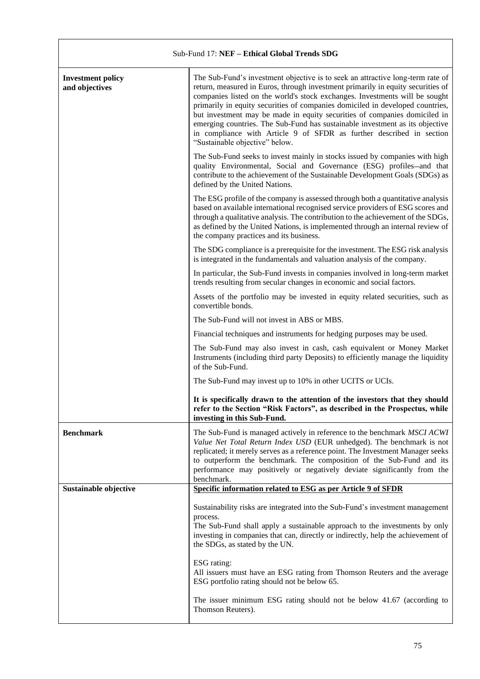| Sub-Fund 17: NEF - Ethical Global Trends SDG |                                                                                                                                                                                                                                                                                                                                                                                                                                                                                                                                                                                                          |  |  |
|----------------------------------------------|----------------------------------------------------------------------------------------------------------------------------------------------------------------------------------------------------------------------------------------------------------------------------------------------------------------------------------------------------------------------------------------------------------------------------------------------------------------------------------------------------------------------------------------------------------------------------------------------------------|--|--|
| <b>Investment policy</b><br>and objectives   | The Sub-Fund's investment objective is to seek an attractive long-term rate of<br>return, measured in Euros, through investment primarily in equity securities of<br>companies listed on the world's stock exchanges. Investments will be sought<br>primarily in equity securities of companies domiciled in developed countries,<br>but investment may be made in equity securities of companies domiciled in<br>emerging countries. The Sub-Fund has sustainable investment as its objective<br>in compliance with Article 9 of SFDR as further described in section<br>"Sustainable objective" below. |  |  |
|                                              | The Sub-Fund seeks to invest mainly in stocks issued by companies with high<br>quality Environmental, Social and Governance (ESG) profiles-and that<br>contribute to the achievement of the Sustainable Development Goals (SDGs) as<br>defined by the United Nations.                                                                                                                                                                                                                                                                                                                                    |  |  |
|                                              | The ESG profile of the company is assessed through both a quantitative analysis<br>based on available international recognised service providers of ESG scores and<br>through a qualitative analysis. The contribution to the achievement of the SDGs,<br>as defined by the United Nations, is implemented through an internal review of<br>the company practices and its business.                                                                                                                                                                                                                      |  |  |
|                                              | The SDG compliance is a prerequisite for the investment. The ESG risk analysis<br>is integrated in the fundamentals and valuation analysis of the company.                                                                                                                                                                                                                                                                                                                                                                                                                                               |  |  |
|                                              | In particular, the Sub-Fund invests in companies involved in long-term market<br>trends resulting from secular changes in economic and social factors.                                                                                                                                                                                                                                                                                                                                                                                                                                                   |  |  |
|                                              | Assets of the portfolio may be invested in equity related securities, such as<br>convertible bonds.                                                                                                                                                                                                                                                                                                                                                                                                                                                                                                      |  |  |
|                                              | The Sub-Fund will not invest in ABS or MBS.                                                                                                                                                                                                                                                                                                                                                                                                                                                                                                                                                              |  |  |
|                                              | Financial techniques and instruments for hedging purposes may be used.                                                                                                                                                                                                                                                                                                                                                                                                                                                                                                                                   |  |  |
|                                              | The Sub-Fund may also invest in cash, cash equivalent or Money Market<br>Instruments (including third party Deposits) to efficiently manage the liquidity<br>of the Sub-Fund.                                                                                                                                                                                                                                                                                                                                                                                                                            |  |  |
|                                              | The Sub-Fund may invest up to 10% in other UCITS or UCIs.                                                                                                                                                                                                                                                                                                                                                                                                                                                                                                                                                |  |  |
|                                              | It is specifically drawn to the attention of the investors that they should<br>refer to the Section "Risk Factors", as described in the Prospectus, while<br>investing in this Sub-Fund.                                                                                                                                                                                                                                                                                                                                                                                                                 |  |  |
| <b>Benchmark</b>                             | The Sub-Fund is managed actively in reference to the benchmark MSCI ACWI<br>Value Net Total Return Index USD (EUR unhedged). The benchmark is not<br>replicated; it merely serves as a reference point. The Investment Manager seeks<br>to outperform the benchmark. The composition of the Sub-Fund and its<br>performance may positively or negatively deviate significantly from the<br>benchmark.                                                                                                                                                                                                    |  |  |
| Sustainable objective                        | Specific information related to ESG as per Article 9 of SFDR                                                                                                                                                                                                                                                                                                                                                                                                                                                                                                                                             |  |  |
|                                              | Sustainability risks are integrated into the Sub-Fund's investment management<br>process.<br>The Sub-Fund shall apply a sustainable approach to the investments by only<br>investing in companies that can, directly or indirectly, help the achievement of<br>the SDGs, as stated by the UN.                                                                                                                                                                                                                                                                                                            |  |  |
|                                              | ESG rating:<br>All issuers must have an ESG rating from Thomson Reuters and the average<br>ESG portfolio rating should not be below 65.                                                                                                                                                                                                                                                                                                                                                                                                                                                                  |  |  |
|                                              | The issuer minimum ESG rating should not be below 41.67 (according to<br>Thomson Reuters).                                                                                                                                                                                                                                                                                                                                                                                                                                                                                                               |  |  |

 $\Gamma$ 

٦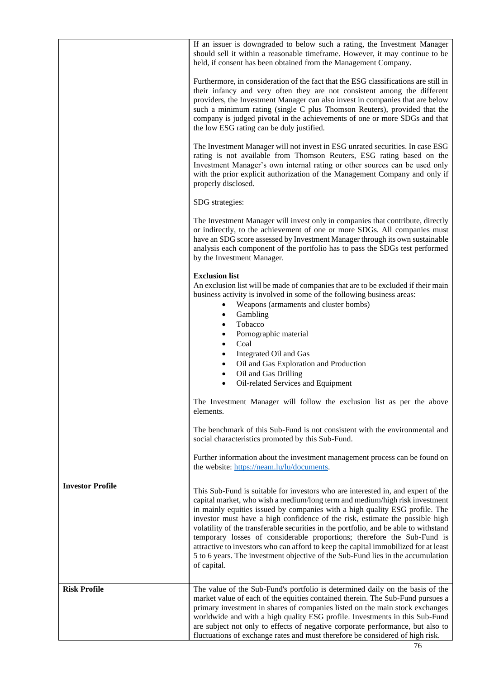|                         | If an issuer is downgraded to below such a rating, the Investment Manager<br>should sell it within a reasonable timeframe. However, it may continue to be<br>held, if consent has been obtained from the Management Company.                                                                                                                                                                                                                                                                                                                                                                                                                                                               |
|-------------------------|--------------------------------------------------------------------------------------------------------------------------------------------------------------------------------------------------------------------------------------------------------------------------------------------------------------------------------------------------------------------------------------------------------------------------------------------------------------------------------------------------------------------------------------------------------------------------------------------------------------------------------------------------------------------------------------------|
|                         | Furthermore, in consideration of the fact that the ESG classifications are still in<br>their infancy and very often they are not consistent among the different<br>providers, the Investment Manager can also invest in companies that are below<br>such a minimum rating (single C plus Thomson Reuters), provided that the<br>company is judged pivotal in the achievements of one or more SDGs and that<br>the low ESG rating can be duly justified.                                                                                                                                                                                                                                    |
|                         | The Investment Manager will not invest in ESG unrated securities. In case ESG<br>rating is not available from Thomson Reuters, ESG rating based on the<br>Investment Manager's own internal rating or other sources can be used only<br>with the prior explicit authorization of the Management Company and only if<br>properly disclosed.                                                                                                                                                                                                                                                                                                                                                 |
|                         | SDG strategies:                                                                                                                                                                                                                                                                                                                                                                                                                                                                                                                                                                                                                                                                            |
|                         | The Investment Manager will invest only in companies that contribute, directly<br>or indirectly, to the achievement of one or more SDGs. All companies must<br>have an SDG score assessed by Investment Manager through its own sustainable<br>analysis each component of the portfolio has to pass the SDGs test performed<br>by the Investment Manager.                                                                                                                                                                                                                                                                                                                                  |
|                         | <b>Exclusion list</b><br>An exclusion list will be made of companies that are to be excluded if their main<br>business activity is involved in some of the following business areas:<br>Weapons (armaments and cluster bombs)<br>$\bullet$<br>Gambling<br>$\bullet$<br>Tobacco<br>$\bullet$<br>Pornographic material<br>$\bullet$<br>Coal<br>$\bullet$<br>Integrated Oil and Gas<br>$\bullet$                                                                                                                                                                                                                                                                                              |
|                         | Oil and Gas Exploration and Production<br>$\bullet$<br>Oil and Gas Drilling<br>$\bullet$<br>Oil-related Services and Equipment                                                                                                                                                                                                                                                                                                                                                                                                                                                                                                                                                             |
|                         | The Investment Manager will follow the exclusion list as per the above<br>elements.                                                                                                                                                                                                                                                                                                                                                                                                                                                                                                                                                                                                        |
|                         | The benchmark of this Sub-Fund is not consistent with the environmental and<br>social characteristics promoted by this Sub-Fund.                                                                                                                                                                                                                                                                                                                                                                                                                                                                                                                                                           |
|                         | Further information about the investment management process can be found on<br>the website: https://neam.lu/lu/documents.                                                                                                                                                                                                                                                                                                                                                                                                                                                                                                                                                                  |
| <b>Investor Profile</b> | This Sub-Fund is suitable for investors who are interested in, and expert of the<br>capital market, who wish a medium/long term and medium/high risk investment<br>in mainly equities issued by companies with a high quality ESG profile. The<br>investor must have a high confidence of the risk, estimate the possible high<br>volatility of the transferable securities in the portfolio, and be able to withstand<br>temporary losses of considerable proportions; therefore the Sub-Fund is<br>attractive to investors who can afford to keep the capital immobilized for at least<br>5 to 6 years. The investment objective of the Sub-Fund lies in the accumulation<br>of capital. |
| <b>Risk Profile</b>     | The value of the Sub-Fund's portfolio is determined daily on the basis of the<br>market value of each of the equities contained therein. The Sub-Fund pursues a<br>primary investment in shares of companies listed on the main stock exchanges<br>worldwide and with a high quality ESG profile. Investments in this Sub-Fund<br>are subject not only to effects of negative corporate performance, but also to<br>fluctuations of exchange rates and must therefore be considered of high risk.                                                                                                                                                                                          |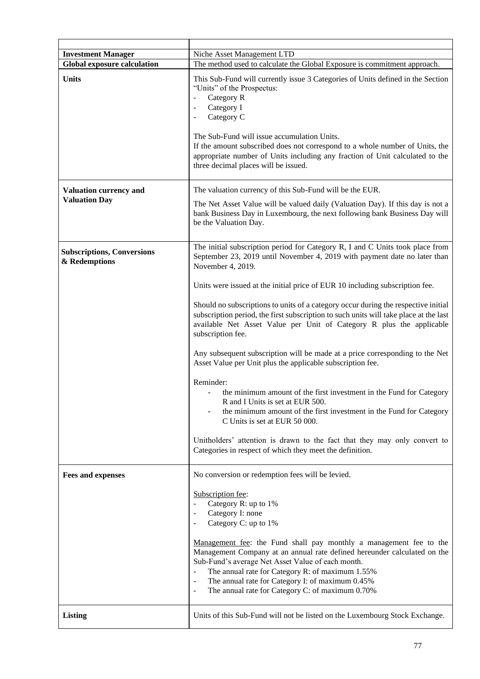| <b>Investment Manager</b>                          | Niche Asset Management LTD                                                                                                                                                                                                                                                                                                                                                                                                                                                                                                                  |  |  |  |  |
|----------------------------------------------------|---------------------------------------------------------------------------------------------------------------------------------------------------------------------------------------------------------------------------------------------------------------------------------------------------------------------------------------------------------------------------------------------------------------------------------------------------------------------------------------------------------------------------------------------|--|--|--|--|
| <b>Global exposure calculation</b>                 | The method used to calculate the Global Exposure is commitment approach.                                                                                                                                                                                                                                                                                                                                                                                                                                                                    |  |  |  |  |
| <b>Units</b>                                       | This Sub-Fund will currently issue 3 Categories of Units defined in the Section<br>"Units" of the Prospectus:<br>Category R<br>$\blacksquare$<br>Category I<br>$\overline{\phantom{a}}$<br>Category C<br>$\overline{\phantom{a}}$<br>The Sub-Fund will issue accumulation Units.<br>If the amount subscribed does not correspond to a whole number of Units, the<br>appropriate number of Units including any fraction of Unit calculated to the<br>three decimal places will be issued.                                                    |  |  |  |  |
| <b>Valuation currency and</b>                      | The valuation currency of this Sub-Fund will be the EUR.                                                                                                                                                                                                                                                                                                                                                                                                                                                                                    |  |  |  |  |
| <b>Valuation Day</b>                               | The Net Asset Value will be valued daily (Valuation Day). If this day is not a<br>bank Business Day in Luxembourg, the next following bank Business Day will<br>be the Valuation Day.                                                                                                                                                                                                                                                                                                                                                       |  |  |  |  |
| <b>Subscriptions, Conversions</b><br>& Redemptions | The initial subscription period for Category R, I and C Units took place from<br>September 23, 2019 until November 4, 2019 with payment date no later than<br>November 4, 2019.<br>Units were issued at the initial price of EUR 10 including subscription fee.<br>Should no subscriptions to units of a category occur during the respective initial<br>subscription period, the first subscription to such units will take place at the last<br>available Net Asset Value per Unit of Category R plus the applicable<br>subscription fee. |  |  |  |  |
|                                                    |                                                                                                                                                                                                                                                                                                                                                                                                                                                                                                                                             |  |  |  |  |
|                                                    |                                                                                                                                                                                                                                                                                                                                                                                                                                                                                                                                             |  |  |  |  |
|                                                    | Any subsequent subscription will be made at a price corresponding to the Net<br>Asset Value per Unit plus the applicable subscription fee.                                                                                                                                                                                                                                                                                                                                                                                                  |  |  |  |  |
|                                                    | Reminder:<br>the minimum amount of the first investment in the Fund for Category<br>R and I Units is set at EUR 500.<br>the minimum amount of the first investment in the Fund for Category<br>C Units is set at EUR 50 000.                                                                                                                                                                                                                                                                                                                |  |  |  |  |
|                                                    | Unitholders' attention is drawn to the fact that they may only convert to<br>Categories in respect of which they meet the definition.                                                                                                                                                                                                                                                                                                                                                                                                       |  |  |  |  |
| <b>Fees and expenses</b>                           | No conversion or redemption fees will be levied.                                                                                                                                                                                                                                                                                                                                                                                                                                                                                            |  |  |  |  |
|                                                    | Subscription fee:<br>Category R: up to 1%<br>Category I: none<br>Category C: up to 1%                                                                                                                                                                                                                                                                                                                                                                                                                                                       |  |  |  |  |
|                                                    | Management fee: the Fund shall pay monthly a management fee to the<br>Management Company at an annual rate defined hereunder calculated on the<br>Sub-Fund's average Net Asset Value of each month.<br>The annual rate for Category R: of maximum 1.55%<br>The annual rate for Category I: of maximum 0.45%<br>$\overline{\phantom{a}}$<br>The annual rate for Category C: of maximum 0.70%                                                                                                                                                 |  |  |  |  |
| <b>Listing</b>                                     | Units of this Sub-Fund will not be listed on the Luxembourg Stock Exchange.                                                                                                                                                                                                                                                                                                                                                                                                                                                                 |  |  |  |  |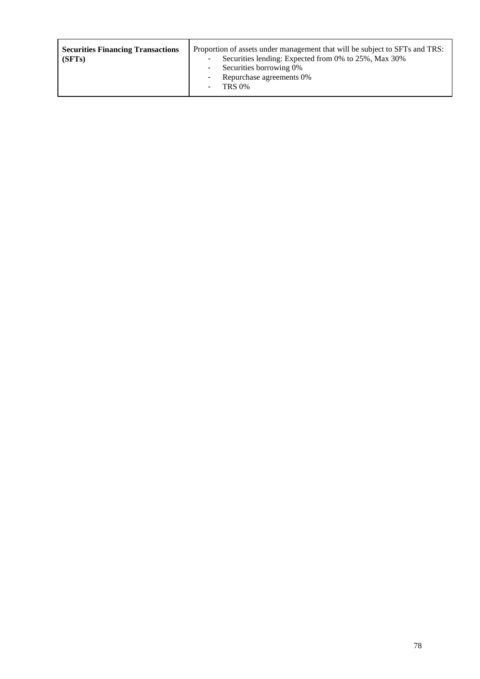| <b>Securities Financing Transactions</b><br>(SFTs) | Proportion of assets under management that will be subject to SFTs and TRS:<br>Securities lending: Expected from 0% to 25%, Max 30%<br>٠<br>Securities borrowing 0%<br>$\sim 100$<br>Repurchase agreements 0%<br>$\blacksquare$<br><b>TRS 0%</b> |
|----------------------------------------------------|--------------------------------------------------------------------------------------------------------------------------------------------------------------------------------------------------------------------------------------------------|
|                                                    |                                                                                                                                                                                                                                                  |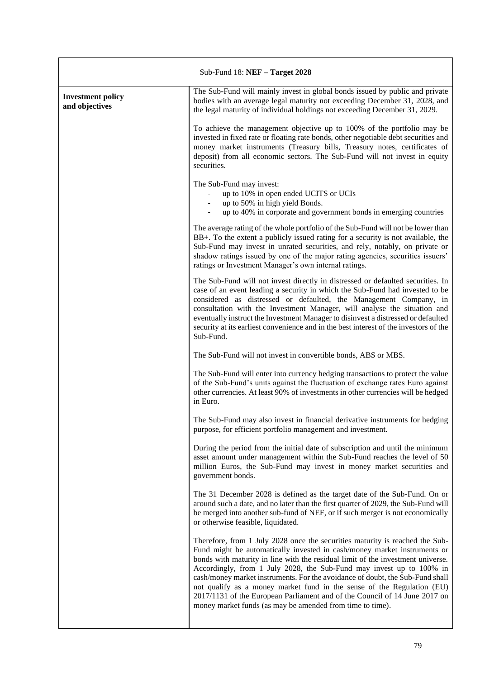| Sub-Fund $18:$ NEF $-$ Target 2028         |                                                                                                                                                                                                                                                                                                                                                                                                                                                                                                                                                                                                                           |  |  |  |
|--------------------------------------------|---------------------------------------------------------------------------------------------------------------------------------------------------------------------------------------------------------------------------------------------------------------------------------------------------------------------------------------------------------------------------------------------------------------------------------------------------------------------------------------------------------------------------------------------------------------------------------------------------------------------------|--|--|--|
| <b>Investment policy</b><br>and objectives | The Sub-Fund will mainly invest in global bonds issued by public and private<br>bodies with an average legal maturity not exceeding December 31, 2028, and<br>the legal maturity of individual holdings not exceeding December 31, 2029.                                                                                                                                                                                                                                                                                                                                                                                  |  |  |  |
|                                            | To achieve the management objective up to 100% of the portfolio may be<br>invested in fixed rate or floating rate bonds, other negotiable debt securities and<br>money market instruments (Treasury bills, Treasury notes, certificates of<br>deposit) from all economic sectors. The Sub-Fund will not invest in equity<br>securities.                                                                                                                                                                                                                                                                                   |  |  |  |
|                                            | The Sub-Fund may invest:<br>up to 10% in open ended UCITS or UCIs<br>up to 50% in high yield Bonds.<br>up to 40% in corporate and government bonds in emerging countries                                                                                                                                                                                                                                                                                                                                                                                                                                                  |  |  |  |
|                                            | The average rating of the whole portfolio of the Sub-Fund will not be lower than<br>BB+. To the extent a publicly issued rating for a security is not available, the<br>Sub-Fund may invest in unrated securities, and rely, notably, on private or<br>shadow ratings issued by one of the major rating agencies, securities issuers'<br>ratings or Investment Manager's own internal ratings.                                                                                                                                                                                                                            |  |  |  |
|                                            | The Sub-Fund will not invest directly in distressed or defaulted securities. In<br>case of an event leading a security in which the Sub-Fund had invested to be<br>considered as distressed or defaulted, the Management Company, in<br>consultation with the Investment Manager, will analyse the situation and<br>eventually instruct the Investment Manager to disinvest a distressed or defaulted<br>security at its earliest convenience and in the best interest of the investors of the<br>Sub-Fund.                                                                                                               |  |  |  |
|                                            | The Sub-Fund will not invest in convertible bonds, ABS or MBS.                                                                                                                                                                                                                                                                                                                                                                                                                                                                                                                                                            |  |  |  |
|                                            | The Sub-Fund will enter into currency hedging transactions to protect the value<br>of the Sub-Fund's units against the fluctuation of exchange rates Euro against<br>other currencies. At least 90% of investments in other currencies will be hedged<br>in Euro.                                                                                                                                                                                                                                                                                                                                                         |  |  |  |
|                                            | The Sub-Fund may also invest in financial derivative instruments for hedging<br>purpose, for efficient portfolio management and investment.                                                                                                                                                                                                                                                                                                                                                                                                                                                                               |  |  |  |
|                                            | During the period from the initial date of subscription and until the minimum<br>asset amount under management within the Sub-Fund reaches the level of 50<br>million Euros, the Sub-Fund may invest in money market securities and<br>government bonds.                                                                                                                                                                                                                                                                                                                                                                  |  |  |  |
|                                            | The 31 December 2028 is defined as the target date of the Sub-Fund. On or<br>around such a date, and no later than the first quarter of 2029, the Sub-Fund will<br>be merged into another sub-fund of NEF, or if such merger is not economically<br>or otherwise feasible, liquidated.                                                                                                                                                                                                                                                                                                                                    |  |  |  |
|                                            | Therefore, from 1 July 2028 once the securities maturity is reached the Sub-<br>Fund might be automatically invested in cash/money market instruments or<br>bonds with maturity in line with the residual limit of the investment universe.<br>Accordingly, from 1 July 2028, the Sub-Fund may invest up to 100% in<br>cash/money market instruments. For the avoidance of doubt, the Sub-Fund shall<br>not qualify as a money market fund in the sense of the Regulation (EU)<br>2017/1131 of the European Parliament and of the Council of 14 June 2017 on<br>money market funds (as may be amended from time to time). |  |  |  |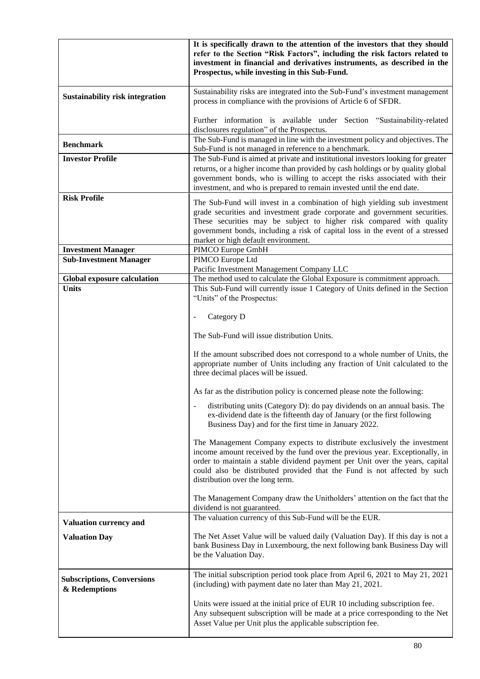|                                                    | It is specifically drawn to the attention of the investors that they should<br>refer to the Section "Risk Factors", including the risk factors related to<br>investment in financial and derivatives instruments, as described in the<br>Prospectus, while investing in this Sub-Fund.                                                                                                                                                                                                                                                                                                                                                                                                                                                                                                                                                                                                                                                                                                                                                                                                                                                                   |  |  |  |
|----------------------------------------------------|----------------------------------------------------------------------------------------------------------------------------------------------------------------------------------------------------------------------------------------------------------------------------------------------------------------------------------------------------------------------------------------------------------------------------------------------------------------------------------------------------------------------------------------------------------------------------------------------------------------------------------------------------------------------------------------------------------------------------------------------------------------------------------------------------------------------------------------------------------------------------------------------------------------------------------------------------------------------------------------------------------------------------------------------------------------------------------------------------------------------------------------------------------|--|--|--|
| <b>Sustainability risk integration</b>             | Sustainability risks are integrated into the Sub-Fund's investment management<br>process in compliance with the provisions of Article 6 of SFDR.                                                                                                                                                                                                                                                                                                                                                                                                                                                                                                                                                                                                                                                                                                                                                                                                                                                                                                                                                                                                         |  |  |  |
|                                                    | Further information is available under Section "Sustainability-related<br>disclosures regulation" of the Prospectus.                                                                                                                                                                                                                                                                                                                                                                                                                                                                                                                                                                                                                                                                                                                                                                                                                                                                                                                                                                                                                                     |  |  |  |
| <b>Benchmark</b>                                   | The Sub-Fund is managed in line with the investment policy and objectives. The<br>Sub-Fund is not managed in reference to a benchmark.                                                                                                                                                                                                                                                                                                                                                                                                                                                                                                                                                                                                                                                                                                                                                                                                                                                                                                                                                                                                                   |  |  |  |
| <b>Investor Profile</b>                            | The Sub-Fund is aimed at private and institutional investors looking for greater<br>returns, or a higher income than provided by cash holdings or by quality global<br>government bonds, who is willing to accept the risks associated with their<br>investment, and who is prepared to remain invested until the end date.                                                                                                                                                                                                                                                                                                                                                                                                                                                                                                                                                                                                                                                                                                                                                                                                                              |  |  |  |
| <b>Risk Profile</b>                                | The Sub-Fund will invest in a combination of high yielding sub investment<br>grade securities and investment grade corporate and government securities.<br>These securities may be subject to higher risk compared with quality<br>government bonds, including a risk of capital loss in the event of a stressed<br>market or high default environment.                                                                                                                                                                                                                                                                                                                                                                                                                                                                                                                                                                                                                                                                                                                                                                                                  |  |  |  |
| <b>Investment Manager</b>                          | PIMCO Europe GmbH                                                                                                                                                                                                                                                                                                                                                                                                                                                                                                                                                                                                                                                                                                                                                                                                                                                                                                                                                                                                                                                                                                                                        |  |  |  |
| <b>Sub-Investment Manager</b>                      | PIMCO Europe Ltd<br>Pacific Investment Management Company LLC                                                                                                                                                                                                                                                                                                                                                                                                                                                                                                                                                                                                                                                                                                                                                                                                                                                                                                                                                                                                                                                                                            |  |  |  |
| <b>Global exposure calculation</b>                 | The method used to calculate the Global Exposure is commitment approach.                                                                                                                                                                                                                                                                                                                                                                                                                                                                                                                                                                                                                                                                                                                                                                                                                                                                                                                                                                                                                                                                                 |  |  |  |
| <b>Units</b>                                       | This Sub-Fund will currently issue 1 Category of Units defined in the Section<br>"Units" of the Prospectus:<br>Category D<br>The Sub-Fund will issue distribution Units.<br>If the amount subscribed does not correspond to a whole number of Units, the<br>appropriate number of Units including any fraction of Unit calculated to the<br>three decimal places will be issued.<br>As far as the distribution policy is concerned please note the following:<br>distributing units (Category D): do pay dividends on an annual basis. The<br>ex-dividend date is the fifteenth day of January (or the first following<br>Business Day) and for the first time in January 2022.<br>The Management Company expects to distribute exclusively the investment<br>income amount received by the fund over the previous year. Exceptionally, in<br>order to maintain a stable dividend payment per Unit over the years, capital<br>could also be distributed provided that the Fund is not affected by such<br>distribution over the long term.<br>The Management Company draw the Unitholders' attention on the fact that the<br>dividend is not guaranteed. |  |  |  |
| Valuation currency and                             | The valuation currency of this Sub-Fund will be the EUR.                                                                                                                                                                                                                                                                                                                                                                                                                                                                                                                                                                                                                                                                                                                                                                                                                                                                                                                                                                                                                                                                                                 |  |  |  |
| <b>Valuation Day</b>                               | The Net Asset Value will be valued daily (Valuation Day). If this day is not a<br>bank Business Day in Luxembourg, the next following bank Business Day will<br>be the Valuation Day.                                                                                                                                                                                                                                                                                                                                                                                                                                                                                                                                                                                                                                                                                                                                                                                                                                                                                                                                                                    |  |  |  |
| <b>Subscriptions, Conversions</b><br>& Redemptions | The initial subscription period took place from April 6, 2021 to May 21, 2021<br>(including) with payment date no later than May 21, 2021.                                                                                                                                                                                                                                                                                                                                                                                                                                                                                                                                                                                                                                                                                                                                                                                                                                                                                                                                                                                                               |  |  |  |
|                                                    | Units were issued at the initial price of EUR 10 including subscription fee.<br>Any subsequent subscription will be made at a price corresponding to the Net<br>Asset Value per Unit plus the applicable subscription fee.                                                                                                                                                                                                                                                                                                                                                                                                                                                                                                                                                                                                                                                                                                                                                                                                                                                                                                                               |  |  |  |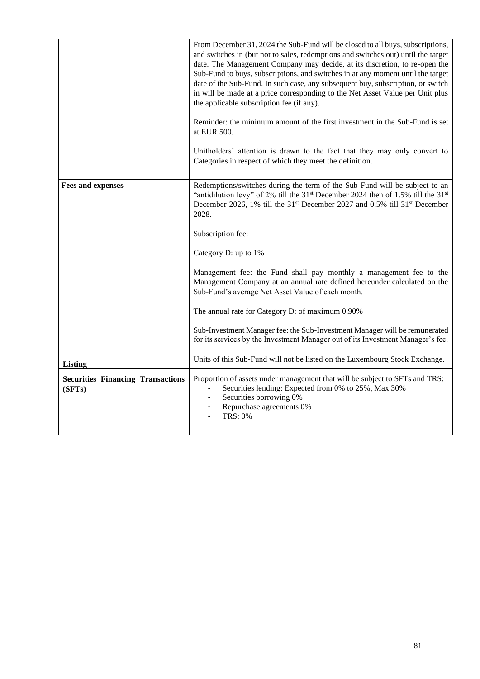|                                                    | From December 31, 2024 the Sub-Fund will be closed to all buys, subscriptions,<br>and switches in (but not to sales, redemptions and switches out) until the target<br>date. The Management Company may decide, at its discretion, to re-open the<br>Sub-Fund to buys, subscriptions, and switches in at any moment until the target<br>date of the Sub-Fund. In such case, any subsequent buy, subscription, or switch<br>in will be made at a price corresponding to the Net Asset Value per Unit plus<br>the applicable subscription fee (if any).<br>Reminder: the minimum amount of the first investment in the Sub-Fund is set<br>at EUR 500.<br>Unitholders' attention is drawn to the fact that they may only convert to<br>Categories in respect of which they meet the definition. |  |  |  |
|----------------------------------------------------|----------------------------------------------------------------------------------------------------------------------------------------------------------------------------------------------------------------------------------------------------------------------------------------------------------------------------------------------------------------------------------------------------------------------------------------------------------------------------------------------------------------------------------------------------------------------------------------------------------------------------------------------------------------------------------------------------------------------------------------------------------------------------------------------|--|--|--|
| <b>Fees and expenses</b>                           | Redemptions/switches during the term of the Sub-Fund will be subject to an<br>"antidilution levy" of 2% till the 31 <sup>st</sup> December 2024 then of 1.5% till the 31 <sup>st</sup><br>December 2026, 1% till the 31 <sup>st</sup> December 2027 and 0.5% till 31 <sup>st</sup> December<br>2028.<br>Subscription fee:                                                                                                                                                                                                                                                                                                                                                                                                                                                                    |  |  |  |
|                                                    | Category D: up to 1%                                                                                                                                                                                                                                                                                                                                                                                                                                                                                                                                                                                                                                                                                                                                                                         |  |  |  |
|                                                    | Management fee: the Fund shall pay monthly a management fee to the<br>Management Company at an annual rate defined hereunder calculated on the<br>Sub-Fund's average Net Asset Value of each month.                                                                                                                                                                                                                                                                                                                                                                                                                                                                                                                                                                                          |  |  |  |
|                                                    | The annual rate for Category D: of maximum 0.90%                                                                                                                                                                                                                                                                                                                                                                                                                                                                                                                                                                                                                                                                                                                                             |  |  |  |
|                                                    | Sub-Investment Manager fee: the Sub-Investment Manager will be remunerated<br>for its services by the Investment Manager out of its Investment Manager's fee.                                                                                                                                                                                                                                                                                                                                                                                                                                                                                                                                                                                                                                |  |  |  |
| Listing                                            | Units of this Sub-Fund will not be listed on the Luxembourg Stock Exchange.                                                                                                                                                                                                                                                                                                                                                                                                                                                                                                                                                                                                                                                                                                                  |  |  |  |
| <b>Securities Financing Transactions</b><br>(SFTs) | Proportion of assets under management that will be subject to SFTs and TRS:<br>Securities lending: Expected from 0% to 25%, Max 30%<br>Securities borrowing 0%<br>Repurchase agreements 0%<br><b>TRS: 0%</b>                                                                                                                                                                                                                                                                                                                                                                                                                                                                                                                                                                                 |  |  |  |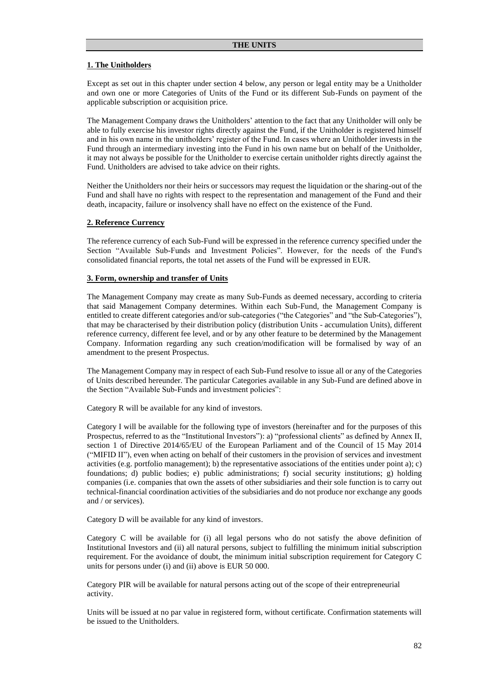### **1. The Unitholders**

Except as set out in this chapter under section 4 below, any person or legal entity may be a Unitholder and own one or more Categories of Units of the Fund or its different Sub-Funds on payment of the applicable subscription or acquisition price.

The Management Company draws the Unitholders' attention to the fact that any Unitholder will only be able to fully exercise his investor rights directly against the Fund, if the Unitholder is registered himself and in his own name in the unitholders' register of the Fund. In cases where an Unitholder invests in the Fund through an intermediary investing into the Fund in his own name but on behalf of the Unitholder, it may not always be possible for the Unitholder to exercise certain unitholder rights directly against the Fund. Unitholders are advised to take advice on their rights.

Neither the Unitholders nor their heirs or successors may request the liquidation or the sharing-out of the Fund and shall have no rights with respect to the representation and management of the Fund and their death, incapacity, failure or insolvency shall have no effect on the existence of the Fund.

### **2. Reference Currency**

The reference currency of each Sub-Fund will be expressed in the reference currency specified under the Section "Available Sub-Funds and Investment Policies". However, for the needs of the Fund's consolidated financial reports, the total net assets of the Fund will be expressed in EUR.

### **3. Form, ownership and transfer of Units**

The Management Company may create as many Sub-Funds as deemed necessary, according to criteria that said Management Company determines. Within each Sub-Fund, the Management Company is entitled to create different categories and/or sub-categories ("the Categories" and "the Sub-Categories"), that may be characterised by their distribution policy (distribution Units - accumulation Units), different reference currency, different fee level, and or by any other feature to be determined by the Management Company. Information regarding any such creation/modification will be formalised by way of an amendment to the present Prospectus.

The Management Company may in respect of each Sub-Fund resolve to issue all or any of the Categories of Units described hereunder. The particular Categories available in any Sub-Fund are defined above in the Section "Available Sub-Funds and investment policies":

Category R will be available for any kind of investors.

Category I will be available for the following type of investors (hereinafter and for the purposes of this Prospectus, referred to as the "Institutional Investors"): a) "professional clients" as defined by Annex II, section 1 of Directive 2014/65/EU of the European Parliament and of the Council of 15 May 2014 ("MIFID II"), even when acting on behalf of their customers in the provision of services and investment activities (e.g. portfolio management); b) the representative associations of the entities under point a); c) foundations; d) public bodies; e) public administrations; f) social security institutions; g) holding companies (i.e. companies that own the assets of other subsidiaries and their sole function is to carry out technical-financial coordination activities of the subsidiaries and do not produce nor exchange any goods and / or services).

Category D will be available for any kind of investors.

Category C will be available for (i) all legal persons who do not satisfy the above definition of Institutional Investors and (ii) all natural persons, subject to fulfilling the minimum initial subscription requirement. For the avoidance of doubt, the minimum initial subscription requirement for Category C units for persons under (i) and (ii) above is EUR 50 000.

Category PIR will be available for natural persons acting out of the scope of their entrepreneurial activity.

Units will be issued at no par value in registered form, without certificate. Confirmation statements will be issued to the Unitholders.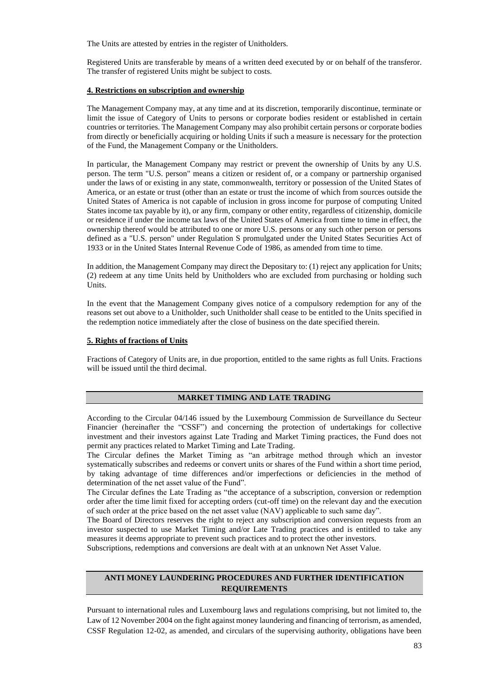The Units are attested by entries in the register of Unitholders.

Registered Units are transferable by means of a written deed executed by or on behalf of the transferor. The transfer of registered Units might be subject to costs.

## **4. Restrictions on subscription and ownership**

The Management Company may, at any time and at its discretion, temporarily discontinue, terminate or limit the issue of Category of Units to persons or corporate bodies resident or established in certain countries or territories. The Management Company may also prohibit certain persons or corporate bodies from directly or beneficially acquiring or holding Units if such a measure is necessary for the protection of the Fund, the Management Company or the Unitholders.

In particular, the Management Company may restrict or prevent the ownership of Units by any U.S. person. The term "U.S. person" means a citizen or resident of, or a company or partnership organised under the laws of or existing in any state, commonwealth, territory or possession of the United States of America, or an estate or trust (other than an estate or trust the income of which from sources outside the United States of America is not capable of inclusion in gross income for purpose of computing United States income tax payable by it), or any firm, company or other entity, regardless of citizenship, domicile or residence if under the income tax laws of the United States of America from time to time in effect, the ownership thereof would be attributed to one or more U.S. persons or any such other person or persons defined as a "U.S. person" under Regulation S promulgated under the United States Securities Act of 1933 or in the United States Internal Revenue Code of 1986, as amended from time to time.

In addition, the Management Company may direct the Depositary to: (1) reject any application for Units; (2) redeem at any time Units held by Unitholders who are excluded from purchasing or holding such Units.

In the event that the Management Company gives notice of a compulsory redemption for any of the reasons set out above to a Unitholder, such Unitholder shall cease to be entitled to the Units specified in the redemption notice immediately after the close of business on the date specified therein.

## **5. Rights of fractions of Units**

Fractions of Category of Units are, in due proportion, entitled to the same rights as full Units. Fractions will be issued until the third decimal.

## **MARKET TIMING AND LATE TRADING**

According to the Circular 04/146 issued by the Luxembourg Commission de Surveillance du Secteur Financier (hereinafter the "CSSF") and concerning the protection of undertakings for collective investment and their investors against Late Trading and Market Timing practices, the Fund does not permit any practices related to Market Timing and Late Trading.

The Circular defines the Market Timing as "an arbitrage method through which an investor systematically subscribes and redeems or convert units or shares of the Fund within a short time period, by taking advantage of time differences and/or imperfections or deficiencies in the method of determination of the net asset value of the Fund".

The Circular defines the Late Trading as "the acceptance of a subscription, conversion or redemption order after the time limit fixed for accepting orders (cut-off time) on the relevant day and the execution of such order at the price based on the net asset value (NAV) applicable to such same day".

The Board of Directors reserves the right to reject any subscription and conversion requests from an investor suspected to use Market Timing and/or Late Trading practices and is entitled to take any measures it deems appropriate to prevent such practices and to protect the other investors.

Subscriptions, redemptions and conversions are dealt with at an unknown Net Asset Value.

# **ANTI MONEY LAUNDERING PROCEDURES AND FURTHER IDENTIFICATION REQUIREMENTS**

Pursuant to international rules and Luxembourg laws and regulations comprising, but not limited to, the Law of 12 November 2004 on the fight against money laundering and financing of terrorism, as amended, CSSF Regulation 12-02, as amended, and circulars of the supervising authority, obligations have been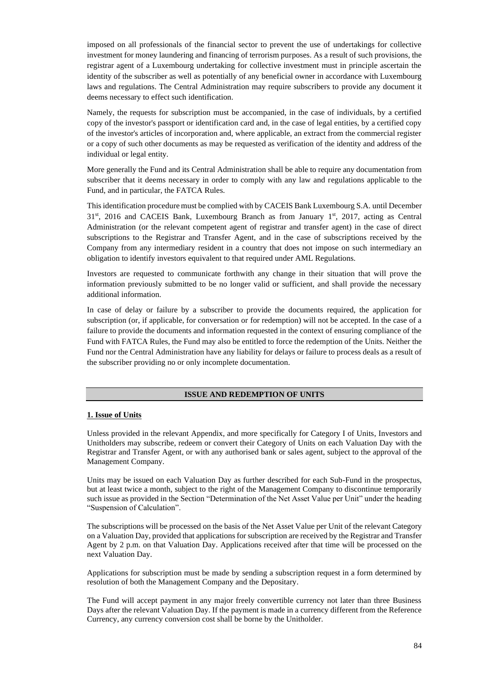imposed on all professionals of the financial sector to prevent the use of undertakings for collective investment for money laundering and financing of terrorism purposes. As a result of such provisions, the registrar agent of a Luxembourg undertaking for collective investment must in principle ascertain the identity of the subscriber as well as potentially of any beneficial owner in accordance with Luxembourg laws and regulations. The Central Administration may require subscribers to provide any document it deems necessary to effect such identification.

Namely, the requests for subscription must be accompanied, in the case of individuals, by a certified copy of the investor's passport or identification card and, in the case of legal entities, by a certified copy of the investor's articles of incorporation and, where applicable, an extract from the commercial register or a copy of such other documents as may be requested as verification of the identity and address of the individual or legal entity.

More generally the Fund and its Central Administration shall be able to require any documentation from subscriber that it deems necessary in order to comply with any law and regulations applicable to the Fund, and in particular, the FATCA Rules.

This identification procedure must be complied with by CACEIS Bank Luxembourg S.A. until December 31<sup>st</sup>, 2016 and CACEIS Bank, Luxembourg Branch as from January 1<sup>st</sup>, 2017, acting as Central Administration (or the relevant competent agent of registrar and transfer agent) in the case of direct subscriptions to the Registrar and Transfer Agent, and in the case of subscriptions received by the Company from any intermediary resident in a country that does not impose on such intermediary an obligation to identify investors equivalent to that required under AML Regulations.

Investors are requested to communicate forthwith any change in their situation that will prove the information previously submitted to be no longer valid or sufficient, and shall provide the necessary additional information.

In case of delay or failure by a subscriber to provide the documents required, the application for subscription (or, if applicable, for conversation or for redemption) will not be accepted. In the case of a failure to provide the documents and information requested in the context of ensuring compliance of the Fund with FATCA Rules, the Fund may also be entitled to force the redemption of the Units. Neither the Fund nor the Central Administration have any liability for delays or failure to process deals as a result of the subscriber providing no or only incomplete documentation.

### **ISSUE AND REDEMPTION OF UNITS**

### **1. Issue of Units**

Unless provided in the relevant Appendix, and more specifically for Category I of Units, Investors and Unitholders may subscribe, redeem or convert their Category of Units on each Valuation Day with the Registrar and Transfer Agent, or with any authorised bank or sales agent, subject to the approval of the Management Company.

Units may be issued on each Valuation Day as further described for each Sub-Fund in the prospectus, but at least twice a month, subject to the right of the Management Company to discontinue temporarily such issue as provided in the Section "Determination of the Net Asset Value per Unit" under the heading "Suspension of Calculation".

The subscriptions will be processed on the basis of the Net Asset Value per Unit of the relevant Category on a Valuation Day, provided that applications for subscription are received by the Registrar and Transfer Agent by 2 p.m. on that Valuation Day. Applications received after that time will be processed on the next Valuation Day.

Applications for subscription must be made by sending a subscription request in a form determined by resolution of both the Management Company and the Depositary.

The Fund will accept payment in any major freely convertible currency not later than three Business Days after the relevant Valuation Day. If the payment is made in a currency different from the Reference Currency, any currency conversion cost shall be borne by the Unitholder.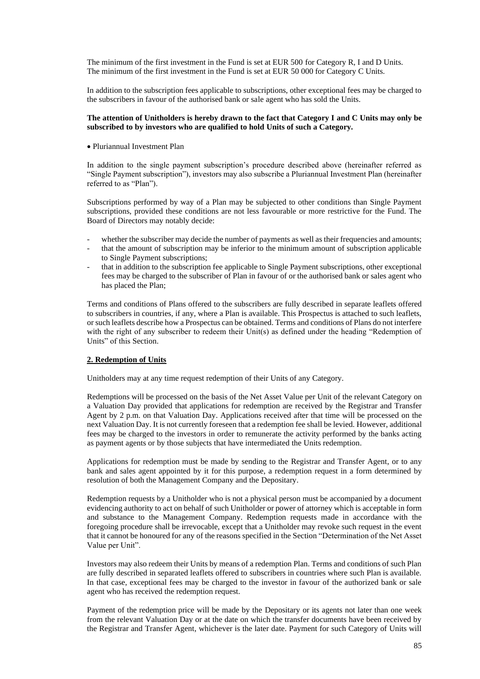The minimum of the first investment in the Fund is set at EUR 500 for Category R, I and D Units. The minimum of the first investment in the Fund is set at EUR 50 000 for Category C Units.

In addition to the subscription fees applicable to subscriptions, other exceptional fees may be charged to the subscribers in favour of the authorised bank or sale agent who has sold the Units.

## **The attention of Unitholders is hereby drawn to the fact that Category I and C Units may only be subscribed to by investors who are qualified to hold Units of such a Category.**

• Pluriannual Investment Plan

In addition to the single payment subscription's procedure described above (hereinafter referred as "Single Payment subscription"), investors may also subscribe a Pluriannual Investment Plan (hereinafter referred to as "Plan").

Subscriptions performed by way of a Plan may be subjected to other conditions than Single Payment subscriptions, provided these conditions are not less favourable or more restrictive for the Fund. The Board of Directors may notably decide:

- whether the subscriber may decide the number of payments as well as their frequencies and amounts;
- that the amount of subscription may be inferior to the minimum amount of subscription applicable to Single Payment subscriptions;
- that in addition to the subscription fee applicable to Single Payment subscriptions, other exceptional fees may be charged to the subscriber of Plan in favour of or the authorised bank or sales agent who has placed the Plan;

Terms and conditions of Plans offered to the subscribers are fully described in separate leaflets offered to subscribers in countries, if any, where a Plan is available. This Prospectus is attached to such leaflets, or such leaflets describe how a Prospectus can be obtained. Terms and conditions of Plans do not interfere with the right of any subscriber to redeem their Unit(s) as defined under the heading "Redemption of Units" of this Section.

## **2. Redemption of Units**

Unitholders may at any time request redemption of their Units of any Category.

Redemptions will be processed on the basis of the Net Asset Value per Unit of the relevant Category on a Valuation Day provided that applications for redemption are received by the Registrar and Transfer Agent by 2 p.m. on that Valuation Day. Applications received after that time will be processed on the next Valuation Day. It is not currently foreseen that a redemption fee shall be levied. However, additional fees may be charged to the investors in order to remunerate the activity performed by the banks acting as payment agents or by those subjects that have intermediated the Units redemption.

Applications for redemption must be made by sending to the Registrar and Transfer Agent, or to any bank and sales agent appointed by it for this purpose, a redemption request in a form determined by resolution of both the Management Company and the Depositary.

Redemption requests by a Unitholder who is not a physical person must be accompanied by a document evidencing authority to act on behalf of such Unitholder or power of attorney which is acceptable in form and substance to the Management Company. Redemption requests made in accordance with the foregoing procedure shall be irrevocable, except that a Unitholder may revoke such request in the event that it cannot be honoured for any of the reasons specified in the Section "Determination of the Net Asset Value per Unit".

Investors may also redeem their Units by means of a redemption Plan. Terms and conditions of such Plan are fully described in separated leaflets offered to subscribers in countries where such Plan is available. In that case, exceptional fees may be charged to the investor in favour of the authorized bank or sale agent who has received the redemption request.

Payment of the redemption price will be made by the Depositary or its agents not later than one week from the relevant Valuation Day or at the date on which the transfer documents have been received by the Registrar and Transfer Agent, whichever is the later date. Payment for such Category of Units will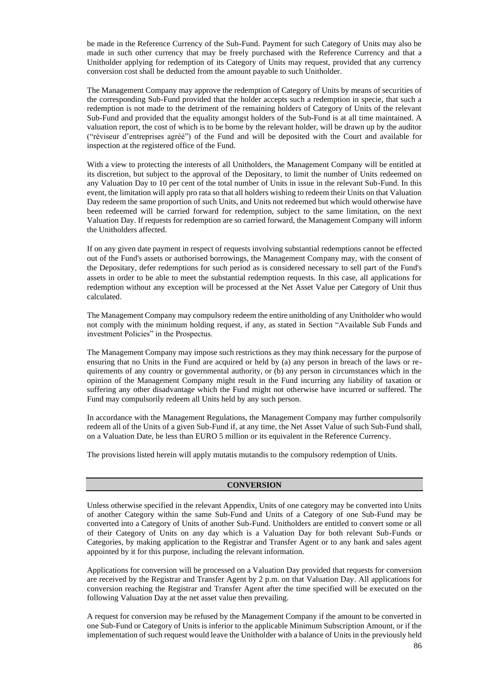be made in the Reference Currency of the Sub-Fund. Payment for such Category of Units may also be made in such other currency that may be freely purchased with the Reference Currency and that a Unitholder applying for redemption of its Category of Units may request, provided that any currency conversion cost shall be deducted from the amount payable to such Unitholder.

The Management Company may approve the redemption of Category of Units by means of securities of the corresponding Sub-Fund provided that the holder accepts such a redemption in specie, that such a redemption is not made to the detriment of the remaining holders of Category of Units of the relevant Sub-Fund and provided that the equality amongst holders of the Sub-Fund is at all time maintained. A valuation report, the cost of which is to be borne by the relevant holder, will be drawn up by the auditor ("réviseur d'entreprises agréé") of the Fund and will be deposited with the Court and available for inspection at the registered office of the Fund.

With a view to protecting the interests of all Unitholders, the Management Company will be entitled at its discretion, but subject to the approval of the Depositary, to limit the number of Units redeemed on any Valuation Day to 10 per cent of the total number of Units in issue in the relevant Sub-Fund. In this event, the limitation will apply pro rata so that all holders wishing to redeem their Units on that Valuation Day redeem the same proportion of such Units, and Units not redeemed but which would otherwise have been redeemed will be carried forward for redemption, subject to the same limitation, on the next Valuation Day. If requests for redemption are so carried forward, the Management Company will inform the Unitholders affected.

If on any given date payment in respect of requests involving substantial redemptions cannot be effected out of the Fund's assets or authorised borrowings, the Management Company may, with the consent of the Depositary, defer redemptions for such period as is considered necessary to sell part of the Fund's assets in order to be able to meet the substantial redemption requests. In this case, all applications for redemption without any exception will be processed at the Net Asset Value per Category of Unit thus calculated.

The Management Company may compulsory redeem the entire unitholding of any Unitholder who would not comply with the minimum holding request, if any, as stated in Section "Available Sub Funds and investment Policies" in the Prospectus.

The Management Company may impose such restrictions as they may think necessary for the purpose of ensuring that no Units in the Fund are acquired or held by (a) any person in breach of the laws or requirements of any country or governmental authority, or (b) any person in circumstances which in the opinion of the Management Company might result in the Fund incurring any liability of taxation or suffering any other disadvantage which the Fund might not otherwise have incurred or suffered. The Fund may compulsorily redeem all Units held by any such person.

In accordance with the Management Regulations, the Management Company may further compulsorily redeem all of the Units of a given Sub-Fund if, at any time, the Net Asset Value of such Sub-Fund shall, on a Valuation Date, be less than EURO 5 million or its equivalent in the Reference Currency.

The provisions listed herein will apply mutatis mutandis to the compulsory redemption of Units.

## **CONVERSION**

Unless otherwise specified in the relevant Appendix, Units of one category may be converted into Units of another Category within the same Sub-Fund and Units of a Category of one Sub-Fund may be converted into a Category of Units of another Sub-Fund. Unitholders are entitled to convert some or all of their Category of Units on any day which is a Valuation Day for both relevant Sub-Funds or Categories, by making application to the Registrar and Transfer Agent or to any bank and sales agent appointed by it for this purpose, including the relevant information.

Applications for conversion will be processed on a Valuation Day provided that requests for conversion are received by the Registrar and Transfer Agent by 2 p.m. on that Valuation Day. All applications for conversion reaching the Registrar and Transfer Agent after the time specified will be executed on the following Valuation Day at the net asset value then prevailing.

A request for conversion may be refused by the Management Company if the amount to be converted in one Sub-Fund or Category of Units is inferior to the applicable Minimum Subscription Amount, or if the implementation of such request would leave the Unitholder with a balance of Units in the previously held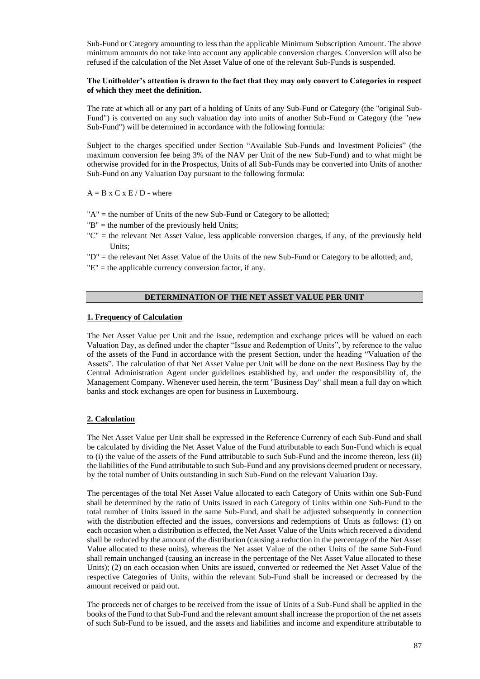Sub-Fund or Category amounting to less than the applicable Minimum Subscription Amount. The above minimum amounts do not take into account any applicable conversion charges. Conversion will also be refused if the calculation of the Net Asset Value of one of the relevant Sub-Funds is suspended.

## **The Unitholder's attention is drawn to the fact that they may only convert to Categories in respect of which they meet the definition.**

The rate at which all or any part of a holding of Units of any Sub-Fund or Category (the "original Sub-Fund") is converted on any such valuation day into units of another Sub-Fund or Category (the "new Sub-Fund") will be determined in accordance with the following formula:

Subject to the charges specified under Section "Available Sub-Funds and Investment Policies" (the maximum conversion fee being 3% of the NAV per Unit of the new Sub-Fund) and to what might be otherwise provided for in the Prospectus, Units of all Sub-Funds may be converted into Units of another Sub-Fund on any Valuation Day pursuant to the following formula:

 $A = B \times C \times E / D$  - where

- "A" = the number of Units of the new Sub-Fund or Category to be allotted;
- "B" = the number of the previously held Units;
- "C" = the relevant Net Asset Value, less applicable conversion charges, if any, of the previously held Units;
- "D" = the relevant Net Asset Value of the Units of the new Sub-Fund or Category to be allotted; and,
- "E" = the applicable currency conversion factor, if any.

# **DETERMINATION OF THE NET ASSET VALUE PER UNIT**

### **1. Frequency of Calculation**

The Net Asset Value per Unit and the issue, redemption and exchange prices will be valued on each Valuation Day, as defined under the chapter "Issue and Redemption of Units", by reference to the value of the assets of the Fund in accordance with the present Section, under the heading "Valuation of the Assets". The calculation of that Net Asset Value per Unit will be done on the next Business Day by the Central Administration Agent under guidelines established by, and under the responsibility of, the Management Company. Whenever used herein, the term "Business Day" shall mean a full day on which banks and stock exchanges are open for business in Luxembourg.

## **2. Calculation**

The Net Asset Value per Unit shall be expressed in the Reference Currency of each Sub-Fund and shall be calculated by dividing the Net Asset Value of the Fund attributable to each Sun-Fund which is equal to (i) the value of the assets of the Fund attributable to such Sub-Fund and the income thereon, less (ii) the liabilities of the Fund attributable to such Sub-Fund and any provisions deemed prudent or necessary, by the total number of Units outstanding in such Sub-Fund on the relevant Valuation Day.

The percentages of the total Net Asset Value allocated to each Category of Units within one Sub-Fund shall be determined by the ratio of Units issued in each Category of Units within one Sub-Fund to the total number of Units issued in the same Sub-Fund, and shall be adjusted subsequently in connection with the distribution effected and the issues, conversions and redemptions of Units as follows: (1) on each occasion when a distribution is effected, the Net Asset Value of the Units which received a dividend shall be reduced by the amount of the distribution (causing a reduction in the percentage of the Net Asset Value allocated to these units), whereas the Net asset Value of the other Units of the same Sub-Fund shall remain unchanged (causing an increase in the percentage of the Net Asset Value allocated to these Units); (2) on each occasion when Units are issued, converted or redeemed the Net Asset Value of the respective Categories of Units, within the relevant Sub-Fund shall be increased or decreased by the amount received or paid out.

The proceeds net of charges to be received from the issue of Units of a Sub-Fund shall be applied in the books of the Fund to that Sub-Fund and the relevant amount shall increase the proportion of the net assets of such Sub-Fund to be issued, and the assets and liabilities and income and expenditure attributable to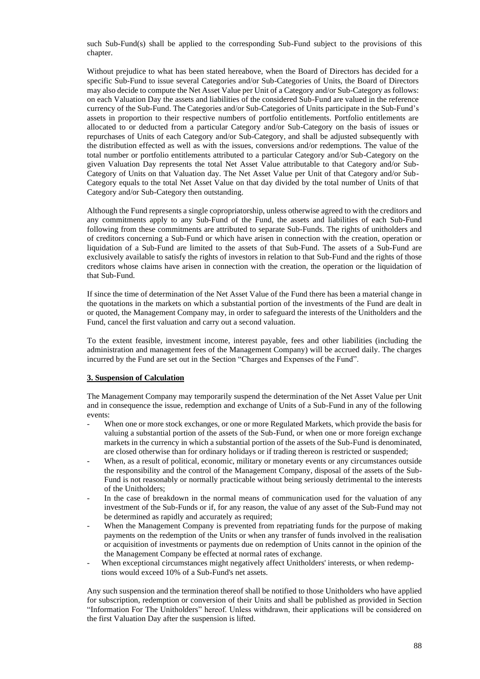such Sub-Fund(s) shall be applied to the corresponding Sub-Fund subject to the provisions of this chapter.

Without prejudice to what has been stated hereabove, when the Board of Directors has decided for a specific Sub-Fund to issue several Categories and/or Sub-Categories of Units, the Board of Directors may also decide to compute the Net Asset Value per Unit of a Category and/or Sub-Category as follows: on each Valuation Day the assets and liabilities of the considered Sub-Fund are valued in the reference currency of the Sub-Fund. The Categories and/or Sub-Categories of Units participate in the Sub-Fund's assets in proportion to their respective numbers of portfolio entitlements. Portfolio entitlements are allocated to or deducted from a particular Category and/or Sub-Category on the basis of issues or repurchases of Units of each Category and/or Sub-Category, and shall be adjusted subsequently with the distribution effected as well as with the issues, conversions and/or redemptions. The value of the total number or portfolio entitlements attributed to a particular Category and/or Sub-Category on the given Valuation Day represents the total Net Asset Value attributable to that Category and/or Sub-Category of Units on that Valuation day. The Net Asset Value per Unit of that Category and/or Sub-Category equals to the total Net Asset Value on that day divided by the total number of Units of that Category and/or Sub-Category then outstanding.

Although the Fund represents a single copropriatorship, unless otherwise agreed to with the creditors and any commitments apply to any Sub-Fund of the Fund, the assets and liabilities of each Sub-Fund following from these commitments are attributed to separate Sub-Funds. The rights of unitholders and of creditors concerning a Sub-Fund or which have arisen in connection with the creation, operation or liquidation of a Sub-Fund are limited to the assets of that Sub-Fund. The assets of a Sub-Fund are exclusively available to satisfy the rights of investors in relation to that Sub-Fund and the rights of those creditors whose claims have arisen in connection with the creation, the operation or the liquidation of that Sub-Fund.

If since the time of determination of the Net Asset Value of the Fund there has been a material change in the quotations in the markets on which a substantial portion of the investments of the Fund are dealt in or quoted, the Management Company may, in order to safeguard the interests of the Unitholders and the Fund, cancel the first valuation and carry out a second valuation.

To the extent feasible, investment income, interest payable, fees and other liabilities (including the administration and management fees of the Management Company) will be accrued daily. The charges incurred by the Fund are set out in the Section "Charges and Expenses of the Fund".

### **3. Suspension of Calculation**

The Management Company may temporarily suspend the determination of the Net Asset Value per Unit and in consequence the issue, redemption and exchange of Units of a Sub-Fund in any of the following events:

- When one or more stock exchanges, or one or more Regulated Markets, which provide the basis for valuing a substantial portion of the assets of the Sub-Fund, or when one or more foreign exchange markets in the currency in which a substantial portion of the assets of the Sub-Fund is denominated, are closed otherwise than for ordinary holidays or if trading thereon is restricted or suspended;
- When, as a result of political, economic, military or monetary events or any circumstances outside the responsibility and the control of the Management Company, disposal of the assets of the Sub-Fund is not reasonably or normally practicable without being seriously detrimental to the interests of the Unitholders;
- In the case of breakdown in the normal means of communication used for the valuation of any investment of the Sub-Funds or if, for any reason, the value of any asset of the Sub-Fund may not be determined as rapidly and accurately as required;
- When the Management Company is prevented from repatriating funds for the purpose of making payments on the redemption of the Units or when any transfer of funds involved in the realisation or acquisition of investments or payments due on redemption of Units cannot in the opinion of the the Management Company be effected at normal rates of exchange.
- When exceptional circumstances might negatively affect Unitholders' interests, or when redemptions would exceed 10% of a Sub-Fund's net assets.

Any such suspension and the termination thereof shall be notified to those Unitholders who have applied for subscription, redemption or conversion of their Units and shall be published as provided in Section "Information For The Unitholders" hereof. Unless withdrawn, their applications will be considered on the first Valuation Day after the suspension is lifted.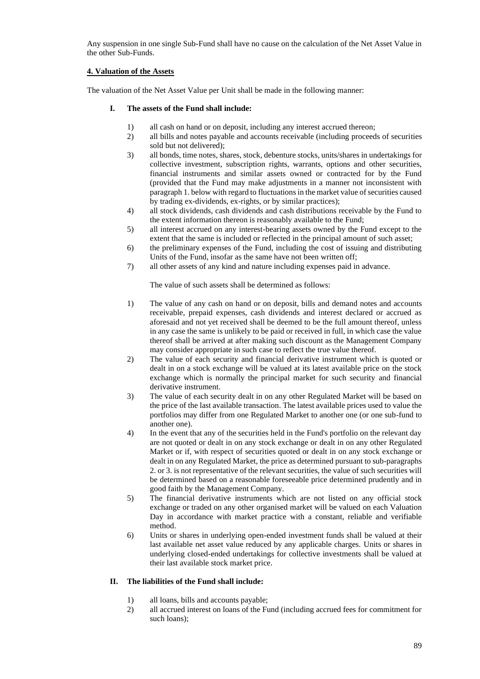Any suspension in one single Sub-Fund shall have no cause on the calculation of the Net Asset Value in the other Sub-Funds.

# **4. Valuation of the Assets**

The valuation of the Net Asset Value per Unit shall be made in the following manner:

## **I. The assets of the Fund shall include:**

- 1) all cash on hand or on deposit, including any interest accrued thereon;<br>2) all bills and notes payable and accounts receivable (including proceed
- 2) all bills and notes payable and accounts receivable (including proceeds of securities sold but not delivered);
- 3) all bonds, time notes, shares, stock, debenture stocks, units/shares in undertakings for collective investment, subscription rights, warrants, options and other securities, financial instruments and similar assets owned or contracted for by the Fund (provided that the Fund may make adjustments in a manner not inconsistent with paragraph 1. below with regard to fluctuations in the market value of securities caused by trading ex-dividends, ex-rights, or by similar practices);
- 4) all stock dividends, cash dividends and cash distributions receivable by the Fund to the extent information thereon is reasonably available to the Fund;
- 5) all interest accrued on any interest-bearing assets owned by the Fund except to the extent that the same is included or reflected in the principal amount of such asset;
- 6) the preliminary expenses of the Fund, including the cost of issuing and distributing Units of the Fund, insofar as the same have not been written off;
- 7) all other assets of any kind and nature including expenses paid in advance.

The value of such assets shall be determined as follows:

- 1) The value of any cash on hand or on deposit, bills and demand notes and accounts receivable, prepaid expenses, cash dividends and interest declared or accrued as aforesaid and not yet received shall be deemed to be the full amount thereof, unless in any case the same is unlikely to be paid or received in full, in which case the value thereof shall be arrived at after making such discount as the Management Company may consider appropriate in such case to reflect the true value thereof.
- 2) The value of each security and financial derivative instrument which is quoted or dealt in on a stock exchange will be valued at its latest available price on the stock exchange which is normally the principal market for such security and financial derivative instrument.
- 3) The value of each security dealt in on any other Regulated Market will be based on the price of the last available transaction. The latest available prices used to value the portfolios may differ from one Regulated Market to another one (or one sub-fund to another one).
- 4) In the event that any of the securities held in the Fund's portfolio on the relevant day are not quoted or dealt in on any stock exchange or dealt in on any other Regulated Market or if, with respect of securities quoted or dealt in on any stock exchange or dealt in on any Regulated Market, the price as determined pursuant to sub-paragraphs 2. or 3. is not representative of the relevant securities, the value of such securities will be determined based on a reasonable foreseeable price determined prudently and in good faith by the Management Company.
- 5) The financial derivative instruments which are not listed on any official stock exchange or traded on any other organised market will be valued on each Valuation Day in accordance with market practice with a constant, reliable and verifiable method.
- 6) Units or shares in underlying open-ended investment funds shall be valued at their last available net asset value reduced by any applicable charges. Units or shares in underlying closed-ended undertakings for collective investments shall be valued at their last available stock market price.

## **II. The liabilities of the Fund shall include:**

- 1) all loans, bills and accounts payable;
- 2) all accrued interest on loans of the Fund (including accrued fees for commitment for such loans);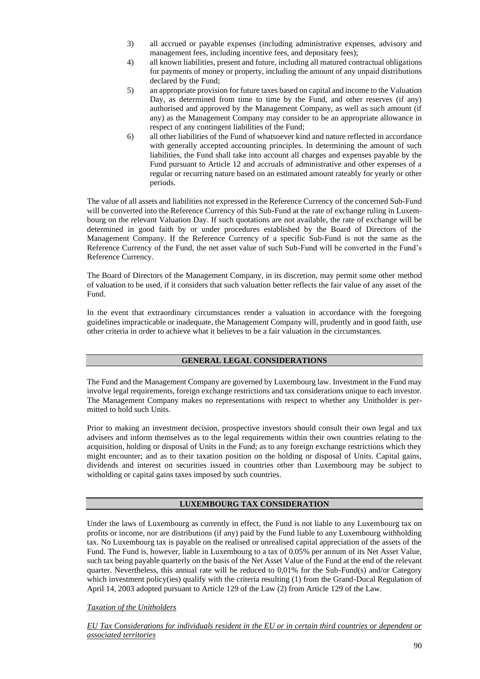- 3) all accrued or payable expenses (including administrative expenses, advisory and management fees, including incentive fees, and depositary fees);
- 4) all known liabilities, present and future, including all matured contractual obligations for payments of money or property, including the amount of any unpaid distributions declared by the Fund;
- 5) an appropriate provision for future taxes based on capital and income to the Valuation Day, as determined from time to time by the Fund, and other reserves (if any) authorised and approved by the Management Company, as well as such amount (if any) as the Management Company may consider to be an appropriate allowance in respect of any contingent liabilities of the Fund;
- 6) all other liabilities of the Fund of whatsoever kind and nature reflected in accordance with generally accepted accounting principles. In determining the amount of such liabilities, the Fund shall take into account all charges and expenses payable by the Fund pursuant to Article 12 and accruals of administrative and other expenses of a regular or recurring nature based on an estimated amount rateably for yearly or other periods.

The value of all assets and liabilities not expressed in the Reference Currency of the concerned Sub-Fund will be converted into the Reference Currency of this Sub-Fund at the rate of exchange ruling in Luxembourg on the relevant Valuation Day. If such quotations are not available, the rate of exchange will be determined in good faith by or under procedures established by the Board of Directors of the Management Company. If the Reference Currency of a specific Sub-Fund is not the same as the Reference Currency of the Fund, the net asset value of such Sub-Fund will be converted in the Fund's Reference Currency.

The Board of Directors of the Management Company, in its discretion, may permit some other method of valuation to be used, if it considers that such valuation better reflects the fair value of any asset of the Fund.

In the event that extraordinary circumstances render a valuation in accordance with the foregoing guidelines impracticable or inadequate, the Management Company will, prudently and in good faith, use other criteria in order to achieve what it believes to be a fair valuation in the circumstances.

## **GENERAL LEGAL CONSIDERATIONS**

The Fund and the Management Company are governed by Luxembourg law. Investment in the Fund may involve legal requirements, foreign exchange restrictions and tax considerations unique to each investor. The Management Company makes no representations with respect to whether any Unitholder is permitted to hold such Units.

Prior to making an investment decision, prospective investors should consult their own legal and tax advisers and inform themselves as to the legal requirements within their own countries relating to the acquisition, holding or disposal of Units in the Fund; as to any foreign exchange restrictions which they might encounter; and as to their taxation position on the holding or disposal of Units. Capital gains, dividends and interest on securities issued in countries other than Luxembourg may be subject to witholding or capital gains taxes imposed by such countries.

# **LUXEMBOURG TAX CONSIDERATION**

Under the laws of Luxembourg as currently in effect, the Fund is not liable to any Luxembourg tax on profits or income, nor are distributions (if any) paid by the Fund liable to any Luxembourg withholding tax. No Luxembourg tax is payable on the realised or unrealised capital appreciation of the assets of the Fund. The Fund is, however, liable in Luxembourg to a tax of 0.05% per annum of its Net Asset Value, such tax being payable quarterly on the basis of the Net Asset Value of the Fund at the end of the relevant quarter. Nevertheless, this annual rate will be reduced to 0,01% for the Sub-Fund(s) and/or Category which investment policy(ies) qualify with the criteria resulting (1) from the Grand-Ducal Regulation of April 14, 2003 adopted pursuant to Article 129 of the Law (2) from Article 129 of the Law.

*Taxation of the Unitholders*

*EU Tax Considerations for individuals resident in the EU or in certain third countries or dependent or associated territories*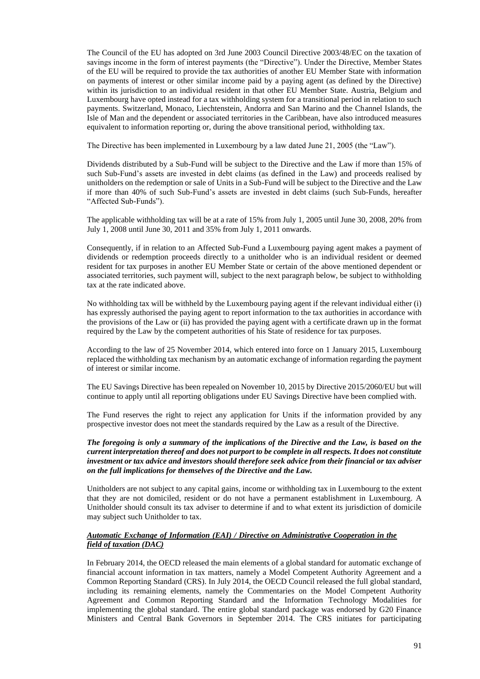The Council of the EU has adopted on 3rd June 2003 Council Directive 2003/48/EC on the taxation of savings income in the form of interest payments (the "Directive"). Under the Directive, Member States of the EU will be required to provide the tax authorities of another EU Member State with information on payments of interest or other similar income paid by a paying agent (as defined by the Directive) within its jurisdiction to an individual resident in that other EU Member State. Austria, Belgium and Luxembourg have opted instead for a tax withholding system for a transitional period in relation to such payments. Switzerland, Monaco, Liechtenstein, Andorra and San Marino and the Channel Islands, the Isle of Man and the dependent or associated territories in the Caribbean, have also introduced measures equivalent to information reporting or, during the above transitional period, withholding tax.

The Directive has been implemented in Luxembourg by a law dated June 21, 2005 (the "Law").

Dividends distributed by a Sub-Fund will be subject to the Directive and the Law if more than 15% of such Sub-Fund's assets are invested in debt claims (as defined in the Law) and proceeds realised by unitholders on the redemption or sale of Units in a Sub-Fund will be subject to the Directive and the Law if more than 40% of such Sub-Fund's assets are invested in debt claims (such Sub-Funds, hereafter "Affected Sub-Funds").

The applicable withholding tax will be at a rate of 15% from July 1, 2005 until June 30, 2008, 20% from July 1, 2008 until June 30, 2011 and 35% from July 1, 2011 onwards.

Consequently, if in relation to an Affected Sub-Fund a Luxembourg paying agent makes a payment of dividends or redemption proceeds directly to a unitholder who is an individual resident or deemed resident for tax purposes in another EU Member State or certain of the above mentioned dependent or associated territories, such payment will, subject to the next paragraph below, be subject to withholding tax at the rate indicated above.

No withholding tax will be withheld by the Luxembourg paying agent if the relevant individual either (i) has expressly authorised the paying agent to report information to the tax authorities in accordance with the provisions of the Law or (ii) has provided the paying agent with a certificate drawn up in the format required by the Law by the competent authorities of his State of residence for tax purposes.

According to the law of 25 November 2014, which entered into force on 1 January 2015, Luxembourg replaced the withholding tax mechanism by an automatic exchange of information regarding the payment of interest or similar income.

The EU Savings Directive has been repealed on November 10, 2015 by Directive 2015/2060/EU but will continue to apply until all reporting obligations under EU Savings Directive have been complied with.

The Fund reserves the right to reject any application for Units if the information provided by any prospective investor does not meet the standards required by the Law as a result of the Directive.

*The foregoing is only a summary of the implications of the Directive and the Law, is based on the current interpretation thereof and does not purport to be complete in all respects. It does not constitute investment or tax advice and investors should therefore seek advice from their financial or tax adviser on the full implications for themselves of the Directive and the Law.*

Unitholders are not subject to any capital gains, income or withholding tax in Luxembourg to the extent that they are not domiciled, resident or do not have a permanent establishment in Luxembourg. A Unitholder should consult its tax adviser to determine if and to what extent its jurisdiction of domicile may subject such Unitholder to tax.

## *Automatic Exchange of Information (EAI) / Directive on Administrative Cooperation in the field of taxation (DAC)*

In February 2014, the OECD released the main elements of a global standard for automatic exchange of financial account information in tax matters, namely a Model Competent Authority Agreement and a Common Reporting Standard (CRS). In July 2014, the OECD Council released the full global standard, including its remaining elements, namely the Commentaries on the Model Competent Authority Agreement and Common Reporting Standard and the Information Technology Modalities for implementing the global standard. The entire global standard package was endorsed by G20 Finance Ministers and Central Bank Governors in September 2014. The CRS initiates for participating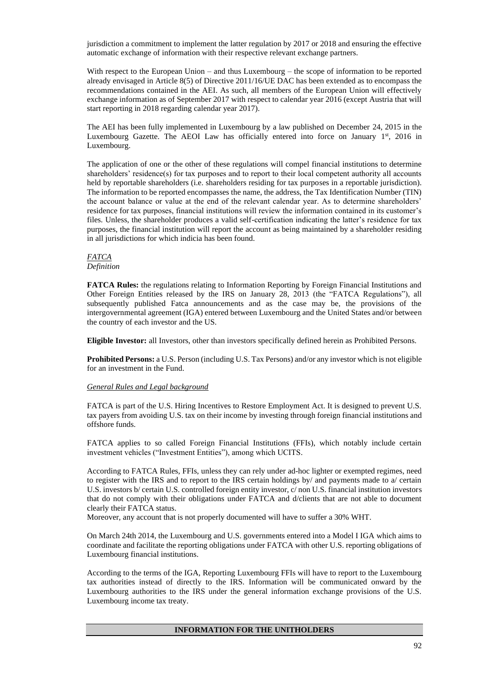jurisdiction a commitment to implement the latter regulation by 2017 or 2018 and ensuring the effective automatic exchange of information with their respective relevant exchange partners.

With respect to the European Union – and thus Luxembourg – the scope of information to be reported already envisaged in Article 8(5) of Directive 2011/16/UE DAC has been extended as to encompass the recommendations contained in the AEI. As such, all members of the European Union will effectively exchange information as of September 2017 with respect to calendar year 2016 (except Austria that will start reporting in 2018 regarding calendar year 2017).

The AEI has been fully implemented in Luxembourg by a law published on December 24, 2015 in the Luxembourg Gazette. The AEOI Law has officially entered into force on January 1<sup>st</sup>, 2016 in Luxembourg.

The application of one or the other of these regulations will compel financial institutions to determine shareholders' residence(s) for tax purposes and to report to their local competent authority all accounts held by reportable shareholders (i.e. shareholders residing for tax purposes in a reportable jurisdiction). The information to be reported encompasses the name, the address, the Tax Identification Number (TIN) the account balance or value at the end of the relevant calendar year. As to determine shareholders' residence for tax purposes, financial institutions will review the information contained in its customer's files. Unless, the shareholder produces a valid self-certification indicating the latter's residence for tax purposes, the financial institution will report the account as being maintained by a shareholder residing in all jurisdictions for which indicia has been found.

*FATCA Definition* 

**FATCA Rules:** the regulations relating to Information Reporting by Foreign Financial Institutions and Other Foreign Entities released by the IRS on January 28, 2013 (the "FATCA Regulations"), all subsequently published Fatca announcements and as the case may be, the provisions of the intergovernmental agreement (IGA) entered between Luxembourg and the United States and/or between the country of each investor and the US.

**Eligible Investor:** all Investors, other than investors specifically defined herein as Prohibited Persons.

**Prohibited Persons:** a U.S. Person (including U.S. Tax Persons) and/or any investor which is not eligible for an investment in the Fund.

## *General Rules and Legal background*

FATCA is part of the U.S. Hiring Incentives to Restore Employment Act. It is designed to prevent U.S. tax payers from avoiding U.S. tax on their income by investing through foreign financial institutions and offshore funds.

FATCA applies to so called Foreign Financial Institutions (FFIs), which notably include certain investment vehicles ("Investment Entities"), among which UCITS.

According to FATCA Rules, FFIs, unless they can rely under ad-hoc lighter or exempted regimes, need to register with the IRS and to report to the IRS certain holdings by/ and payments made to a/ certain U.S. investors b/ certain U.S. controlled foreign entity investor, c/ non U.S. financial institution investors that do not comply with their obligations under FATCA and d/clients that are not able to document clearly their FATCA status.

Moreover, any account that is not properly documented will have to suffer a 30% WHT.

On March 24th 2014, the Luxembourg and U.S. governments entered into a Model I IGA which aims to coordinate and facilitate the reporting obligations under FATCA with other U.S. reporting obligations of Luxembourg financial institutions.

According to the terms of the IGA, Reporting Luxembourg FFIs will have to report to the Luxembourg tax authorities instead of directly to the IRS. Information will be communicated onward by the Luxembourg authorities to the IRS under the general information exchange provisions of the U.S. Luxembourg income tax treaty.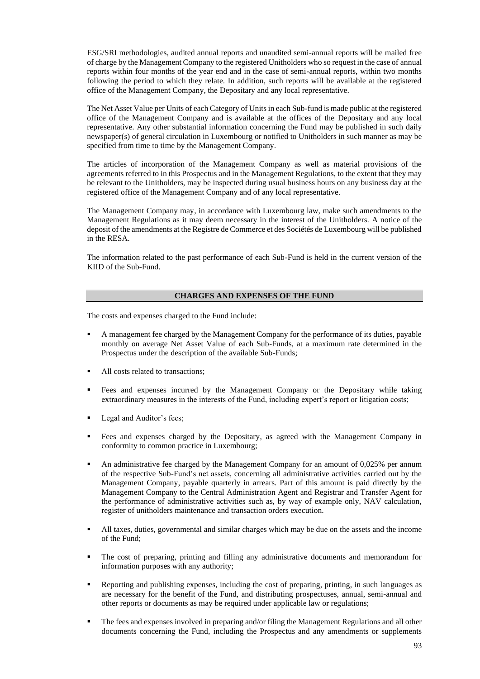ESG/SRI methodologies, audited annual reports and unaudited semi-annual reports will be mailed free of charge by the Management Company to the registered Unitholders who so request in the case of annual reports within four months of the year end and in the case of semi-annual reports, within two months following the period to which they relate. In addition, such reports will be available at the registered office of the Management Company, the Depositary and any local representative.

The Net Asset Value per Units of each Category of Units in each Sub-fund is made public at the registered office of the Management Company and is available at the offices of the Depositary and any local representative. Any other substantial information concerning the Fund may be published in such daily newspaper(s) of general circulation in Luxembourg or notified to Unitholders in such manner as may be specified from time to time by the Management Company.

The articles of incorporation of the Management Company as well as material provisions of the agreements referred to in this Prospectus and in the Management Regulations, to the extent that they may be relevant to the Unitholders, may be inspected during usual business hours on any business day at the registered office of the Management Company and of any local representative.

The Management Company may, in accordance with Luxembourg law, make such amendments to the Management Regulations as it may deem necessary in the interest of the Unitholders. A notice of the deposit of the amendments at the Registre de Commerce et des Sociétés de Luxembourg will be published in the RESA.

The information related to the past performance of each Sub-Fund is held in the current version of the KIID of the Sub-Fund.

## **CHARGES AND EXPENSES OF THE FUND**

The costs and expenses charged to the Fund include:

- A management fee charged by the Management Company for the performance of its duties, payable monthly on average Net Asset Value of each Sub-Funds, at a maximum rate determined in the Prospectus under the description of the available Sub-Funds;
- All costs related to transactions;
- Fees and expenses incurred by the Management Company or the Depositary while taking extraordinary measures in the interests of the Fund, including expert's report or litigation costs;
- Legal and Auditor's fees;
- Fees and expenses charged by the Depositary, as agreed with the Management Company in conformity to common practice in Luxembourg;
- An administrative fee charged by the Management Company for an amount of  $0.025%$  per annum of the respective Sub-Fund's net assets, concerning all administrative activities carried out by the Management Company, payable quarterly in arrears. Part of this amount is paid directly by the Management Company to the Central Administration Agent and Registrar and Transfer Agent for the performance of administrative activities such as, by way of example only, NAV calculation, register of unitholders maintenance and transaction orders execution.
- All taxes, duties, governmental and similar charges which may be due on the assets and the income of the Fund;
- The cost of preparing, printing and filling any administrative documents and memorandum for information purposes with any authority;
- Reporting and publishing expenses, including the cost of preparing, printing, in such languages as are necessary for the benefit of the Fund, and distributing prospectuses, annual, semi-annual and other reports or documents as may be required under applicable law or regulations;
- The fees and expenses involved in preparing and/or filing the Management Regulations and all other documents concerning the Fund, including the Prospectus and any amendments or supplements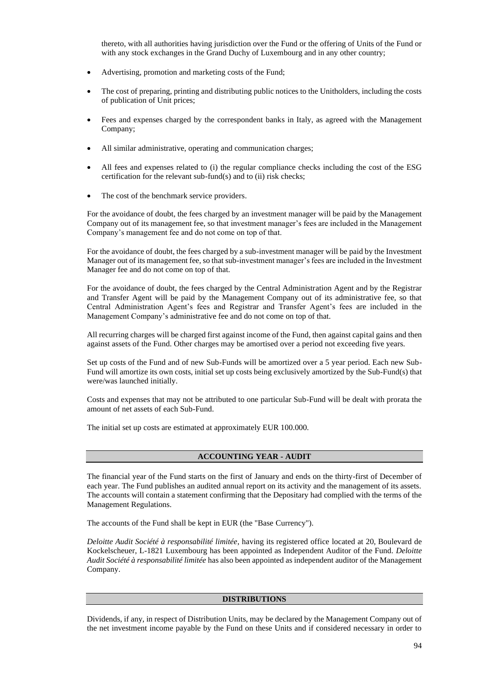thereto, with all authorities having jurisdiction over the Fund or the offering of Units of the Fund or with any stock exchanges in the Grand Duchy of Luxembourg and in any other country;

- Advertising, promotion and marketing costs of the Fund;
- The cost of preparing, printing and distributing public notices to the Unitholders, including the costs of publication of Unit prices;
- Fees and expenses charged by the correspondent banks in Italy, as agreed with the Management Company;
- All similar administrative, operating and communication charges;
- All fees and expenses related to (i) the regular compliance checks including the cost of the ESG certification for the relevant sub-fund(s) and to (ii) risk checks;
- The cost of the benchmark service providers.

For the avoidance of doubt, the fees charged by an investment manager will be paid by the Management Company out of its management fee, so that investment manager's fees are included in the Management Company's management fee and do not come on top of that.

For the avoidance of doubt, the fees charged by a sub-investment manager will be paid by the Investment Manager out of its management fee, so that sub-investment manager's fees are included in the Investment Manager fee and do not come on top of that.

For the avoidance of doubt, the fees charged by the Central Administration Agent and by the Registrar and Transfer Agent will be paid by the Management Company out of its administrative fee, so that Central Administration Agent's fees and Registrar and Transfer Agent's fees are included in the Management Company's administrative fee and do not come on top of that.

All recurring charges will be charged first against income of the Fund, then against capital gains and then against assets of the Fund. Other charges may be amortised over a period not exceeding five years.

Set up costs of the Fund and of new Sub-Funds will be amortized over a 5 year period. Each new Sub-Fund will amortize its own costs, initial set up costs being exclusively amortized by the Sub-Fund(s) that were/was launched initially.

Costs and expenses that may not be attributed to one particular Sub-Fund will be dealt with prorata the amount of net assets of each Sub-Fund.

The initial set up costs are estimated at approximately EUR 100.000.

### **ACCOUNTING YEAR - AUDIT**

The financial year of the Fund starts on the first of January and ends on the thirty-first of December of each year. The Fund publishes an audited annual report on its activity and the management of its assets. The accounts will contain a statement confirming that the Depositary had complied with the terms of the Management Regulations.

The accounts of the Fund shall be kept in EUR (the "Base Currency").

*Deloitte Audit Société à responsabilité limitée*, having its registered office located at 20, Boulevard de Kockelscheuer, L-1821 Luxembourg has been appointed as Independent Auditor of the Fund. *Deloitte Audit Société à responsabilité limitée* has also been appointed as independent auditor of the Management Company.

### **DISTRIBUTIONS**

Dividends, if any, in respect of Distribution Units, may be declared by the Management Company out of the net investment income payable by the Fund on these Units and if considered necessary in order to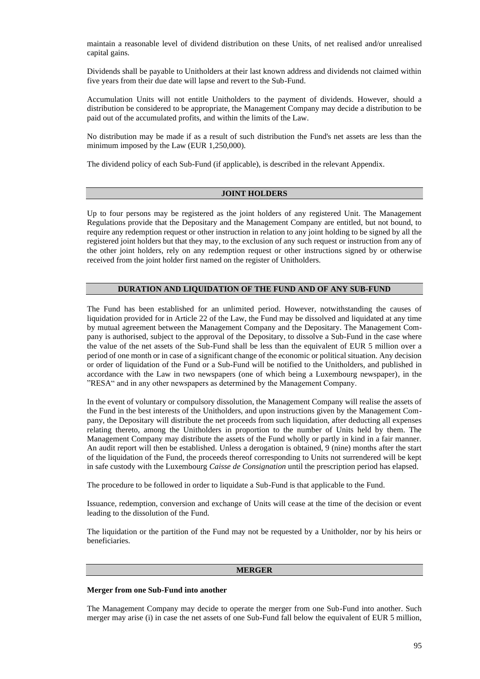maintain a reasonable level of dividend distribution on these Units, of net realised and/or unrealised capital gains.

Dividends shall be payable to Unitholders at their last known address and dividends not claimed within five years from their due date will lapse and revert to the Sub-Fund.

Accumulation Units will not entitle Unitholders to the payment of dividends. However, should a distribution be considered to be appropriate, the Management Company may decide a distribution to be paid out of the accumulated profits, and within the limits of the Law.

No distribution may be made if as a result of such distribution the Fund's net assets are less than the minimum imposed by the Law (EUR 1,250,000).

The dividend policy of each Sub-Fund (if applicable), is described in the relevant Appendix.

#### **JOINT HOLDERS**

Up to four persons may be registered as the joint holders of any registered Unit. The Management Regulations provide that the Depositary and the Management Company are entitled, but not bound, to require any redemption request or other instruction in relation to any joint holding to be signed by all the registered joint holders but that they may, to the exclusion of any such request or instruction from any of the other joint holders, rely on any redemption request or other instructions signed by or otherwise received from the joint holder first named on the register of Unitholders.

### **DURATION AND LIQUIDATION OF THE FUND AND OF ANY SUB-FUND**

The Fund has been established for an unlimited period. However, notwithstanding the causes of liquidation provided for in Article 22 of the Law, the Fund may be dissolved and liquidated at any time by mutual agreement between the Management Company and the Depositary. The Management Company is authorised, subject to the approval of the Depositary, to dissolve a Sub-Fund in the case where the value of the net assets of the Sub-Fund shall be less than the equivalent of EUR 5 million over a period of one month or in case of a significant change of the economic or political situation. Any decision or order of liquidation of the Fund or a Sub-Fund will be notified to the Unitholders, and published in accordance with the Law in two newspapers (one of which being a Luxembourg newspaper), in the "RESA" and in any other newspapers as determined by the Management Company.

In the event of voluntary or compulsory dissolution, the Management Company will realise the assets of the Fund in the best interests of the Unitholders, and upon instructions given by the Management Company, the Depositary will distribute the net proceeds from such liquidation, after deducting all expenses relating thereto, among the Unitholders in proportion to the number of Units held by them. The Management Company may distribute the assets of the Fund wholly or partly in kind in a fair manner. An audit report will then be established. Unless a derogation is obtained, 9 (nine) months after the start of the liquidation of the Fund, the proceeds thereof corresponding to Units not surrendered will be kept in safe custody with the Luxembourg *Caisse de Consignation* until the prescription period has elapsed.

The procedure to be followed in order to liquidate a Sub-Fund is that applicable to the Fund.

Issuance, redemption, conversion and exchange of Units will cease at the time of the decision or event leading to the dissolution of the Fund.

The liquidation or the partition of the Fund may not be requested by a Unitholder, nor by his heirs or beneficiaries.

### **MERGER**

#### **Merger from one Sub-Fund into another**

The Management Company may decide to operate the merger from one Sub-Fund into another. Such merger may arise (i) in case the net assets of one Sub-Fund fall below the equivalent of EUR 5 million,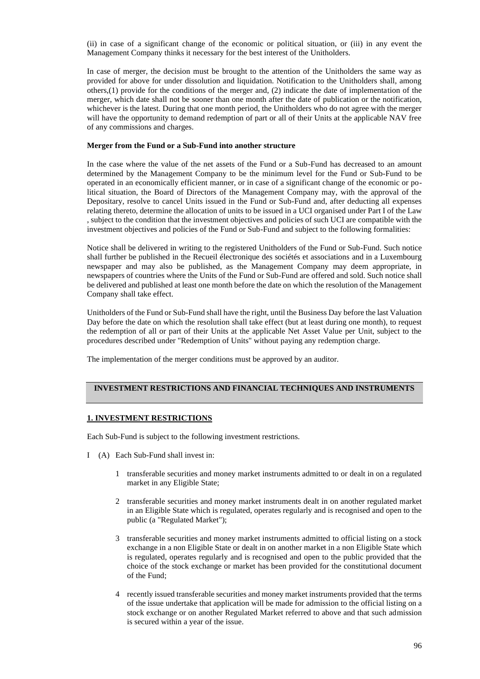(ii) in case of a significant change of the economic or political situation, or (iii) in any event the Management Company thinks it necessary for the best interest of the Unitholders.

In case of merger, the decision must be brought to the attention of the Unitholders the same way as provided for above for under dissolution and liquidation. Notification to the Unitholders shall, among others,(1) provide for the conditions of the merger and, (2) indicate the date of implementation of the merger, which date shall not be sooner than one month after the date of publication or the notification, whichever is the latest. During that one month period, the Unitholders who do not agree with the merger will have the opportunity to demand redemption of part or all of their Units at the applicable NAV free of any commissions and charges.

### **Merger from the Fund or a Sub-Fund into another structure**

In the case where the value of the net assets of the Fund or a Sub-Fund has decreased to an amount determined by the Management Company to be the minimum level for the Fund or Sub-Fund to be operated in an economically efficient manner, or in case of a significant change of the economic or political situation, the Board of Directors of the Management Company may, with the approval of the Depositary, resolve to cancel Units issued in the Fund or Sub-Fund and, after deducting all expenses relating thereto, determine the allocation of units to be issued in a UCI organised under Part I of the Law , subject to the condition that the investment objectives and policies of such UCI are compatible with the investment objectives and policies of the Fund or Sub-Fund and subject to the following formalities:

Notice shall be delivered in writing to the registered Unitholders of the Fund or Sub-Fund. Such notice shall further be published in the Recueil électronique des sociétés et associations and in a Luxembourg newspaper and may also be published, as the Management Company may deem appropriate, in newspapers of countries where the Units of the Fund or Sub-Fund are offered and sold. Such notice shall be delivered and published at least one month before the date on which the resolution of the Management Company shall take effect.

Unitholders of the Fund or Sub-Fund shall have the right, until the Business Day before the last Valuation Day before the date on which the resolution shall take effect (but at least during one month), to request the redemption of all or part of their Units at the applicable Net Asset Value per Unit, subject to the procedures described under "Redemption of Units" without paying any redemption charge.

The implementation of the merger conditions must be approved by an auditor.

# **INVESTMENT RESTRICTIONS AND FINANCIAL TECHNIQUES AND INSTRUMENTS**

## **1. INVESTMENT RESTRICTIONS**

Each Sub-Fund is subject to the following investment restrictions.

- I (A) Each Sub-Fund shall invest in:
	- 1 transferable securities and money market instruments admitted to or dealt in on a regulated market in any Eligible State;
	- 2 transferable securities and money market instruments dealt in on another regulated market in an Eligible State which is regulated, operates regularly and is recognised and open to the public (a "Regulated Market");
	- 3 transferable securities and money market instruments admitted to official listing on a stock exchange in a non Eligible State or dealt in on another market in a non Eligible State which is regulated, operates regularly and is recognised and open to the public provided that the choice of the stock exchange or market has been provided for the constitutional document of the Fund;
	- 4 recently issued transferable securities and money market instruments provided that the terms of the issue undertake that application will be made for admission to the official listing on a stock exchange or on another Regulated Market referred to above and that such admission is secured within a year of the issue.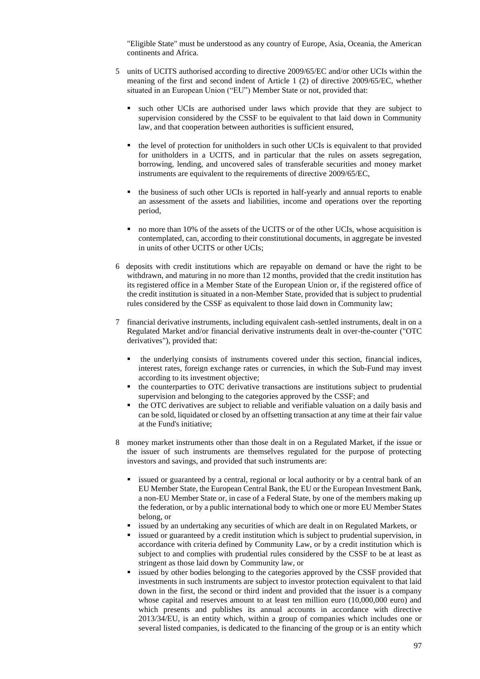"Eligible State" must be understood as any country of Europe, Asia, Oceania, the American continents and Africa.

- 5 units of UCITS authorised according to directive 2009/65/EC and/or other UCIs within the meaning of the first and second indent of Article 1 (2) of directive 2009/65/EC, whether situated in an European Union ("EU") Member State or not, provided that:
	- such other UCIs are authorised under laws which provide that they are subject to supervision considered by the CSSF to be equivalent to that laid down in Community law, and that cooperation between authorities is sufficient ensured,
	- the level of protection for unitholders in such other UCIs is equivalent to that provided for unitholders in a UCITS, and in particular that the rules on assets segregation, borrowing, lending, and uncovered sales of transferable securities and money market instruments are equivalent to the requirements of directive 2009/65/EC,
	- the business of such other UCIs is reported in half-yearly and annual reports to enable an assessment of the assets and liabilities, income and operations over the reporting period,
	- no more than 10% of the assets of the UCITS or of the other UCIs, whose acquisition is contemplated, can, according to their constitutional documents, in aggregate be invested in units of other UCITS or other UCIs;
- 6 deposits with credit institutions which are repayable on demand or have the right to be withdrawn, and maturing in no more than 12 months, provided that the credit institution has its registered office in a Member State of the European Union or, if the registered office of the credit institution is situated in a non-Member State, provided that is subject to prudential rules considered by the CSSF as equivalent to those laid down in Community law;
- 7 financial derivative instruments, including equivalent cash-settled instruments, dealt in on a Regulated Market and/or financial derivative instruments dealt in over-the-counter ("OTC derivatives"), provided that:
	- the underlying consists of instruments covered under this section, financial indices, interest rates, foreign exchange rates or currencies, in which the Sub-Fund may invest according to its investment objective;
	- the counterparties to OTC derivative transactions are institutions subject to prudential supervision and belonging to the categories approved by the CSSF; and
	- the OTC derivatives are subject to reliable and verifiable valuation on a daily basis and can be sold, liquidated or closed by an offsetting transaction at any time at their fair value at the Fund's initiative;
- 8 money market instruments other than those dealt in on a Regulated Market, if the issue or the issuer of such instruments are themselves regulated for the purpose of protecting investors and savings, and provided that such instruments are:
	- issued or guaranteed by a central, regional or local authority or by a central bank of an EU Member State, the European Central Bank, the EU or the European Investment Bank, a non-EU Member State or, in case of a Federal State, by one of the members making up the federation, or by a public international body to which one or more EU Member States belong, or
	- issued by an undertaking any securities of which are dealt in on Regulated Markets, or
	- issued or guaranteed by a credit institution which is subject to prudential supervision, in accordance with criteria defined by Community Law, or by a credit institution which is subject to and complies with prudential rules considered by the CSSF to be at least as stringent as those laid down by Community law, or
	- issued by other bodies belonging to the categories approved by the CSSF provided that investments in such instruments are subject to investor protection equivalent to that laid down in the first, the second or third indent and provided that the issuer is a company whose capital and reserves amount to at least ten million euro (10,000,000 euro) and which presents and publishes its annual accounts in accordance with directive 2013/34/EU, is an entity which, within a group of companies which includes one or several listed companies, is dedicated to the financing of the group or is an entity which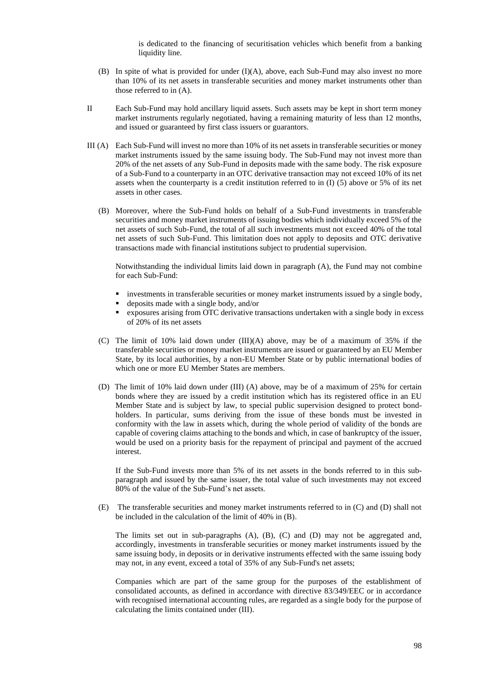is dedicated to the financing of securitisation vehicles which benefit from a banking liquidity line.

- (B) In spite of what is provided for under (I)(A), above, each Sub-Fund may also invest no more than 10% of its net assets in transferable securities and money market instruments other than those referred to in (A).
- II Each Sub-Fund may hold ancillary liquid assets. Such assets may be kept in short term money market instruments regularly negotiated, having a remaining maturity of less than 12 months, and issued or guaranteed by first class issuers or guarantors.
- III (A) Each Sub-Fund will invest no more than 10% of its net assets in transferable securities or money market instruments issued by the same issuing body. The Sub-Fund may not invest more than 20% of the net assets of any Sub-Fund in deposits made with the same body. The risk exposure of a Sub-Fund to a counterparty in an OTC derivative transaction may not exceed 10% of its net assets when the counterparty is a credit institution referred to in (I) (5) above or 5% of its net assets in other cases.
	- (B) Moreover, where the Sub-Fund holds on behalf of a Sub-Fund investments in transferable securities and money market instruments of issuing bodies which individually exceed 5% of the net assets of such Sub-Fund, the total of all such investments must not exceed 40% of the total net assets of such Sub-Fund. This limitation does not apply to deposits and OTC derivative transactions made with financial institutions subject to prudential supervision.

Notwithstanding the individual limits laid down in paragraph (A), the Fund may not combine for each Sub-Fund:

- investments in transferable securities or money market instruments issued by a single body,
- deposits made with a single body, and/or
- exposures arising from OTC derivative transactions undertaken with a single body in excess of 20% of its net assets
- (C) The limit of 10% laid down under (III)(A) above, may be of a maximum of 35% if the transferable securities or money market instruments are issued or guaranteed by an EU Member State, by its local authorities, by a non-EU Member State or by public international bodies of which one or more EU Member States are members.
- (D) The limit of 10% laid down under (III) (A) above, may be of a maximum of 25% for certain bonds where they are issued by a credit institution which has its registered office in an EU Member State and is subject by law, to special public supervision designed to protect bondholders. In particular, sums deriving from the issue of these bonds must be invested in conformity with the law in assets which, during the whole period of validity of the bonds are capable of covering claims attaching to the bonds and which, in case of bankruptcy of the issuer, would be used on a priority basis for the repayment of principal and payment of the accrued interest.

If the Sub-Fund invests more than 5% of its net assets in the bonds referred to in this subparagraph and issued by the same issuer, the total value of such investments may not exceed 80% of the value of the Sub-Fund's net assets.

(E) The transferable securities and money market instruments referred to in (C) and (D) shall not be included in the calculation of the limit of 40% in (B).

The limits set out in sub-paragraphs (A), (B), (C) and (D) may not be aggregated and, accordingly, investments in transferable securities or money market instruments issued by the same issuing body, in deposits or in derivative instruments effected with the same issuing body may not, in any event, exceed a total of 35% of any Sub-Fund's net assets;

Companies which are part of the same group for the purposes of the establishment of consolidated accounts, as defined in accordance with directive 83/349/EEC or in accordance with recognised international accounting rules, are regarded as a single body for the purpose of calculating the limits contained under (III).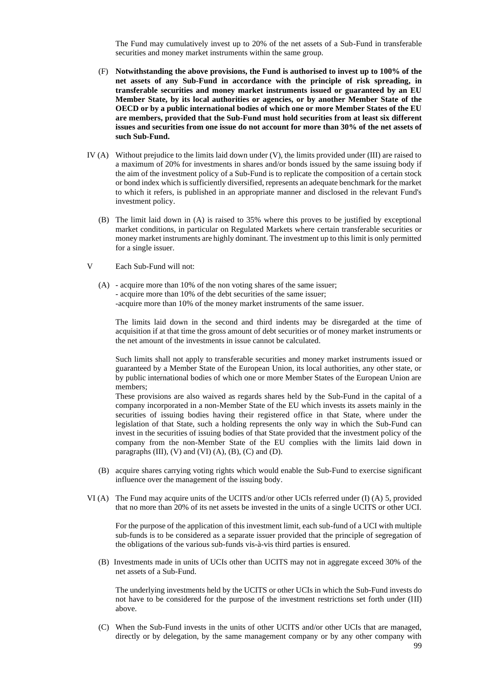The Fund may cumulatively invest up to 20% of the net assets of a Sub-Fund in transferable securities and money market instruments within the same group.

- (F) **Notwithstanding the above provisions, the Fund is authorised to invest up to 100% of the net assets of any Sub-Fund in accordance with the principle of risk spreading, in transferable securities and money market instruments issued or guaranteed by an EU Member State, by its local authorities or agencies, or by another Member State of the OECD or by a public international bodies of which one or more Member States of the EU are members, provided that the Sub-Fund must hold securities from at least six different issues and securities from one issue do not account for more than 30% of the net assets of such Sub-Fund.**
- IV (A) Without prejudice to the limits laid down under (V), the limits provided under (III) are raised to a maximum of 20% for investments in shares and/or bonds issued by the same issuing body if the aim of the investment policy of a Sub-Fund is to replicate the composition of a certain stock or bond index which is sufficiently diversified, represents an adequate benchmark for the market to which it refers, is published in an appropriate manner and disclosed in the relevant Fund's investment policy.
	- (B) The limit laid down in (A) is raised to 35% where this proves to be justified by exceptional market conditions, in particular on Regulated Markets where certain transferable securities or money market instruments are highly dominant. The investment up to this limit is only permitted for a single issuer.
- V Each Sub-Fund will not:
	- (A) acquire more than 10% of the non voting shares of the same issuer; - acquire more than 10% of the debt securities of the same issuer; -acquire more than 10% of the money market instruments of the same issuer.

The limits laid down in the second and third indents may be disregarded at the time of acquisition if at that time the gross amount of debt securities or of money market instruments or the net amount of the investments in issue cannot be calculated.

Such limits shall not apply to transferable securities and money market instruments issued or guaranteed by a Member State of the European Union, its local authorities, any other state, or by public international bodies of which one or more Member States of the European Union are members;

These provisions are also waived as regards shares held by the Sub-Fund in the capital of a company incorporated in a non-Member State of the EU which invests its assets mainly in the securities of issuing bodies having their registered office in that State, where under the legislation of that State, such a holding represents the only way in which the Sub-Fund can invest in the securities of issuing bodies of that State provided that the investment policy of the company from the non-Member State of the EU complies with the limits laid down in paragraphs  $(III)$ ,  $(V)$  and  $(VI)$   $(A)$ ,  $(B)$ ,  $(C)$  and  $(D)$ .

- (B) acquire shares carrying voting rights which would enable the Sub-Fund to exercise significant influence over the management of the issuing body.
- VI (A) The Fund may acquire units of the UCITS and/or other UCIs referred under (I) (A) 5, provided that no more than 20% of its net assets be invested in the units of a single UCITS or other UCI.

For the purpose of the application of this investment limit, each sub-fund of a UCI with multiple sub-funds is to be considered as a separate issuer provided that the principle of segregation of the obligations of the various sub-funds vis-à-vis third parties is ensured.

(B) Investments made in units of UCIs other than UCITS may not in aggregate exceed 30% of the net assets of a Sub-Fund.

The underlying investments held by the UCITS or other UCIs in which the Sub-Fund invests do not have to be considered for the purpose of the investment restrictions set forth under (III) above.

(C) When the Sub-Fund invests in the units of other UCITS and/or other UCIs that are managed, directly or by delegation, by the same management company or by any other company with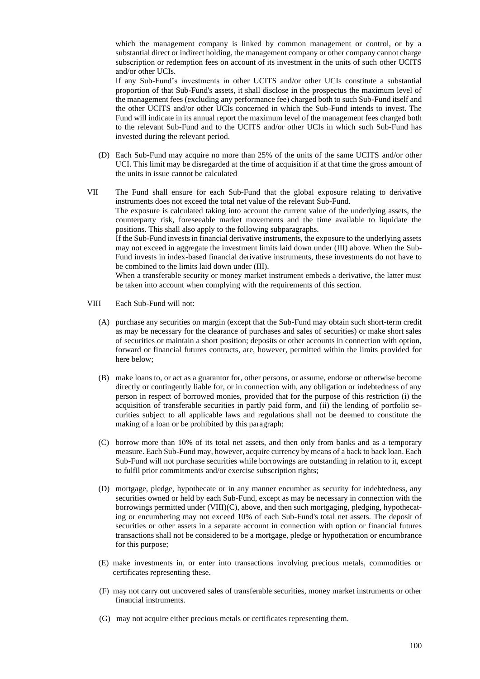which the management company is linked by common management or control, or by a substantial direct or indirect holding, the management company or other company cannot charge subscription or redemption fees on account of its investment in the units of such other UCITS and/or other UCIs.

If any Sub-Fund's investments in other UCITS and/or other UCIs constitute a substantial proportion of that Sub-Fund's assets, it shall disclose in the prospectus the maximum level of the management fees (excluding any performance fee) charged both to such Sub-Fund itself and the other UCITS and/or other UCIs concerned in which the Sub-Fund intends to invest. The Fund will indicate in its annual report the maximum level of the management fees charged both to the relevant Sub-Fund and to the UCITS and/or other UCIs in which such Sub-Fund has invested during the relevant period.

(D) Each Sub-Fund may acquire no more than 25% of the units of the same UCITS and/or other UCI. This limit may be disregarded at the time of acquisition if at that time the gross amount of the units in issue cannot be calculated

VII The Fund shall ensure for each Sub-Fund that the global exposure relating to derivative instruments does not exceed the total net value of the relevant Sub-Fund. The exposure is calculated taking into account the current value of the underlying assets, the counterparty risk, foreseeable market movements and the time available to liquidate the positions. This shall also apply to the following subparagraphs. If the Sub-Fund invests in financial derivative instruments, the exposure to the underlying assets may not exceed in aggregate the investment limits laid down under (III) above. When the Sub-Fund invests in index-based financial derivative instruments, these investments do not have to be combined to the limits laid down under (III).

When a transferable security or money market instrument embeds a derivative, the latter must be taken into account when complying with the requirements of this section.

- VIII Each Sub-Fund will not:
	- (A) purchase any securities on margin (except that the Sub-Fund may obtain such short-term credit as may be necessary for the clearance of purchases and sales of securities) or make short sales of securities or maintain a short position; deposits or other accounts in connection with option, forward or financial futures contracts, are, however, permitted within the limits provided for here below;
	- (B) make loans to, or act as a guarantor for, other persons, or assume, endorse or otherwise become directly or contingently liable for, or in connection with, any obligation or indebtedness of any person in respect of borrowed monies, provided that for the purpose of this restriction (i) the acquisition of transferable securities in partly paid form, and (ii) the lending of portfolio securities subject to all applicable laws and regulations shall not be deemed to constitute the making of a loan or be prohibited by this paragraph;
	- (C) borrow more than 10% of its total net assets, and then only from banks and as a temporary measure. Each Sub-Fund may, however, acquire currency by means of a back to back loan. Each Sub-Fund will not purchase securities while borrowings are outstanding in relation to it, except to fulfil prior commitments and/or exercise subscription rights;
	- (D) mortgage, pledge, hypothecate or in any manner encumber as security for indebtedness, any securities owned or held by each Sub-Fund, except as may be necessary in connection with the borrowings permitted under (VIII)(C), above, and then such mortgaging, pledging, hypothecating or encumbering may not exceed 10% of each Sub-Fund's total net assets. The deposit of securities or other assets in a separate account in connection with option or financial futures transactions shall not be considered to be a mortgage, pledge or hypothecation or encumbrance for this purpose;
	- (E) make investments in, or enter into transactions involving precious metals, commodities or certificates representing these.
	- (F) may not carry out uncovered sales of transferable securities, money market instruments or other financial instruments.
	- (G) may not acquire either precious metals or certificates representing them.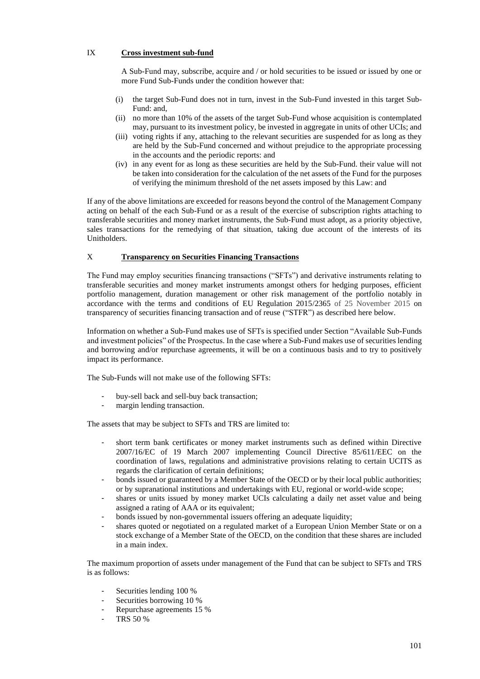# IX **Cross investment sub-fund**

A Sub-Fund may, subscribe, acquire and / or hold securities to be issued or issued by one or more Fund Sub-Funds under the condition however that:

- (i) the target Sub-Fund does not in turn, invest in the Sub-Fund invested in this target Sub-Fund: and,
- (ii) no more than 10% of the assets of the target Sub-Fund whose acquisition is contemplated may, pursuant to its investment policy, be invested in aggregate in units of other UCIs; and
- (iii) voting rights if any, attaching to the relevant securities are suspended for as long as they are held by the Sub-Fund concerned and without prejudice to the appropriate processing in the accounts and the periodic reports: and
- (iv) in any event for as long as these securities are held by the Sub-Fund. their value will not be taken into consideration for the calculation of the net assets of the Fund for the purposes of verifying the minimum threshold of the net assets imposed by this Law: and

If any of the above limitations are exceeded for reasons beyond the control of the Management Company acting on behalf of the each Sub-Fund or as a result of the exercise of subscription rights attaching to transferable securities and money market instruments, the Sub-Fund must adopt, as a priority objective, sales transactions for the remedying of that situation, taking due account of the interests of its Unitholders.

## X **Transparency on Securities Financing Transactions**

The Fund may employ securities financing transactions ("SFTs") and derivative instruments relating to transferable securities and money market instruments amongst others for hedging purposes, efficient portfolio management, duration management or other risk management of the portfolio notably in accordance with the terms and conditions of EU Regulation 2015/2365 of 25 November 2015 on transparency of securities financing transaction and of reuse ("STFR") as described here below.

Information on whether a Sub-Fund makes use of SFTs is specified under Section "Available Sub-Funds and investment policies" of the Prospectus. In the case where a Sub-Fund makes use of securities lending and borrowing and/or repurchase agreements, it will be on a continuous basis and to try to positively impact its performance.

The Sub-Funds will not make use of the following SFTs:

- buy-sell back and sell-buy back transaction;
- margin lending transaction.

The assets that may be subject to SFTs and TRS are limited to:

- short term bank certificates or money market instruments such as defined within Directive 2007/16/EC of 19 March 2007 implementing Council Directive 85/611/EEC on the coordination of laws, regulations and administrative provisions relating to certain UCITS as regards the clarification of certain definitions;
- bonds issued or guaranteed by a Member State of the OECD or by their local public authorities; or by supranational institutions and undertakings with EU, regional or world-wide scope;
- shares or units issued by money market UCIs calculating a daily net asset value and being assigned a rating of AAA or its equivalent;
- bonds issued by non-governmental issuers offering an adequate liquidity;
- shares quoted or negotiated on a regulated market of a European Union Member State or on a stock exchange of a Member State of the OECD, on the condition that these shares are included in a main index.

The maximum proportion of assets under management of the Fund that can be subject to SFTs and TRS is as follows:

- Securities lending 100 %
- Securities borrowing 10 %
- Repurchase agreements 15 %
- TRS 50 %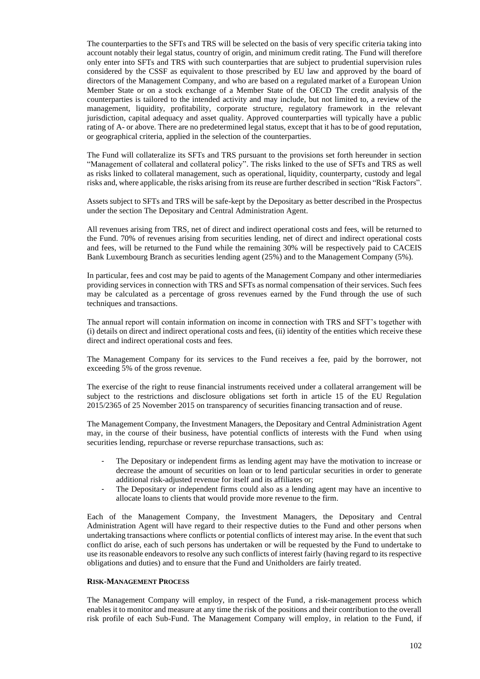The counterparties to the SFTs and TRS will be selected on the basis of very specific criteria taking into account notably their legal status, country of origin, and minimum credit rating. The Fund will therefore only enter into SFTs and TRS with such counterparties that are subject to prudential supervision rules considered by the CSSF as equivalent to those prescribed by EU law and approved by the board of directors of the Management Company, and who are based on a regulated market of a European Union Member State or on a stock exchange of a Member State of the OECD The credit analysis of the counterparties is tailored to the intended activity and may include, but not limited to, a review of the management, liquidity, profitability, corporate structure, regulatory framework in the relevant jurisdiction, capital adequacy and asset quality. Approved counterparties will typically have a public rating of A- or above. There are no predetermined legal status, except that it has to be of good reputation, or geographical criteria, applied in the selection of the counterparties.

The Fund will collateralize its SFTs and TRS pursuant to the provisions set forth hereunder in section "Management of collateral and collateral policy". The risks linked to the use of SFTs and TRS as well as risks linked to collateral management, such as operational, liquidity, counterparty, custody and legal risks and, where applicable, the risks arising from its reuse are further described in section "Risk Factors".

Assets subject to SFTs and TRS will be safe-kept by the Depositary as better described in the Prospectus under the section The Depositary and Central Administration Agent.

All revenues arising from TRS, net of direct and indirect operational costs and fees, will be returned to the Fund. 70% of revenues arising from securities lending, net of direct and indirect operational costs and fees, will be returned to the Fund while the remaining 30% will be respectively paid to CACEIS Bank Luxembourg Branch as securities lending agent (25%) and to the Management Company (5%).

In particular, fees and cost may be paid to agents of the Management Company and other intermediaries providing services in connection with TRS and SFTs as normal compensation of their services. Such fees may be calculated as a percentage of gross revenues earned by the Fund through the use of such techniques and transactions.

The annual report will contain information on income in connection with TRS and SFT's together with (i) details on direct and indirect operational costs and fees, (ii) identity of the entities which receive these direct and indirect operational costs and fees.

The Management Company for its services to the Fund receives a fee, paid by the borrower, not exceeding 5% of the gross revenue.

The exercise of the right to reuse financial instruments received under a collateral arrangement will be subject to the restrictions and disclosure obligations set forth in article 15 of the EU Regulation 2015/2365 of 25 November 2015 on transparency of securities financing transaction and of reuse.

The Management Company, the Investment Managers, the Depositary and Central Administration Agent may, in the course of their business, have potential conflicts of interests with the Fund when using securities lending, repurchase or reverse repurchase transactions, such as:

- The Depositary or independent firms as lending agent may have the motivation to increase or decrease the amount of securities on loan or to lend particular securities in order to generate additional risk-adjusted revenue for itself and its affiliates or;
- The Depositary or independent firms could also as a lending agent may have an incentive to allocate loans to clients that would provide more revenue to the firm.

Each of the Management Company, the Investment Managers, the Depositary and Central Administration Agent will have regard to their respective duties to the Fund and other persons when undertaking transactions where conflicts or potential conflicts of interest may arise. In the event that such conflict do arise, each of such persons has undertaken or will be requested by the Fund to undertake to use its reasonable endeavors to resolve any such conflicts of interest fairly (having regard to its respective obligations and duties) and to ensure that the Fund and Unitholders are fairly treated.

### **RISK-MANAGEMENT PROCESS**

The Management Company will employ, in respect of the Fund, a risk-management process which enables it to monitor and measure at any time the risk of the positions and their contribution to the overall risk profile of each Sub-Fund. The Management Company will employ, in relation to the Fund, if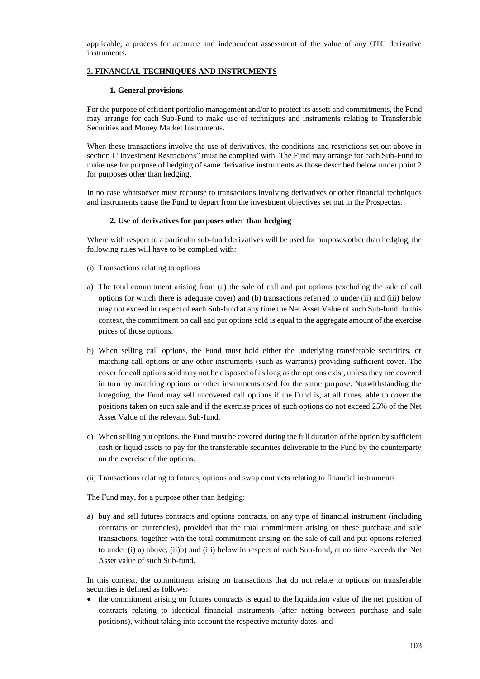applicable, a process for accurate and independent assessment of the value of any OTC derivative instruments.

# **2. FINANCIAL TECHNIQUES AND INSTRUMENTS**

## **1. General provisions**

For the purpose of efficient portfolio management and/or to protect its assets and commitments, the Fund may arrange for each Sub-Fund to make use of techniques and instruments relating to Transferable Securities and Money Market Instruments.

When these transactions involve the use of derivatives, the conditions and restrictions set out above in section I "Investment Restrictions" must be complied with. The Fund may arrange for each Sub-Fund to make use for purpose of hedging of same derivative instruments as those described below under point 2 for purposes other than hedging.

In no case whatsoever must recourse to transactions involving derivatives or other financial techniques and instruments cause the Fund to depart from the investment objectives set out in the Prospectus.

## **2. Use of derivatives for purposes other than hedging**

Where with respect to a particular sub-fund derivatives will be used for purposes other than hedging, the following rules will have to be complied with:

- (i) Transactions relating to options
- a) The total commitment arising from (a) the sale of call and put options (excluding the sale of call options for which there is adequate cover) and (b) transactions referred to under (ii) and (iii) below may not exceed in respect of each Sub-fund at any time the Net Asset Value of such Sub-fund. In this context, the commitment on call and put options sold is equal to the aggregate amount of the exercise prices of those options.
- b) When selling call options, the Fund must hold either the underlying transferable securities, or matching call options or any other instruments (such as warrants) providing sufficient cover. The cover for call options sold may not be disposed of as long as the options exist, unless they are covered in turn by matching options or other instruments used for the same purpose. Notwithstanding the foregoing, the Fund may sell uncovered call options if the Fund is, at all times, able to cover the positions taken on such sale and if the exercise prices of such options do not exceed 25% of the Net Asset Value of the relevant Sub-fund.
- c) When selling put options, the Fund must be covered during the full duration of the option by sufficient cash or liquid assets to pay for the transferable securities deliverable to the Fund by the counterparty on the exercise of the options.
- (ii) Transactions relating to futures, options and swap contracts relating to financial instruments

The Fund may, for a purpose other than hedging:

a) buy and sell futures contracts and options contracts, on any type of financial instrument (including contracts on currencies), provided that the total commitment arising on these purchase and sale transactions, together with the total commitment arising on the sale of call and put options referred to under (i) a) above, (ii)b) and (iii) below in respect of each Sub-fund, at no time exceeds the Net Asset value of such Sub-fund.

In this context, the commitment arising on transactions that do not relate to options on transferable securities is defined as follows:

• the commitment arising on futures contracts is equal to the liquidation value of the net position of contracts relating to identical financial instruments (after netting between purchase and sale positions), without taking into account the respective maturity dates; and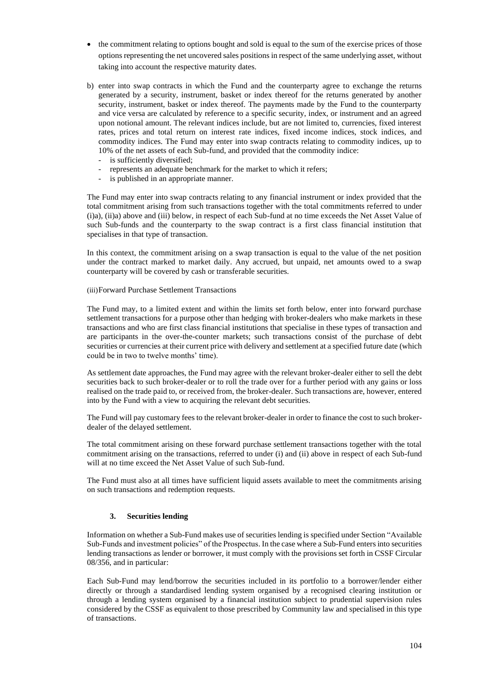- the commitment relating to options bought and sold is equal to the sum of the exercise prices of those options representing the net uncovered sales positions in respect of the same underlying asset, without taking into account the respective maturity dates.
- b) enter into swap contracts in which the Fund and the counterparty agree to exchange the returns generated by a security, instrument, basket or index thereof for the returns generated by another security, instrument, basket or index thereof. The payments made by the Fund to the counterparty and vice versa are calculated by reference to a specific security, index, or instrument and an agreed upon notional amount. The relevant indices include, but are not limited to, currencies, fixed interest rates, prices and total return on interest rate indices, fixed income indices, stock indices, and commodity indices. The Fund may enter into swap contracts relating to commodity indices, up to 10% of the net assets of each Sub-fund, and provided that the commodity indice:
	- is sufficiently diversified;
	- represents an adequate benchmark for the market to which it refers;
	- is published in an appropriate manner.

The Fund may enter into swap contracts relating to any financial instrument or index provided that the total commitment arising from such transactions together with the total commitments referred to under (i)a), (ii)a) above and (iii) below, in respect of each Sub-fund at no time exceeds the Net Asset Value of such Sub-funds and the counterparty to the swap contract is a first class financial institution that specialises in that type of transaction.

In this context, the commitment arising on a swap transaction is equal to the value of the net position under the contract marked to market daily. Any accrued, but unpaid, net amounts owed to a swap counterparty will be covered by cash or transferable securities.

# (iii)Forward Purchase Settlement Transactions

The Fund may, to a limited extent and within the limits set forth below, enter into forward purchase settlement transactions for a purpose other than hedging with broker-dealers who make markets in these transactions and who are first class financial institutions that specialise in these types of transaction and are participants in the over-the-counter markets; such transactions consist of the purchase of debt securities or currencies at their current price with delivery and settlement at a specified future date (which could be in two to twelve months' time).

As settlement date approaches, the Fund may agree with the relevant broker-dealer either to sell the debt securities back to such broker-dealer or to roll the trade over for a further period with any gains or loss realised on the trade paid to, or received from, the broker-dealer. Such transactions are, however, entered into by the Fund with a view to acquiring the relevant debt securities.

The Fund will pay customary fees to the relevant broker-dealer in order to finance the cost to such brokerdealer of the delayed settlement.

The total commitment arising on these forward purchase settlement transactions together with the total commitment arising on the transactions, referred to under (i) and (ii) above in respect of each Sub-fund will at no time exceed the Net Asset Value of such Sub-fund.

The Fund must also at all times have sufficient liquid assets available to meet the commitments arising on such transactions and redemption requests.

## **3. Securities lending**

Information on whether a Sub-Fund makes use of securities lending is specified under Section "Available Sub-Funds and investment policies" of the Prospectus. In the case where a Sub-Fund entersinto securities lending transactions as lender or borrower, it must comply with the provisions set forth in CSSF Circular 08/356, and in particular:

Each Sub-Fund may lend/borrow the securities included in its portfolio to a borrower/lender either directly or through a standardised lending system organised by a recognised clearing institution or through a lending system organised by a financial institution subject to prudential supervision rules considered by the CSSF as equivalent to those prescribed by Community law and specialised in this type of transactions.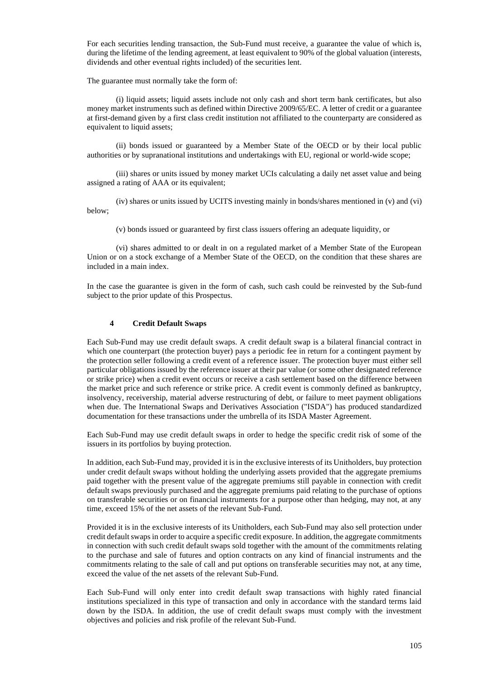For each securities lending transaction, the Sub-Fund must receive, a guarantee the value of which is, during the lifetime of the lending agreement, at least equivalent to 90% of the global valuation (interests, dividends and other eventual rights included) of the securities lent.

The guarantee must normally take the form of:

(i) liquid assets; liquid assets include not only cash and short term bank certificates, but also money market instruments such as defined within Directive 2009/65/EC. A letter of credit or a guarantee at first-demand given by a first class credit institution not affiliated to the counterparty are considered as equivalent to liquid assets;

(ii) bonds issued or guaranteed by a Member State of the OECD or by their local public authorities or by supranational institutions and undertakings with EU, regional or world-wide scope;

(iii) shares or units issued by money market UCIs calculating a daily net asset value and being assigned a rating of AAA or its equivalent;

(iv) shares or units issued by UCITS investing mainly in bonds/shares mentioned in (v) and (vi) below;

(v) bonds issued or guaranteed by first class issuers offering an adequate liquidity, or

(vi) shares admitted to or dealt in on a regulated market of a Member State of the European Union or on a stock exchange of a Member State of the OECD, on the condition that these shares are included in a main index.

In the case the guarantee is given in the form of cash, such cash could be reinvested by the Sub-fund subject to the prior update of this Prospectus.

### **4 Credit Default Swaps**

Each Sub-Fund may use credit default swaps. A credit default swap is a bilateral financial contract in which one counterpart (the protection buyer) pays a periodic fee in return for a contingent payment by the protection seller following a credit event of a reference issuer. The protection buyer must either sell particular obligations issued by the reference issuer at their par value (or some other designated reference or strike price) when a credit event occurs or receive a cash settlement based on the difference between the market price and such reference or strike price. A credit event is commonly defined as bankruptcy, insolvency, receivership, material adverse restructuring of debt, or failure to meet payment obligations when due. The International Swaps and Derivatives Association ("ISDA") has produced standardized documentation for these transactions under the umbrella of its ISDA Master Agreement.

Each Sub-Fund may use credit default swaps in order to hedge the specific credit risk of some of the issuers in its portfolios by buying protection.

In addition, each Sub-Fund may, provided it is in the exclusive interests of its Unitholders, buy protection under credit default swaps without holding the underlying assets provided that the aggregate premiums paid together with the present value of the aggregate premiums still payable in connection with credit default swaps previously purchased and the aggregate premiums paid relating to the purchase of options on transferable securities or on financial instruments for a purpose other than hedging, may not, at any time, exceed 15% of the net assets of the relevant Sub-Fund.

Provided it is in the exclusive interests of its Unitholders, each Sub-Fund may also sell protection under credit default swaps in order to acquire a specific credit exposure. In addition, the aggregate commitments in connection with such credit default swaps sold together with the amount of the commitments relating to the purchase and sale of futures and option contracts on any kind of financial instruments and the commitments relating to the sale of call and put options on transferable securities may not, at any time, exceed the value of the net assets of the relevant Sub-Fund.

Each Sub-Fund will only enter into credit default swap transactions with highly rated financial institutions specialized in this type of transaction and only in accordance with the standard terms laid down by the ISDA. In addition, the use of credit default swaps must comply with the investment objectives and policies and risk profile of the relevant Sub-Fund.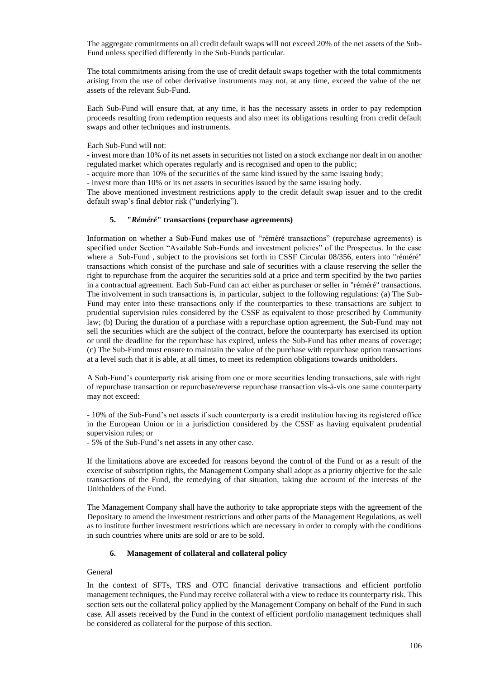The aggregate commitments on all credit default swaps will not exceed 20% of the net assets of the Sub-Fund unless specified differently in the Sub-Funds particular.

The total commitments arising from the use of credit default swaps together with the total commitments arising from the use of other derivative instruments may not, at any time, exceed the value of the net assets of the relevant Sub-Fund.

Each Sub-Fund will ensure that, at any time, it has the necessary assets in order to pay redemption proceeds resulting from redemption requests and also meet its obligations resulting from credit default swaps and other techniques and instruments.

### Each Sub-Fund will not:

- invest more than 10% of its net assets in securities not listed on a stock exchange nor dealt in on another regulated market which operates regularly and is recognised and open to the public;

- acquire more than 10% of the securities of the same kind issued by the same issuing body;

- invest more than 10% or its net assets in securities issued by the same issuing body.

The above mentioned investment restrictions apply to the credit default swap issuer and to the credit default swap's final debtor risk ("underlying").

### **5. "***Réméré***" transactions (repurchase agreements)**

Information on whether a Sub-Fund makes use of "réméré transactions" (repurchase agreements) is specified under Section "Available Sub-Funds and investment policies" of the Prospectus. In the case where a Sub-Fund , subject to the provisions set forth in CSSF Circular 08/356, enters into "réméré" transactions which consist of the purchase and sale of securities with a clause reserving the seller the right to repurchase from the acquirer the securities sold at a price and term specified by the two parties in a contractual agreement. Each Sub-Fund can act either as purchaser or seller in "réméré" transactions. The involvement in such transactions is, in particular, subject to the following regulations: (a) The Sub-Fund may enter into these transactions only if the counterparties to these transactions are subject to prudential supervision rules considered by the CSSF as equivalent to those prescribed by Community law; (b) During the duration of a purchase with a repurchase option agreement, the Sub-Fund may not sell the securities which are the subject of the contract, before the counterparty has exercised its option or until the deadline for the repurchase has expired, unless the Sub-Fund has other means of coverage; (c) The Sub-Fund must ensure to maintain the value of the purchase with repurchase option transactions at a level such that it is able, at all times, to meet its redemption obligations towards unitholders.

A Sub-Fund's counterparty risk arising from one or more securities lending transactions, sale with right of repurchase transaction or repurchase/reverse repurchase transaction vis-à-vis one same counterparty may not exceed:

- 10% of the Sub-Fund's net assets if such counterparty is a credit institution having its registered office in the European Union or in a jurisdiction considered by the CSSF as having equivalent prudential supervision rules; or

- 5% of the Sub-Fund's net assets in any other case.

If the limitations above are exceeded for reasons beyond the control of the Fund or as a result of the exercise of subscription rights, the Management Company shall adopt as a priority objective for the sale transactions of the Fund, the remedying of that situation, taking due account of the interests of the Unitholders of the Fund.

The Management Company shall have the authority to take appropriate steps with the agreement of the Depositary to amend the investment restrictions and other parts of the Management Regulations, as well as to institute further investment restrictions which are necessary in order to comply with the conditions in such countries where units are sold or are to be sold.

## **6. Management of collateral and collateral policy**

### General

In the context of SFTs, TRS and OTC financial derivative transactions and efficient portfolio management techniques, the Fund may receive collateral with a view to reduce its counterparty risk. This section sets out the collateral policy applied by the Management Company on behalf of the Fund in such case. All assets received by the Fund in the context of efficient portfolio management techniques shall be considered as collateral for the purpose of this section.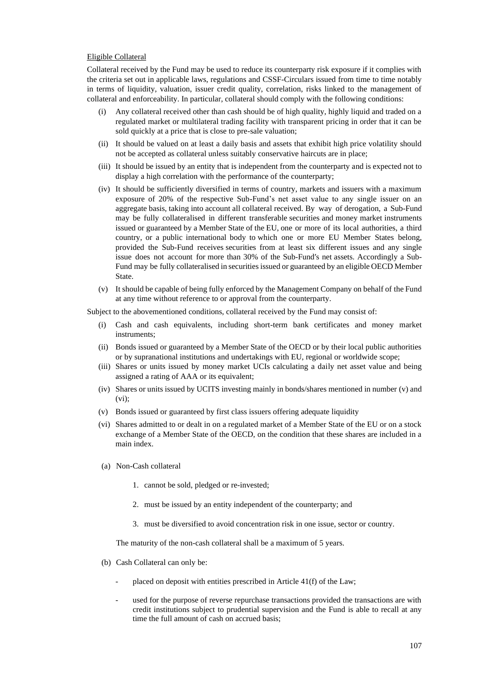### Eligible Collateral

Collateral received by the Fund may be used to reduce its counterparty risk exposure if it complies with the criteria set out in applicable laws, regulations and CSSF-Circulars issued from time to time notably in terms of liquidity, valuation, issuer credit quality, correlation, risks linked to the management of collateral and enforceability. In particular, collateral should comply with the following conditions:

- (i) Any collateral received other than cash should be of high quality, highly liquid and traded on a regulated market or multilateral trading facility with transparent pricing in order that it can be sold quickly at a price that is close to pre-sale valuation;
- (ii) It should be valued on at least a daily basis and assets that exhibit high price volatility should not be accepted as collateral unless suitably conservative haircuts are in place;
- (iii) It should be issued by an entity that is independent from the counterparty and is expected not to display a high correlation with the performance of the counterparty;
- (iv) It should be sufficiently diversified in terms of country, markets and issuers with a maximum exposure of 20% of the respective Sub-Fund's net asset value to any single issuer on an aggregate basis, taking into account all collateral received. By way of derogation, a Sub-Fund may be fully collateralised in different transferable securities and money market instruments issued or guaranteed by a Member State of the EU, one or more of its local authorities, a third country, or a public international body to which one or more EU Member States belong, provided the Sub-Fund receives securities from at least six different issues and any single issue does not account for more than 30% of the Sub-Fundʹs net assets. Accordingly a Sub-Fund may be fully collateralised in securities issued or guaranteed by an eligible OECD Member State.
- (v) It should be capable of being fully enforced by the Management Company on behalf of the Fund at any time without reference to or approval from the counterparty.

Subject to the abovementioned conditions, collateral received by the Fund may consist of:

- (i) Cash and cash equivalents, including short-term bank certificates and money market instruments;
- (ii) Bonds issued or guaranteed by a Member State of the OECD or by their local public authorities or by supranational institutions and undertakings with EU, regional or worldwide scope;
- (iii) Shares or units issued by money market UCIs calculating a daily net asset value and being assigned a rating of AAA or its equivalent;
- (iv) Shares or units issued by UCITS investing mainly in bonds/shares mentioned in number (v) and (vi);
- (v) Bonds issued or guaranteed by first class issuers offering adequate liquidity
- (vi) Shares admitted to or dealt in on a regulated market of a Member State of the EU or on a stock exchange of a Member State of the OECD, on the condition that these shares are included in a main index.
- (a) Non-Cash collateral
	- 1. cannot be sold, pledged or re-invested;
	- 2. must be issued by an entity independent of the counterparty; and
	- 3. must be diversified to avoid concentration risk in one issue, sector or country.

The maturity of the non-cash collateral shall be a maximum of 5 years.

- (b) Cash Collateral can only be:
	- placed on deposit with entities prescribed in Article 41(f) of the Law;
	- used for the purpose of reverse repurchase transactions provided the transactions are with credit institutions subject to prudential supervision and the Fund is able to recall at any time the full amount of cash on accrued basis;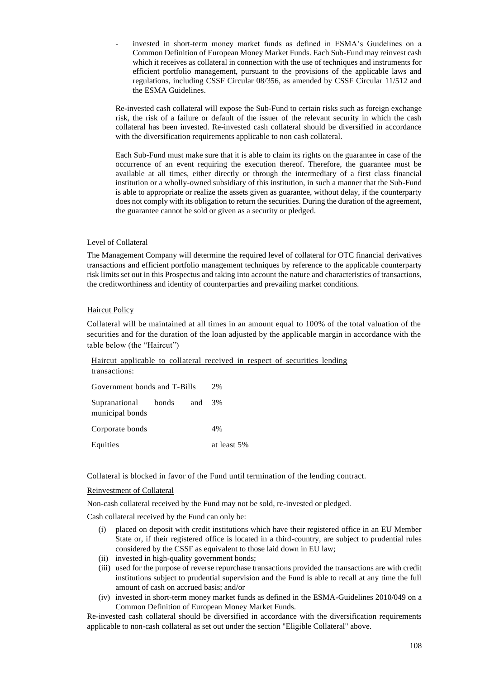invested in short-term money market funds as defined in ESMA's Guidelines on a Common Definition of European Money Market Funds. Each Sub-Fund may reinvest cash which it receives as collateral in connection with the use of techniques and instruments for efficient portfolio management, pursuant to the provisions of the applicable laws and regulations, including CSSF Circular 08/356, as amended by CSSF Circular 11/512 and the ESMA Guidelines.

Re-invested cash collateral will expose the Sub-Fund to certain risks such as foreign exchange risk, the risk of a failure or default of the issuer of the relevant security in which the cash collateral has been invested. Re-invested cash collateral should be diversified in accordance with the diversification requirements applicable to non cash collateral.

Each Sub-Fund must make sure that it is able to claim its rights on the guarantee in case of the occurrence of an event requiring the execution thereof. Therefore, the guarantee must be available at all times, either directly or through the intermediary of a first class financial institution or a wholly-owned subsidiary of this institution, in such a manner that the Sub-Fund is able to appropriate or realize the assets given as guarantee, without delay, if the counterparty does not comply with its obligation to return the securities. During the duration of the agreement, the guarantee cannot be sold or given as a security or pledged.

# Level of Collateral

The Management Company will determine the required level of collateral for OTC financial derivatives transactions and efficient portfolio management techniques by reference to the applicable counterparty risk limits set out in this Prospectus and taking into account the nature and characteristics of transactions, the creditworthiness and identity of counterparties and prevailing market conditions.

### Haircut Policy

Collateral will be maintained at all times in an amount equal to 100% of the total valuation of the securities and for the duration of the loan adjusted by the applicable margin in accordance with the table below (the "Haircut")

Haircut applicable to collateral received in respect of securities lending transactions:

| Government bonds and T-Bills                  |  |  | 2%          |
|-----------------------------------------------|--|--|-------------|
| Supranational bonds and 3%<br>municipal bonds |  |  |             |
| Corporate bonds                               |  |  | 4%          |
| Equities                                      |  |  | at least 5% |

Collateral is blocked in favor of the Fund until termination of the lending contract.

### Reinvestment of Collateral

Non-cash collateral received by the Fund may not be sold, re-invested or pledged.

Cash collateral received by the Fund can only be:

- (i) placed on deposit with credit institutions which have their registered office in an EU Member State or, if their registered office is located in a third-country, are subject to prudential rules considered by the CSSF as equivalent to those laid down in EU law;
- (ii) invested in high-quality government bonds;
- (iii) used for the purpose of reverse repurchase transactions provided the transactions are with credit institutions subject to prudential supervision and the Fund is able to recall at any time the full amount of cash on accrued basis; and/or
- (iv) invested in short-term money market funds as defined in the ESMA-Guidelines 2010/049 on a Common Definition of European Money Market Funds.

Re-invested cash collateral should be diversified in accordance with the diversification requirements applicable to non-cash collateral as set out under the section "Eligible Collateral" above.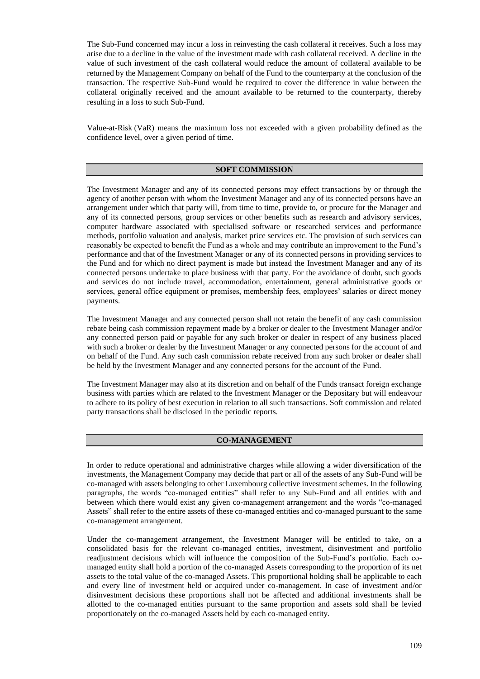The Sub-Fund concerned may incur a loss in reinvesting the cash collateral it receives. Such a loss may arise due to a decline in the value of the investment made with cash collateral received. A decline in the value of such investment of the cash collateral would reduce the amount of collateral available to be returned by the Management Company on behalf of the Fund to the counterparty at the conclusion of the transaction. The respective Sub-Fund would be required to cover the difference in value between the collateral originally received and the amount available to be returned to the counterparty, thereby resulting in a loss to such Sub-Fund.

Value-at-Risk (VaR) means the maximum loss not exceeded with a given probability defined as the confidence level, over a given period of time.

#### **SOFT COMMISSION**

The Investment Manager and any of its connected persons may effect transactions by or through the agency of another person with whom the Investment Manager and any of its connected persons have an arrangement under which that party will, from time to time, provide to, or procure for the Manager and any of its connected persons, group services or other benefits such as research and advisory services, computer hardware associated with specialised software or researched services and performance methods, portfolio valuation and analysis, market price services etc. The provision of such services can reasonably be expected to benefit the Fund as a whole and may contribute an improvement to the Fund's performance and that of the Investment Manager or any of its connected persons in providing services to the Fund and for which no direct payment is made but instead the Investment Manager and any of its connected persons undertake to place business with that party. For the avoidance of doubt, such goods and services do not include travel, accommodation, entertainment, general administrative goods or services, general office equipment or premises, membership fees, employees' salaries or direct money payments.

The Investment Manager and any connected person shall not retain the benefit of any cash commission rebate being cash commission repayment made by a broker or dealer to the Investment Manager and/or any connected person paid or payable for any such broker or dealer in respect of any business placed with such a broker or dealer by the Investment Manager or any connected persons for the account of and on behalf of the Fund. Any such cash commission rebate received from any such broker or dealer shall be held by the Investment Manager and any connected persons for the account of the Fund.

The Investment Manager may also at its discretion and on behalf of the Funds transact foreign exchange business with parties which are related to the Investment Manager or the Depositary but will endeavour to adhere to its policy of best execution in relation to all such transactions. Soft commission and related party transactions shall be disclosed in the periodic reports.

#### **CO-MANAGEMENT**

In order to reduce operational and administrative charges while allowing a wider diversification of the investments, the Management Company may decide that part or all of the assets of any Sub-Fund will be co-managed with assets belonging to other Luxembourg collective investment schemes. In the following paragraphs, the words "co-managed entities" shall refer to any Sub-Fund and all entities with and between which there would exist any given co-management arrangement and the words "co-managed Assets" shall refer to the entire assets of these co-managed entities and co-managed pursuant to the same co-management arrangement.

Under the co-management arrangement, the Investment Manager will be entitled to take, on a consolidated basis for the relevant co-managed entities, investment, disinvestment and portfolio readjustment decisions which will influence the composition of the Sub-Fund's portfolio. Each comanaged entity shall hold a portion of the co-managed Assets corresponding to the proportion of its net assets to the total value of the co-managed Assets. This proportional holding shall be applicable to each and every line of investment held or acquired under co-management. In case of investment and/or disinvestment decisions these proportions shall not be affected and additional investments shall be allotted to the co-managed entities pursuant to the same proportion and assets sold shall be levied proportionately on the co-managed Assets held by each co-managed entity.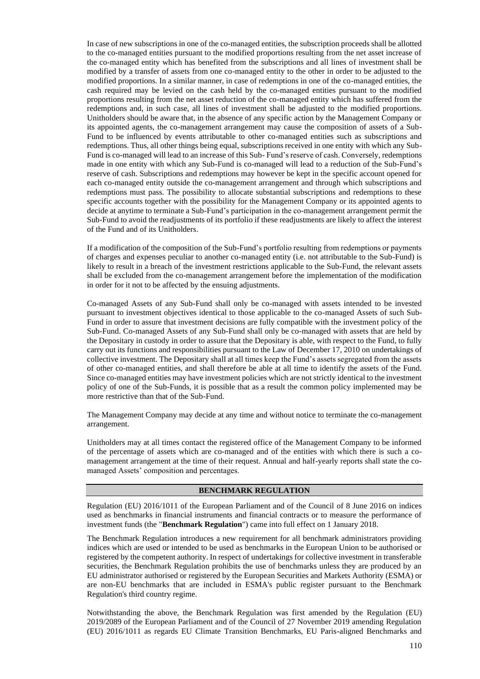In case of new subscriptions in one of the co-managed entities, the subscription proceeds shall be allotted to the co-managed entities pursuant to the modified proportions resulting from the net asset increase of the co-managed entity which has benefited from the subscriptions and all lines of investment shall be modified by a transfer of assets from one co-managed entity to the other in order to be adjusted to the modified proportions. In a similar manner, in case of redemptions in one of the co-managed entities, the cash required may be levied on the cash held by the co-managed entities pursuant to the modified proportions resulting from the net asset reduction of the co-managed entity which has suffered from the redemptions and, in such case, all lines of investment shall be adjusted to the modified proportions. Unitholders should be aware that, in the absence of any specific action by the Management Company or its appointed agents, the co-management arrangement may cause the composition of assets of a Sub-Fund to be influenced by events attributable to other co-managed entities such as subscriptions and redemptions. Thus, all other things being equal, subscriptions received in one entity with which any Sub-Fund is co-managed will lead to an increase of this Sub- Fund's reserve of cash. Conversely, redemptions made in one entity with which any Sub-Fund is co-managed will lead to a reduction of the Sub-Fund's reserve of cash. Subscriptions and redemptions may however be kept in the specific account opened for each co-managed entity outside the co-management arrangement and through which subscriptions and redemptions must pass. The possibility to allocate substantial subscriptions and redemptions to these specific accounts together with the possibility for the Management Company or its appointed agents to decide at anytime to terminate a Sub-Fund's participation in the co-management arrangement permit the Sub-Fund to avoid the readjustments of its portfolio if these readjustments are likely to affect the interest of the Fund and of its Unitholders.

If a modification of the composition of the Sub-Fund's portfolio resulting from redemptions or payments of charges and expenses peculiar to another co-managed entity (i.e. not attributable to the Sub-Fund) is likely to result in a breach of the investment restrictions applicable to the Sub-Fund, the relevant assets shall be excluded from the co-management arrangement before the implementation of the modification in order for it not to be affected by the ensuing adjustments.

Co-managed Assets of any Sub-Fund shall only be co-managed with assets intended to be invested pursuant to investment objectives identical to those applicable to the co-managed Assets of such Sub-Fund in order to assure that investment decisions are fully compatible with the investment policy of the Sub-Fund. Co-managed Assets of any Sub-Fund shall only be co-managed with assets that are held by the Depositary in custody in order to assure that the Depositary is able, with respect to the Fund, to fully carry out its functions and responsibilities pursuant to the Law of December 17, 2010 on undertakings of collective investment. The Depositary shall at all times keep the Fund's assets segregated from the assets of other co-managed entities, and shall therefore be able at all time to identify the assets of the Fund. Since co-managed entities may have investment policies which are not strictly identical to the investment policy of one of the Sub-Funds, it is possible that as a result the common policy implemented may be more restrictive than that of the Sub-Fund.

The Management Company may decide at any time and without notice to terminate the co-management arrangement.

Unitholders may at all times contact the registered office of the Management Company to be informed of the percentage of assets which are co-managed and of the entities with which there is such a comanagement arrangement at the time of their request. Annual and half-yearly reports shall state the comanaged Assets' composition and percentages.

### **BENCHMARK REGULATION**

Regulation (EU) 2016/1011 of the European Parliament and of the Council of 8 June 2016 on indices used as benchmarks in financial instruments and financial contracts or to measure the performance of investment funds (the "**Benchmark Regulation**") came into full effect on 1 January 2018.

The Benchmark Regulation introduces a new requirement for all benchmark administrators providing indices which are used or intended to be used as benchmarks in the European Union to be authorised or registered by the competent authority. In respect of undertakings for collective investment in transferable securities, the Benchmark Regulation prohibits the use of benchmarks unless they are produced by an EU administrator authorised or registered by the European Securities and Markets Authority (ESMA) or are non-EU benchmarks that are included in ESMA's public register pursuant to the Benchmark Regulation's third country regime.

Notwithstanding the above, the Benchmark Regulation was first amended by the Regulation (EU) 2019/2089 of the European Parliament and of the Council of 27 November 2019 amending Regulation (EU) 2016/1011 as regards EU Climate Transition Benchmarks, EU Paris-aligned Benchmarks and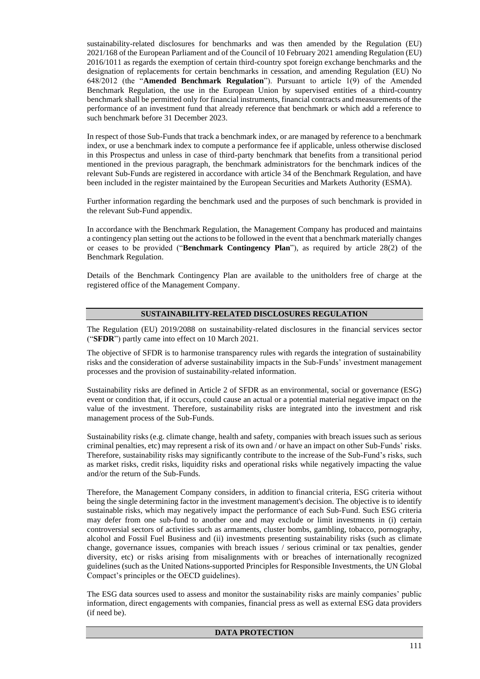sustainability-related disclosures for benchmarks and was then amended by the Regulation (EU) 2021/168 of the European Parliament and of the Council of 10 February 2021 amending Regulation (EU) 2016/1011 as regards the exemption of certain third-country spot foreign exchange benchmarks and the designation of replacements for certain benchmarks in cessation, and amending Regulation (EU) No 648/2012 (the "**Amended Benchmark Regulation**"). Pursuant to article 1(9) of the Amended Benchmark Regulation, the use in the European Union by supervised entities of a third-country benchmark shall be permitted only for financial instruments, financial contracts and measurements of the performance of an investment fund that already reference that benchmark or which add a reference to such benchmark before 31 December 2023.

In respect of those Sub-Funds that track a benchmark index, or are managed by reference to a benchmark index, or use a benchmark index to compute a performance fee if applicable, unless otherwise disclosed in this Prospectus and unless in case of third-party benchmark that benefits from a transitional period mentioned in the previous paragraph, the benchmark administrators for the benchmark indices of the relevant Sub-Funds are registered in accordance with article 34 of the Benchmark Regulation, and have been included in the register maintained by the European Securities and Markets Authority (ESMA).

Further information regarding the benchmark used and the purposes of such benchmark is provided in the relevant Sub-Fund appendix.

In accordance with the Benchmark Regulation, the Management Company has produced and maintains a contingency plan setting out the actions to be followed in the event that a benchmark materially changes or ceases to be provided ("**Benchmark Contingency Plan**"), as required by article 28(2) of the Benchmark Regulation.

Details of the Benchmark Contingency Plan are available to the unitholders free of charge at the registered office of the Management Company.

# **SUSTAINABILITY-RELATED DISCLOSURES REGULATION**

The Regulation (EU) 2019/2088 on sustainability-related disclosures in the financial services sector ("**SFDR**") partly came into effect on 10 March 2021.

The objective of SFDR is to harmonise transparency rules with regards the integration of sustainability risks and the consideration of adverse sustainability impacts in the Sub-Funds' investment management processes and the provision of sustainability-related information.

Sustainability risks are defined in Article 2 of SFDR as an environmental, social or governance (ESG) event or condition that, if it occurs, could cause an actual or a potential material negative impact on the value of the investment. Therefore, sustainability risks are integrated into the investment and risk management process of the Sub-Funds.

Sustainability risks (e.g. climate change, health and safety, companies with breach issues such as serious criminal penalties, etc) may represent a risk of its own and / or have an impact on other Sub-Funds' risks. Therefore, sustainability risks may significantly contribute to the increase of the Sub-Fund's risks, such as market risks, credit risks, liquidity risks and operational risks while negatively impacting the value and/or the return of the Sub-Funds.

Therefore, the Management Company considers, in addition to financial criteria, ESG criteria without being the single determining factor in the investment management's decision. The objective is to identify sustainable risks, which may negatively impact the performance of each Sub-Fund. Such ESG criteria may defer from one sub-fund to another one and may exclude or limit investments in (i) certain controversial sectors of activities such as armaments, cluster bombs, gambling, tobacco, pornography, alcohol and Fossil Fuel Business and (ii) investments presenting sustainability risks (such as climate change, governance issues, companies with breach issues / serious criminal or tax penalties, gender diversity, etc) or risks arising from misalignments with or breaches of internationally recognized guidelines (such as the United Nations-supported Principles for Responsible Investments, the UN Global Compact's principles or the OECD guidelines).

The ESG data sources used to assess and monitor the sustainability risks are mainly companies' public information, direct engagements with companies, financial press as well as external ESG data providers (if need be).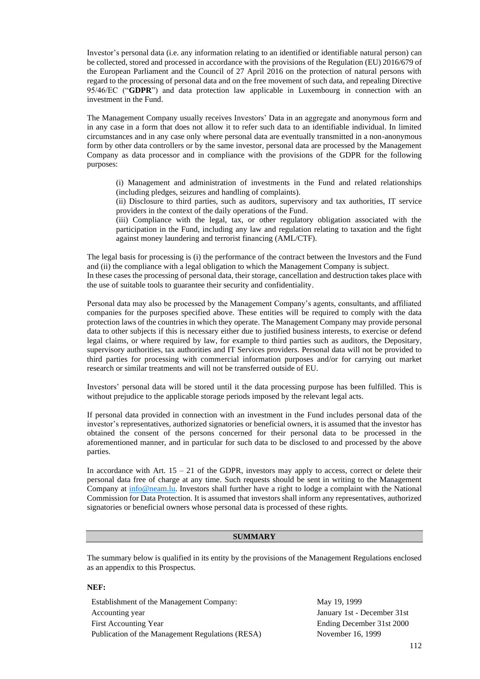Investor's personal data (i.e. any information relating to an identified or identifiable natural person) can be collected, stored and processed in accordance with the provisions of the Regulation (EU) 2016/679 of the European Parliament and the Council of 27 April 2016 on the protection of natural persons with regard to the processing of personal data and on the free movement of such data, and repealing Directive 95/46/EC ("**GDPR**") and data protection law applicable in Luxembourg in connection with an investment in the Fund.

The Management Company usually receives Investors' Data in an aggregate and anonymous form and in any case in a form that does not allow it to refer such data to an identifiable individual. In limited circumstances and in any case only where personal data are eventually transmitted in a non-anonymous form by other data controllers or by the same investor, personal data are processed by the Management Company as data processor and in compliance with the provisions of the GDPR for the following purposes:

(i) Management and administration of investments in the Fund and related relationships (including pledges, seizures and handling of complaints).

(ii) Disclosure to third parties, such as auditors, supervisory and tax authorities, IT service providers in the context of the daily operations of the Fund.

(iii) Compliance with the legal, tax, or other regulatory obligation associated with the participation in the Fund, including any law and regulation relating to taxation and the fight against money laundering and terrorist financing (AML/CTF).

The legal basis for processing is (i) the performance of the contract between the Investors and the Fund and (ii) the compliance with a legal obligation to which the Management Company is subject. In these cases the processing of personal data, their storage, cancellation and destruction takes place with

the use of suitable tools to guarantee their security and confidentiality.

Personal data may also be processed by the Management Company's agents, consultants, and affiliated companies for the purposes specified above. These entities will be required to comply with the data protection laws of the countries in which they operate. The Management Company may provide personal data to other subjects if this is necessary either due to justified business interests, to exercise or defend legal claims, or where required by law, for example to third parties such as auditors, the Depositary, supervisory authorities, tax authorities and IT Services providers. Personal data will not be provided to third parties for processing with commercial information purposes and/or for carrying out market research or similar treatments and will not be transferred outside of EU.

Investors' personal data will be stored until it the data processing purpose has been fulfilled. This is without prejudice to the applicable storage periods imposed by the relevant legal acts.

If personal data provided in connection with an investment in the Fund includes personal data of the investor's representatives, authorized signatories or beneficial owners, it is assumed that the investor has obtained the consent of the persons concerned for their personal data to be processed in the aforementioned manner, and in particular for such data to be disclosed to and processed by the above parties.

In accordance with Art.  $15 - 21$  of the GDPR, investors may apply to access, correct or delete their personal data free of charge at any time. Such requests should be sent in writing to the Management Company at [info@neam.lu.](mailto:info@neam.lu) Investors shall further have a right to lodge a complaint with the National Commission for Data Protection. It is assumed that investors shall inform any representatives, authorized signatories or beneficial owners whose personal data is processed of these rights.

# **SUMMARY**

The summary below is qualified in its entity by the provisions of the Management Regulations enclosed as an appendix to this Prospectus.

#### **NEF:**

Establishment of the Management Company: May 19, 1999 Accounting year **Ianuary 1st** - December 31st First Accounting Year **Ending December 31st 2000** Publication of the Management Regulations (RESA) November 16, 1999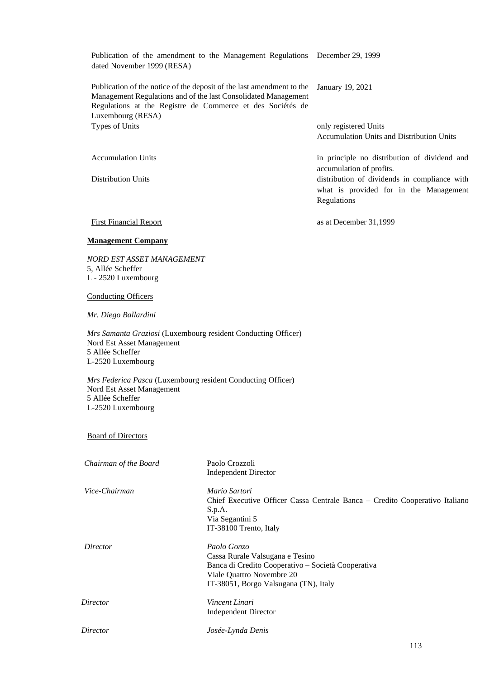Publication of the amendment to the Management Regulations December 29, 1999 dated November 1999 (RESA)

Publication of the notice of the deposit of the last amendment to the Management Regulations and of the last Consolidated Management Regulations at the Registre de Commerce et des Sociétés de Luxembourg (RESA) January 19, 2021 Types of Units only registered Units only registered Units

Accumulation Units and Distribution Units

what is provided for in the Management

accumulation of profits.

Regulations

Accumulation Units in principle no distribution of dividend and

Distribution Units distribution of dividends in compliance with

First Financial Report as at December 31,1999

# **Management Company**

*NORD EST ASSET MANAGEMENT* 5, Allée Scheffer L - 2520 Luxembourg

Conducting Officers

*Mr. Diego Ballardini*

*Mrs Samanta Graziosi* (Luxembourg resident Conducting Officer) Nord Est Asset Management 5 Allée Scheffer L-2520 Luxembourg

*Mrs Federica Pasca* (Luxembourg resident Conducting Officer) Nord Est Asset Management 5 Allée Scheffer L-2520 Luxembourg

Board of Directors

| Chairman of the Board | Paolo Crozzoli                                                              |
|-----------------------|-----------------------------------------------------------------------------|
|                       | <b>Independent Director</b>                                                 |
| Vice-Chairman         | Mario Sartori                                                               |
|                       | Chief Executive Officer Cassa Centrale Banca – Credito Cooperativo Italiano |
|                       | S.p.A.                                                                      |
|                       | Via Segantini 5                                                             |
|                       | IT-38100 Trento, Italy                                                      |
| Director              | Paolo Gonzo                                                                 |
|                       | Cassa Rurale Valsugana e Tesino                                             |
|                       | Banca di Credito Cooperativo – Società Cooperativa                          |
|                       | Viale Quattro Novembre 20                                                   |
|                       | IT-38051, Borgo Valsugana (TN), Italy                                       |
| Director              | Vincent Linari                                                              |
|                       | <b>Independent Director</b>                                                 |
| Director              | Josée-Lynda Denis                                                           |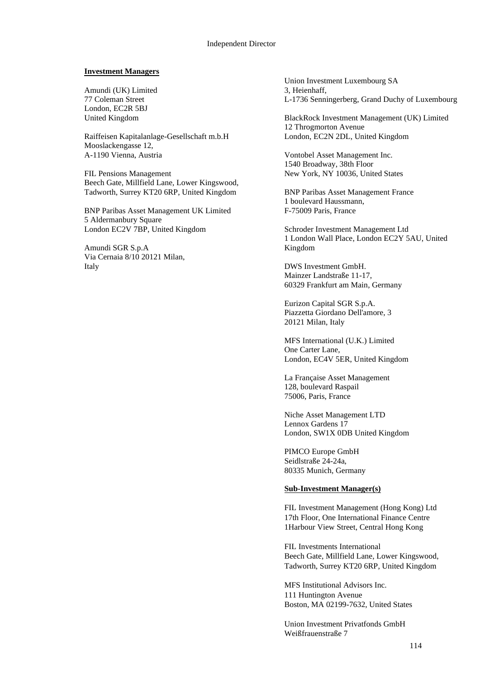#### Independent Director

#### **Investment Managers**

Amundi (UK) Limited 77 Coleman Street London, EC2R 5BJ United Kingdom

Raiffeisen Kapitalanlage-Gesellschaft m.b.H Mooslackengasse 12, A-1190 Vienna, Austria

FIL Pensions Management Beech Gate, Millfield Lane, Lower Kingswood, Tadworth, Surrey KT20 6RP, United Kingdom

BNP Paribas Asset Management UK Limited 5 Aldermanbury Square London EC2V 7BP, United Kingdom

Amundi SGR S.p.A Via Cernaia 8/10 20121 Milan, Italy

Union Investment Luxembourg SA 3, Heienhaff, L-1736 Senningerberg, Grand Duchy of Luxembourg

BlackRock Investment Management (UK) Limited 12 Throgmorton Avenue London, EC2N 2DL, United Kingdom

Vontobel Asset Management Inc. 1540 Broadway, 38th Floor New York, NY 10036, United States

BNP Paribas Asset Management France 1 boulevard Haussmann, F-75009 Paris, France

Schroder Investment Management Ltd 1 London Wall Place, London EC2Y 5AU, United Kingdom

DWS Investment GmbH. Mainzer Landstraße 11-17, 60329 Frankfurt am Main, Germany

Eurizon Capital SGR S.p.A. Piazzetta Giordano Dell'amore, 3 20121 Milan, Italy

MFS International (U.K.) Limited One Carter Lane, London, EC4V 5ER, United Kingdom

La Française Asset Management 128, boulevard Raspail 75006, Paris, France

Niche Asset Management LTD Lennox Gardens 17 London, SW1X 0DB United Kingdom

PIMCO Europe GmbH Seidlstraße 24-24a, 80335 Munich, Germany

### **Sub-Investment Manager(s)**

FIL Investment Management (Hong Kong) Ltd 17th Floor, One International Finance Centre 1Harbour View Street, Central Hong Kong

FIL Investments International Beech Gate, Millfield Lane, Lower Kingswood, Tadworth, Surrey KT20 6RP, United Kingdom

MFS Institutional Advisors Inc. 111 Huntington Avenue Boston, MA 02199-7632, United States

Union Investment Privatfonds GmbH Weißfrauenstraße 7